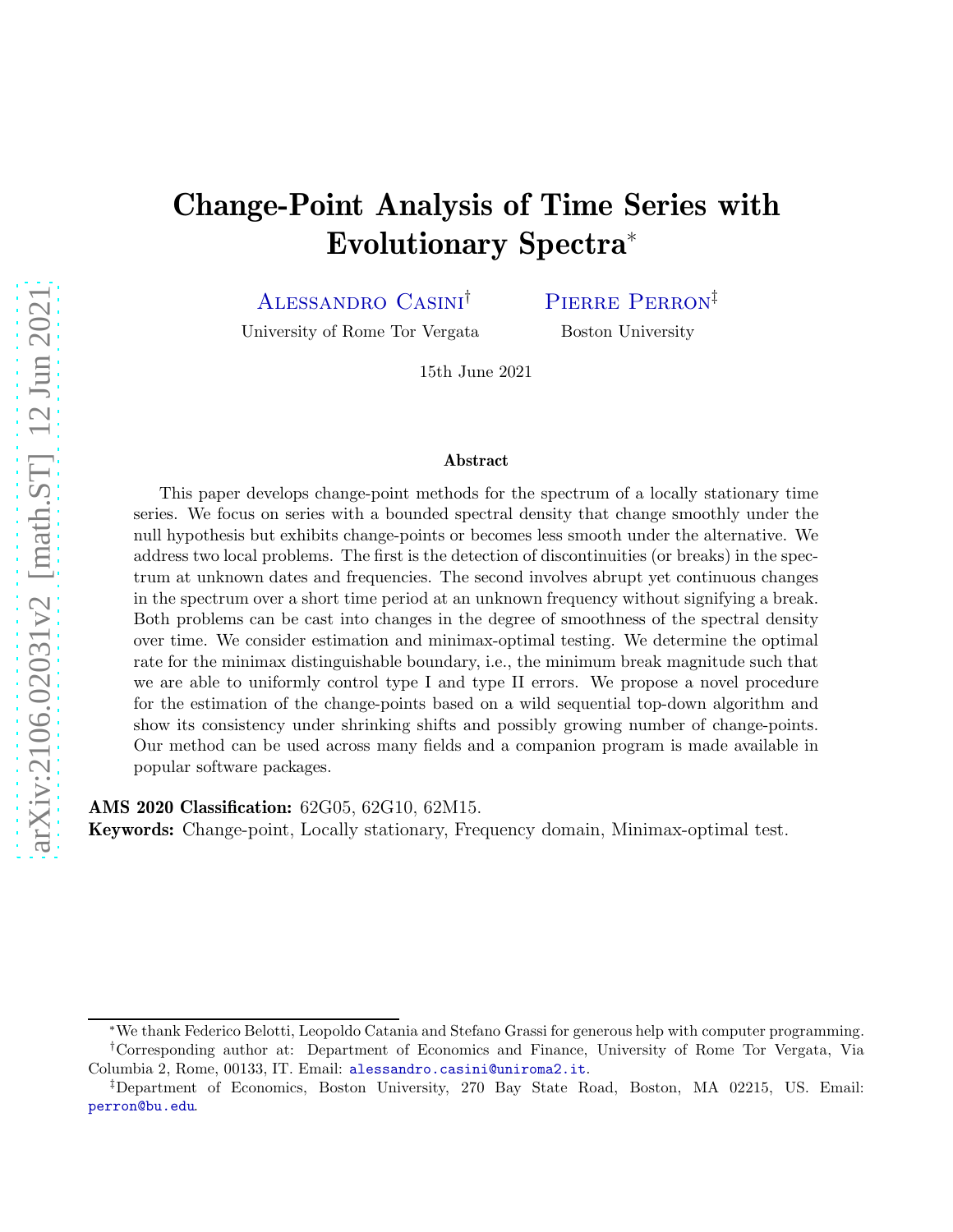# Change-Point Analysis of Time Series with Evolutionary Spectra<sup>∗</sup>

Alessandro Casini†

PIERRE PERRON<sup>‡</sup>

University of Rome Tor Vergata

Boston University

15th June 2021

#### Abstract

This paper develops change-point methods for the spectrum of a locally stationary time series. We focus on series with a bounded spectral density that change smoothly under the null hypothesis but exhibits change-points or becomes less smooth under the alternative. We address two local problems. The first is the detection of discontinuities (or breaks) in the spectrum at unknown dates and frequencies. The second involves abrupt yet continuous changes in the spectrum over a short time period at an unknown frequency without signifying a break. Both problems can be cast into changes in the degree of smoothness of the spectral density over time. We consider estimation and minimax-optimal testing. We determine the optimal rate for the minimax distinguishable boundary, i.e., the minimum break magnitude such that we are able to uniformly control type I and type II errors. We propose a novel procedure for the estimation of the change-points based on a wild sequential top-down algorithm and show its consistency under shrinking shifts and possibly growing number of change-points. Our method can be used across many fields and a companion program is made available in popular software packages.

AMS 2020 Classification: 62G05, 62G10, 62M15.

Keywords: Change-point, Locally stationary, Frequency domain, Minimax-optimal test.

<sup>∗</sup>We thank Federico Belotti, Leopoldo Catania and Stefano Grassi for generous help with computer programming. †Corresponding author at: Department of Economics and Finance, University of Rome Tor Vergata, Via Columbia 2, Rome, 00133, IT. Email: alessandro.casini@uniroma2.it.

<sup>‡</sup>Department of Economics, Boston University, 270 Bay State Road, Boston, MA 02215, US. Email: perron@bu.edu.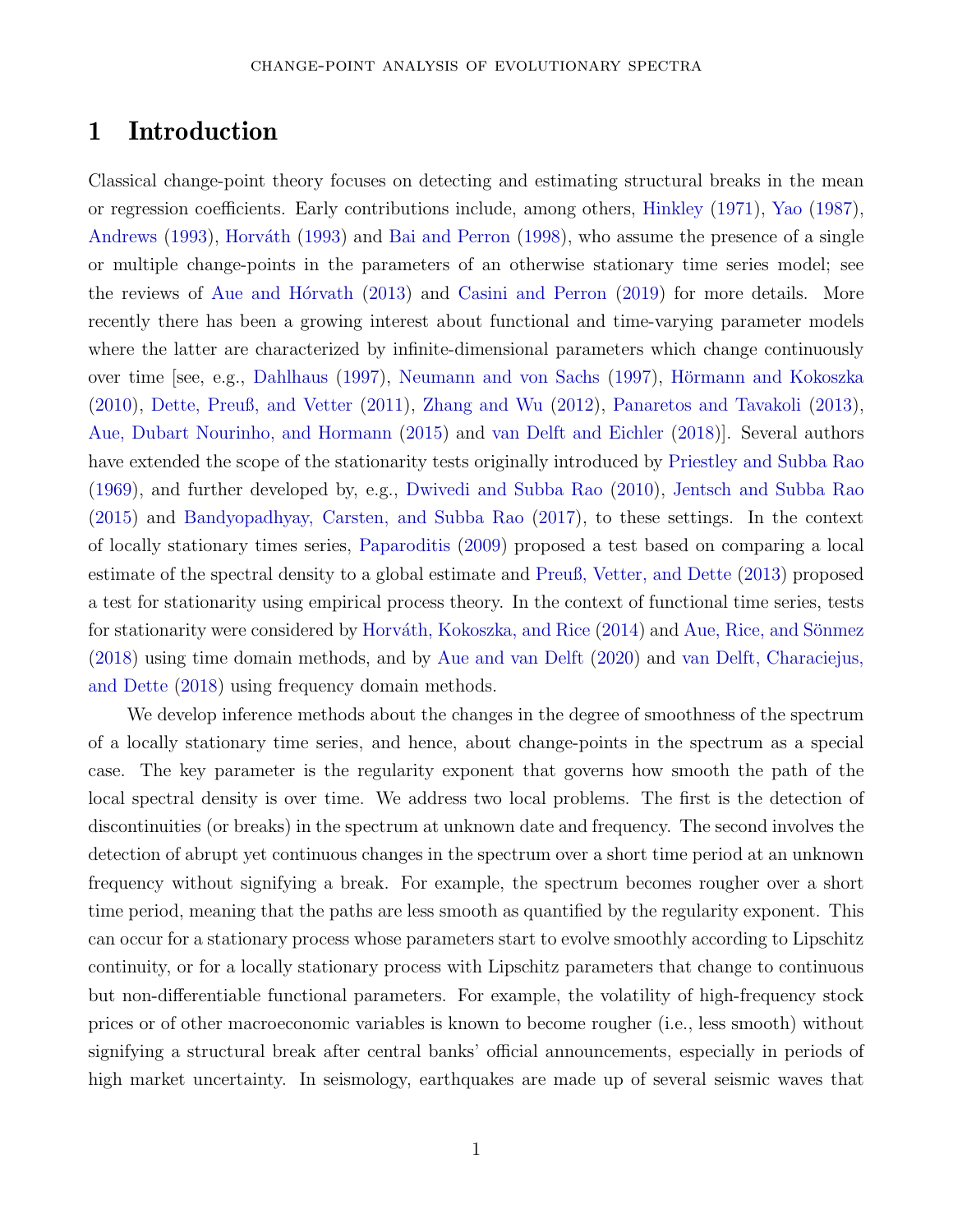## 1 Introduction

Classical change-point theory focuses on detecting and estimating structural breaks in the mean or regression coefficients. Early contributions include, among others, [Hinkley](#page-30-0) [\(1971](#page-30-0)), [Yao](#page-31-0) [\(1987\)](#page-31-0), [Andrews](#page-28-0) [\(1993](#page-28-0)), Horváth [\(1993\)](#page-30-1) and Bai and Perron (1998), who assume the presence of a single or multiple change-points in the parameters of an otherwise stationary time series model; see the reviews of Aue and H $\acute{o}$ rvath (2013) and Casini and Perron (2019) for more details. More recently there has been a growing interest about functional and time-varying parameter models where the latter are characterized by infinite-dimensional parameters which change continuously over time [see, e.g., [Dahlhaus](#page-29-0) [\(1997\)](#page-29-0), Neumann and von Sachs (1997), Hörmann and Kokoszka (2010), Dette, Preuß, and Vetter (2011), Zhang and Wu (2012), Panaretos and Tavakoli (2013), Aue, Dubart Nourinho, and Hormann (2015) and van Delft and Eichler (2018)]. Several authors have extended the scope of the stationarity tests originally introduced by Priestley and Subba Rao (1969), and further developed by, e.g., Dwivedi and Subba Rao (2010), Jentsch and Subba Rao (2015) and Bandyopadhyay, Carsten, and Subba Rao (2017), to these settings. In the context of locally stationary times series, [Paparoditis](#page-31-1) [\(2009\)](#page-31-1) proposed a test based on comparing a local estimate of the spectral density to a global estimate and Preuß, Vetter, and Dette (2013) proposed a test for stationarity using empirical process theory. In the context of functional time series, tests for stationarity were considered by Horváth, Kokoszka, and Rice  $(2014)$  and Aue, Rice, and Sönmez (2018) using time domain methods, and by Aue and van Delft (2020) and van Delft, Characiejus, and Dette (2018) using frequency domain methods.

We develop inference methods about the changes in the degree of smoothness of the spectrum of a locally stationary time series, and hence, about change-points in the spectrum as a special case. The key parameter is the regularity exponent that governs how smooth the path of the local spectral density is over time. We address two local problems. The first is the detection of discontinuities (or breaks) in the spectrum at unknown date and frequency. The second involves the detection of abrupt yet continuous changes in the spectrum over a short time period at an unknown frequency without signifying a break. For example, the spectrum becomes rougher over a short time period, meaning that the paths are less smooth as quantified by the regularity exponent. This can occur for a stationary process whose parameters start to evolve smoothly according to Lipschitz continuity, or for a locally stationary process with Lipschitz parameters that change to continuous but non-differentiable functional parameters. For example, the volatility of high-frequency stock prices or of other macroeconomic variables is known to become rougher (i.e., less smooth) without signifying a structural break after central banks' official announcements, especially in periods of high market uncertainty. In seismology, earthquakes are made up of several seismic waves that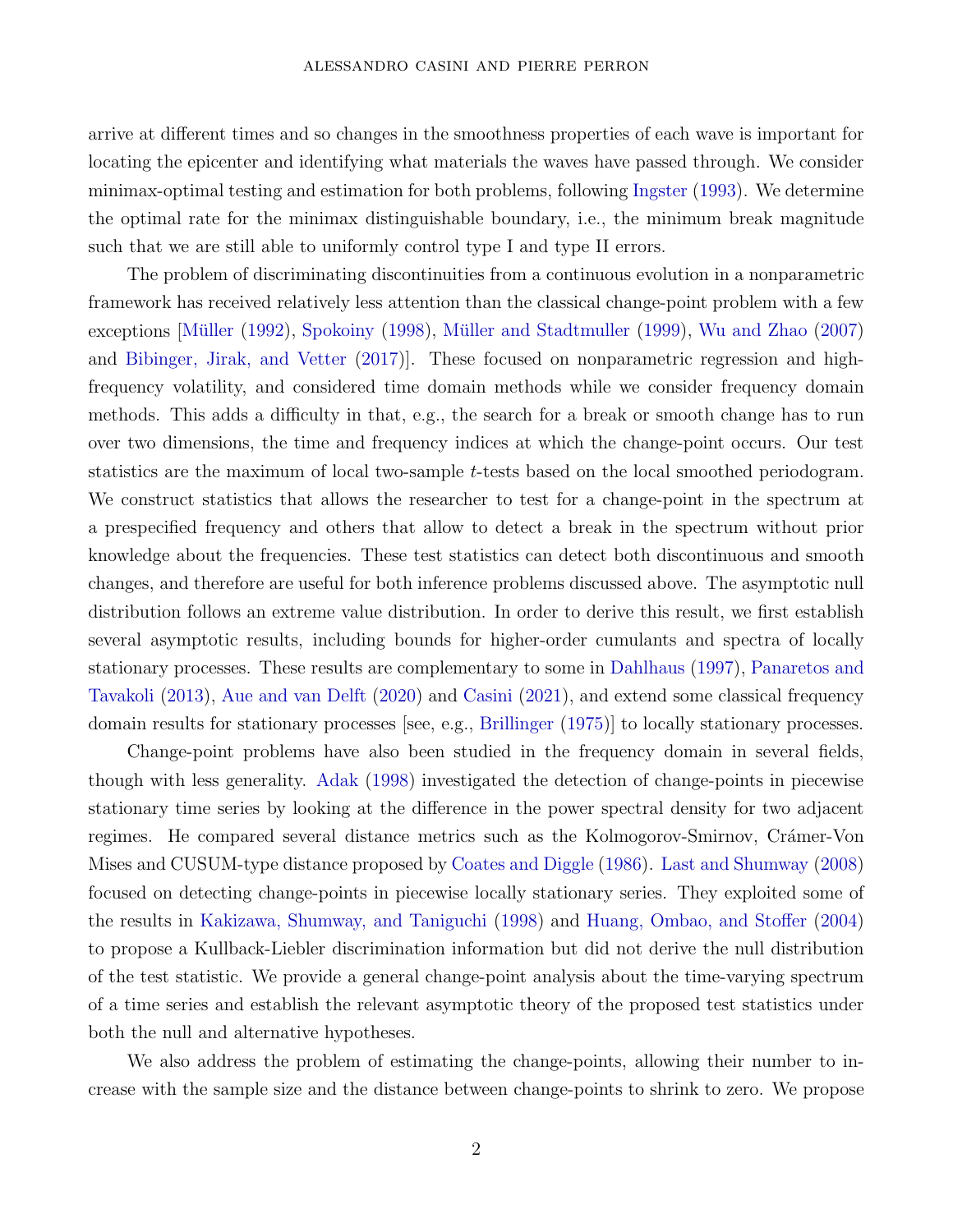arrive at different times and so changes in the smoothness properties of each wave is important for locating the epicenter and identifying what materials the waves have passed through. We consider minimax-optimal testing and estimation for both problems, following [Ingster](#page-30-2) [\(1993](#page-30-2)). We determine the optimal rate for the minimax distinguishable boundary, i.e., the minimum break magnitude such that we are still able to uniformly control type I and type II errors.

The problem of discriminating discontinuities from a continuous evolution in a nonparametric framework has received relatively less attention than the classical change-point problem with a few exceptions [Müller [\(1992\)](#page-30-3), [Spokoiny](#page-31-2) [\(1998\)](#page-31-2), Müller and Stadtmuller (1999), Wu and Zhao (2007) and Bibinger, Jirak, and Vetter (2017)]. These focused on nonparametric regression and highfrequency volatility, and considered time domain methods while we consider frequency domain methods. This adds a difficulty in that, e.g., the search for a break or smooth change has to run over two dimensions, the time and frequency indices at which the change-point occurs. Our test statistics are the maximum of local two-sample *t*-tests based on the local smoothed periodogram. We construct statistics that allows the researcher to test for a change-point in the spectrum at a prespecified frequency and others that allow to detect a break in the spectrum without prior knowledge about the frequencies. These test statistics can detect both discontinuous and smooth changes, and therefore are useful for both inference problems discussed above. The asymptotic null distribution follows an extreme value distribution. In order to derive this result, we first establish several asymptotic results, including bounds for higher-order cumulants and spectra of locally stationary processes. These results are complementary to some in [Dahlhaus](#page-29-0) [\(1997](#page-29-0)), Panaretos and Tavakoli (2013), Aue and van Delft (2020) and [Casini](#page-29-1) [\(2021](#page-29-1)), and extend some classical frequency domain results for stationary processes [see, e.g., [Brillinger](#page-28-1) [\(1975\)](#page-28-1)] to locally stationary processes.

Change-point problems have also been studied in the frequency domain in several fields, though with less generality. [Adak](#page-28-2) [\(1998\)](#page-28-2) investigated the detection of change-points in piecewise stationary time series by looking at the difference in the power spectral density for two adjacent regimes. He compared several distance metrics such as the Kolmogorov-Smirnov, Cramer-Von Mises and CUSUM-type distance proposed by Coates and Diggle (1986). Last and Shumway (2008) focused on detecting change-points in piecewise locally stationary series. They exploited some of the results in Kakizawa, Shumway, and Taniguchi (1998) and Huang, Ombao, and Stoffer (2004) to propose a Kullback-Liebler discrimination information but did not derive the null distribution of the test statistic. We provide a general change-point analysis about the time-varying spectrum of a time series and establish the relevant asymptotic theory of the proposed test statistics under both the null and alternative hypotheses.

We also address the problem of estimating the change-points, allowing their number to increase with the sample size and the distance between change-points to shrink to zero. We propose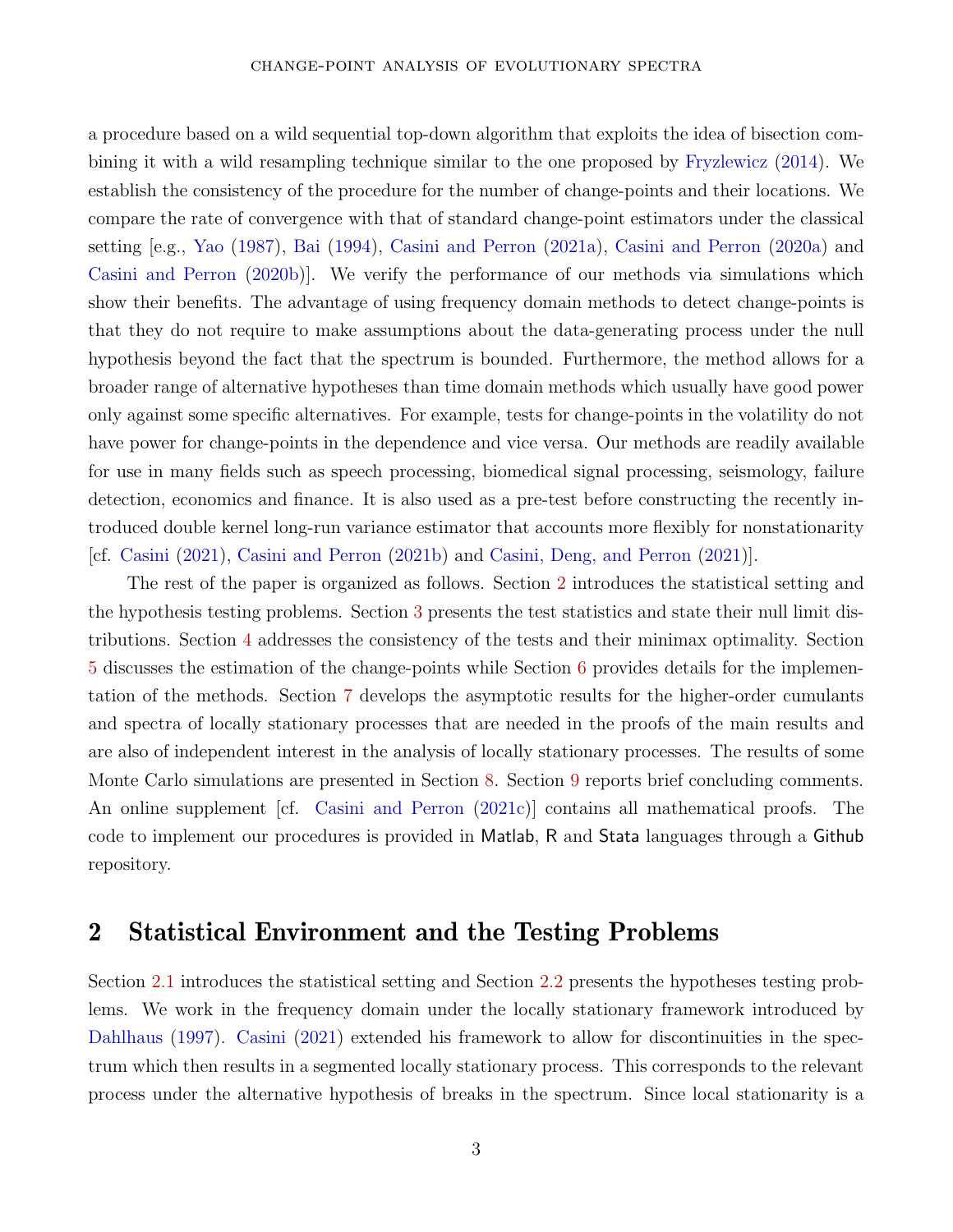#### change-point analysis of evolutionary spectra

a procedure based on a wild sequential top-down algorithm that exploits the idea of bisection combining it with a wild resampling technique similar to the one proposed by [Fryzlewicz](#page-30-4) [\(2014\)](#page-30-4). We establish the consistency of the procedure for the number of change-points and their locations. We compare the rate of convergence with that of standard change-point estimators under the classical setting [e.g., [Yao](#page-31-0) [\(1987](#page-31-0)), [Bai](#page-28-3) [\(1994](#page-28-3)), Casini and Perron (2021a), Casini and Perron (2020a) and Casini and Perron (2020b)]. We verify the performance of our methods via simulations which show their benefits. The advantage of using frequency domain methods to detect change-points is that they do not require to make assumptions about the data-generating process under the null hypothesis beyond the fact that the spectrum is bounded. Furthermore, the method allows for a broader range of alternative hypotheses than time domain methods which usually have good power only against some specific alternatives. For example, tests for change-points in the volatility do not have power for change-points in the dependence and vice versa. Our methods are readily available for use in many fields such as speech processing, biomedical signal processing, seismology, failure detection, economics and finance. It is also used as a pre-test before constructing the recently introduced double kernel long-run variance estimator that accounts more flexibly for nonstationarity [cf. [Casini](#page-29-1) [\(2021](#page-29-1)), Casini and Perron (2021b) and Casini, Deng, and Perron (2021)].

The rest of the paper is organized as follows. Section [2](#page-3-0) introduces the statistical setting and the hypothesis testing problems. Section [3](#page-7-0) presents the test statistics and state their null limit distributions. Section [4](#page-12-0) addresses the consistency of the tests and their minimax optimality. Section [5](#page-15-0) discusses the estimation of the change-points while Section [6](#page-19-0) provides details for the implementation of the methods. Section [7](#page-20-0) develops the asymptotic results for the higher-order cumulants and spectra of locally stationary processes that are needed in the proofs of the main results and are also of independent interest in the analysis of locally stationary processes. The results of some Monte Carlo simulations are presented in Section [8.](#page-24-0) Section [9](#page-27-0) reports brief concluding comments. An online supplement [cf. [Casini and Perron](#page-29-2) [\(2021c](#page-29-2))] contains all mathematical proofs. The code to implement our procedures is provided in Matlab, R and Stata languages through a Github repository.

## <span id="page-3-0"></span>2 Statistical Environment and the Testing Problems

Section [2.1](#page-4-0) introduces the statistical setting and Section [2.2](#page-5-0) presents the hypotheses testing problems. We work in the frequency domain under the locally stationary framework introduced by [Dahlhaus](#page-29-0) [\(1997](#page-29-0)). [Casini](#page-29-1) [\(2021\)](#page-29-1) extended his framework to allow for discontinuities in the spectrum which then results in a segmented locally stationary process. This corresponds to the relevant process under the alternative hypothesis of breaks in the spectrum. Since local stationarity is a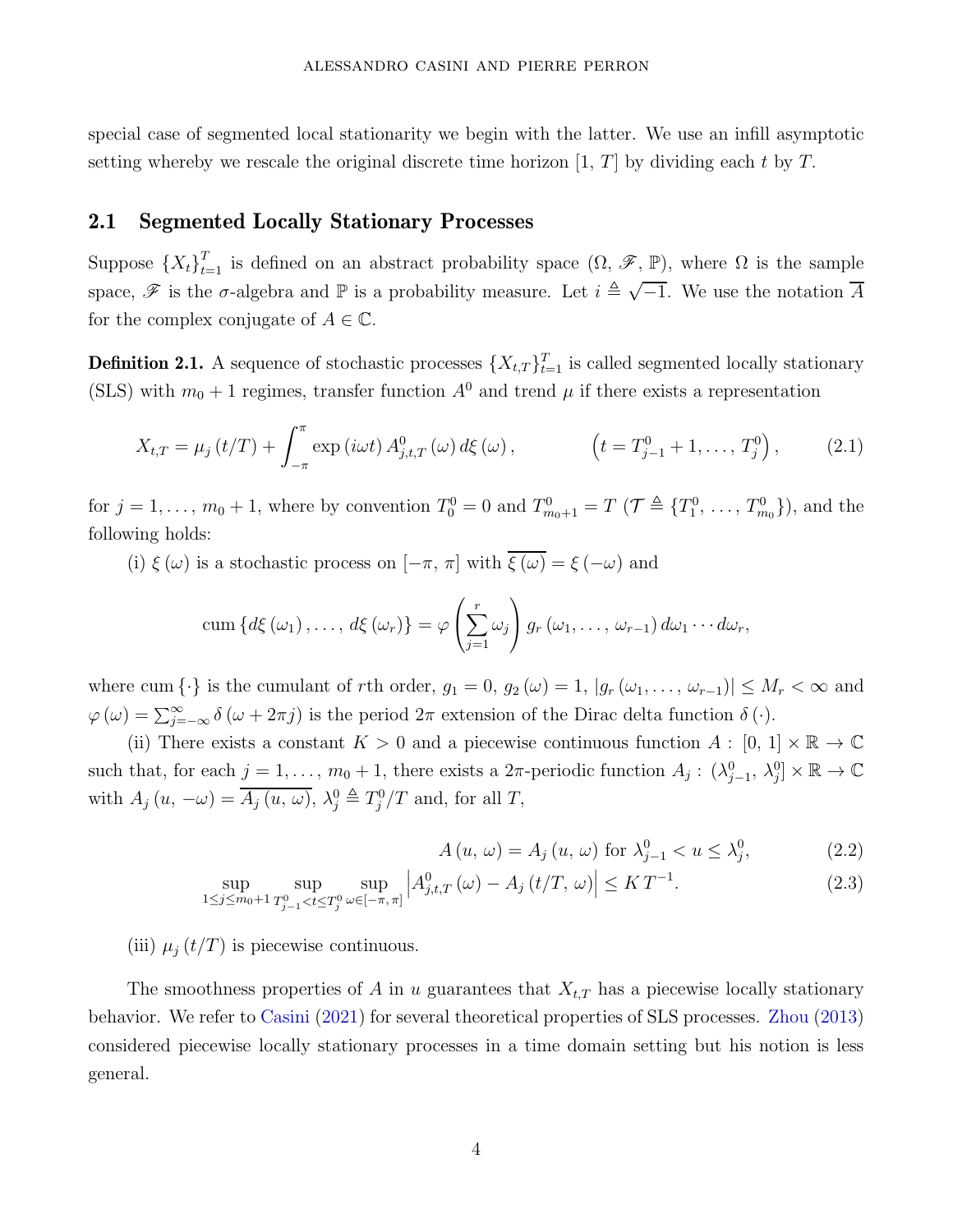special case of segmented local stationarity we begin with the latter. We use an infill asymptotic setting whereby we rescale the original discrete time horizon [1*, T*] by dividing each *t* by *T.*

### <span id="page-4-0"></span>2.1 Segmented Locally Stationary Processes

Suppose  ${X_t}_{t=1}^T$  is defined on an abstract probability space  $(\Omega, \mathscr{F}, \mathbb{P})$ , where  $\Omega$  is the sample space,  $\mathscr F$  is the  $\sigma$ -algebra and  $\mathbb P$  is a probability measure. Let  $i \triangleq \sqrt{-1}$ . We use the notation  $\overline A$ for the complex conjugate of  $A \in \mathbb{C}$ .

<span id="page-4-1"></span>**Definition 2.1.** A sequence of stochastic processes  $\{X_{t,T}\}_{t=1}^T$  is called segmented locally stationary (SLS) with  $m_0 + 1$  regimes, transfer function  $A^0$  and trend  $\mu$  if there exists a representation

$$
X_{t,T} = \mu_j(t/T) + \int_{-\pi}^{\pi} \exp(i\omega t) A_{j,t,T}^0(\omega) d\xi(\omega), \qquad \left(t = T_{j-1}^0 + 1, \ldots, T_j^0\right), \qquad (2.1)
$$

for  $j = 1, ..., m_0 + 1$ , where by convention  $T_0^0 = 0$  and  $T_{m_0+1}^0 = T$  ( $\mathcal{T} \triangleq \{T_1^0, ..., T_{m_0}^0\}$ ), and the following holds:

(i)  $\xi(\omega)$  is a stochastic process on  $[-\pi, \pi]$  with  $\overline{\xi(\omega)} = \xi(-\omega)$  and

cum 
$$
\{d\xi(\omega_1),..., d\xi(\omega_r)\} = \varphi\left(\sum_{j=1}^r \omega_j\right) g_r(\omega_1,..., \omega_{r-1}) d\omega_1 \cdots d\omega_r
$$
,

where cum  $\{\cdot\}$  is the cumulant of *r*th order,  $g_1 = 0$ ,  $g_2(\omega) = 1$ ,  $|g_r(\omega_1, \ldots, \omega_{r-1})| \leq M_r < \infty$  and  $\varphi(\omega) = \sum_{j=-\infty}^{\infty} \delta(\omega + 2\pi j)$  is the period  $2\pi$  extension of the Dirac delta function  $\delta(\cdot)$ .

(ii) There exists a constant  $K > 0$  and a piecewise continuous function  $A : [0, 1] \times \mathbb{R} \to \mathbb{C}$ such that, for each  $j = 1, \ldots, m_0 + 1$ , there exists a  $2\pi$ -periodic function  $A_j: (\lambda_{j-1}^0, \lambda_j^0] \times \mathbb{R} \to \mathbb{C}$ with  $A_j(u, -\omega) = \overline{A_j(u, \omega)}$ ,  $\lambda_j^0 \triangleq T_j^0/T$  and, for all *T*,

<span id="page-4-3"></span><span id="page-4-2"></span>
$$
A(u, \omega) = A_j(u, \omega) \text{ for } \lambda_{j-1}^0 < u \le \lambda_j^0,\tag{2.2}
$$

$$
\sup_{1 \le j \le m_0 + 1} \sup_{T_{j-1}^0 < t \le T_j^0} \sup_{\omega \in [-\pi, \pi]} \left| A_{j,t,T}^0(\omega) - A_j(t/T, \omega) \right| \le KT^{-1}.\tag{2.3}
$$

### (iii)  $\mu_j(t/T)$  is piecewise continuous.

The smoothness properties of  $A$  in  $u$  guarantees that  $X_{t,T}$  has a piecewise locally stationary behavior. We refer to [Casini](#page-29-1) [\(2021](#page-29-1)) for several theoretical properties of SLS processes. [Zhou](#page-32-0) [\(2013\)](#page-32-0) considered piecewise locally stationary processes in a time domain setting but his notion is less general.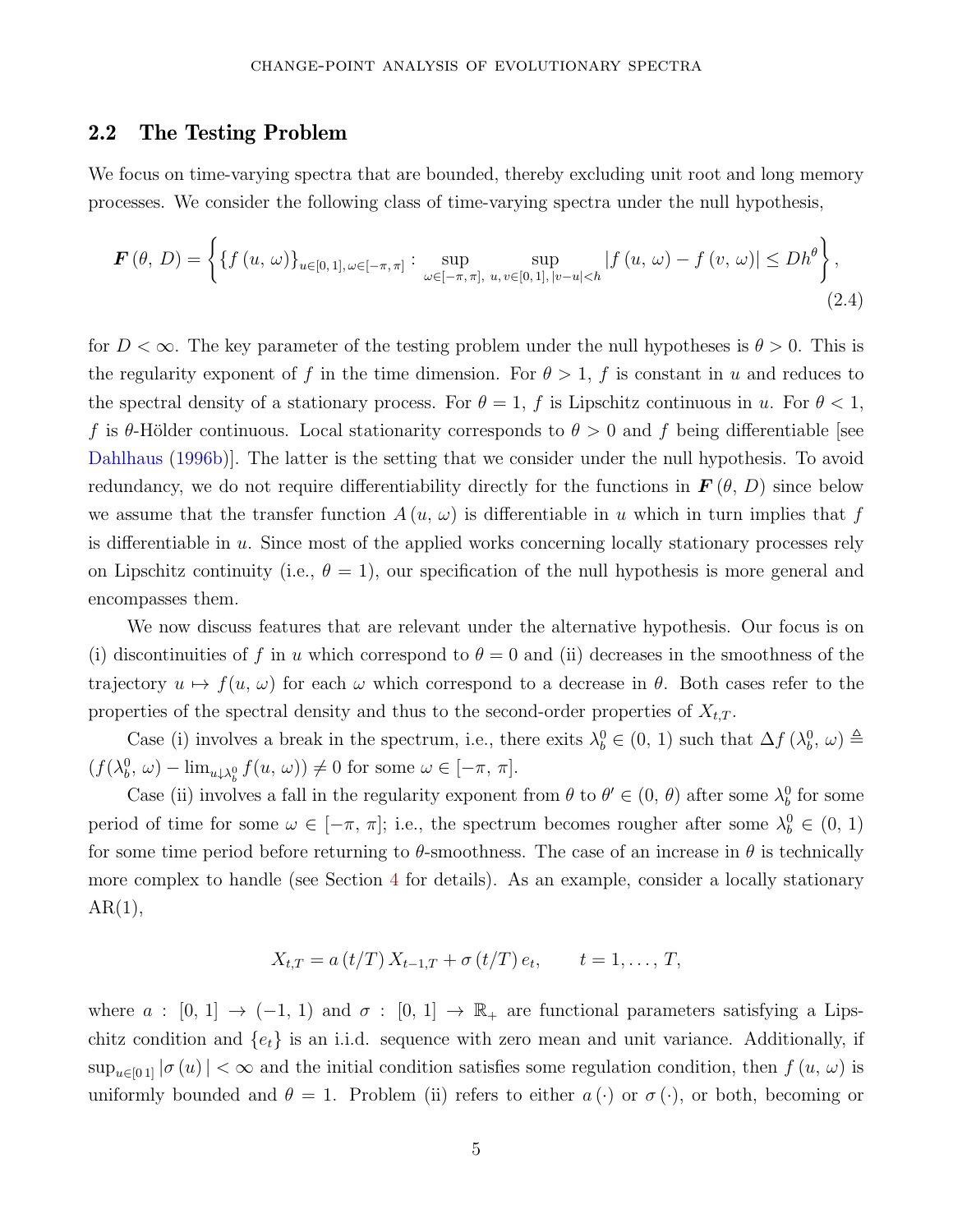### <span id="page-5-0"></span>2.2 The Testing Problem

We focus on time-varying spectra that are bounded, thereby excluding unit root and long memory processes. We consider the following class of time-varying spectra under the null hypothesis,

$$
\boldsymbol{F}\left(\theta,\,D\right) = \left\{ \left\{ f\left(u,\,\omega\right) \right\}_{u\in[0,\,1],\,\omega\in[-\pi,\,\pi]} : \sup_{\omega\in[-\pi,\,\pi],\,\,u,\,v\in[0,\,1],\,|v-u|
$$

for  $D < \infty$ . The key parameter of the testing problem under the null hypotheses is  $\theta > 0$ . This is the regularity exponent of f in the time dimension. For  $\theta > 1$ , f is constant in *u* and reduces to the spectral density of a stationary process. For  $\theta = 1$ , f is Lipschitz continuous in *u*. For  $\theta < 1$ , *f* is  $\theta$ -Hölder continuous. Local stationarity corresponds to  $\theta > 0$  and *f* being differentiable [see [Dahlhaus](#page-29-3) [\(1996b](#page-29-3))]. The latter is the setting that we consider under the null hypothesis. To avoid redundancy, we do not require differentiability directly for the functions in  $\mathbf{F}(\theta, D)$  since below we assume that the transfer function  $A(u, \omega)$  is differentiable in *u* which in turn implies that f is differentiable in *u*. Since most of the applied works concerning locally stationary processes rely on Lipschitz continuity (i.e.,  $\theta = 1$ ), our specification of the null hypothesis is more general and encompasses them.

We now discuss features that are relevant under the alternative hypothesis. Our focus is on (i) discontinuities of f in *u* which correspond to  $\theta = 0$  and (ii) decreases in the smoothness of the trajectory  $u \mapsto f(u, \omega)$  for each  $\omega$  which correspond to a decrease in  $\theta$ . Both cases refer to the properties of the spectral density and thus to the second-order properties of  $X_{t,T}$ .

Case (i) involves a break in the spectrum, i.e., there exits  $\lambda_b^0 \in (0, 1)$  such that  $\Delta f(\lambda_b^0, \omega) \triangleq$  $(f(\lambda_b^0, \omega) - \lim_{u \downarrow \lambda_b^0} f(u, \omega)) \neq 0$  for some  $\omega \in [-\pi, \pi]$ .

Case (ii) involves a fall in the regularity exponent from  $\theta$  to  $\theta' \in (0, \theta)$  after some  $\lambda_b^0$  for some period of time for some  $\omega \in [-\pi, \pi]$ ; i.e., the spectrum becomes rougher after some  $\lambda_b^0 \in (0, 1)$ for some time period before returning to  $\theta$ -smoothness. The case of an increase in  $\theta$  is technically more complex to handle (see Section [4](#page-12-0) for details). As an example, consider a locally stationary  $AR(1),$ 

$$
X_{t,T} = a(t/T) X_{t-1,T} + \sigma(t/T) e_t, \qquad t = 1, ..., T,
$$

where  $a : [0, 1] \rightarrow (-1, 1)$  and  $\sigma : [0, 1] \rightarrow \mathbb{R}_+$  are functional parameters satisfying a Lipschitz condition and  $\{e_t\}$  is an i.i.d. sequence with zero mean and unit variance. Additionally, if  $\sup_{u\in[0,1]} |\sigma(u)| < \infty$  and the initial condition satisfies some regulation condition, then  $f(u, \omega)$  is uniformly bounded and  $\theta = 1$ . Problem (ii) refers to either  $a(\cdot)$  or  $\sigma(\cdot)$ , or both, becoming or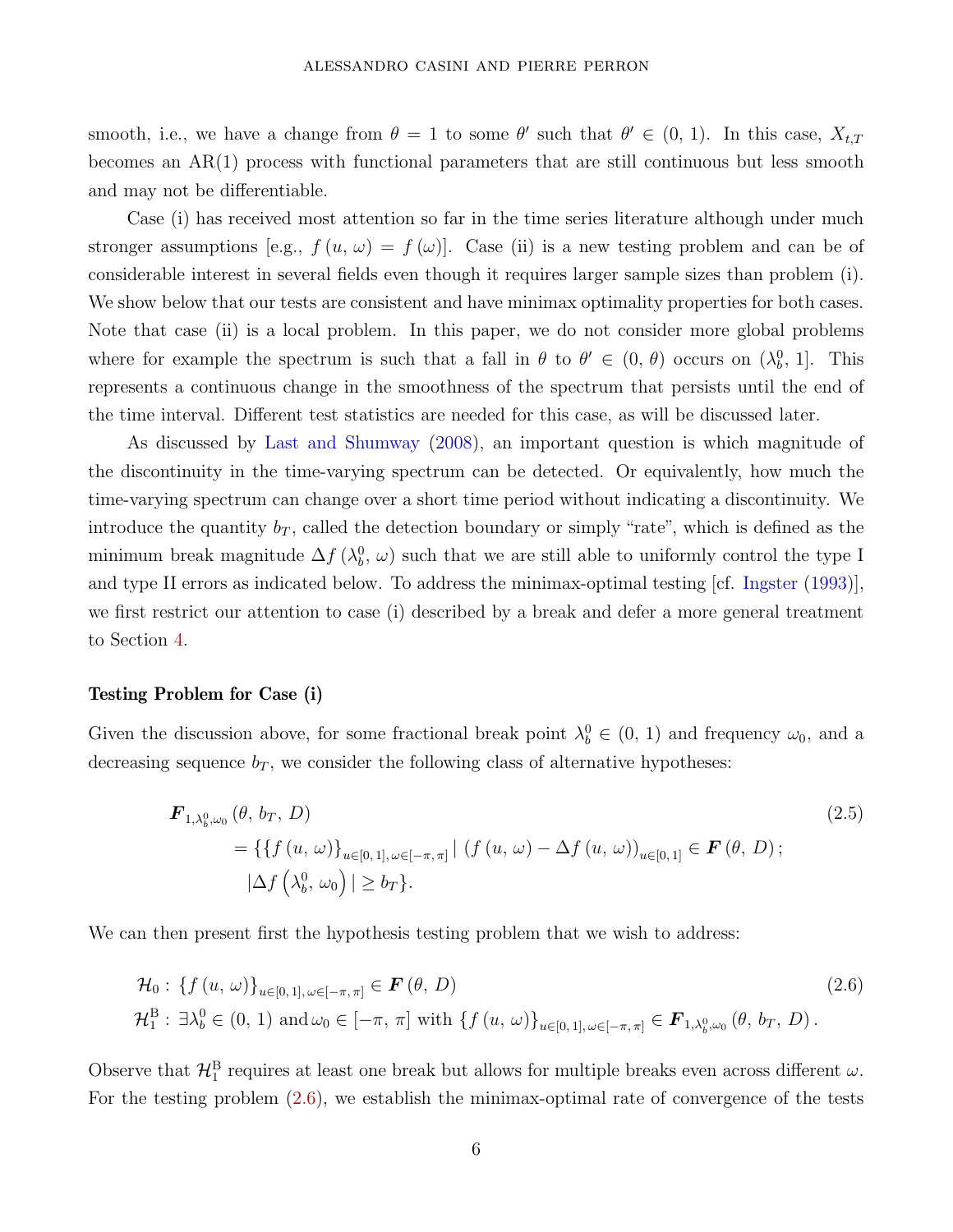smooth, i.e., we have a change from  $\theta = 1$  to some  $\theta'$  such that  $\theta' \in (0, 1)$ . In this case,  $X_{t,T}$ becomes an AR(1) process with functional parameters that are still continuous but less smooth and may not be differentiable.

Case (i) has received most attention so far in the time series literature although under much stronger assumptions [e.g.,  $f(u, \omega) = f(\omega)$ ]. Case (ii) is a new testing problem and can be of considerable interest in several fields even though it requires larger sample sizes than problem (i). We show below that our tests are consistent and have minimax optimality properties for both cases. Note that case (ii) is a local problem. In this paper, we do not consider more global problems where for example the spectrum is such that a fall in  $\theta$  to  $\theta' \in (0, \theta)$  occurs on  $(\lambda_b^0, 1]$ . This represents a continuous change in the smoothness of the spectrum that persists until the end of the time interval. Different test statistics are needed for this case, as will be discussed later.

As discussed by Last and Shumway (2008), an important question is which magnitude of the discontinuity in the time-varying spectrum can be detected. Or equivalently, how much the time-varying spectrum can change over a short time period without indicating a discontinuity. We introduce the quantity  $b_T$ , called the detection boundary or simply "rate", which is defined as the minimum break magnitude  $\Delta f$  ( $\lambda_b^0$ ,  $\omega$ ) such that we are still able to uniformly control the type I and type II errors as indicated below. To address the minimax-optimal testing [cf. [Ingster](#page-30-2) [\(1993](#page-30-2))], we first restrict our attention to case (i) described by a break and defer a more general treatment to Section [4.](#page-12-0)

#### Testing Problem for Case (i)

Given the discussion above, for some fractional break point  $\lambda_b^0 \in (0, 1)$  and frequency  $\omega_0$ , and a decreasing sequence  $b_T$ , we consider the following class of alternative hypotheses:

<span id="page-6-0"></span>
$$
\mathbf{F}_{1,\lambda_{b}^{0},\omega_{0}}(\theta, b_{T}, D) = \{ \{ f (u, \omega) \}_{u \in [0, 1], \omega \in [-\pi, \pi]} | (f (u, \omega) - \Delta f (u, \omega))_{u \in [0, 1]} \in \mathbf{F}(\theta, D);
$$
\n
$$
|\Delta f (\lambda_{b}^{0}, \omega_{0})| \ge b_{T} \}.
$$
\n(2.5)

We can then present first the hypothesis testing problem that we wish to address:

$$
\mathcal{H}_{0}: \{f(u,\omega)\}_{u\in[0,1],\omega\in[-\pi,\pi]}\in \mathbf{F}(\theta,D)
$$
\n
$$
\mathcal{H}_{1}^{B}: \exists \lambda_{b}^{0}\in(0,1) \text{ and } \omega_{0}\in[-\pi,\pi] \text{ with } \{f(u,\omega)\}_{u\in[0,1],\omega\in[-\pi,\pi]}\in \mathbf{F}_{1,\lambda_{b}^{0},\omega_{0}}(\theta,b_{T},D).
$$
\n(2.6)

Observe that  $\mathcal{H}_1^B$  requires at least one break but allows for multiple breaks even across different  $\omega$ . For the testing problem [\(2.6\)](#page-6-0), we establish the minimax-optimal rate of convergence of the tests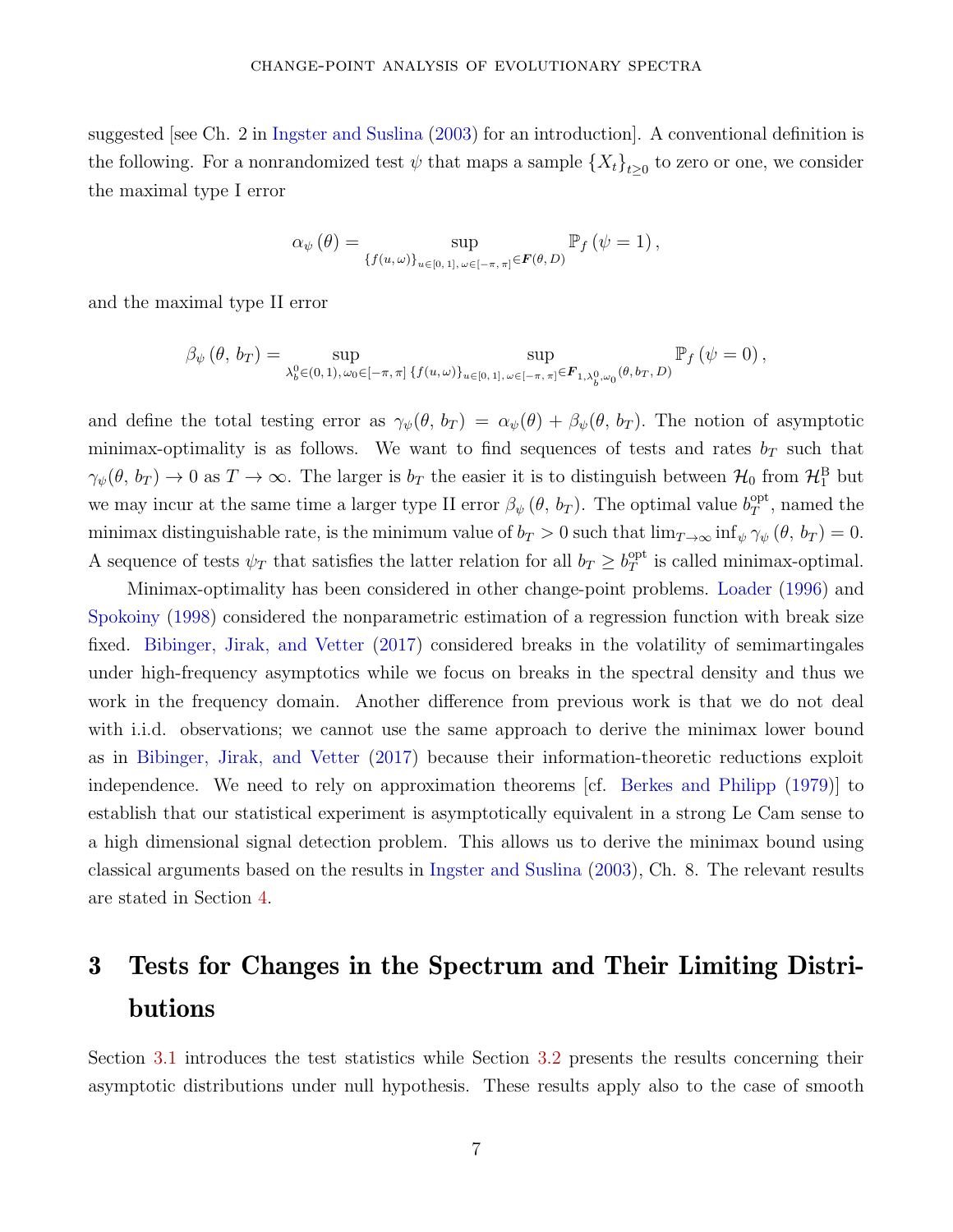suggested [see Ch. 2 in Ingster and Suslina (2003) for an introduction]. A conventional definition is the following. For a nonrandomized test  $\psi$  that maps a sample  $\{X_t\}_{t\geq 0}$  to zero or one, we consider the maximal type I error

$$
\alpha_{\psi}(\theta) = \sup_{\{f(u,\omega)\}_{u\in[0,1],\,\omega\in[-\pi,\,\pi]}\in \mathbf{F}(\theta,D)} \mathbb{P}_f(\psi=1),
$$

and the maximal type II error

$$
\beta_{\psi}(\theta, b_T) = \sup_{\lambda_b^0 \in (0, 1), \omega_0 \in [-\pi, \pi] \{f(u, \omega)\}_{u \in [0, 1], \omega \in [-\pi, \pi]} \in F_{1, \lambda_b^0, \omega_0}(\theta, b_T, D)} \mathbb{P}_f(\psi = 0),
$$

and define the total testing error as  $\gamma_{\psi}(\theta, b_T) = \alpha_{\psi}(\theta) + \beta_{\psi}(\theta, b_T)$ . The notion of asymptotic minimax-optimality is as follows. We want to find sequences of tests and rates  $b_T$  such that  $\gamma_{\psi}(\theta, b_T) \to 0$  as  $T \to \infty$ . The larger is  $b_T$  the easier it is to distinguish between  $\mathcal{H}_0$  from  $\mathcal{H}_1^{\text{B}}$  but we may incur at the same time a larger type II error  $\beta_{\psi}(\theta, b_T)$ . The optimal value  $b_T^{\text{opt}}$  $T^{\text{opt}}$ , named the minimax distinguishable rate, is the minimum value of  $b_T > 0$  such that  $\lim_{T \to \infty} \inf_{\psi} \gamma_{\psi} (\theta, b_T) = 0$ . A sequence of tests  $\psi_T$  that satisfies the latter relation for all  $b_T \geq b_T^{\text{opt}}$  $T<sup>opt</sup>$  is called minimax-optimal.

Minimax-optimality has been considered in other change-point problems. [Loader](#page-30-5) [\(1996](#page-30-5)) and [Spokoiny](#page-31-2) [\(1998](#page-31-2)) considered the nonparametric estimation of a regression function with break size fixed. Bibinger, Jirak, and Vetter (2017) considered breaks in the volatility of semimartingales under high-frequency asymptotics while we focus on breaks in the spectral density and thus we work in the frequency domain. Another difference from previous work is that we do not deal with i.i.d. observations; we cannot use the same approach to derive the minimax lower bound as in Bibinger, Jirak, and Vetter (2017) because their information-theoretic reductions exploit independence. We need to rely on approximation theorems [cf. Berkes and Philipp (1979)] to establish that our statistical experiment is asymptotically equivalent in a strong Le Cam sense to a high dimensional signal detection problem. This allows us to derive the minimax bound using classical arguments based on the results in Ingster and Suslina (2003), Ch. 8. The relevant results are stated in Section [4.](#page-12-0)

# <span id="page-7-0"></span>3 Tests for Changes in the Spectrum and Their Limiting Distributions

Section [3.1](#page-8-0) introduces the test statistics while Section [3.2](#page-10-0) presents the results concerning their asymptotic distributions under null hypothesis. These results apply also to the case of smooth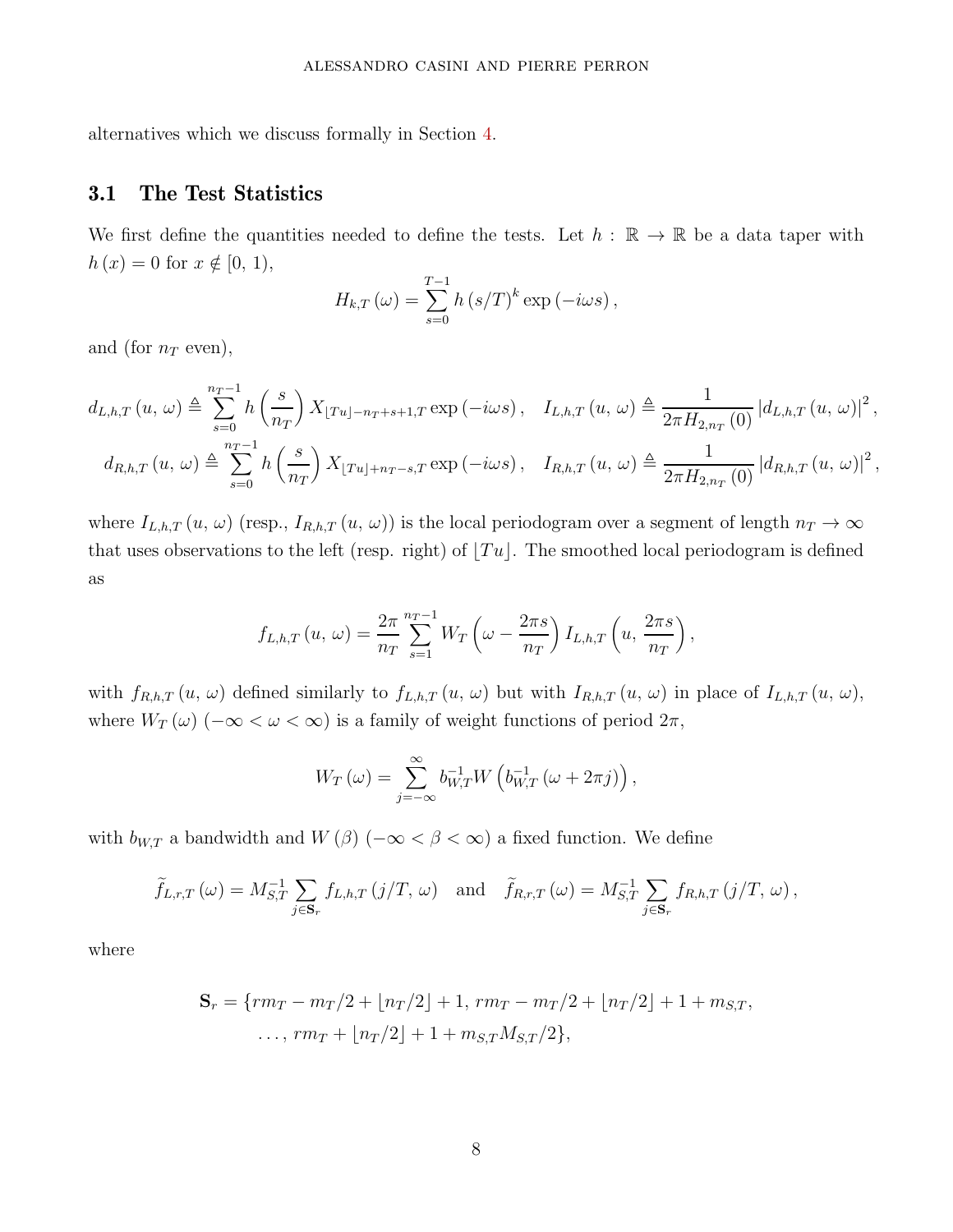<span id="page-8-0"></span>alternatives which we discuss formally in Section [4.](#page-12-0)

### 3.1 The Test Statistics

We first define the quantities needed to define the tests. Let  $h : \mathbb{R} \to \mathbb{R}$  be a data taper with  $h(x) = 0$  for  $x \notin [0, 1)$ ,

$$
H_{k,T}(\omega) = \sum_{s=0}^{T-1} h\left(s/T\right)^k \exp\left(-i\omega s\right),\,
$$

and (for  $n_T$  even),

$$
d_{L,h,T}(u,\omega) \triangleq \sum_{s=0}^{n_T-1} h\left(\frac{s}{n_T}\right) X_{\lfloor Tu \rfloor - n_T + s + 1,T} \exp\left(-i\omega s\right), \quad I_{L,h,T}(u,\omega) \triangleq \frac{1}{2\pi H_{2,n_T}(0)} \left|d_{L,h,T}(u,\omega)\right|^2,
$$
  

$$
d_{R,h,T}(u,\omega) \triangleq \sum_{s=0}^{n_T-1} h\left(\frac{s}{n_T}\right) X_{\lfloor Tu \rfloor + n_T - s,T} \exp\left(-i\omega s\right), \quad I_{R,h,T}(u,\omega) \triangleq \frac{1}{2\pi H_{2,n_T}(0)} \left|d_{R,h,T}(u,\omega)\right|^2,
$$

where  $I_{L,h,T}(u, \omega)$  (resp.,  $I_{R,h,T}(u, \omega)$ ) is the local periodogram over a segment of length  $n_T \to \infty$ that uses observations to the left (resp. right) of  $|Tu|$ . The smoothed local periodogram is defined as

$$
f_{L,h,T}(u,\,\omega)=\frac{2\pi}{n_T}\sum_{s=1}^{n_T-1}W_T\left(\omega-\frac{2\pi s}{n_T}\right)I_{L,h,T}\left(u,\frac{2\pi s}{n_T}\right),
$$

with  $f_{R,h,T}(u, \omega)$  defined similarly to  $f_{L,h,T}(u, \omega)$  but with  $I_{R,h,T}(u, \omega)$  in place of  $I_{L,h,T}(u, \omega)$ , where  $W_T(\omega)$  ( $-\infty < \omega < \infty$ ) is a family of weight functions of period  $2\pi$ ,

$$
W_T(\omega) = \sum_{j=-\infty}^{\infty} b_{W,T}^{-1} W\left(b_{W,T}^{-1}\left(\omega + 2\pi j\right)\right),\,
$$

with  $b_{W,T}$  a bandwidth and  $W(\beta)$  ( $-\infty < \beta < \infty$ ) a fixed function. We define

$$
\widetilde{f}_{L,r,T}(\omega) = M_{S,T}^{-1} \sum_{j \in \mathbf{S}_r} f_{L,h,T}(j/T, \omega) \text{ and } \widetilde{f}_{R,r,T}(\omega) = M_{S,T}^{-1} \sum_{j \in \mathbf{S}_r} f_{R,h,T}(j/T, \omega),
$$

where

$$
\mathbf{S}_r = \{rm -m_T/2 + [n_T/2] + 1, rm_T - m_T/2 + [n_T/2] + 1 + m_{S,T},
$$
  
...,  $rm_T + [n_T/2] + 1 + m_{S,T}M_{S,T}/2\},$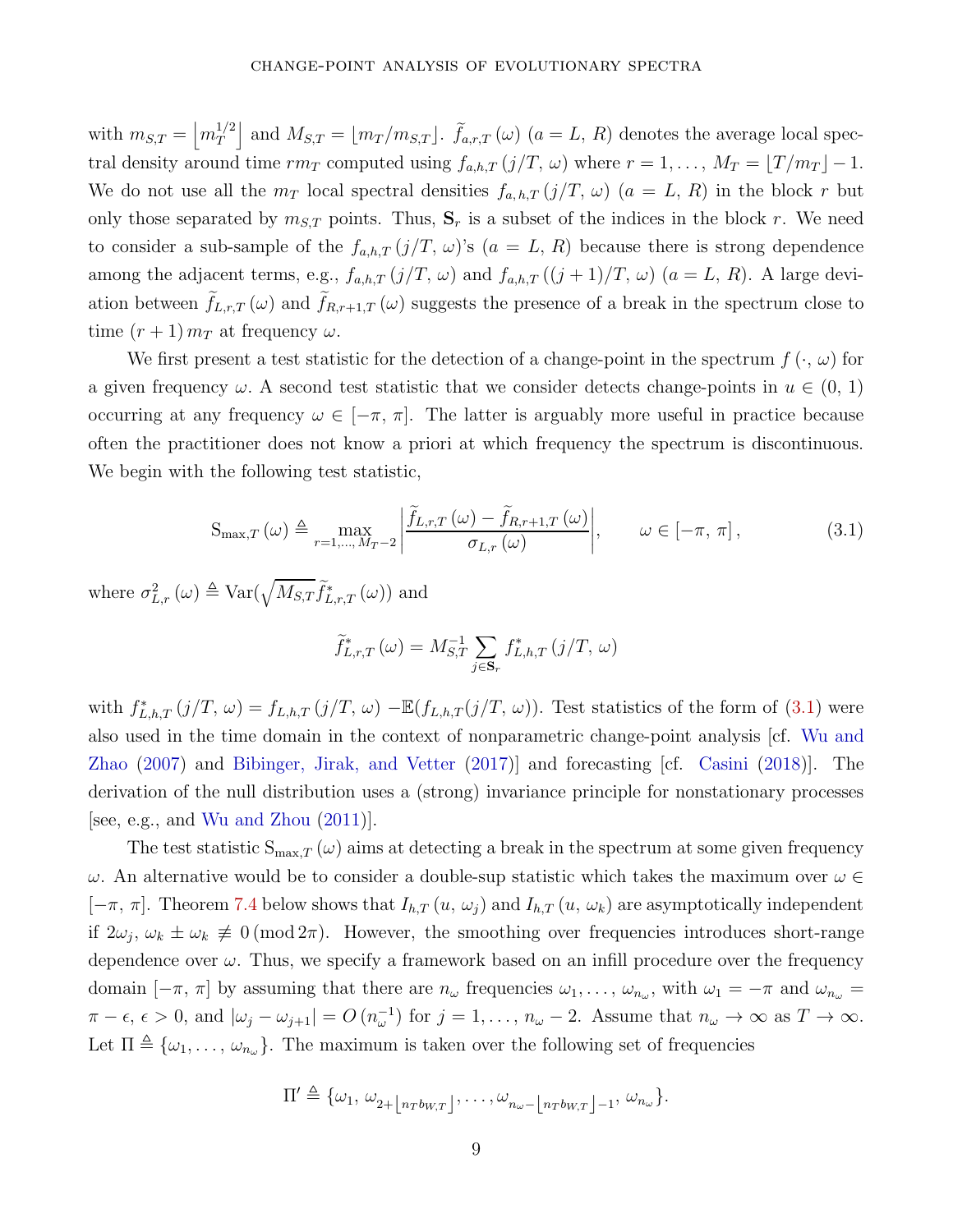with  $m_{S,T} = \left| m_T^{1/2} \right|$ *T* and  $M_{S,T} = \lfloor m_T/m_{S,T} \rfloor$ .  $\tilde{f}_{a,r,T}(\omega)$  ( $a = L, R$ ) denotes the average local spectral density around time  $rm_T$  computed using  $f_{a,h,T}(j/T, \omega)$  where  $r = 1, \ldots, M_T = \lfloor T/m_T \rfloor - 1$ . We do not use all the  $m_T$  local spectral densities  $f_{a,h,T}(j/T, \omega)$  ( $a = L, R$ ) in the block r but only those separated by  $m_{S,T}$  points. Thus,  $S_r$  is a subset of the indices in the block r. We need to consider a sub-sample of the  $f_{a,h,T}(j/T, \omega)$ 's  $(a = L, R)$  because there is strong dependence among the adjacent terms, e.g.,  $f_{a,h,T}(j/T, \omega)$  and  $f_{a,h,T}((j+1)/T, \omega)$   $(a=L, R)$ . A large deviation between  $f_{L,r,T}(\omega)$  and  $f_{R,r+1,T}(\omega)$  suggests the presence of a break in the spectrum close to time  $(r+1)$   $m<sub>T</sub>$  at frequency  $\omega$ .

We first present a test statistic for the detection of a change-point in the spectrum  $f(\cdot, \omega)$  for a given frequency  $\omega$ . A second test statistic that we consider detects change-points in  $u \in (0, 1)$ occurring at any frequency  $\omega \in [-\pi, \pi]$ . The latter is arguably more useful in practice because often the practitioner does not know a priori at which frequency the spectrum is discontinuous. We begin with the following test statistic,

$$
S_{\max,T}(\omega) \triangleq \max_{r=1,\dots,M_T-2} \left| \frac{\widetilde{f}_{L,r,T}(\omega) - \widetilde{f}_{R,r+1,T}(\omega)}{\sigma_{L,r}(\omega)} \right|, \qquad \omega \in [-\pi, \pi], \tag{3.1}
$$

where  $\sigma_{L,r}^2(\omega) \triangleq \text{Var}(\sqrt{M_{S,T}} \tilde{f}_{L,r,T}^*(\omega))$  and

<span id="page-9-0"></span>
$$
\widetilde{f}_{L,r,T}^*(\omega) = M_{S,T}^{-1} \sum_{j \in \mathbf{S}_r} f_{L,h,T}^*(j/T, \omega)
$$

with  $f_{L,h,T}^*(j/T, \omega) = f_{L,h,T}(j/T, \omega) - \mathbb{E}(f_{L,h,T}(j/T, \omega))$ . Test statistics of the form of [\(3.1\)](#page-9-0) were also used in the time domain in the context of nonparametric change-point analysis [cf. Wu and Zhao (2007) and Bibinger, Jirak, and Vetter (2017)] and forecasting [cf. [Casini](#page-29-4) [\(2018\)](#page-29-4)]. The derivation of the null distribution uses a (strong) invariance principle for nonstationary processes [see, e.g., and Wu and Zhou (2011)].

The test statistic  $S_{\text{max},T}(\omega)$  aims at detecting a break in the spectrum at some given frequency *ω*. An alternative would be to consider a double-sup statistic which takes the maximum over  $ω ∈$  $[-\pi, \pi]$ . Theorem [7.4](#page-23-0) below shows that  $I_{h,T}(u, \omega_j)$  and  $I_{h,T}(u, \omega_k)$  are asymptotically independent if  $2\omega_j$ ,  $\omega_k \pm \omega_k \neq 0 \pmod{2\pi}$ . However, the smoothing over frequencies introduces short-range dependence over  $\omega$ . Thus, we specify a framework based on an infill procedure over the frequency domain  $[-\pi, \pi]$  by assuming that there are  $n_\omega$  frequencies  $\omega_1, \ldots, \omega_{n_\omega}$ , with  $\omega_1 = -\pi$  and  $\omega_{n_\omega} =$  $\pi - \epsilon, \epsilon > 0$ , and  $|\omega_j - \omega_{j+1}| = O(n_{\omega}^{-1})$  for  $j = 1, \ldots, n_{\omega} - 2$ . Assume that  $n_{\omega} \to \infty$  as  $T \to \infty$ . Let  $\Pi \triangleq {\omega_1, \ldots, \omega_{n_\omega}}$ . The maximum is taken over the following set of frequencies

$$
\Pi' \triangleq \{ \omega_1, \omega_{2+\lfloor n_T b_{W,T} \rfloor}, \ldots, \omega_{n_{\omega}-\lfloor n_T b_{W,T} \rfloor-1}, \omega_{n_{\omega}} \}.
$$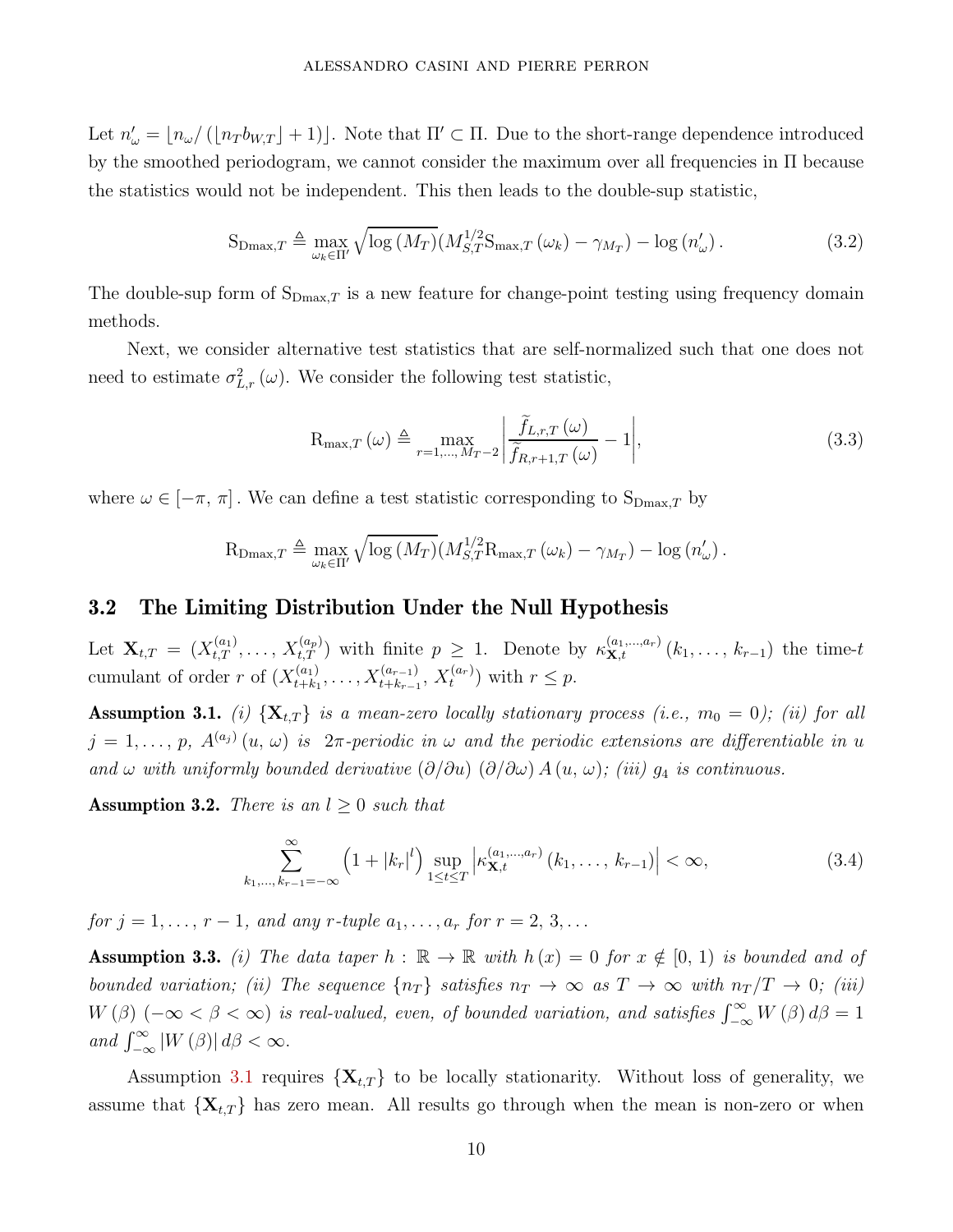Let  $n'_{\omega} = \lfloor n_{\omega}/(\lfloor n_{T}b_{W,T} \rfloor + 1) \rfloor$ . Note that  $\Pi' \subset \Pi$ . Due to the short-range dependence introduced by the smoothed periodogram, we cannot consider the maximum over all frequencies in  $\Pi$  because the statistics would not be independent. This then leads to the double-sup statistic,

$$
S_{\text{Dmax},T} \triangleq \max_{\omega_k \in \Pi'} \sqrt{\log \left( M_T \right)} \left( M_{S,T}^{1/2} S_{\text{max},T} \left( \omega_k \right) - \gamma_{M_T} \right) - \log \left( n_{\omega} \right). \tag{3.2}
$$

The double-sup form of  $S_{Dmax,T}$  is a new feature for change-point testing using frequency domain methods.

Next, we consider alternative test statistics that are self-normalized such that one does not need to estimate  $\sigma_{L,r}^2(\omega)$ . We consider the following test statistic,

$$
R_{\max,T}(\omega) \triangleq \max_{r=1,\dots,M_T-2} \left| \frac{\tilde{f}_{L,r,T}(\omega)}{\tilde{f}_{R,r+1,T}(\omega)} - 1 \right|,
$$
\n(3.3)

where  $\omega \in [-\pi, \pi]$ . We can define a test statistic corresponding to  $S_{Dmax,T}$  by

$$
R_{\text{Dmax},T} \triangleq \max_{\omega_k \in \Pi'} \sqrt{\log(M_T)} (M_{S,T}^{1/2} R_{\text{max},T} (\omega_k) - \gamma_{M_T}) - \log(n'_{\omega}).
$$

### <span id="page-10-0"></span>3.2 The Limiting Distribution Under the Null Hypothesis

Let  $\mathbf{X}_{t,T} = (X_{t,T}^{(a_1)}, \ldots, X_{t,T}^{(a_p)})$  with finite  $p \geq 1$ . Denote by  $\kappa_{\mathbf{X},t}^{(a_1,\ldots,a_r)}(k_1,\ldots,k_{r-1})$  the time-t cumulant of order *r* of  $(X_{t+k}^{(a_1)})$  $X_{t+k_1}^{(a_1)}, \ldots, X_{t+k_{r-1}}^{(a_{r-1})}, X_t^{(a_r)}$  with  $r \leq p$ .

<span id="page-10-1"></span>**Assumption 3.1.** (i)  $\{X_{t,T}\}$  is a mean-zero locally stationary process (i.e.,  $m_0 = 0$ ); (ii) for all  $j = 1, \ldots, p$ ,  $A^{(a_j)}(u, \omega)$  is  $2\pi$ -periodic in  $\omega$  and the periodic extensions are differentiable in *u* and  $\omega$  with uniformly bounded derivative  $(\partial/\partial u)$   $(\partial/\partial \omega)$  *A*  $(u, \omega)$ ; (iii)  $g_4$  is continuous.

<span id="page-10-2"></span>**Assumption 3.2.** There is an  $l \geq 0$  such that

<span id="page-10-4"></span>
$$
\sum_{k_1,\dots,k_{r-1}=-\infty}^{\infty} \left(1+|k_r|^l\right) \sup_{1\leq t\leq T} \left|\kappa_{\mathbf{X},t}^{(a_1,\dots,a_r)}(k_1,\dots,k_{r-1})\right| < \infty,
$$
\n(3.4)

*for*  $j = 1, ..., r - 1$ *, and any r-tuple*  $a_1, ..., a_r$  *for*  $r = 2, 3, ...$ 

<span id="page-10-3"></span>**Assumption 3.3.** (i) The data taper  $h : \mathbb{R} \to \mathbb{R}$  with  $h(x) = 0$  for  $x \notin [0, 1)$  is bounded and of bounded variation; (ii) The sequence  $\{n_T\}$  satisfies  $n_T \to \infty$  as  $T \to \infty$  with  $n_T/T \to 0$ ; (iii)  $W(\beta)$  ( $-\infty < \beta < \infty$ ) is real-valued, even, of bounded variation, and satisfies  $\int_{-\infty}^{\infty} W(\beta) d\beta = 1$  $and \int_{-\infty}^{\infty} |W(\beta)| d\beta < \infty.$ 

Assumption [3.1](#page-10-1) requires  $\{X_{t,T}\}\)$  to be locally stationarity. Without loss of generality, we assume that  $\{X_{t,T}\}\$  has zero mean. All results go through when the mean is non-zero or when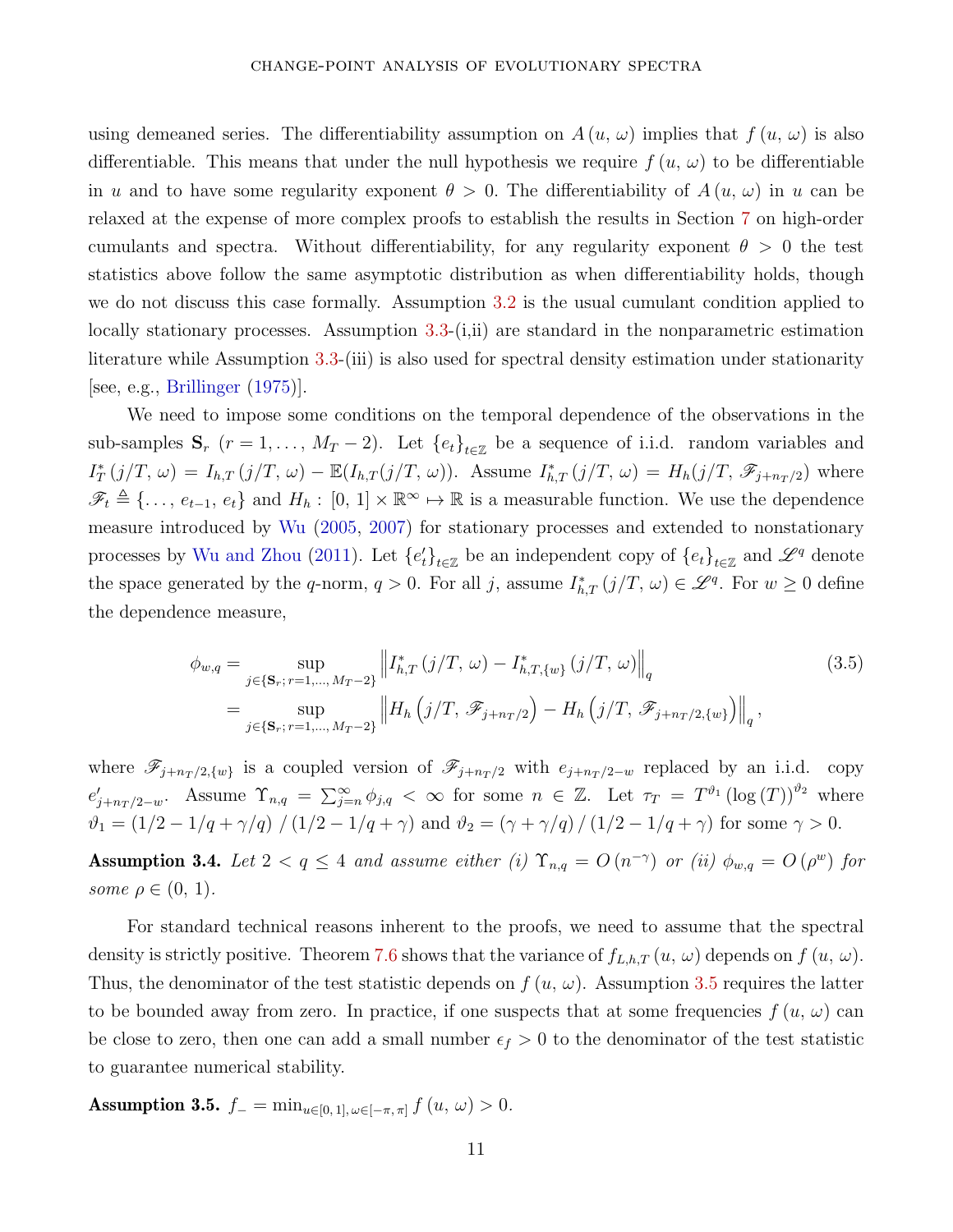using demeaned series. The differentiability assumption on  $A(u, \omega)$  implies that  $f(u, \omega)$  is also differentiable. This means that under the null hypothesis we require  $f(u, \omega)$  to be differentiable in *u* and to have some regularity exponent  $\theta > 0$ . The differentiability of  $A(u, \omega)$  in *u* can be relaxed at the expense of more complex proofs to establish the results in Section [7](#page-20-0) on high-order cumulants and spectra. Without differentiability, for any regularity exponent  $\theta > 0$  the test statistics above follow the same asymptotic distribution as when differentiability holds, though we do not discuss this case formally. Assumption [3.2](#page-10-2) is the usual cumulant condition applied to locally stationary processes. Assumption [3.3-](#page-10-3)(i,ii) are standard in the nonparametric estimation literature while Assumption [3.3-](#page-10-3)(iii) is also used for spectral density estimation under stationarity [see, e.g., [Brillinger](#page-28-1)  $(1975)$ ].

We need to impose some conditions on the temporal dependence of the observations in the sub-samples  $\mathbf{S}_r$  ( $r = 1, \ldots, M_T - 2$ ). Let  $\{e_t\}_{t \in \mathbb{Z}}$  be a sequence of i.i.d. random variables and  $I_T^*(j/T, \omega) = I_{h,T}(j/T, \omega) - \mathbb{E}(I_{h,T}(j/T, \omega)).$  Assume  $I_{h,T}^*(j/T, \omega) = H_h(j/T, \mathscr{F}_{j+n_T/2})$  where  $\mathscr{F}_t \triangleq \{\ldots, e_{t-1}, e_t\}$  and  $H_h: [0, 1] \times \mathbb{R}^\infty \mapsto \mathbb{R}$  is a measurable function. We use the dependence measure introduced by [Wu](#page-31-3) [\(2005](#page-31-3), [2007\)](#page-31-4) for stationary processes and extended to nonstationary processes by Wu and Zhou (2011). Let  ${e'_{t}}_{t\in\mathbb{Z}}$  be an independent copy of  ${e_{t}}_{t\in\mathbb{Z}}$  and  $\mathscr{L}^{q}$  denote the space generated by the *q*-norm,  $q > 0$ . For all *j*, assume  $I_{h,T}^*(j/T, \omega) \in \mathscr{L}^q$ . For  $w \geq 0$  define the dependence measure,

$$
\phi_{w,q} = \sup_{j \in \{\mathbf{S}_r; r=1,\dots,M_T-2\}} \left\| I_{h,T}^* (j/T, \omega) - I_{h,T,\{w\}}^* (j/T, \omega) \right\|_q
$$
\n
$$
= \sup_{j \in \{\mathbf{S}_r; r=1,\dots,M_T-2\}} \left\| H_h \left( j/T, \mathcal{F}_{j+n_T/2} \right) - H_h \left( j/T, \mathcal{F}_{j+n_T/2,\{w\}} \right) \right\|_q,
$$
\n(3.5)

where  $\mathscr{F}_{j+n_T/2,\{w\}}$  is a coupled version of  $\mathscr{F}_{j+n_T/2}$  with  $e_{j+n_T/2-w}$  replaced by an i.i.d. copy  $e'_{j+nT/2-w}$ . Assume  $\Upsilon_{n,q} = \sum_{j=n}^{\infty} \phi_{j,q} < \infty$  for some  $n \in \mathbb{Z}$ . Let  $\tau_T = T^{\vartheta_1}(\log(T))^{\vartheta_2}$  where  $\vartheta_1 = (1/2 - 1/q + \gamma/q) / (1/2 - 1/q + \gamma)$  and  $\vartheta_2 = (\gamma + \gamma/q) / (1/2 - 1/q + \gamma)$  for some  $\gamma > 0$ .

<span id="page-11-1"></span>Assumption 3.4. Let  $2 < q \leq 4$  and assume either (i)  $\Upsilon_{n,q} = O(n^{-\gamma})$  or (ii)  $\phi_{w,q} = O(\rho^w)$  for some  $\rho \in (0, 1)$ .

For standard technical reasons inherent to the proofs, we need to assume that the spectral density is strictly positive. Theorem [7.6](#page-23-1) shows that the variance of  $f_{L,h,T}(u, \omega)$  depends on  $f(u, \omega)$ . Thus, the denominator of the test statistic depends on  $f(u, \omega)$ . Assumption [3.5](#page-11-0) requires the latter to be bounded away from zero. In practice, if one suspects that at some frequencies  $f(u, \omega)$  can be close to zero, then one can add a small number  $\epsilon_f > 0$  to the denominator of the test statistic to guarantee numerical stability.

<span id="page-11-0"></span>Assumption 3.5.  $f_-=\min_{u\in[0,1],\,\omega\in[-\pi,\pi]} f(u,\,\omega)>0.$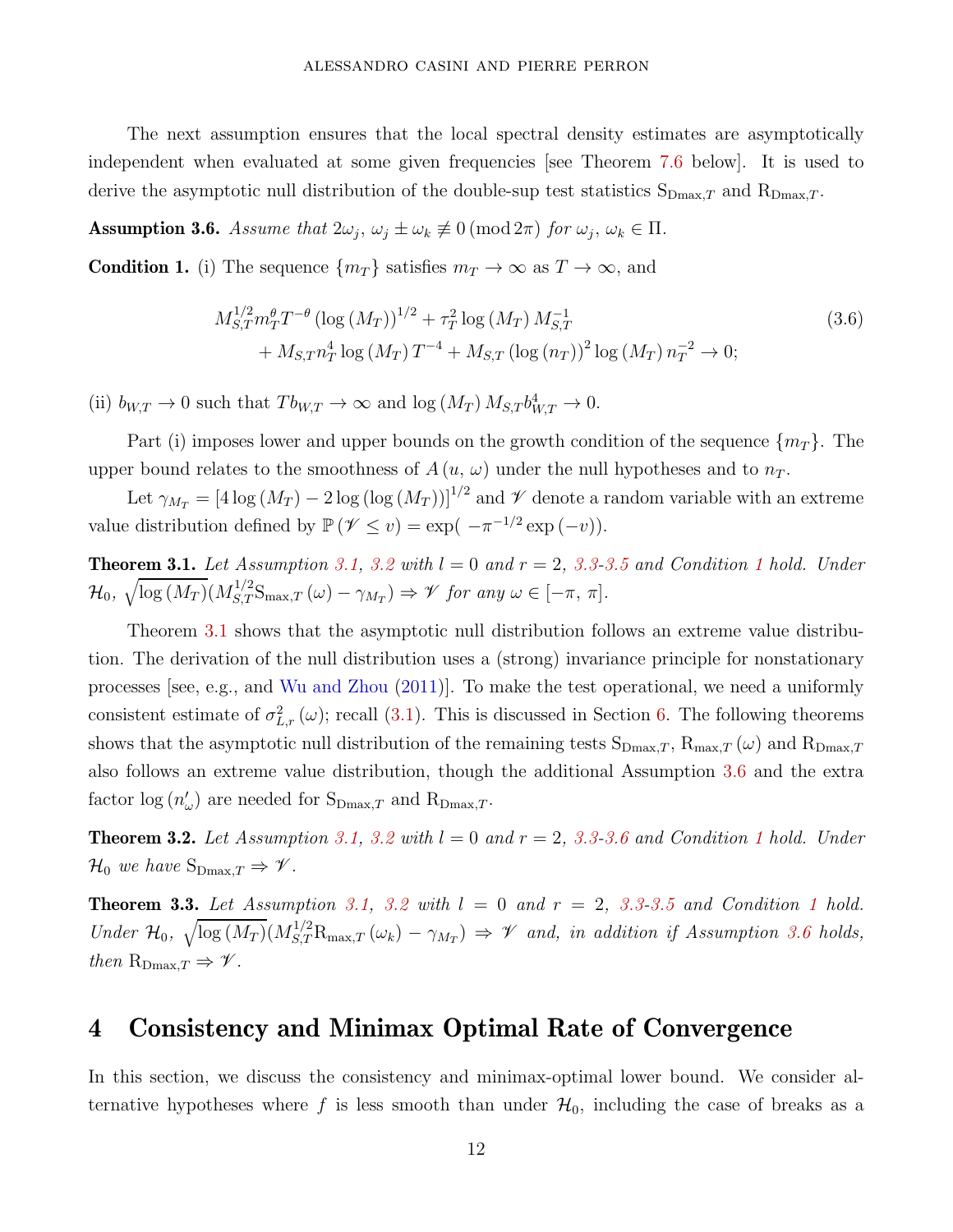The next assumption ensures that the local spectral density estimates are asymptotically independent when evaluated at some given frequencies [see Theorem [7.6](#page-23-1) below]. It is used to derive the asymptotic null distribution of the double-sup test statistics  $S_{Dmax,T}$  and  $R_{Dmax,T}$ .

<span id="page-12-3"></span>Assumption 3.6. Assume that  $2\omega_j$ ,  $\omega_j \pm \omega_k \not\equiv 0 \pmod{2\pi}$  for  $\omega_j$ ,  $\omega_k \in \Pi$ .

<span id="page-12-1"></span>**Condition 1.** (i) The sequence  $\{m_T\}$  satisfies  $m_T \to \infty$  as  $T \to \infty$ , and

$$
M_{S,T}^{1/2} m_T^{\theta} T^{-\theta} \left( \log \left( M_T \right) \right)^{1/2} + \tau_T^2 \log \left( M_T \right) M_{S,T}^{-1} + M_{S,T} n_T^4 \log \left( M_T \right) T^{-4} + M_{S,T} \left( \log \left( n_T \right) \right)^2 \log \left( M_T \right) n_T^{-2} \to 0;
$$
\n(3.6)

(ii)  $b_{W,T} \to 0$  such that  $Tb_{W,T} \to \infty$  and  $\log(M_T) M_{S,T} b_{W,T}^4 \to 0$ .

Part (i) imposes lower and upper bounds on the growth condition of the sequence  $\{m_T\}$ . The upper bound relates to the smoothness of  $A(u, \omega)$  under the null hypotheses and to  $n<sub>T</sub>$ .

Let  $\gamma_{M_T} = [4 \log (M_T) - 2 \log (\log (M_T))]^{1/2}$  and  $\mathcal V$  denote a random variable with an extreme value distribution defined by  $\mathbb{P}(\mathscr{V} \le v) = \exp(-\pi^{-1/2} \exp(-v)).$ 

<span id="page-12-2"></span>**Theorem 3.[1](#page-12-1).** Let Assumption [3.1,](#page-10-1) [3.2](#page-10-2) with  $l = 0$  and  $r = 2$ , [3.3-](#page-10-3)[3.5](#page-11-0) and Condition 1 hold. Under  $\mathcal{H}_0, \sqrt{\log(M_T)} (M_{S,T}^{1/2} \mathcal{S}_{\max,T}(\omega) - \gamma_{M_T}) \Rightarrow \mathcal{V}$  for any  $\omega \in [-\pi, \pi]$ .

Theorem [3.1](#page-12-2) shows that the asymptotic null distribution follows an extreme value distribution. The derivation of the null distribution uses a (strong) invariance principle for nonstationary processes [see, e.g., and Wu and Zhou (2011)]. To make the test operational, we need a uniformly consistent estimate of  $\sigma_{L,r}^2(\omega)$ ; recall [\(3.1\)](#page-9-0). This is discussed in Section [6.](#page-19-0) The following theorems shows that the asymptotic null distribution of the remaining tests  $S_{Dmax,T}$ ,  $R_{max,T}(\omega)$  and  $R_{Dmax,T}$ also follows an extreme value distribution, though the additional Assumption [3.6](#page-12-3) and the extra factor  $log (n'_{\omega})$  are needed for  $S_{Dmax,T}$  and  $R_{Dmax,T}$ .

<span id="page-12-4"></span>**Theorem [3.2](#page-10-2).** Let Assumption [3.1,](#page-10-1) 3.2 with  $l = 0$  and  $r = 2$ , [3.3-](#page-10-3)[3.6](#page-12-3) and Condition [1](#page-12-1) hold. Under  $\mathcal{H}_0$  we have  $S_{\text{Dmax},T} \Rightarrow \mathcal{V}$ .

<span id="page-12-5"></span>**Theorem 3.3.** Let Assumption [3.1,](#page-10-1) [3.2](#page-10-2) with  $l = 0$  and  $r = 2$ , [3.3-](#page-10-3)[3.5](#page-11-0) and Condition [1](#page-12-1) hold. Under  $\mathcal{H}_0$ ,  $\sqrt{\log(M_T)}(M_{S,T}^{1/2}R_{\max,T}(\omega_k)-\gamma_{M_T}) \Rightarrow \mathcal{V}$  and, in addition if Assumption [3.6](#page-12-3) holds, then  $R_{\text{Dmax},T} \Rightarrow \mathscr{V}$ .

## <span id="page-12-0"></span>4 Consistency and Minimax Optimal Rate of Convergence

In this section, we discuss the consistency and minimax-optimal lower bound. We consider alternative hypotheses where f is less smooth than under  $\mathcal{H}_0$ , including the case of breaks as a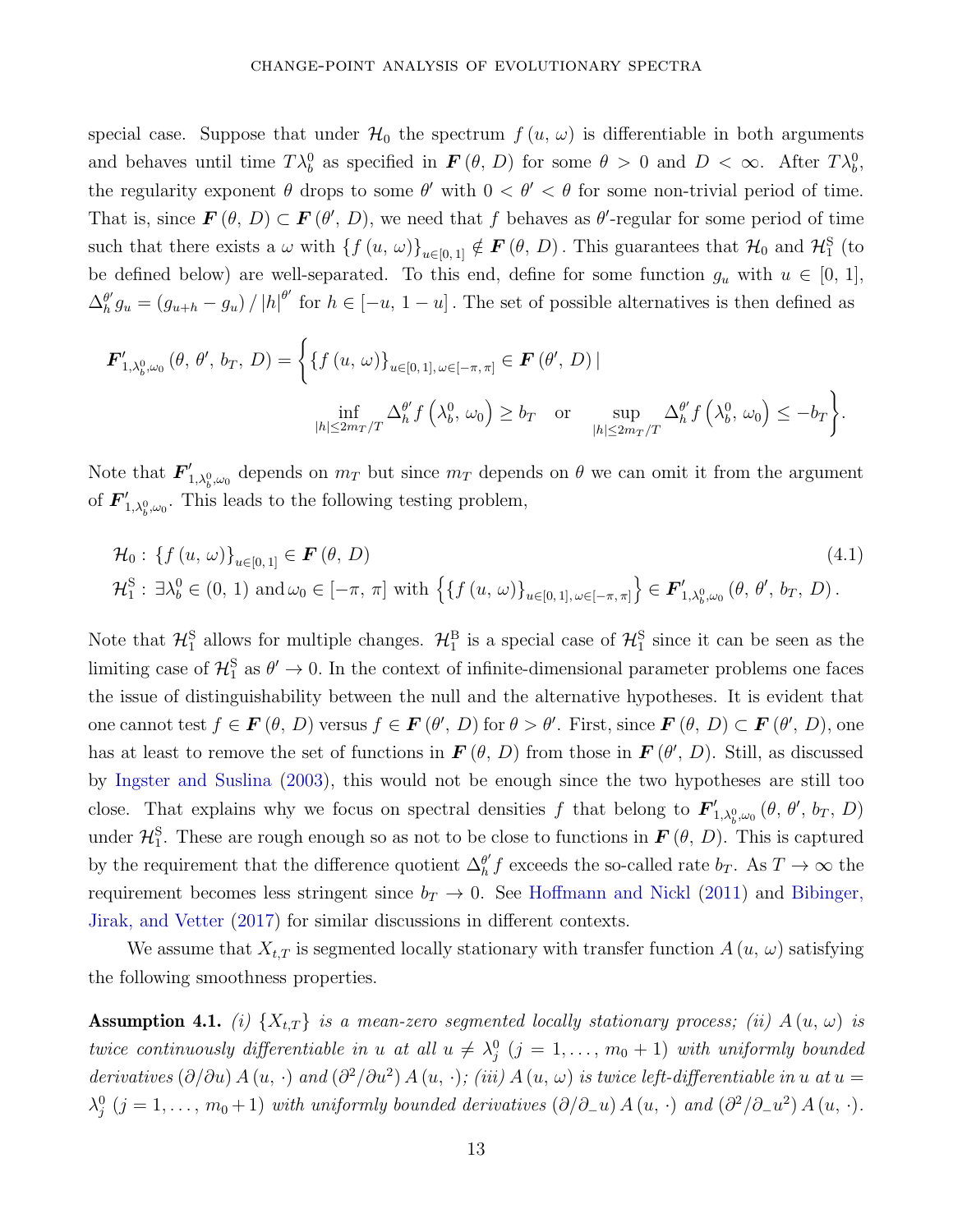special case. Suppose that under  $\mathcal{H}_0$  the spectrum  $f(u, \omega)$  is differentiable in both arguments and behaves until time  $T\lambda_b^0$  as specified in  $\mathbf{F}(\theta, D)$  for some  $\theta > 0$  and  $D < \infty$ . After  $T\lambda_b^0$ , the regularity exponent  $\theta$  drops to some  $\theta'$  with  $0 < \theta' < \theta$  for some non-trivial period of time. That is, since  $\mathbf{F}(\theta, D) \subset \mathbf{F}(\theta', D)$ , we need that *f* behaves as  $\theta'$ -regular for some period of time such that there exists a  $\omega$  with  $\{f(u, \omega)\}_{u\in[0,1]}$   $\notin$   $\mathbf{F}(\theta, D)$ . This guarantees that  $\mathcal{H}_0$  and  $\mathcal{H}_1^{\rm S}$  (to be defined below) are well-separated. To this end, define for some function  $g_u$  with  $u \in [0, 1]$ ,  $\Delta_h^{\theta'}$  $\theta'_h g_u = (g_{u+h} - g_u) / |h|^{b'}$  for  $h \in [-u, 1-u]$ . The set of possible alternatives is then defined as

$$
\mathbf{F}'_{1,\lambda_b^0,\omega_0}(\theta,\theta',b_T,D) = \left\{ \left\{ f(u,\omega) \right\}_{u \in [0,1],\,\omega \in [-\pi,\pi]} \in \mathbf{F}(\theta',D) \mid
$$
  

$$
\inf_{|h| \le 2m_T/T} \Delta_h^{\theta'} f\left(\lambda_b^0,\,\omega_0\right) \ge b_T \quad \text{or} \quad \sup_{|h| \le 2m_T/T} \Delta_h^{\theta'} f\left(\lambda_b^0,\,\omega_0\right) \le -b_T \right\}.
$$

Note that  $F'_{1,\lambda_b^0,\omega_0}$  depends on  $m_T$  but since  $m_T$  depends on  $\theta$  we can omit it from the argument of  $\mathbf{F}'_{1,\lambda_b^0,\omega_0}$ . This leads to the following testing problem,

$$
\mathcal{H}_{0}: \{f(u, \omega)\}_{u \in [0, 1]} \in \mathbf{F}(\theta, D)
$$
\n
$$
\mathcal{H}_{1}^{S}: \exists \lambda_{b}^{0} \in (0, 1) \text{ and } \omega_{0} \in [-\pi, \pi] \text{ with } \left\{\{f(u, \omega)\}_{u \in [0, 1], \omega \in [-\pi, \pi]}\right\} \in \mathbf{F}'_{1, \lambda_{b}^{0}, \omega_{0}}(\theta, \theta', b_{T}, D).
$$
\n(4.1)

Note that  $\mathcal{H}_1^S$  allows for multiple changes.  $\mathcal{H}_1^B$  is a special case of  $\mathcal{H}_1^S$  since it can be seen as the limiting case of  $\mathcal{H}_1^S$  as  $\theta' \to 0$ . In the context of infinite-dimensional parameter problems one faces the issue of distinguishability between the null and the alternative hypotheses. It is evident that one cannot test  $f \in \mathbf{F}(\theta, D)$  versus  $f \in \mathbf{F}(\theta', D)$  for  $\theta > \theta'$ . First, since  $\mathbf{F}(\theta, D) \subset \mathbf{F}(\theta', D)$ , one has at least to remove the set of functions in  $\mathbf{F}(\theta, D)$  from those in  $\mathbf{F}(\theta', D)$ . Still, as discussed by Ingster and Suslina (2003), this would not be enough since the two hypotheses are still too close. That explains why we focus on spectral densities *f* that belong to  $\mathbf{F}'_{1,\lambda_b^0,\omega_0}(\theta, \theta', b_T, D)$ under  $\mathcal{H}_1^S$ . These are rough enough so as not to be close to functions in  $F(\theta, D)$ . This is captured by the requirement that the difference quotient  $\Delta_h^{\theta'}$  $\theta'$ <sub>*h*</sub> f exceeds the so-called rate  $b_T$ . As  $T \to \infty$  the requirement becomes less stringent since  $b_T \to 0$ . See Hoffmann and Nickl (2011) and Bibinger, Jirak, and Vetter (2017) for similar discussions in different contexts.

We assume that  $X_{t,T}$  is segmented locally stationary with transfer function  $A(u, \omega)$  satisfying the following smoothness properties.

<span id="page-13-0"></span>**Assumption 4.1.** (i)  $\{X_{t,T}\}$  is a mean-zero segmented locally stationary process; (ii)  $A(u, \omega)$  is  $twice$  continuously differentiable in *u* at all  $u \neq \lambda_j^0$   $(j = 1, ..., m_0 + 1)$  with uniformly bounded derivatives  $(\partial/\partial u) A(u, \cdot)$  and  $(\partial^2/\partial u^2) A(u, \cdot)$ ; (iii)  $A(u, \omega)$  is twice left-differentiable in  $u$  at  $u =$  $\lambda_j^0$  (*j* = 1, ..., m<sub>0</sub> + 1) with uniformly bounded derivatives ( $\partial/\partial_$ <del>-</del>*u*) *A* (*u*, ·) and ( $\partial^2/\partial_$ -*u*<sup>2</sup>) *A* (*u*, ·).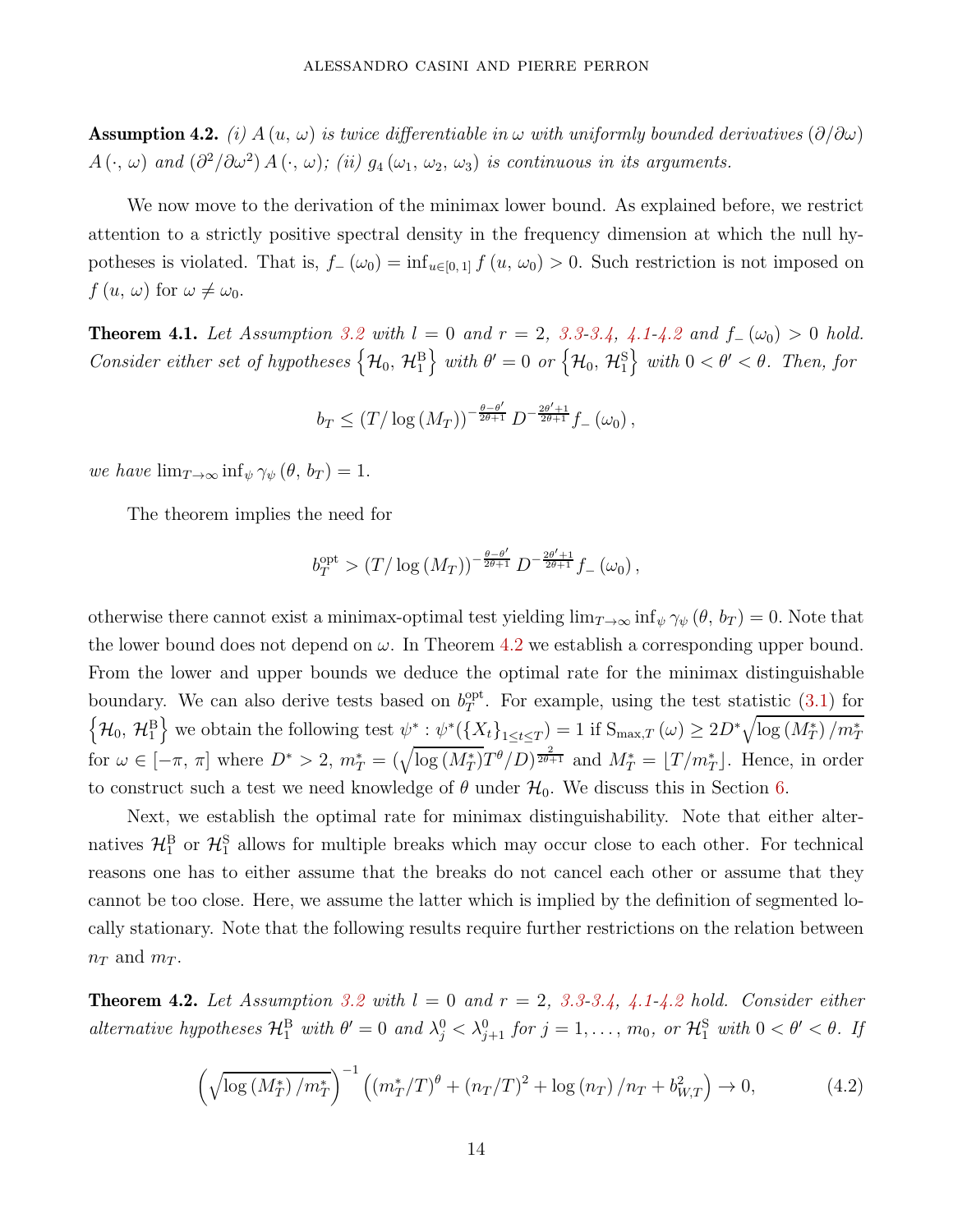<span id="page-14-0"></span>**Assumption 4.2.** (i)  $A(u, \omega)$  is twice differentiable in  $\omega$  with uniformly bounded derivatives  $(\partial/\partial \omega)$  $A(\cdot, \omega)$  and  $(\partial^2/\partial \omega^2) A(\cdot, \omega)$ ; (ii)  $g_4(\omega_1, \omega_2, \omega_3)$  is continuous in its arguments.

We now move to the derivation of the minimax lower bound. As explained before, we restrict attention to a strictly positive spectral density in the frequency dimension at which the null hypotheses is violated. That is,  $f_-(\omega_0) = \inf_{u \in [0,1]} f(u, \omega_0) > 0$ . Such restriction is not imposed on *f*  $(u, \omega)$  for  $\omega \neq \omega_0$ .

<span id="page-14-2"></span>**Theorem [4.1](#page-13-0).** Let Assumption [3.2](#page-10-2) with  $l = 0$  and  $r = 2$ , [3.3](#page-10-3)[-3.4,](#page-11-1) 4.1[-4.2](#page-14-0) and  $f_-(\omega_0) > 0$  hold.  $Consider\ either\ set\ of\ hypotheses\ \left\{\mathcal{H}_{0},\ \mathcal{H}_{1}^{\textrm{B}}\right\}$  $\}$  with  $\theta' = 0$  or  $\left\{\mathcal{H}_0, \, \mathcal{H}_1^{\rm S}\right\}$  $\}$  with  $0 < \theta' < \theta$ . Then, for

$$
b_T \le (T/\log(M_T))^{-\frac{\theta-\theta'}{2\theta+1}} D^{-\frac{2\theta'+1}{2\theta+1}} f_-(\omega_0),
$$

we have  $\lim_{T\to\infty} \inf_{\psi} \gamma_{\psi} (\theta, b_T) = 1.$ 

The theorem implies the need for

$$
b_T^{\text{opt}} > \left(T/\log\left(M_T\right)\right)^{-\frac{\theta-\theta'}{2\theta+1}} D^{-\frac{2\theta'+1}{2\theta+1}} f_-\left(\omega_0\right),
$$

otherwise there cannot exist a minimax-optimal test yielding  $\lim_{T\to\infty} \inf_{\psi} \gamma_{\psi} (\theta, b_T) = 0$ . Note that the lower bound does not depend on  $\omega$ . In Theorem [4.2](#page-14-1) we establish a corresponding upper bound. From the lower and upper bounds we deduce the optimal rate for the minimax distinguishable boundary. We can also derive tests based on  $b_T^{\text{opt}}$  $T<sup>opt</sup>$ . For example, using the test statistic  $(3.1)$  for  $\left\{\mathcal{H}_0,\,\mathcal{H}_1^{\rm B}\right.$  $\left\{ \frac{1}{2} \text{ we obtain the following test } \psi^* : \psi^*(\{X_t\}_{1 \le t \le T}) = 1 \text{ if } S_{\max,T}(\omega) \ge 2D^* \sqrt{\log (M_T^*) / m_T^*} \right\}$ for  $\omega \in [-\pi, \pi]$  where  $D^* > 2$ ,  $m_T^* = (\sqrt{\log (M_T^*)}T^{\theta}/D)^{\frac{2}{2\theta+1}}$  and  $M_T^* = [T/m_T^*]$ . Hence, in order to construct such a test we need knowledge of  $\theta$  under  $\mathcal{H}_0$ . We discuss this in Section [6.](#page-19-0)

Next, we establish the optimal rate for minimax distinguishability. Note that either alternatives  $\mathcal{H}_1^{\text{B}}$  or  $\mathcal{H}_1^{\text{S}}$  allows for multiple breaks which may occur close to each other. For technical reasons one has to either assume that the breaks do not cancel each other or assume that they cannot be too close. Here, we assume the latter which is implied by the definition of segmented locally stationary. Note that the following results require further restrictions on the relation between  $n_T$  and  $m_T$ .

<span id="page-14-1"></span>**Theorem 4.2.** Let Assumption [3.2](#page-10-2) with  $l = 0$  and  $r = 2$ , [3.3](#page-10-3)[-3.4,](#page-11-1) [4.1](#page-13-0)[-4.2](#page-14-0) hold. Consider either alternative hypotheses  $\mathcal{H}_{1}^{\text{B}}$  with  $\theta' = 0$  and  $\lambda_j^0 < \lambda_{j+1}^0$  for  $j = 1, \ldots, m_0$ , or  $\mathcal{H}_{1}^{\text{S}}$  with  $0 < \theta' < \theta$ . If

<span id="page-14-3"></span>
$$
\left(\sqrt{\log\left(M_T^*\right)/m_T^*}\right)^{-1}\left(\left(m_T^*/T\right)^{\theta} + \left(n_T/T\right)^2 + \log\left(n_T\right)/n_T + b_{W,T}^2\right) \to 0,\tag{4.2}
$$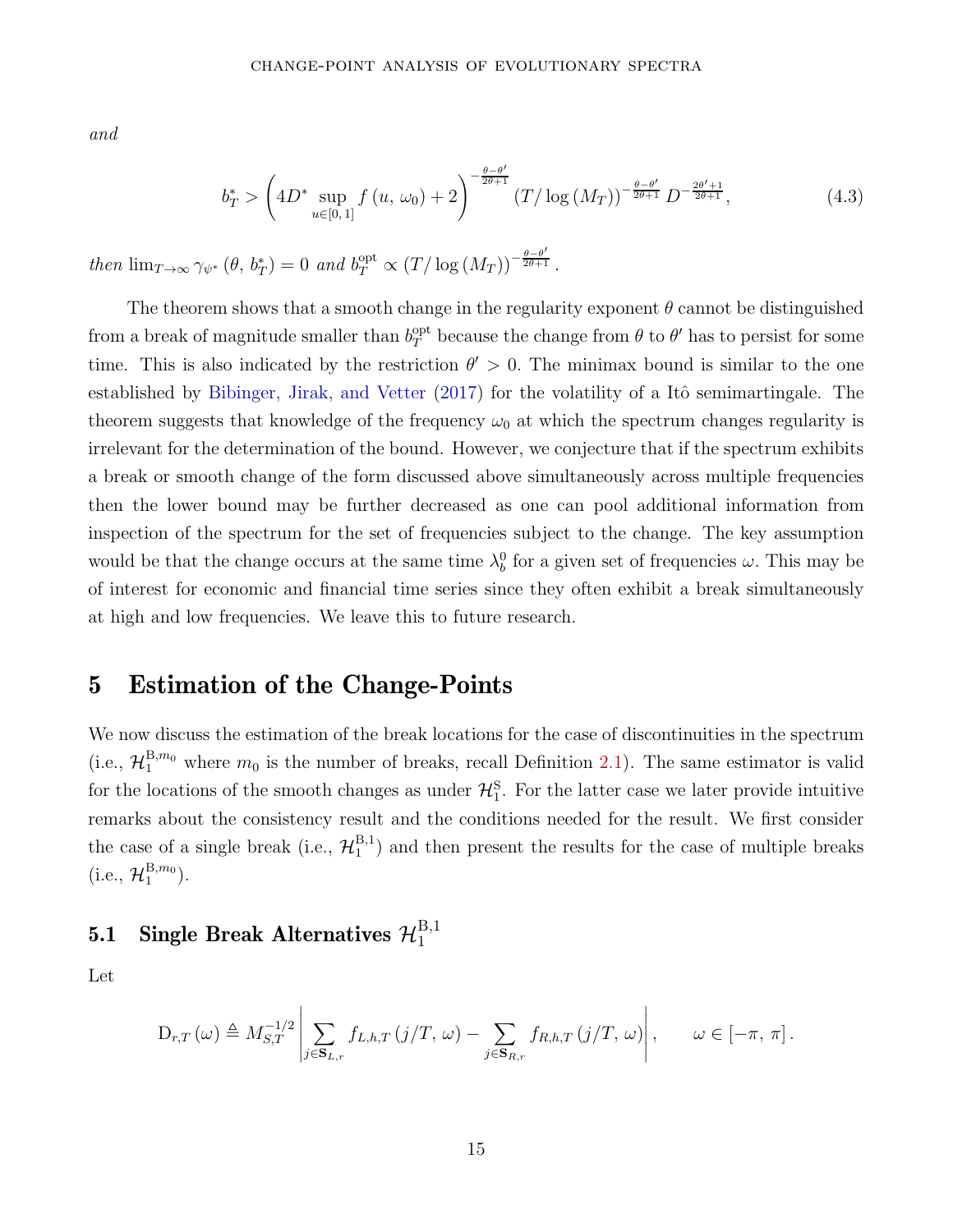and

<span id="page-15-1"></span>
$$
b_T^* > \left(4D^* \sup_{u \in [0,1]} f(u, \omega_0) + 2\right)^{-\frac{\theta - \theta'}{2\theta + 1}} (T/\log(M_T))^{-\frac{\theta - \theta'}{2\theta + 1}} D^{-\frac{2\theta' + 1}{2\theta + 1}}, \tag{4.3}
$$

then  $\lim_{T\to\infty} \gamma_{\psi^*} (\theta, b_T^*) = 0$  and  $b_T^{\text{opt}} \propto (T/\log(M_T))^{-\frac{\theta-\theta'}{2\theta+1}}$  $\frac{2\theta+1}{\theta}$ .

The theorem shows that a smooth change in the regularity exponent  $\theta$  cannot be distinguished from a break of magnitude smaller than  $b_T^{\text{opt}}$  because the change from  $\theta$  to  $\theta'$  has to persist for some time. This is also indicated by the restriction  $\theta' > 0$ . The minimax bound is similar to the one established by Bibinger, Jirak, and Vetter (2017) for the volatility of a Itô semimartingale. The theorem suggests that knowledge of the frequency  $\omega_0$  at which the spectrum changes regularity is irrelevant for the determination of the bound. However, we conjecture that if the spectrum exhibits a break or smooth change of the form discussed above simultaneously across multiple frequencies then the lower bound may be further decreased as one can pool additional information from inspection of the spectrum for the set of frequencies subject to the change. The key assumption would be that the change occurs at the same time  $\lambda_b^0$  for a given set of frequencies  $\omega$ . This may be of interest for economic and financial time series since they often exhibit a break simultaneously at high and low frequencies. We leave this to future research.

## <span id="page-15-0"></span>5 Estimation of the Change-Points

We now discuss the estimation of the break locations for the case of discontinuities in the spectrum (i.e.,  $\mathcal{H}_1^{B,m_0}$  where  $m_0$  is the number of breaks, recall Definition [2.1\)](#page-4-1). The same estimator is valid for the locations of the smooth changes as under  $\mathcal{H}^{\text{S}}_1$ . For the latter case we later provide intuitive remarks about the consistency result and the conditions needed for the result. We first consider the case of a single break (i.e.,  $\mathcal{H}_1^{B,1}$  $1<sup>B,1</sup>$  and then present the results for the case of multiple breaks  $(i.e., H_1^{B,m_0}).$ 

#### 5.1 Single Break Alternatives  $\mathcal{H}_1^{B,1}$ 1

Let

$$
D_{r,T}(\omega) \triangleq M_{S,T}^{-1/2} \left| \sum_{j \in \mathbf{S}_{L,r}} f_{L,h,T}(j/T, \omega) - \sum_{j \in \mathbf{S}_{R,r}} f_{R,h,T}(j/T, \omega) \right|, \qquad \omega \in [-\pi, \pi].
$$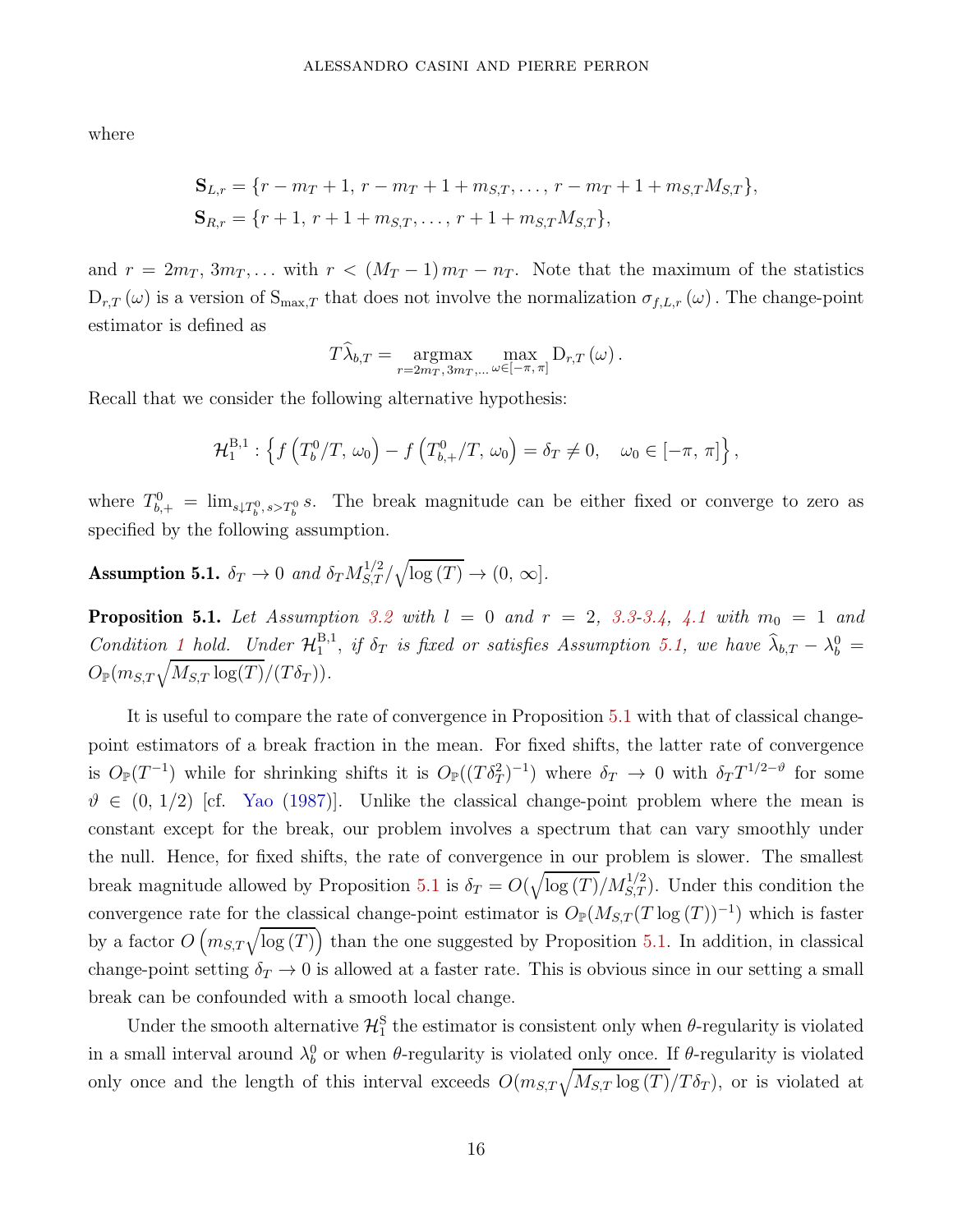where

$$
\mathbf{S}_{L,r} = \{r - m_T + 1, r - m_T + 1 + m_{S,T}, \dots, r - m_T + 1 + m_{S,T} M_{S,T}\},\
$$

$$
\mathbf{S}_{R,r} = \{r + 1, r + 1 + m_{S,T}, \dots, r + 1 + m_{S,T} M_{S,T}\},\
$$

and  $r = 2m_T, 3m_T, \ldots$  with  $r < (M_T - 1) m_T - n_T$ . Note that the maximum of the statistics  $D_{r,T}(\omega)$  is a version of  $S_{\max,T}$  that does not involve the normalization  $\sigma_{f,L,r}(\omega)$ . The change-point estimator is defined as

$$
T\widehat{\lambda}_{b,T} = \underset{r=2m_T, 3m_T, ...}{\operatorname{argmax}} \max_{\omega \in [-\pi, \pi]} D_{r,T}(\omega).
$$

Recall that we consider the following alternative hypothesis:

$$
\mathcal{H}_1^{B,1} : \left\{ f\left(T_b^0/T, \,\omega_0\right) - f\left(T_{b,+}^0/T, \,\omega_0\right) = \delta_T \neq 0, \quad \omega_0 \in [-\pi, \,\pi] \right\},\,
$$

where  $T_{b,+}^0 = \lim_{s \downarrow T_b^0, s > T_b^0} s$ . The break magnitude can be either fixed or converge to zero as specified by the following assumption.

<span id="page-16-0"></span>Assumption 5.1.  $\delta_T \to 0$  and  $\delta_T M_{S,T}^{1/2} / \sqrt{\log(T)} \to (0, \infty]$ .

<span id="page-16-1"></span>**Proposition 5.1.** Let Assumption [3.2](#page-10-2) with  $l = 0$  and  $r = 2, 3.3-3.4, 4.1$  $r = 2, 3.3-3.4, 4.1$  $r = 2, 3.3-3.4, 4.1$  $r = 2, 3.3-3.4, 4.1$  $r = 2, 3.3-3.4, 4.1$  with  $m_0 = 1$  and Condition [1](#page-12-1) hold. Under  $\mathcal{H}_1^{B,1}$  $\hat{A}_{1}^{B,1}$ , *if*  $\delta_T$  *is fixed or satisfies Assumption [5.1,](#page-16-0) we have*  $\hat{\lambda}_{b,T} - \lambda_b^0 =$  $O_{\mathbb{P}}(m_{S,T}\sqrt{M_{S,T}\log(T)}/(T\delta_T)).$ 

It is useful to compare the rate of convergence in Proposition [5.1](#page-16-1) with that of classical changepoint estimators of a break fraction in the mean. For fixed shifts, the latter rate of convergence is  $O_{\mathbb{P}}(T^{-1})$  while for shrinking shifts it is  $O_{\mathbb{P}}((T\delta_T^2)^{-1})$  where  $\delta_T \to 0$  with  $\delta_T T^{1/2-\vartheta}$  for some  $\vartheta \in (0, 1/2)$  [cf. [Yao](#page-31-0) [\(1987](#page-31-0))]. Unlike the classical change-point problem where the mean is constant except for the break, our problem involves a spectrum that can vary smoothly under the null. Hence, for fixed shifts, the rate of convergence in our problem is slower. The smallest break magnitude allowed by Proposition [5.1](#page-16-1) is  $\delta_T = O(\sqrt{\log(T)}/M_{S,T}^{1/2})$ . Under this condition the convergence rate for the classical change-point estimator is  $O_{\mathbb{P}}(M_{S,T}(T \log(T))^{-1})$  which is faster by a factor  $O(m_{S,T}\sqrt{\log(T)})$  than the one suggested by Proposition [5.1.](#page-16-1) In addition, in classical change-point setting  $\delta_T \to 0$  is allowed at a faster rate. This is obvious since in our setting a small break can be confounded with a smooth local change.

Under the smooth alternative  $\mathcal{H}_{1}^{S}$  the estimator is consistent only when  $\theta$ -regularity is violated in a small interval around  $\lambda_b^0$  or when *θ*-regularity is violated only once. If *θ*-regularity is violated only once and the length of this interval exceeds  $O(m_{S,T}\sqrt{M_{S,T}\log(T)}/T\delta_T)$ , or is violated at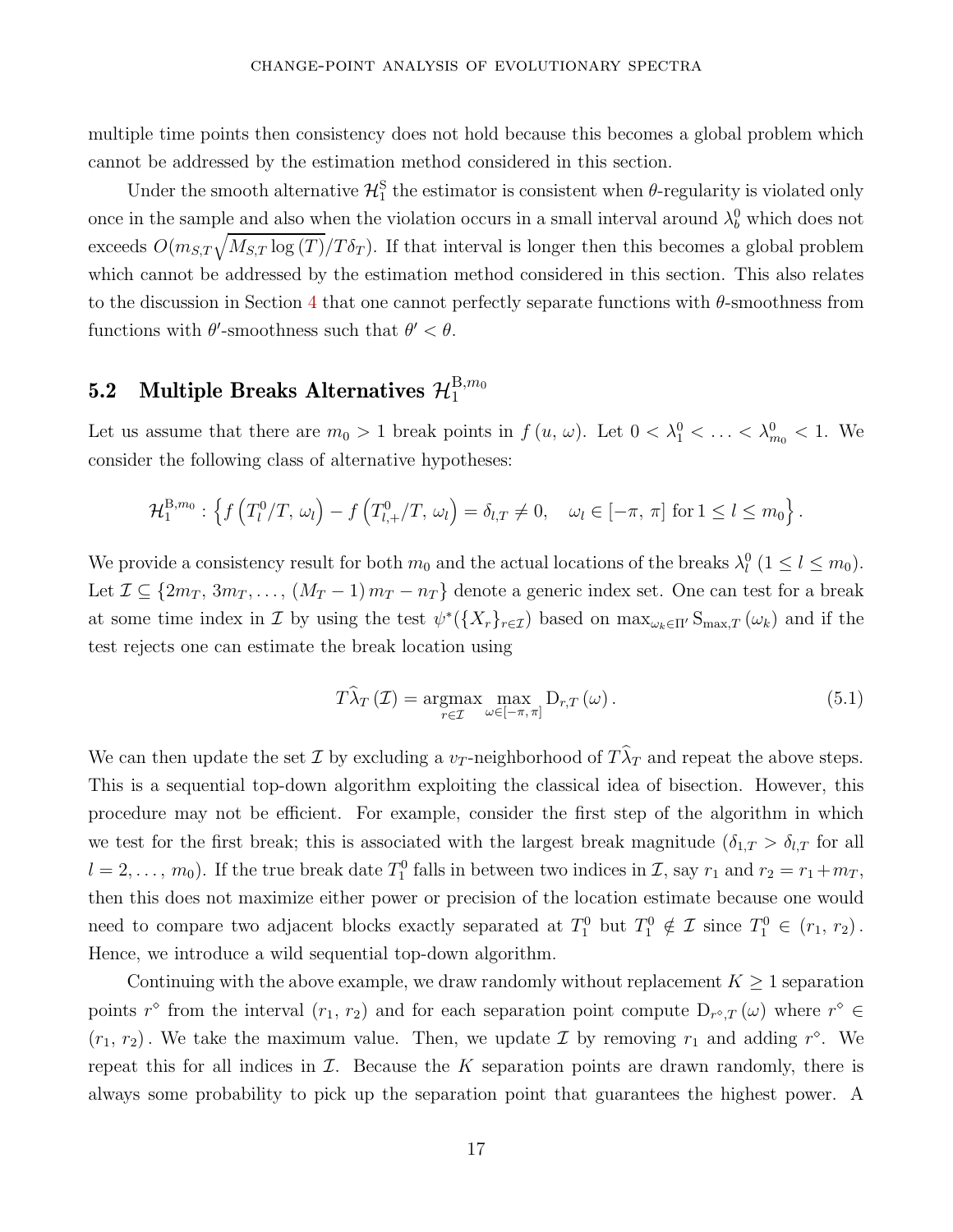multiple time points then consistency does not hold because this becomes a global problem which cannot be addressed by the estimation method considered in this section.

Under the smooth alternative  $\mathcal{H}_1^S$  the estimator is consistent when  $\theta$ -regularity is violated only once in the sample and also when the violation occurs in a small interval around  $\lambda_b^0$  which does not exceeds  $O(m_{S,T}\sqrt{M_{S,T}\log(T)}/T\delta_T)$ . If that interval is longer then this becomes a global problem which cannot be addressed by the estimation method considered in this section. This also relates to the discussion in Section [4](#page-12-0) that one cannot perfectly separate functions with *θ*-smoothness from functions with  $\theta'$ -smoothness such that  $\theta' < \theta$ .

#### 5.2 Multiple Breaks Alternatives  $\mathcal{H}^{{\mathrm{B}},m_0}_1$ 1

Let us assume that there are  $m_0 > 1$  break points in  $f(u, \omega)$ . Let  $0 < \lambda_1^0 < \ldots < \lambda_{m_0}^0 < 1$ . We consider the following class of alternative hypotheses:

$$
\mathcal{H}_1^{\mathrm{B},m_0}: \left\{ f\left(T_l^0/T,\,\omega_l\right) - f\left(T_{l,+}^0/T,\,\omega_l\right) = \delta_{l,T} \neq 0, \quad \omega_l \in [-\pi,\,\pi] \text{ for } 1 \leq l \leq m_0 \right\}.
$$

We provide a consistency result for both  $m_0$  and the actual locations of the breaks  $\lambda_l^0$  ( $1 \leq l \leq m_0$ ). Let  $\mathcal{I} \subseteq \{2m_T, 3m_T, \ldots, (M_T-1)m_T - n_T\}$  denote a generic index set. One can test for a break at some time index in  $\mathcal I$  by using the test  $\psi^*(\{X_r\}_{r \in \mathcal I})$  based on  $\max_{\omega_k \in \Pi'} S_{\max,T}(\omega_k)$  and if the test rejects one can estimate the break location using

<span id="page-17-0"></span>
$$
T\widehat{\lambda}_T \left( \mathcal{I} \right) = \underset{r \in \mathcal{I}}{\operatorname{argmax}} \max_{\omega \in [-\pi, \pi]} D_{r,T} \left( \omega \right). \tag{5.1}
$$

We can then update the set  $\mathcal I$  by excluding a  $v_T$ -neighborhood of  $T\lambda_T$  and repeat the above steps. This is a sequential top-down algorithm exploiting the classical idea of bisection. However, this procedure may not be efficient. For example, consider the first step of the algorithm in which we test for the first break; this is associated with the largest break magnitude ( $\delta_{1,T} > \delta_{l,T}$  for all  $l = 2, \ldots, m_0$ ). If the true break date  $T_1^0$  falls in between two indices in  $\mathcal{I}$ , say  $r_1$  and  $r_2 = r_1 + m_T$ , then this does not maximize either power or precision of the location estimate because one would need to compare two adjacent blocks exactly separated at  $T_1^0$  but  $T_1^0 \notin \mathcal{I}$  since  $T_1^0 \in (r_1, r_2)$ . Hence, we introduce a wild sequential top-down algorithm.

Continuing with the above example, we draw randomly without replacement  $K \geq 1$  separation points *r*<sup> $\circ$ </sup> from the interval  $(r_1, r_2)$  and for each separation point compute  $D_{r^{\circ},T}(\omega)$  where  $r^{\circ} \in$  $(r_1, r_2)$ . We take the maximum value. Then, we update  $\mathcal I$  by removing  $r_1$  and adding  $r^{\diamond}$ . We repeat this for all indices in  $\mathcal I$ . Because the  $K$  separation points are drawn randomly, there is always some probability to pick up the separation point that guarantees the highest power. A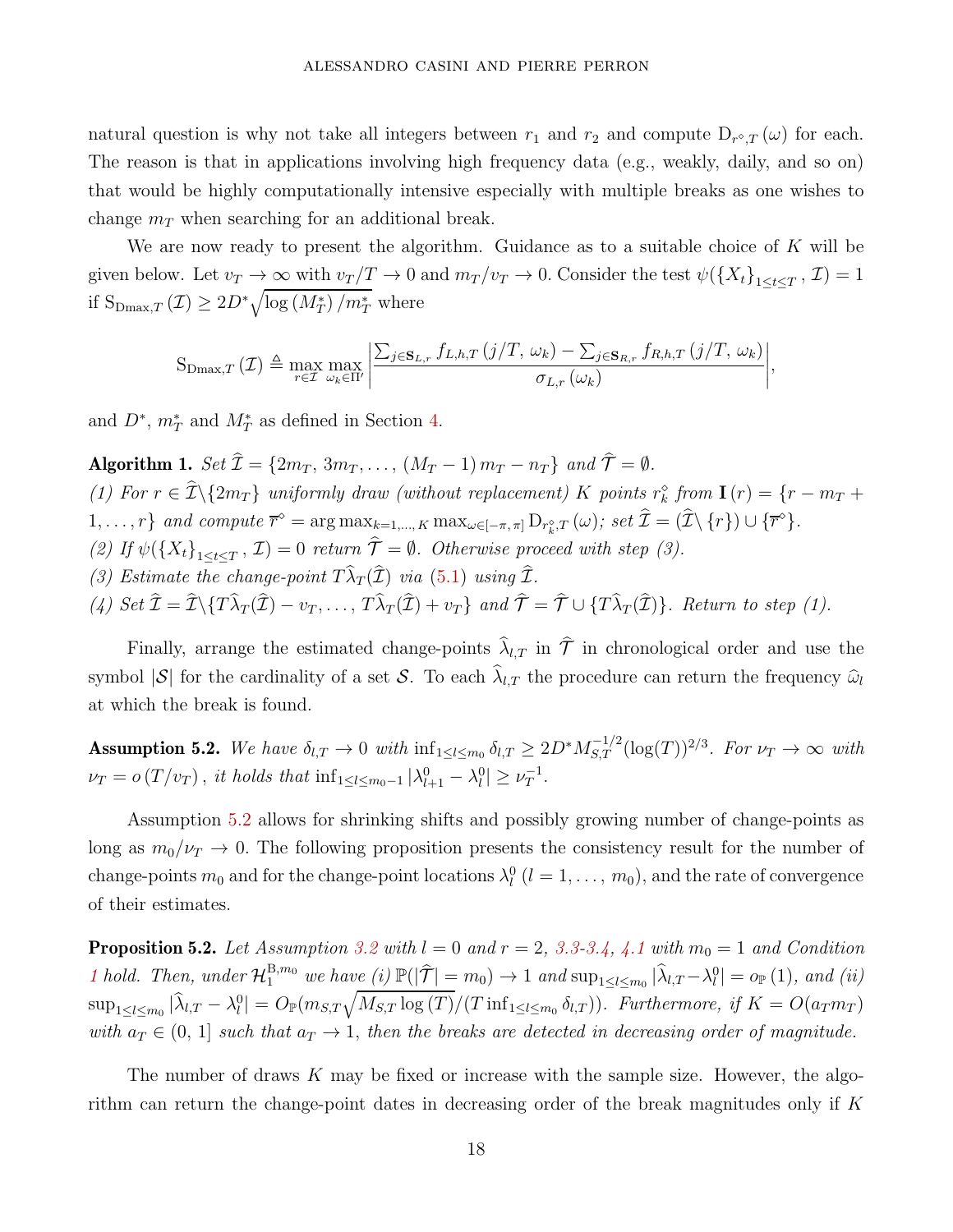natural question is why not take all integers between  $r_1$  and  $r_2$  and compute  $D_{r^{\diamond},T}(\omega)$  for each. The reason is that in applications involving high frequency data (e.g., weakly, daily, and so on) that would be highly computationally intensive especially with multiple breaks as one wishes to change  $m<sub>T</sub>$  when searching for an additional break.

We are now ready to present the algorithm. Guidance as to a suitable choice of *K* will be given below. Let  $v_T \to \infty$  with  $v_T/T \to 0$  and  $m_T/v_T \to 0$ . Consider the test  $\psi(\lbrace X_t \rbrace_{1 \leq t \leq T}, \mathcal{I}) = 1$ if  $S_{\text{Dmax},T}\left(\mathcal{I}\right) \geq 2D^*\sqrt{\log\left(M_T^*\right)/m_T^*}$  where

$$
S_{\text{Dmax},T}(\mathcal{I}) \triangleq \max_{r \in \mathcal{I}} \max_{\omega_k \in \Pi'} \left| \frac{\sum_{j \in \mathbf{S}_{L,r}} f_{L,h,T}(j/T, \omega_k) - \sum_{j \in \mathbf{S}_{R,r}} f_{R,h,T}(j/T, \omega_k)}{\sigma_{L,r}(\omega_k)} \right|,
$$

and  $D^*$ ,  $m_T^*$  and  $M_T^*$  as defined in Section [4.](#page-12-0)

<span id="page-18-1"></span>Algorithm 1. Set  $\hat{\mathcal{I}} = \{2m_T, 3m_T, \ldots, (M_T-1) m_T - n_T\}$  and  $\hat{\mathcal{T}} = \emptyset$ . (1) For  $r \in \hat{\mathcal{I}} \setminus \{2m_T\}$  uniformly draw (without replacement) *K* points  $r_k^{\circ}$  from  $\mathbf{I}(r) = \{r - m_T + \hat{\mathbf{I}}(r)\}$  $1, \ldots, r\}$  and compute  $\overline{r}^{\diamond} = \arg \max_{k=1,\ldots,K} \max_{\omega \in [-\pi,\pi]} D_{r_k^{\diamond},T}(\omega)$ ; set  $\widehat{\mathcal{I}} = (\widehat{\mathcal{I}} \setminus \{r\}) \cup \{\overline{r}^{\diamond}\}.$ (2) If  $\psi({X_t}_{1 \leq t \leq T}, \mathcal{I}) = 0$  return  $\mathcal{T} = \emptyset$ . Otherwise proceed with step (3). (3) Estimate the change-point  $T\lambda_T(\mathcal{I})$  via [\(5.1\)](#page-17-0) using  $\mathcal{I}$ . (4) Set  $\mathcal{I} = \mathcal{I}\setminus\{T\lambda_T(\mathcal{I}) - v_T, \ldots, T\lambda_T(\mathcal{I}) + v_T\}$  and  $\mathcal{T} = \mathcal{T} \cup \{T\lambda_T(\mathcal{I})\}$ . Return to step (1).

Finally, arrange the estimated change-points  $\hat{\lambda}_{l,T}$  in  $\hat{\mathcal{T}}$  in chronological order and use the symbol  $|\mathcal{S}|$  for the cardinality of a set S. To each  $\hat{\lambda}_{l,T}$  the procedure can return the frequency  $\hat{\omega}_l$ at which the break is found.

<span id="page-18-0"></span>Assumption 5.2. We have  $\delta_{l,T} \to 0$  with  $\inf_{1 \leq l \leq m_0} \delta_{l,T} \geq 2D^* M_{S,T}^{-1/2} (\log(T))^{2/3}$ . For  $\nu_T \to \infty$  with  $\nu_T = o(T/v_T)$ , it holds that  $\inf_{1 \le l \le m_0-1} |\lambda_{l+1}^0 - \lambda_l^0| \ge \nu_T^{-1}$ .

Assumption [5.2](#page-18-0) allows for shrinking shifts and possibly growing number of change-points as long as  $m_0/\nu_T \to 0$ . The following proposition presents the consistency result for the number of change-points  $m_0$  and for the change-point locations  $\lambda_l^0$  ( $l = 1, \ldots, m_0$ ), and the rate of convergence of their estimates.

<span id="page-18-2"></span>**Proposition 5.2.** Let Assumption [3.2](#page-10-2) with  $l = 0$  and  $r = 2$ , [3.3](#page-10-3)[-3.4,](#page-11-1) [4.1](#page-13-0) with  $m_0 = 1$  and Condition [1](#page-12-1) hold. Then, under  $\mathcal{H}_1^{\text{B},m_0}$  we have (i)  $\mathbb{P}(|\hat{\mathcal{T}}| = m_0) \to 1$  and  $\sup_{1 \leq l \leq m_0} |\hat{\lambda}_{l,T} - \lambda_l^0| = o_{\mathbb{P}}(1)$ , and (ii)  $\sup_{1 \leq l \leq m_0} |\hat{\lambda}_{l,T} - \lambda_l^0| = O_{\mathbb{P}}(m_{S,T}\sqrt{M_{S,T} \log(T)}/(T \inf_{1 \leq l \leq m_0} \delta_{l,T}))$ . Furthermore, if  $K = O(a_T m_T)$ with  $a_T \in (0, 1]$  such that  $a_T \to 1$ , then the breaks are detected in decreasing order of magnitude.

The number of draws *K* may be fixed or increase with the sample size. However, the algorithm can return the change-point dates in decreasing order of the break magnitudes only if *K*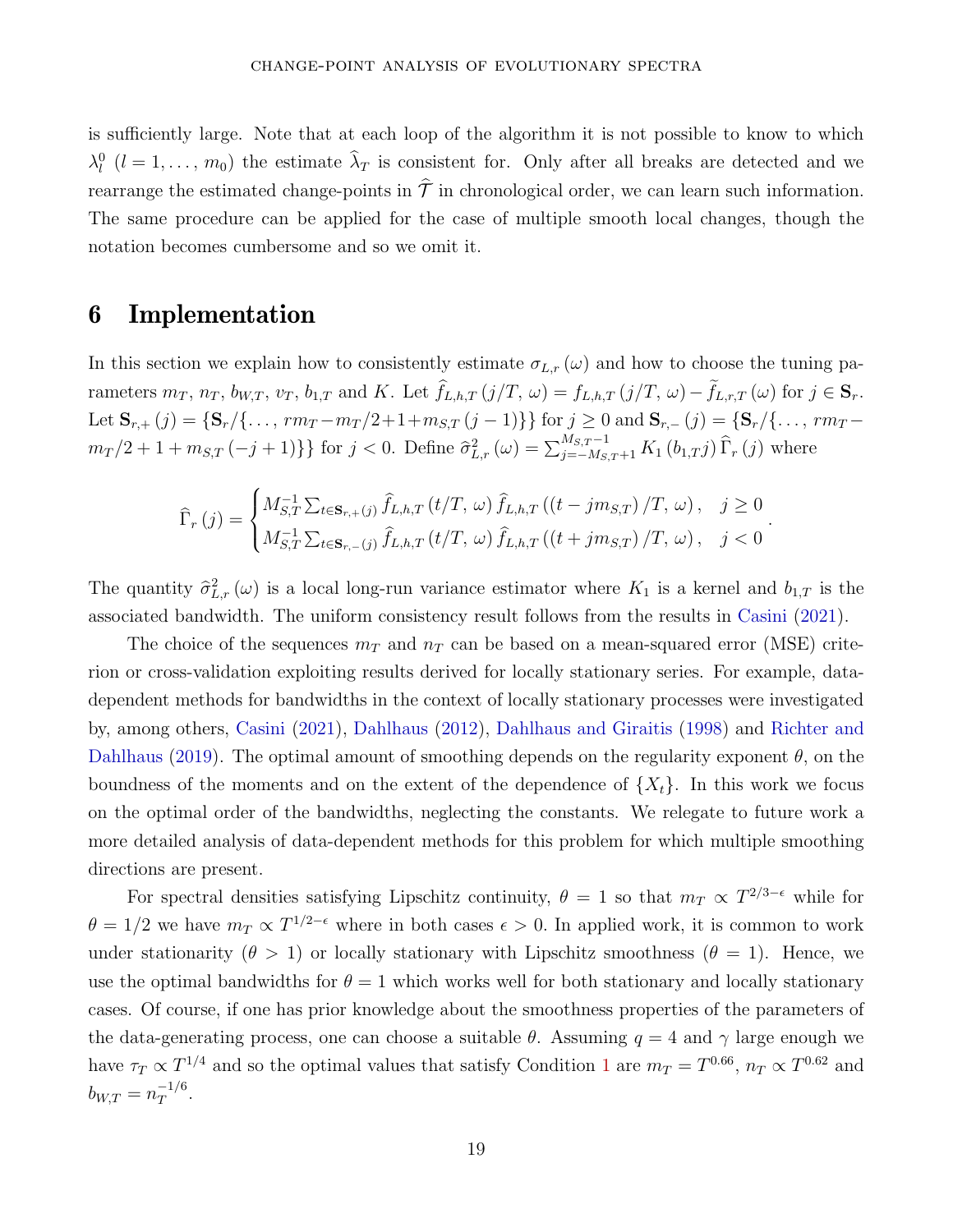is sufficiently large. Note that at each loop of the algorithm it is not possible to know to which  $\lambda_l^0$  (*l* = 1, ..., m<sub>0</sub>) the estimate  $\hat{\lambda}_T$  is consistent for. Only after all breaks are detected and we rearrange the estimated change-points in  $\hat{\mathcal{T}}$  in chronological order, we can learn such information. The same procedure can be applied for the case of multiple smooth local changes, though the notation becomes cumbersome and so we omit it.

## <span id="page-19-0"></span>6 Implementation

In this section we explain how to consistently estimate  $\sigma_{L,r}(\omega)$  and how to choose the tuning parameters  $m_T$ ,  $n_T$ ,  $b_{W,T}$ ,  $v_T$ ,  $b_{1,T}$  and K. Let  $\hat{f}_{L,h,T}(j/T, \omega) = f_{L,h,T}(j/T, \omega) - \tilde{f}_{L,r,T}(\omega)$  for  $j \in \mathbf{S}_r$ . Let  $\mathbf{S}_{r,+}(j) = \{ \mathbf{S}_r / \{ \dots, rm_T - m_T / 2 + 1 + m_{S,T} (j-1) \} \}$  for  $j \ge 0$  and  $\mathbf{S}_{r,-}(j) = \{ \mathbf{S}_r / \{ \dots, rm_T - m_T / 2 + 1 + m_{S,T} (j-1) \} \}$  $m_T/2 + 1 + m_{S,T}(-j+1)$ } for  $j < 0$ . Define  $\hat{\sigma}_{L,r}^2(\omega) = \sum_{j=-M_{S,T}+1}^{M_{S,T}-1} K_1(b_{1,T}j) \hat{\Gamma}_r(j)$  where

$$
\widehat{\Gamma}_r(j) = \begin{cases}\nM_{S,T}^{-1} \sum_{t \in \mathbf{S}_{r,+}(j)} \widehat{f}_{L,h,T}(t/T, \omega) \,\widehat{f}_{L,h,T}((t-jm_{S,T})/T, \omega), & j \ge 0 \\
M_{S,T}^{-1} \sum_{t \in \mathbf{S}_{r,-}(j)} \widehat{f}_{L,h,T}(t/T, \omega) \,\widehat{f}_{L,h,T}((t+jm_{S,T})/T, \omega), & j < 0\n\end{cases}
$$

*.*

The quantity  $\hat{\sigma}_{L,r}^2(\omega)$  is a local long-run variance estimator where  $K_1$  is a kernel and  $b_{1,T}$  is the associated bandwidth. The uniform consistency result follows from the results in [Casini](#page-29-1) [\(2021\)](#page-29-1).

The choice of the sequences  $m_T$  and  $n_T$  can be based on a mean-squared error (MSE) criterion or cross-validation exploiting results derived for locally stationary series. For example, datadependent methods for bandwidths in the context of locally stationary processes were investigated by, among others, [Casini](#page-29-1) [\(2021\)](#page-29-1), [Dahlhaus](#page-29-5) [\(2012](#page-29-5)), Dahlhaus and Giraitis (1998) and Richter and Dahlhaus (2019). The optimal amount of smoothing depends on the regularity exponent *θ*, on the boundness of the moments and on the extent of the dependence of  ${X_t}$ . In this work we focus on the optimal order of the bandwidths, neglecting the constants. We relegate to future work a more detailed analysis of data-dependent methods for this problem for which multiple smoothing directions are present.

For spectral densities satisfying Lipschitz continuity,  $\theta = 1$  so that  $m_T \propto T^{2/3-\epsilon}$  while for  $\theta = 1/2$  we have  $m_T \propto T^{1/2-\epsilon}$  where in both cases  $\epsilon > 0$ . In applied work, it is common to work under stationarity  $(\theta > 1)$  or locally stationary with Lipschitz smoothness  $(\theta = 1)$ . Hence, we use the optimal bandwidths for  $\theta = 1$  which works well for both stationary and locally stationary cases. Of course, if one has prior knowledge about the smoothness properties of the parameters of the data-generating process, one can choose a suitable  $\theta$ . Assuming  $q = 4$  and  $\gamma$  large enough we have  $\tau_T \propto T^{1/4}$  $\tau_T \propto T^{1/4}$  $\tau_T \propto T^{1/4}$  and so the optimal values that satisfy Condition 1 are  $m_T = T^{0.66}$ ,  $n_T \propto T^{0.62}$  and  $b_{W,T} = n_T^{-1/6}$  $T^{1/6}$ .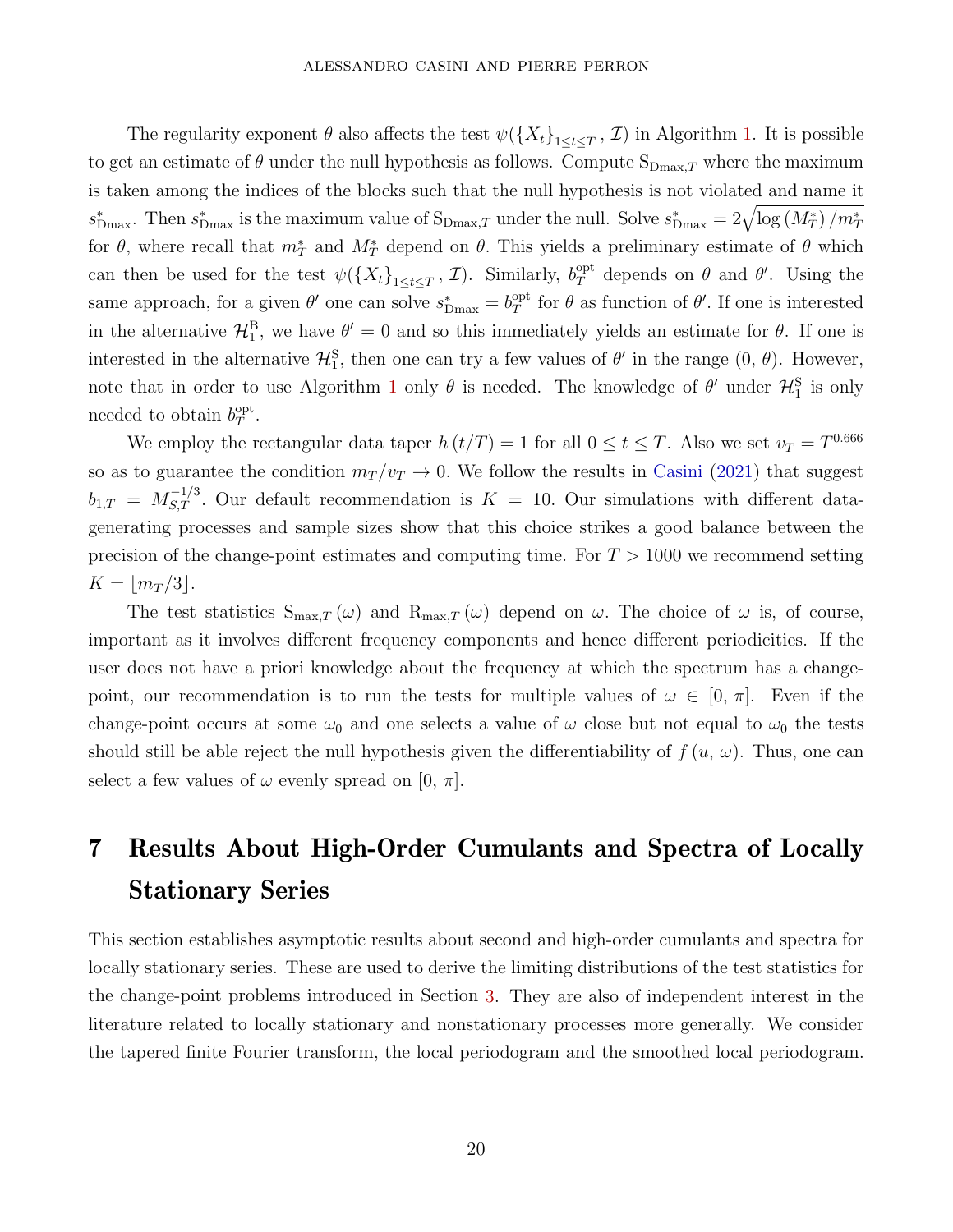The regularity exponent  $\theta$  also affects the test  $\psi(\lbrace X_t \rbrace_{1 \leq t \leq T}, \mathcal{I})$  in Algorithm [1.](#page-18-1) It is possible to get an estimate of  $\theta$  under the null hypothesis as follows. Compute  $S_{Dmax,T}$  where the maximum is taken among the indices of the blocks such that the null hypothesis is not violated and name it  $s_{\text{Dmax}}^*$ . Then  $s_{\text{Dmax}}^*$  is the maximum value of  $S_{\text{Dmax},T}$  under the null. Solve  $s_{\text{Dmax}}^* = 2\sqrt{\log(M_T^*)/m_T^*}$ for  $\theta$ , where recall that  $m_T^*$  and  $M_T^*$  depend on  $\theta$ . This yields a preliminary estimate of  $\theta$  which can then be used for the test  $\psi(\lbrace X_t \rbrace_{1 \leq t \leq T}, \mathcal{I})$ . Similarly,  $b_T^{\text{opt}}$  depends on  $\theta$  and  $\theta'$ . Using the same approach, for a given  $\theta'$  one can solve  $s_{\text{Dmax}}^* = b_T^{\text{opt}}$  $T<sup>opt</sup>$  for *θ* as function of *θ*'. If one is interested in the alternative  $\mathcal{H}_{1}^{B}$ , we have  $\theta' = 0$  and so this immediately yields an estimate for  $\theta$ . If one is interested in the alternative  $\mathcal{H}_{1}^{S}$ , then one can try a few values of  $\theta'$  in the range  $(0, \theta)$ . However, note that in order to use Algorithm [1](#page-18-1) only  $\theta$  is needed. The knowledge of  $\theta'$  under  $\mathcal{H}_1^S$  is only needed to obtain  $b_T^{\text{opt}}$  $_{T}^{\mathrm{opt}}$  .

We employ the rectangular data taper  $h(t/T) = 1$  for all  $0 \le t \le T$ . Also we set  $v_T = T^{0.666}$ so as to guarantee the condition  $m_T/v_T \to 0$ . We follow the results in [Casini](#page-29-1) [\(2021](#page-29-1)) that suggest  $b_{1,T} = M_{S,T}^{-1/3}$ . Our default recommendation is  $K = 10$ . Our simulations with different datagenerating processes and sample sizes show that this choice strikes a good balance between the precision of the change-point estimates and computing time. For *T >* 1000 we recommend setting  $K = |m_T/3|$ .

The test statistics  $S_{\text{max},T}(\omega)$  and  $R_{\text{max},T}(\omega)$  depend on  $\omega$ . The choice of  $\omega$  is, of course, important as it involves different frequency components and hence different periodicities. If the user does not have a priori knowledge about the frequency at which the spectrum has a changepoint, our recommendation is to run the tests for multiple values of  $\omega \in [0, \pi]$ . Even if the change-point occurs at some  $\omega_0$  and one selects a value of  $\omega$  close but not equal to  $\omega_0$  the tests should still be able reject the null hypothesis given the differentiability of  $f(u, \omega)$ . Thus, one can select a few values of  $\omega$  evenly spread on [0,  $\pi$ ].

# <span id="page-20-0"></span>7 Results About High-Order Cumulants and Spectra of Locally Stationary Series

This section establishes asymptotic results about second and high-order cumulants and spectra for locally stationary series. These are used to derive the limiting distributions of the test statistics for the change-point problems introduced in Section [3.](#page-7-0) They are also of independent interest in the literature related to locally stationary and nonstationary processes more generally. We consider the tapered finite Fourier transform, the local periodogram and the smoothed local periodogram.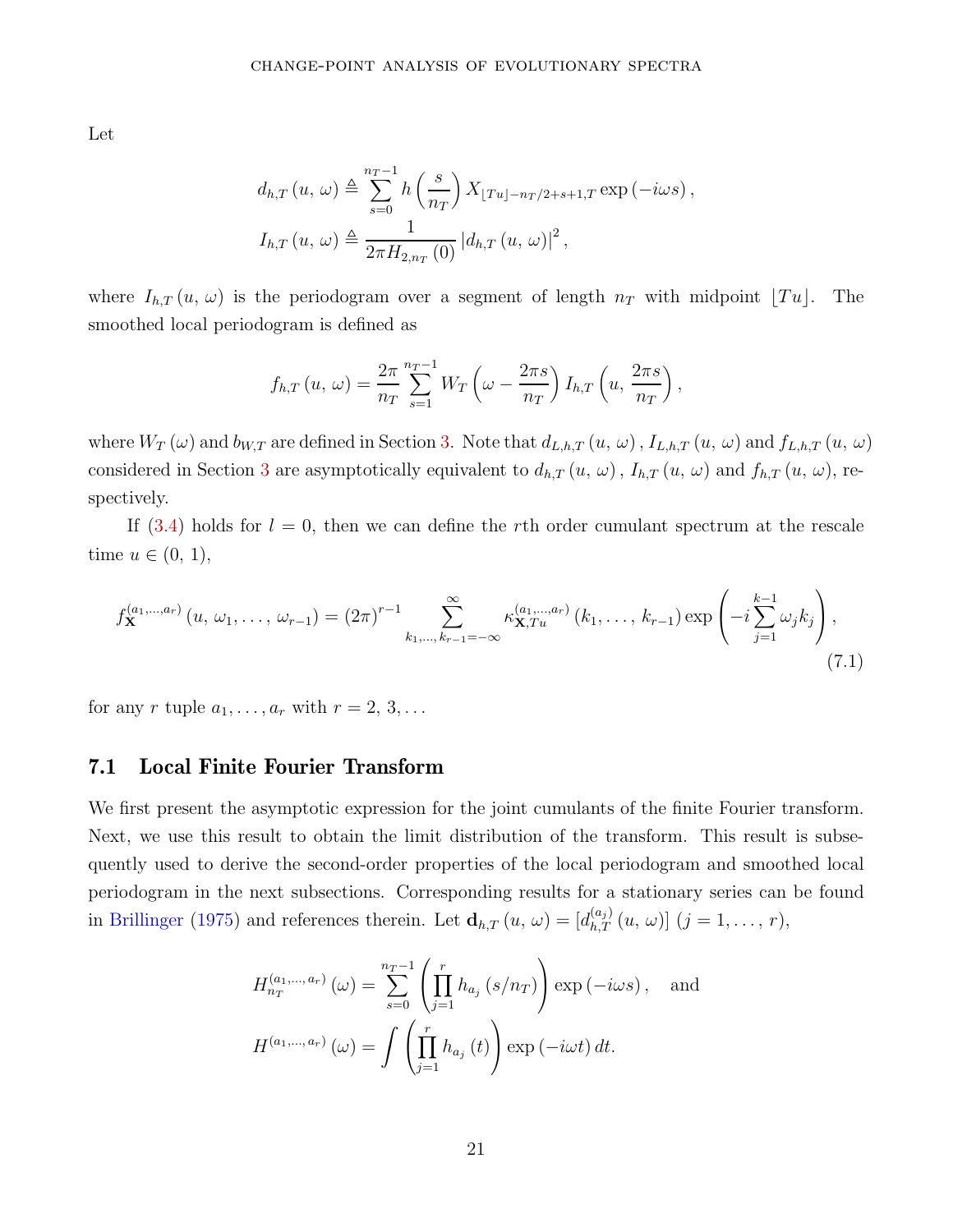Let

$$
d_{h,T}(u, \omega) \triangleq \sum_{s=0}^{n_T-1} h\left(\frac{s}{n_T}\right) X_{\lfloor Tu \rfloor - n_T/2 + s + 1,T} \exp\left(-i\omega s\right),
$$
  

$$
I_{h,T}(u, \omega) \triangleq \frac{1}{2\pi H_{2,n_T}(0)} |d_{h,T}(u, \omega)|^2,
$$

where  $I_{h,T}(u, \omega)$  is the periodogram over a segment of length  $n_T$  with midpoint  $[Tu]$ . The smoothed local periodogram is defined as

$$
f_{h,T}(u,\,\omega)=\frac{2\pi}{n_T}\sum_{s=1}^{n_T-1}W_T\left(\omega-\frac{2\pi s}{n_T}\right)I_{h,T}\left(u,\frac{2\pi s}{n_T}\right),\,
$$

where  $W_T(\omega)$  and  $b_{W,T}$  are defined in Section [3.](#page-7-0) Note that  $d_{L,h,T}(u, \omega)$ ,  $I_{L,h,T}(u, \omega)$  and  $f_{L,h,T}(u, \omega)$ considered in Section [3](#page-7-0) are asymptotically equivalent to  $d_{h,T}(u, \omega)$ ,  $I_{h,T}(u, \omega)$  and  $f_{h,T}(u, \omega)$ , respectively.

If  $(3.4)$  holds for  $l = 0$ , then we can define the *r*th order cumulant spectrum at the rescale time  $u \in (0, 1)$ ,

$$
f_{\mathbf{X}}^{(a_1,...,a_r)}(u, \omega_1, \ldots, \omega_{r-1}) = (2\pi)^{r-1} \sum_{k_1,\ldots,k_{r-1}=-\infty}^{\infty} \kappa_{\mathbf{X},Tu}^{(a_1,...,a_r)}(k_1,\ldots,k_{r-1}) \exp\left(-i\sum_{j=1}^{k-1}\omega_j k_j\right),\tag{7.1}
$$

for any *r* tuple  $a_1, ..., a_r$  with  $r = 2, 3, ...$ 

### 7.1 Local Finite Fourier Transform

We first present the asymptotic expression for the joint cumulants of the finite Fourier transform. Next, we use this result to obtain the limit distribution of the transform. This result is subsequently used to derive the second-order properties of the local periodogram and smoothed local periodogram in the next subsections. Corresponding results for a stationary series can be found in [Brillinger](#page-28-1) [\(1975](#page-28-1)) and references therein. Let  $\mathbf{d}_{h,T}(u, \omega) = [d_{h,T}^{(a_j)}(u, \omega)]$   $(j = 1, \ldots, r)$ ,

$$
H_{n_T}^{(a_1,\dots,a_r)}(\omega) = \sum_{s=0}^{n_T-1} \left( \prod_{j=1}^r h_{a_j} (s/n_T) \right) \exp(-i\omega s), \text{ and}
$$

$$
H^{(a_1,\dots,a_r)}(\omega) = \int \left( \prod_{j=1}^r h_{a_j} (t) \right) \exp(-i\omega t) dt.
$$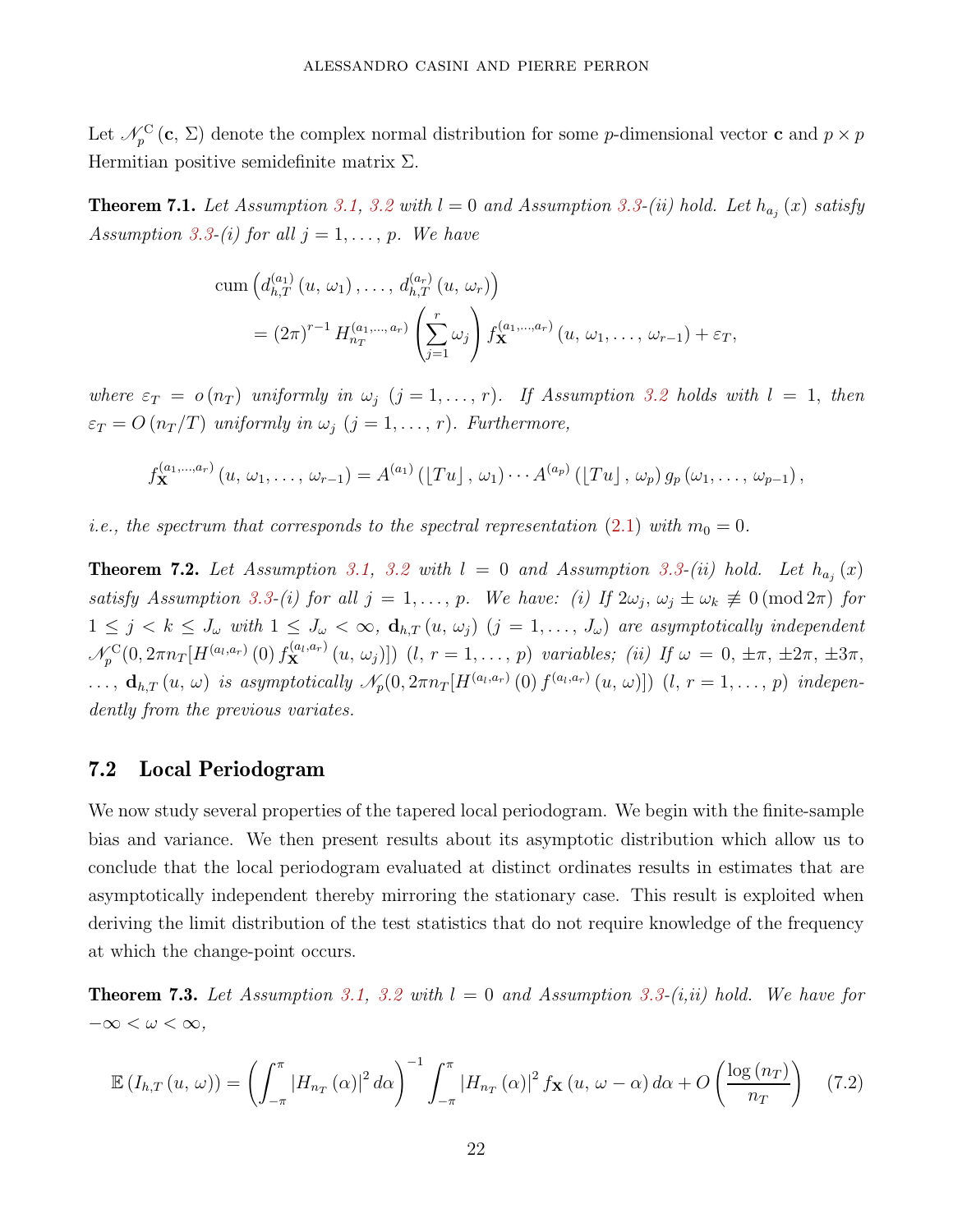Let  $\mathcal{N}_p^{\text{C}}(\mathbf{c}, \Sigma)$  denote the complex normal distribution for some *p*-dimensional vector **c** and  $p \times p$ Hermitian positive semidefinite matrix Σ*.*

<span id="page-22-1"></span>**Theorem 7.1.** Let Assumption [3.1,](#page-10-1) [3.2](#page-10-2) with  $l = 0$  and Assumption [3.3-](#page-10-3)(ii) hold. Let  $h_{a_j}(x)$  satisfy Assumption [3.3-](#page-10-3)(i) for all  $j = 1, \ldots, p$ . We have

cum 
$$
(d_{h,T}^{(a_1)}(u, \omega_1), \ldots, d_{h,T}^{(a_r)}(u, \omega_r))
$$
  
=  $(2\pi)^{r-1} H_{n_T}^{(a_1,\ldots,a_r)} \left(\sum_{j=1}^r \omega_j\right) f_{\mathbf{X}}^{(a_1,\ldots,a_r)}(u, \omega_1, \ldots, \omega_{r-1}) + \varepsilon_T,$ 

where  $\varepsilon_T = o(n_T)$  uniformly in  $\omega_j$  ( $j = 1, \ldots, r$ ). If Assumption [3.2](#page-10-2) holds with  $l = 1$ , then  $\varepsilon_T = O(n_T/T)$  uniformly in  $\omega_j$  (*j* = 1, ..., *r*). Furthermore,

$$
f_{\mathbf{X}}^{(a_1,...,a_r)}(u, \, \omega_1, \ldots, \, \omega_{r-1}) = A^{(a_1)}( [Tu], \, \omega_1) \cdots A^{(a_p)}( [Tu], \, \omega_p) \, g_p(\omega_1, \ldots, \, \omega_{p-1}),
$$

*i.e.*, the spectrum that corresponds to the spectral representation [\(2.1\)](#page-4-2) with  $m_0 = 0$ .

<span id="page-22-2"></span>**Theorem 7.2.** Let Assumption [3.1,](#page-10-1) [3.2](#page-10-2) with  $l = 0$  and Assumption [3.3-](#page-10-3)(ii) hold. Let  $h_{a_j}(x)$ satisfy Assumption [3.3-](#page-10-3)(i) for all  $j = 1, ..., p$ . We have: (i) If  $2\omega_j$ ,  $\omega_j \pm \omega_k \neq 0 \pmod{2\pi}$  for  $1 \leq j \leq k \leq J_{\omega}$  with  $1 \leq J_{\omega} < \infty$ ,  $\mathbf{d}_{h,T}(u, \omega_j)$   $(j = 1, \ldots, J_{\omega})$  are asymptotically independent  $\mathcal{N}_p^{\text{C}}(0, 2\pi n_T[H^{(a_l, a_r)}(0) f_{\mathbf{X}}^{(a_l, a_r)}(u, \omega_j)])$   $(l, r = 1, ..., p)$  variables; (ii) If  $\omega = 0, \pm \pi, \pm 2\pi, \pm 3\pi,$  $\ldots, d_{h,T}(u,\omega)$  is asymptotically  $\mathscr{N}_p(0,2\pi n_T[H^{(a_l,a_r)}(0) f^{(a_l,a_r)}(u,\omega)])$   $(l, r = 1,\ldots,p)$  independently from the previous variates.

### 7.2 Local Periodogram

We now study several properties of the tapered local periodogram. We begin with the finite-sample bias and variance. We then present results about its asymptotic distribution which allow us to conclude that the local periodogram evaluated at distinct ordinates results in estimates that are asymptotically independent thereby mirroring the stationary case. This result is exploited when deriving the limit distribution of the test statistics that do not require knowledge of the frequency at which the change-point occurs.

<span id="page-22-0"></span>**Theorem 7.3.** Let Assumption [3.1,](#page-10-1) [3.2](#page-10-2) with  $l = 0$  and Assumption [3.3-](#page-10-3)(i,ii) hold. We have for  $-\infty < \omega < \infty$ ,

<span id="page-22-3"></span>
$$
\mathbb{E}\left(I_{h,T}\left(u,\,\omega\right)\right) = \left(\int_{-\pi}^{\pi} \left|H_{n_T}\left(\alpha\right)\right|^2 d\alpha\right)^{-1} \int_{-\pi}^{\pi} \left|H_{n_T}\left(\alpha\right)\right|^2 f_{\mathbf{X}}\left(u,\,\omega-\alpha\right) d\alpha + O\left(\frac{\log\left(n_T\right)}{n_T}\right) \tag{7.2}
$$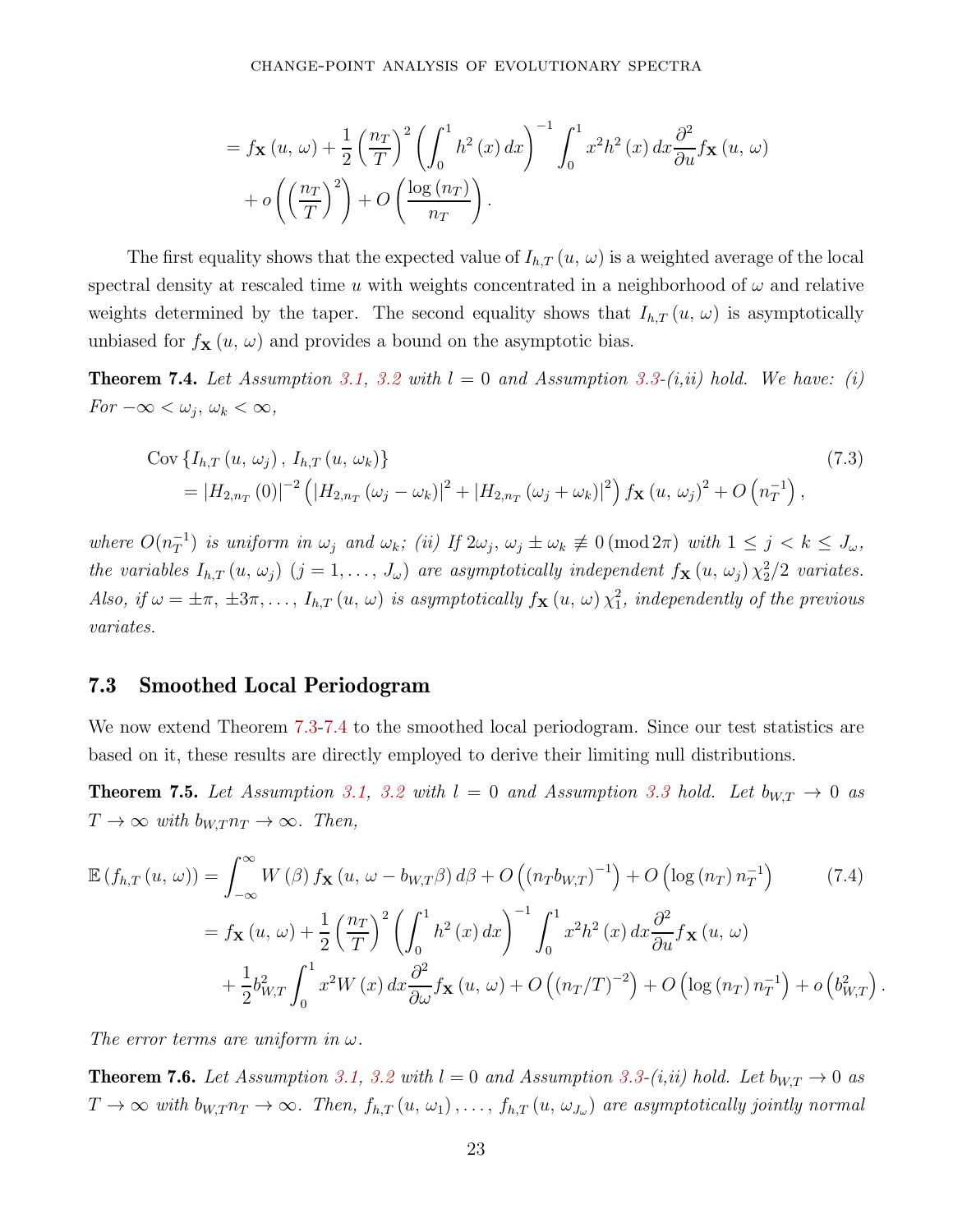$$
= f_{\mathbf{X}}(u, \omega) + \frac{1}{2} \left(\frac{n_T}{T}\right)^2 \left(\int_0^1 h^2(x) dx\right)^{-1} \int_0^1 x^2 h^2(x) dx \frac{\partial^2}{\partial u} f_{\mathbf{X}}(u, \omega) + o\left(\left(\frac{n_T}{T}\right)^2\right) + O\left(\frac{\log(n_T)}{n_T}\right).
$$

The first equality shows that the expected value of  $I_{h,T}(u, \omega)$  is a weighted average of the local spectral density at rescaled time  $u$  with weights concentrated in a neighborhood of  $\omega$  and relative weights determined by the taper. The second equality shows that  $I_{h,T}(u, \omega)$  is asymptotically unbiased for  $f_{\mathbf{X}}(u, \omega)$  and provides a bound on the asymptotic bias.

<span id="page-23-0"></span>**Theorem 7.4.** Let Assumption [3.1,](#page-10-1) [3.2](#page-10-2) with  $l = 0$  and Assumption [3.3-](#page-10-3) $(i, ii)$  hold. We have: (i)  $For -\infty < \omega_j, \omega_k < \infty,$ 

$$
\text{Cov}\left\{I_{h,T}\left(u,\,\omega_{j}\right),\,I_{h,T}\left(u,\,\omega_{k}\right)\right\}\n=|H_{2,n_{T}}\left(0\right)|^{-2}\left(|H_{2,n_{T}}\left(\omega_{j}-\omega_{k}\right)|^{2}+|H_{2,n_{T}}\left(\omega_{j}+\omega_{k}\right)|^{2}\right)f_{\mathbf{X}}\left(u,\,\omega_{j}\right)^{2}+O\left(n_{T}^{-1}\right),\n\tag{7.3}
$$

 $where \ O(n_T^{-1})$  is uniform in  $\omega_j$  and  $\omega_k$ ; (ii) If  $2\omega_j$ ,  $\omega_j \pm \omega_k \neq 0 \pmod{2\pi}$  with  $1 \leq j \leq k \leq J_\omega$ , the variables  $I_{h,T}(u, \omega_j)$   $(j = 1, \ldots, J_{\omega})$  are asymptotically independent  $f_{\mathbf{X}}(u, \omega_j) \chi_2^2/2$  variates. Also, if  $\omega = \pm \pi$ ,  $\pm 3\pi$ ,...,  $I_{h,T}(u, \omega)$  is asymptotically  $f_{\mathbf{X}}(u, \omega) \chi_1^2$ , independently of the previous variates.

### 7.3 Smoothed Local Periodogram

We now extend Theorem [7.3](#page-22-0)[-7.4](#page-23-0) to the smoothed local periodogram. Since our test statistics are based on it, these results are directly employed to derive their limiting null distributions.

<span id="page-23-2"></span>**Theorem 7.5.** Let Assumption [3.1,](#page-10-1) [3.2](#page-10-2) with  $l = 0$  and Assumption [3.3](#page-10-3) hold. Let  $b_{W,T} \rightarrow 0$  as  $T \to \infty$  with  $b_{W,T} n_T \to \infty$ . Then,

$$
\mathbb{E}\left(f_{h,T}\left(u,\,\omega\right)\right) = \int_{-\infty}^{\infty} W\left(\beta\right) f_{\mathbf{X}}\left(u,\,\omega - b_{W,T}\beta\right) d\beta + O\left((n_{T}b_{W,T})^{-1}\right) + O\left(\log\left(n_{T}\right)n_{T}^{-1}\right) \tag{7.4}
$$
\n
$$
= f_{\mathbf{X}}\left(u,\,\omega\right) + \frac{1}{2} \left(\frac{n_{T}}{T}\right)^{2} \left(\int_{0}^{1} h^{2}\left(x\right) dx\right)^{-1} \int_{0}^{1} x^{2} h^{2}\left(x\right) dx \frac{\partial^{2}}{\partial u} f_{\mathbf{X}}\left(u,\,\omega\right) + \frac{1}{2} b_{W,T}^{2} \int_{0}^{1} x^{2} W\left(x\right) dx \frac{\partial^{2}}{\partial \omega} f_{\mathbf{X}}\left(u,\,\omega\right) + O\left((n_{T}/T)^{-2}\right) + O\left(\log\left(n_{T}\right)n_{T}^{-1}\right) + o\left(b_{W,T}^{2}\right)
$$

<span id="page-23-3"></span>*.*

The error terms are uniform in *ω*.

<span id="page-23-1"></span>**Theorem 7.6.** Let Assumption [3.1,](#page-10-1) [3.2](#page-10-2) with  $l = 0$  and Assumption [3.3-](#page-10-3)(i,ii) hold. Let  $b_{W,T} \rightarrow 0$  as  $T \to \infty$  with  $b_{W,T} n_T \to \infty$ . Then,  $f_{h,T}(u, \omega_1), \ldots, f_{h,T}(u, \omega_{J_\omega})$  are asymptotically jointly normal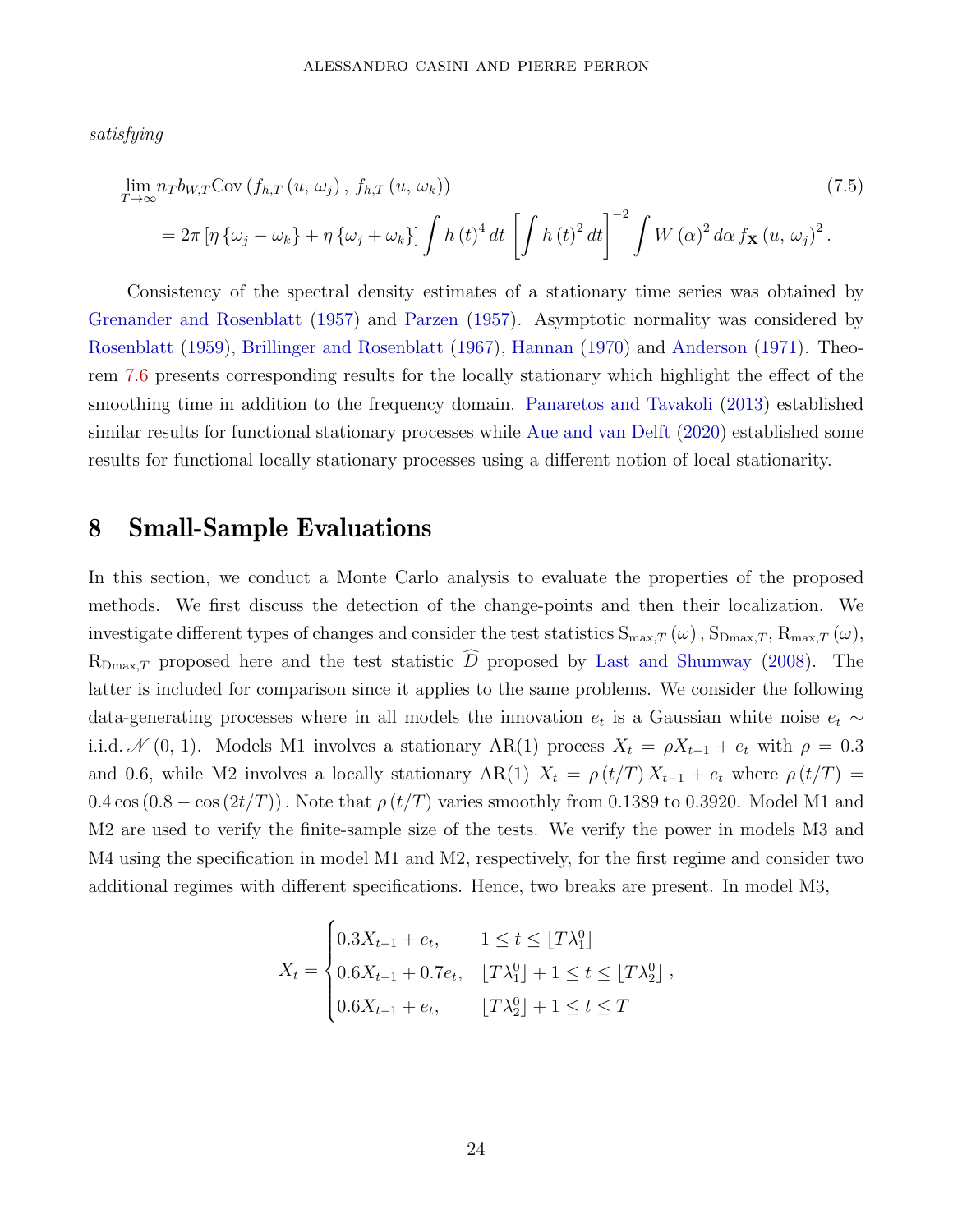satisfying

<span id="page-24-1"></span>
$$
\lim_{T \to \infty} n_T b_{W,T} \text{Cov}(f_{h,T}(u, \omega_j), f_{h,T}(u, \omega_k))
$$
\n
$$
= 2\pi \left[ \eta \left\{ \omega_j - \omega_k \right\} + \eta \left\{ \omega_j + \omega_k \right\} \right] \int h(t)^4 dt \left[ \int h(t)^2 dt \right]^{-2} \int W(\alpha)^2 d\alpha f_{\mathbf{X}}(u, \omega_j)^2.
$$
\n(7.5)

Consistency of the spectral density estimates of a stationary time series was obtained by Grenander and Rosenblatt (1957) and [Parzen](#page-31-5) [\(1957\)](#page-31-5). Asymptotic normality was considered by [Rosenblatt](#page-31-6) [\(1959\)](#page-31-6), Brillinger and Rosenblatt (1967), [Hannan](#page-30-6) [\(1970\)](#page-30-6) and [Anderson](#page-28-4) [\(1971](#page-28-4)). Theorem [7.6](#page-23-1) presents corresponding results for the locally stationary which highlight the effect of the smoothing time in addition to the frequency domain. Panaretos and Tavakoli (2013) established similar results for functional stationary processes while Aue and van Delft (2020) established some results for functional locally stationary processes using a different notion of local stationarity.

## <span id="page-24-0"></span>8 Small-Sample Evaluations

In this section, we conduct a Monte Carlo analysis to evaluate the properties of the proposed methods. We first discuss the detection of the change-points and then their localization. We investigate different types of changes and consider the test statistics  $S_{\text{max},T}(\omega)$ ,  $S_{\text{Dmax},T}$ ,  $R_{\text{max},T}(\omega)$ ,  $R_{\text{Dmax},T}$  proposed here and the test statistic  $\widehat{D}$  proposed by Last and Shumway (2008). The latter is included for comparison since it applies to the same problems. We consider the following data-generating processes where in all models the innovation  $e_t$  is a Gaussian white noise  $e_t \sim$ *i.i.d.*  $\mathcal{N}(0, 1)$ . Models M1 involves a stationary AR(1) process  $X_t = \rho X_{t-1} + e_t$  with  $\rho = 0.3$ and 0.6, while M2 involves a locally stationary AR(1)  $X_t = \rho(t/T) X_{t-1} + e_t$  where  $\rho(t/T) =$  $0.4 \cos(0.8 - \cos(2t/T))$ . Note that  $\rho(t/T)$  varies smoothly from 0.1389 to 0.3920. Model M1 and M2 are used to verify the finite-sample size of the tests. We verify the power in models M3 and M4 using the specification in model M1 and M2, respectively, for the first regime and consider two additional regimes with different specifications. Hence, two breaks are present. In model M3,

$$
X_t = \begin{cases} 0.3X_{t-1} + e_t, & 1 \le t \le \lfloor T\lambda_1^0 \rfloor \\ 0.6X_{t-1} + 0.7e_t, & \lfloor T\lambda_1^0 \rfloor + 1 \le t \le \lfloor T\lambda_2^0 \rfloor \\ 0.6X_{t-1} + e_t, & \lfloor T\lambda_2^0 \rfloor + 1 \le t \le T \end{cases}
$$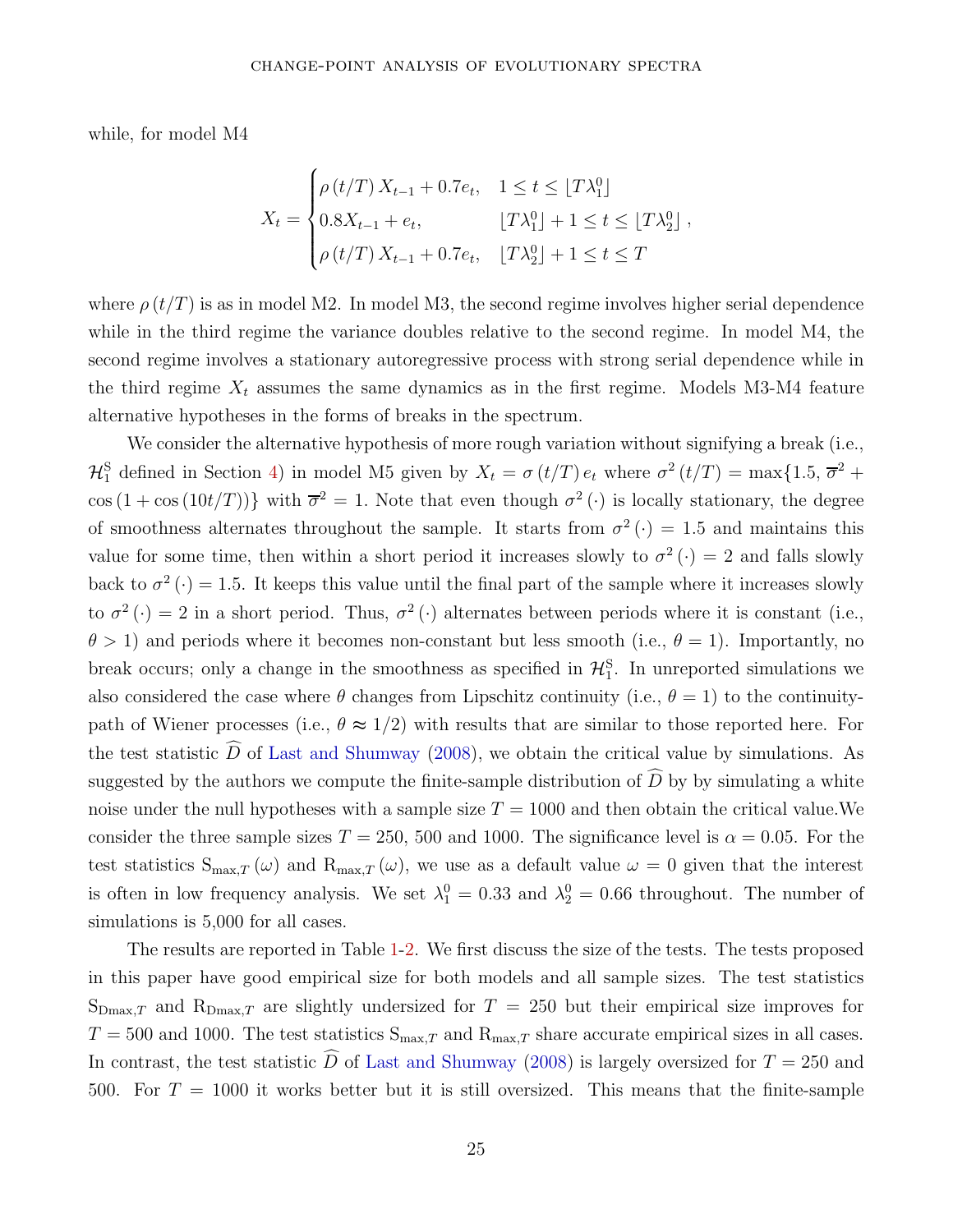while, for model M4

$$
X_t = \begin{cases} \rho(t/T) X_{t-1} + 0.7e_t, & 1 \le t \le [T\lambda_1^0] \\ 0.8X_{t-1} + e_t, & [T\lambda_1^0] + 1 \le t \le [T\lambda_2^0] \\ \rho(t/T) X_{t-1} + 0.7e_t, & [T\lambda_2^0] + 1 \le t \le T \end{cases}
$$

where  $\rho(t/T)$  is as in model M2. In model M3, the second regime involves higher serial dependence while in the third regime the variance doubles relative to the second regime. In model M4, the second regime involves a stationary autoregressive process with strong serial dependence while in the third regime  $X_t$  assumes the same dynamics as in the first regime. Models M3-M4 feature alternative hypotheses in the forms of breaks in the spectrum.

We consider the alternative hypothesis of more rough variation without signifying a break (i.e.,  $\mathcal{H}_1^S$  defined in Section [4\)](#page-12-0) in model M5 given by  $X_t = \sigma(t/T) e_t$  where  $\sigma^2(t/T) = \max\{1.5, \overline{\sigma}^2 +$  $\cos(1+\cos(10t/T))\}$  with  $\overline{\sigma}^2=1$ . Note that even though  $\sigma^2(\cdot)$  is locally stationary, the degree of smoothness alternates throughout the sample. It starts from  $\sigma^2(\cdot) = 1.5$  and maintains this value for some time, then within a short period it increases slowly to  $\sigma^2(\cdot) = 2$  and falls slowly back to  $\sigma^2(\cdot) = 1.5$ . It keeps this value until the final part of the sample where it increases slowly to  $\sigma^2(\cdot) = 2$  in a short period. Thus,  $\sigma^2(\cdot)$  alternates between periods where it is constant (i.e.,  $\theta$  > 1) and periods where it becomes non-constant but less smooth (i.e.,  $\theta$  = 1). Importantly, no break occurs; only a change in the smoothness as specified in  $\mathcal{H}_{1}^{S}$ . In unreported simulations we also considered the case where  $\theta$  changes from Lipschitz continuity (i.e.,  $\theta = 1$ ) to the continuitypath of Wiener processes (i.e.,  $\theta \approx 1/2$ ) with results that are similar to those reported here. For the test statistic  $\widehat{D}$  of Last and Shumway (2008), we obtain the critical value by simulations. As suggested by the authors we compute the finite-sample distribution of  $\tilde{D}$  by by simulating a white noise under the null hypotheses with a sample size  $T = 1000$  and then obtain the critical value. We consider the three sample sizes  $T = 250$ , 500 and 1000. The significance level is  $\alpha = 0.05$ . For the test statistics  $S_{\max,T}(\omega)$  and  $R_{\max,T}(\omega)$ , we use as a default value  $\omega = 0$  given that the interest is often in low frequency analysis. We set  $\lambda_1^0 = 0.33$  and  $\lambda_2^0 = 0.66$  throughout. The number of simulations is  $5,000$  for all cases.

The results are reported in Table [1](#page-32-1)[-2.](#page-33-0) We first discuss the size of the tests. The tests proposed in this paper have good empirical size for both models and all sample sizes. The test statistics  $S_{\text{Dmax},T}$  and  $R_{\text{Dmax},T}$  are slightly undersized for  $T = 250$  but their empirical size improves for  $T = 500$  and 1000. The test statistics  $S_{\text{max},T}$  and  $R_{\text{max},T}$  share accurate empirical sizes in all cases. In contrast, the test statistic  $\widehat{D}$  of Last and Shumway (2008) is largely oversized for  $T = 250$  and 500. For  $T = 1000$  it works better but it is still oversized. This means that the finite-sample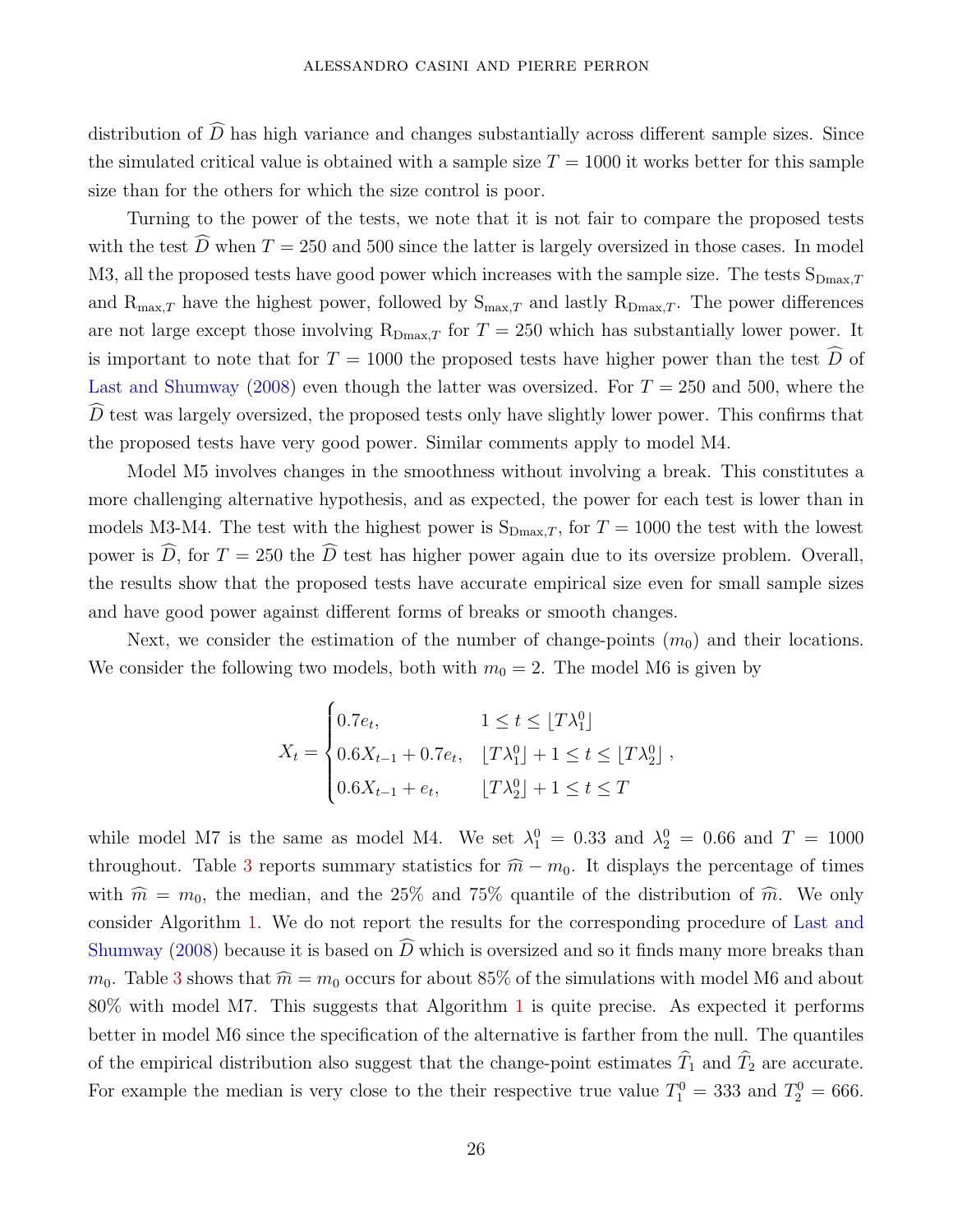distribution of  $\widehat{D}$  has high variance and changes substantially across different sample sizes. Since the simulated critical value is obtained with a sample size  $T = 1000$  it works better for this sample size than for the others for which the size control is poor.

Turning to the power of the tests, we note that it is not fair to compare the proposed tests with the test  $\widehat{D}$  when  $T = 250$  and 500 since the latter is largely oversized in those cases. In model M3, all the proposed tests have good power which increases with the sample size. The tests  $S_{Dmax,T}$ and  $R_{\max,T}$  have the highest power, followed by  $S_{\max,T}$  and lastly  $R_{\max,T}$ . The power differences are not large except those involving  $R_{Dmax,T}$  for  $T = 250$  which has substantially lower power. It is important to note that for  $T = 1000$  the proposed tests have higher power than the test  $\hat{D}$  of Last and Shumway (2008) even though the latter was oversized. For  $T = 250$  and 500, where the  $\tilde{D}$  test was largely oversized, the proposed tests only have slightly lower power. This confirms that the proposed tests have very good power. Similar comments apply to model M4.

Model M5 involves changes in the smoothness without involving a break. This constitutes a more challenging alternative hypothesis, and as expected, the power for each test is lower than in models M3-M4. The test with the highest power is  $S_{Dmax,T}$ , for  $T = 1000$  the test with the lowest power is  $\widehat{D}$ , for  $T = 250$  the  $\widehat{D}$  test has higher power again due to its oversize problem. Overall, the results show that the proposed tests have accurate empirical size even for small sample sizes and have good power against different forms of breaks or smooth changes.

Next, we consider the estimation of the number of change-points  $(m_0)$  and their locations. We consider the following two models, both with  $m_0 = 2$ . The model M6 is given by

$$
X_t = \begin{cases} 0.7e_t, & 1 \le t \le \lfloor T\lambda_1^0 \rfloor \\ 0.6X_{t-1} + 0.7e_t, & \lfloor T\lambda_1^0 \rfloor + 1 \le t \le \lfloor T\lambda_2^0 \rfloor \\ 0.6X_{t-1} + e_t, & \lfloor T\lambda_2^0 \rfloor + 1 \le t \le T \end{cases}
$$

while model M7 is the same as model M4. We set  $\lambda_1^0 = 0.33$  and  $\lambda_2^0 = 0.66$  and  $T = 1000$ throughout. Table [3](#page-33-1) reports summary statistics for  $\hat{m} - m_0$ . It displays the percentage of times with  $\hat{m} = m_0$ , the median, and the 25% and 75% quantile of the distribution of  $\hat{m}$ . We only consider Algorithm [1.](#page-18-1) We do not report the results for the corresponding procedure of Last and Shumway (2008) because it is based on  $\overline{D}$  which is oversized and so it finds many more breaks than  $m_0$ . Table [3](#page-33-1) shows that  $\hat{m} = m_0$  occurs for about 85% of the simulations with model M6 and about 80% with model M7. This suggests that Algorithm [1](#page-18-1) is quite precise. As expected it performs better in model M6 since the specification of the alternative is farther from the null. The quantiles of the empirical distribution also suggest that the change-point estimates  $\hat{T}_1$  and  $\hat{T}_2$  are accurate. For example the median is very close to the their respective true value  $T_1^0 = 333$  and  $T_2^0 = 666$ .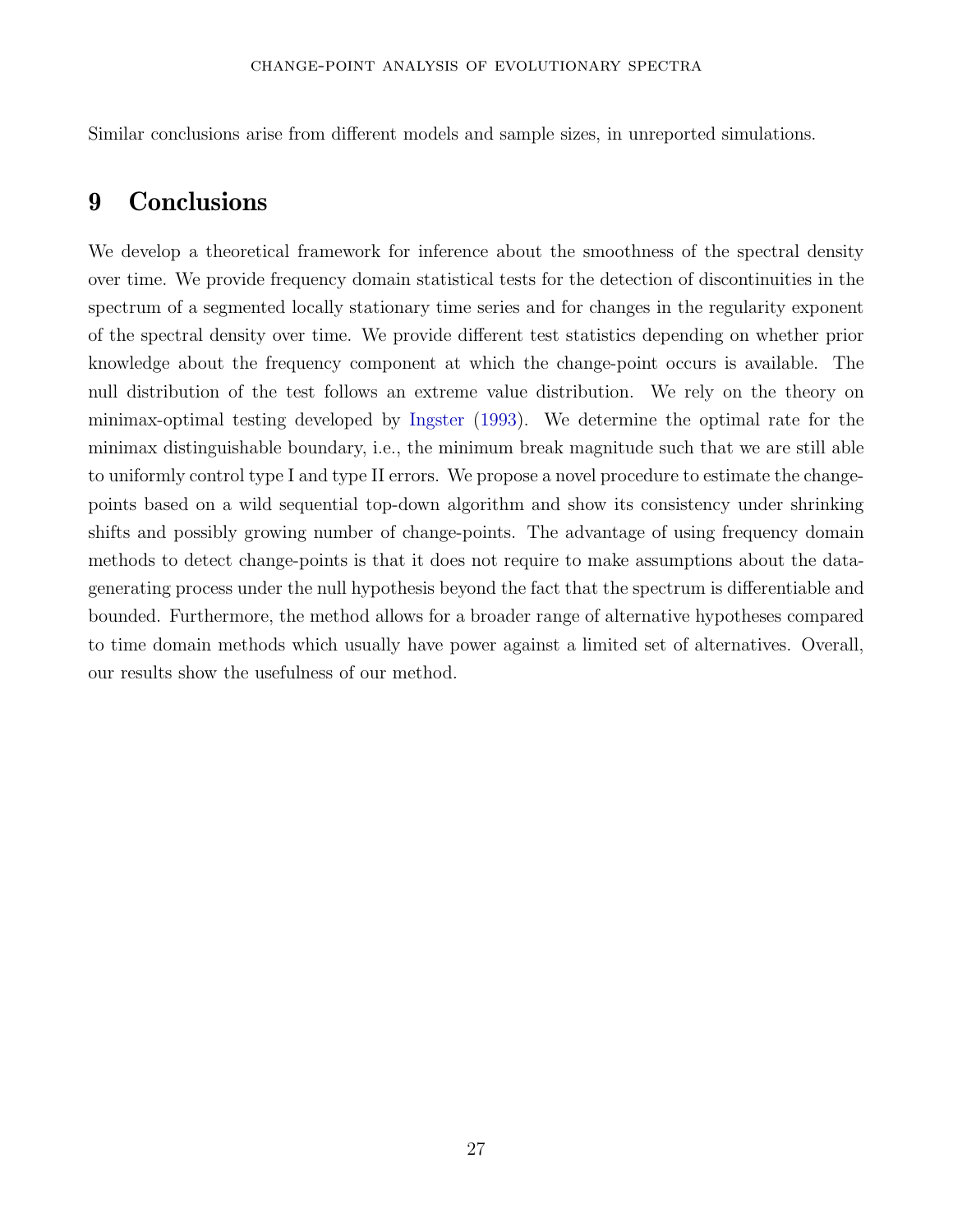<span id="page-27-0"></span>Similar conclusions arise from different models and sample sizes, in unreported simulations.

## 9 Conclusions

We develop a theoretical framework for inference about the smoothness of the spectral density over time. We provide frequency domain statistical tests for the detection of discontinuities in the spectrum of a segmented locally stationary time series and for changes in the regularity exponent of the spectral density over time. We provide different test statistics depending on whether prior knowledge about the frequency component at which the change-point occurs is available. The null distribution of the test follows an extreme value distribution. We rely on the theory on minimax-optimal testing developed by [Ingster](#page-30-2) [\(1993](#page-30-2)). We determine the optimal rate for the minimax distinguishable boundary, i.e., the minimum break magnitude such that we are still able to uniformly control type I and type II errors. We propose a novel procedure to estimate the changepoints based on a wild sequential top-down algorithm and show its consistency under shrinking shifts and possibly growing number of change-points. The advantage of using frequency domain methods to detect change-points is that it does not require to make assumptions about the datagenerating process under the null hypothesis beyond the fact that the spectrum is differentiable and bounded. Furthermore, the method allows for a broader range of alternative hypotheses compared to time domain methods which usually have power against a limited set of alternatives. Overall, our results show the usefulness of our method.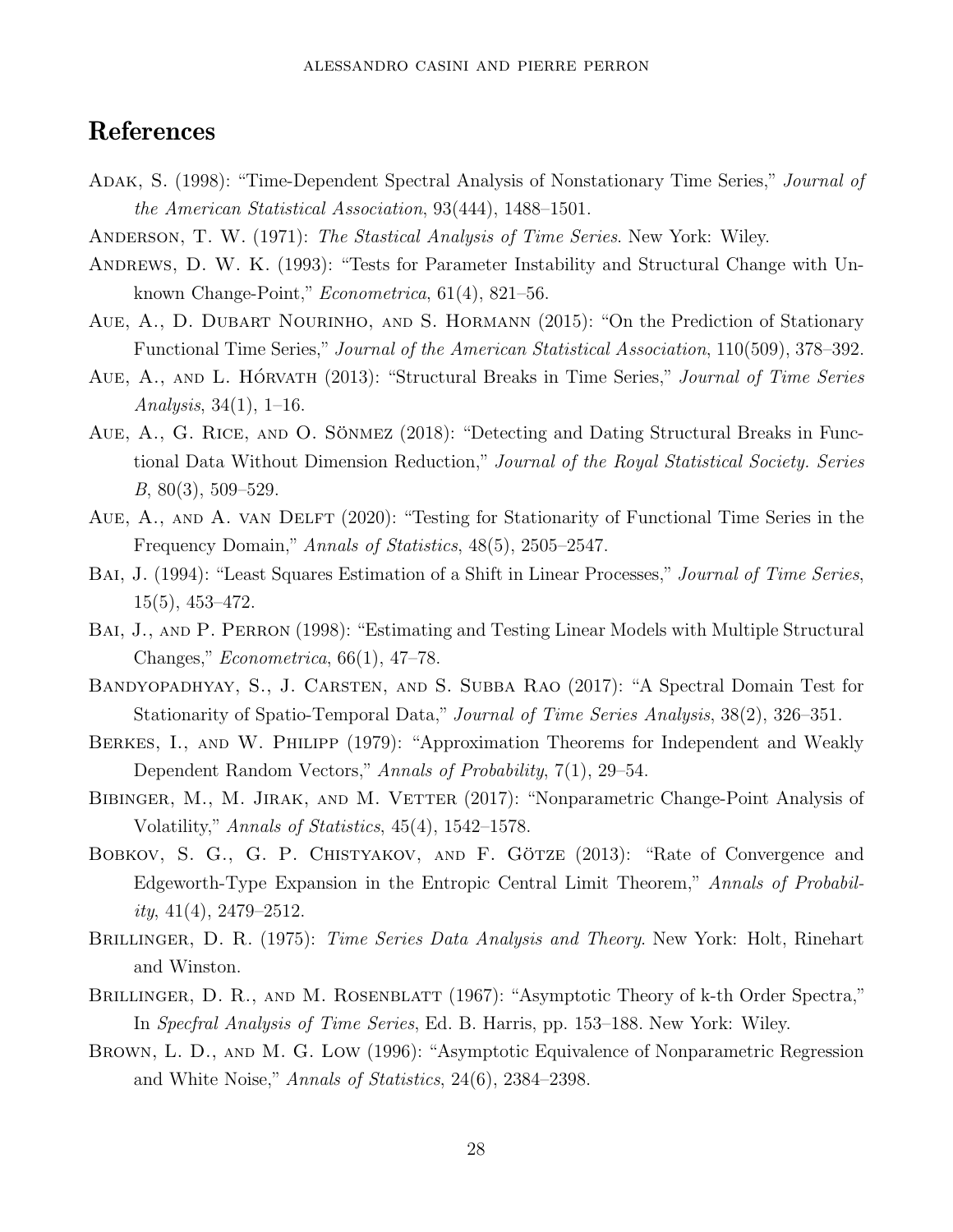## References

- <span id="page-28-2"></span>Adak, S. (1998): "Time-Dependent Spectral Analysis of Nonstationary Time Series," Journal of the American Statistical Association, 93(444), 1488–1501.
- <span id="page-28-4"></span>ANDERSON, T. W. (1971): The Stastical Analysis of Time Series. New York: Wiley.
- <span id="page-28-0"></span>ANDREWS, D. W. K. (1993): "Tests for Parameter Instability and Structural Change with Unknown Change-Point," Econometrica, 61(4), 821–56.
- Aue, A., D. Dubart Nourinho, and S. Hormann (2015): "On the Prediction of Stationary Functional Time Series," Journal of the American Statistical Association, 110(509), 378–392.
- AUE, A., AND L. HÓRVATH (2013): "Structural Breaks in Time Series," Journal of Time Series Analysis,  $34(1)$ ,  $1-16$ .
- AUE, A., G. RICE, AND O. SÖNMEZ  $(2018)$ : "Detecting and Dating Structural Breaks in Functional Data Without Dimension Reduction," Journal of the Royal Statistical Society. Series  $B, 80(3), 509-529.$
- AUE, A., AND A. VAN DELFT (2020): "Testing for Stationarity of Functional Time Series in the Frequency Domain," Annals of Statistics, 48(5), 2505–2547.
- <span id="page-28-3"></span>BAI, J. (1994): "Least Squares Estimation of a Shift in Linear Processes," Journal of Time Series, 15(5), 453–472.
- BAI, J., AND P. PERRON (1998): "Estimating and Testing Linear Models with Multiple Structural Changes," Econometrica, 66(1), 47–78.
- Bandyopadhyay, S., J. Carsten, and S. Subba Rao (2017): "A Spectral Domain Test for Stationarity of Spatio-Temporal Data," Journal of Time Series Analysis, 38(2), 326–351.
- BERKES, I., AND W. PHILIPP (1979): "Approximation Theorems for Independent and Weakly Dependent Random Vectors," Annals of Probability, 7(1), 29–54.
- BIBINGER, M., M. JIRAK, AND M. VETTER (2017): "Nonparametric Change-Point Analysis of Volatility," Annals of Statistics, 45(4), 1542–1578.
- BOBKOV, S. G., G. P. CHISTYAKOV, AND F. GÖTZE (2013): "Rate of Convergence and Edgeworth-Type Expansion in the Entropic Central Limit Theorem," Annals of Probability,  $41(4)$ ,  $2479-2512$ .
- <span id="page-28-1"></span>BRILLINGER, D. R. (1975): *Time Series Data Analysis and Theory*. New York: Holt, Rinehart and Winston.
- BRILLINGER, D. R., AND M. ROSENBLATT (1967): "Asymptotic Theory of k-th Order Spectra," In Specfral Analysis of Time Series, Ed. B. Harris, pp. 153–188. New York: Wiley.
- BROWN, L. D., AND M. G. LOW (1996): "Asymptotic Equivalence of Nonparametric Regression and White Noise," Annals of Statistics, 24(6), 2384–2398.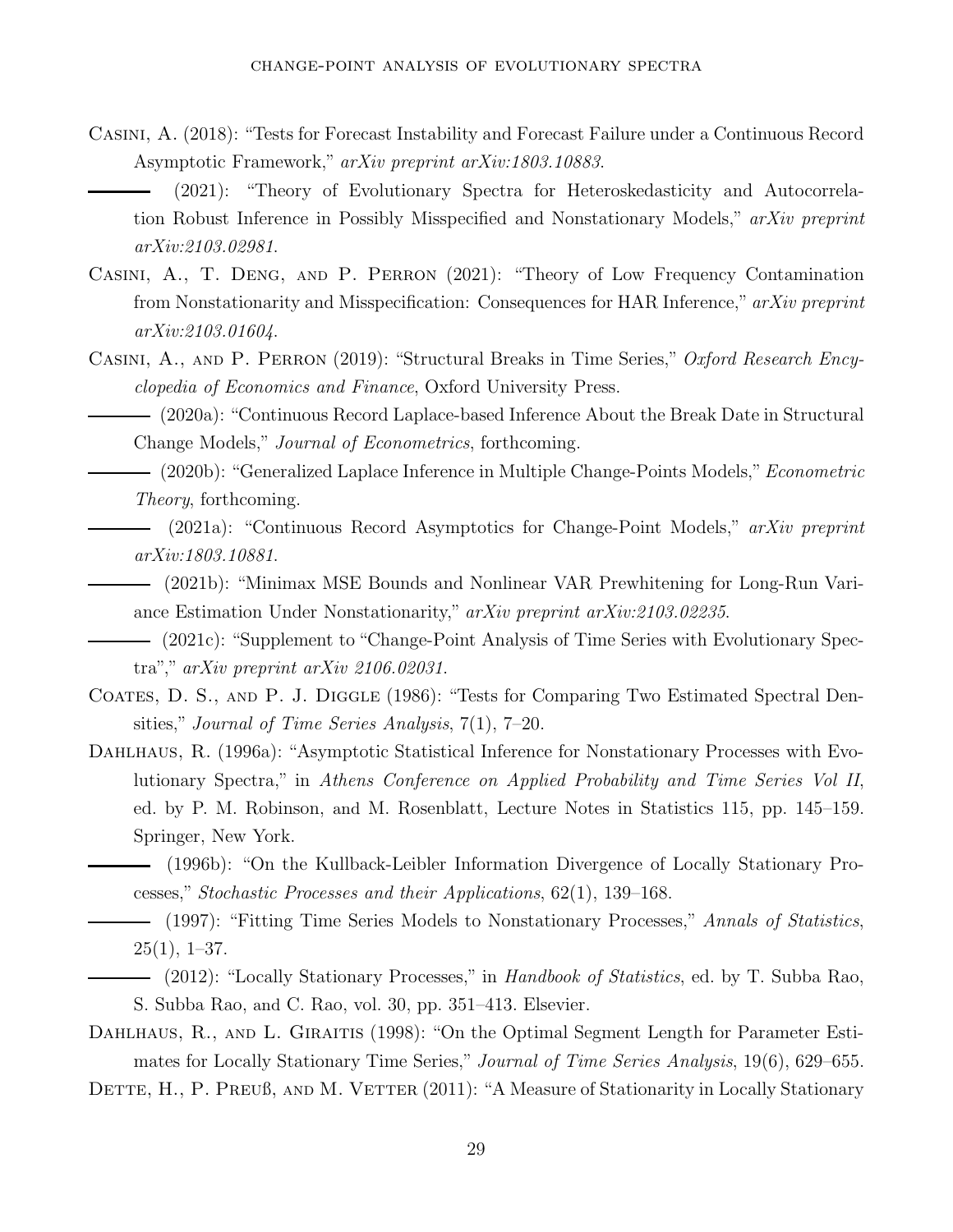- <span id="page-29-4"></span><span id="page-29-1"></span>Casini, A. (2018): "Tests for Forecast Instability and Forecast Failure under a Continuous Record Asymptotic Framework," arXiv preprint arXiv:1803.10883.
	- (2021): "Theory of Evolutionary Spectra for Heteroskedasticity and Autocorrelation Robust Inference in Possibly Misspecified and Nonstationary Models," arXiv preprint arXiv:2103.02981.
- Casini, A., T. Deng, and P. Perron (2021): "Theory of Low Frequency Contamination from Nonstationarity and Misspecification: Consequences for HAR Inference," arXiv preprint arXiv:2103.01604.
- Casini, A., and P. Perron (2019): "Structural Breaks in Time Series," Oxford Research Encyclopedia of Economics and Finance, Oxford University Press.

(2020a): "Continuous Record Laplace-based Inference About the Break Date in Structural Change Models," Journal of Econometrics, forthcoming.

- (2021a): "Continuous Record Asymptotics for Change-Point Models," arXiv preprint arXiv:1803.10881.
- (2021b): "Minimax MSE Bounds and Nonlinear VAR Prewhitening for Long-Run Variance Estimation Under Nonstationarity," arXiv preprint arXiv:2103.02235.
- <span id="page-29-2"></span>(2021c): "Supplement to "Change-Point Analysis of Time Series with Evolutionary Spectra"," arXiv preprint arXiv 2106.02031.
- COATES, D. S., AND P. J. DIGGLE (1986): "Tests for Comparing Two Estimated Spectral Densities," Journal of Time Series Analysis, 7(1), 7–20.
- <span id="page-29-6"></span><span id="page-29-3"></span>DAHLHAUS, R. (1996a): "Asymptotic Statistical Inference for Nonstationary Processes with Evolutionary Spectra," in Athens Conference on Applied Probability and Time Series Vol II, ed. by P. M. Robinson, and M. Rosenblatt, Lecture Notes in Statistics 115, pp. 145–159. Springer, New York.
	- (1996b): "On the Kullback-Leibler Information Divergence of Locally Stationary Processes," Stochastic Processes and their Applications, 62(1), 139–168.
	- (1997): "Fitting Time Series Models to Nonstationary Processes," Annals of Statistics,  $25(1), 1-37.$
	- (2012): "Locally Stationary Processes," in Handbook of Statistics, ed. by T. Subba Rao, S. Subba Rao, and C. Rao, vol. 30, pp. 351–413. Elsevier.
- <span id="page-29-5"></span><span id="page-29-0"></span>DAHLHAUS, R., AND L. GIRAITIS (1998): "On the Optimal Segment Length for Parameter Estimates for Locally Stationary Time Series," Journal of Time Series Analysis, 19(6), 629–655.
- DETTE, H., P. PREUB, AND M. VETTER (2011): "A Measure of Stationarity in Locally Stationary

 $-$  (2020b): "Generalized Laplace Inference in Multiple Change-Points Models," *Econometric* Theory, forthcoming.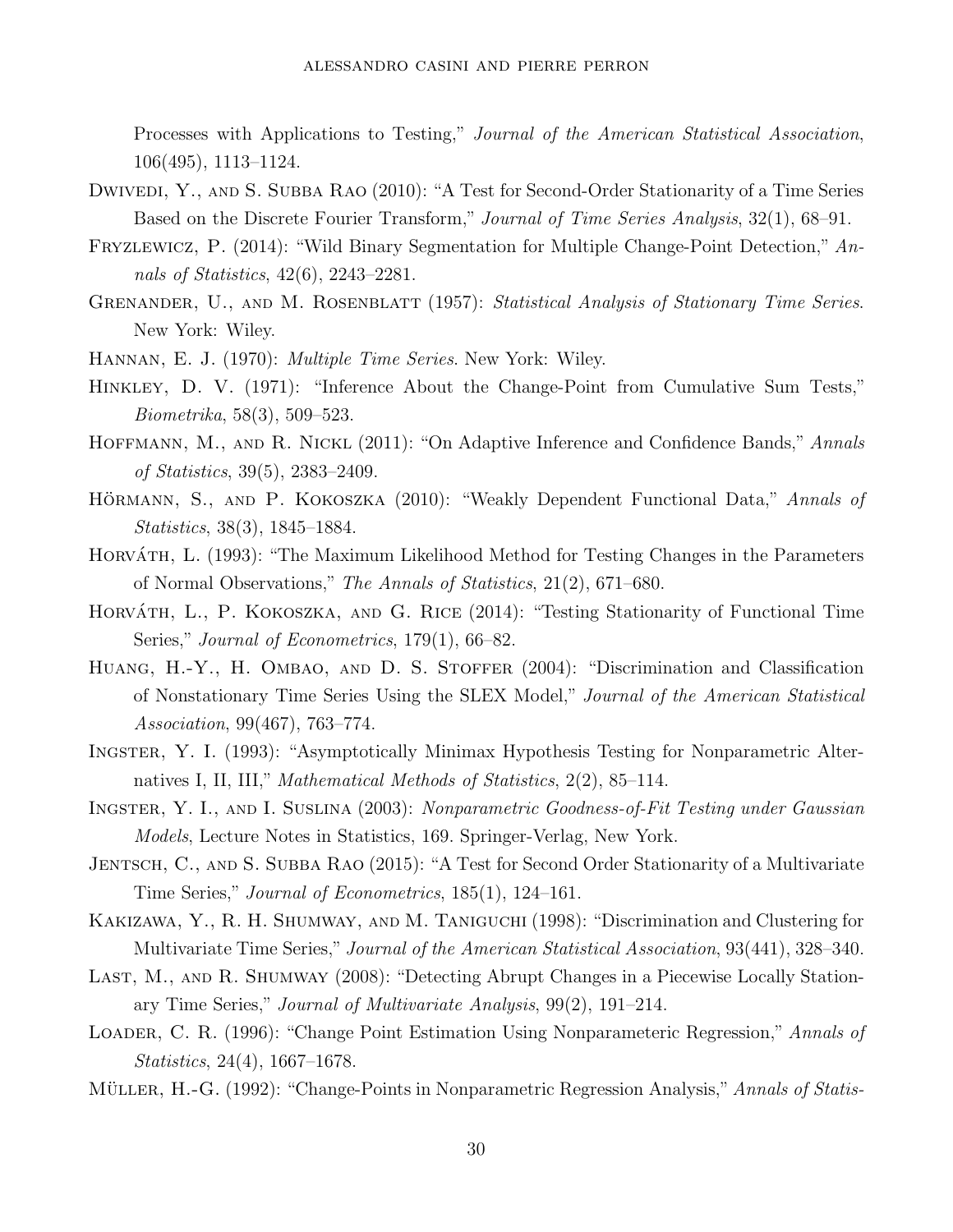Processes with Applications to Testing," Journal of the American Statistical Association, 106(495), 1113–1124.

- DWIVEDI, Y., AND S. SUBBA RAO (2010): "A Test for Second-Order Stationarity of a Time Series Based on the Discrete Fourier Transform," Journal of Time Series Analysis, 32(1), 68–91.
- <span id="page-30-4"></span>Fryzlewicz, P. (2014): "Wild Binary Segmentation for Multiple Change-Point Detection," Annals of Statistics, 42(6), 2243–2281.
- GRENANDER, U., AND M. ROSENBLATT (1957): Statistical Analysis of Stationary Time Series. New York: Wiley.
- <span id="page-30-6"></span>Hannan, E. J. (1970): Multiple Time Series. New York: Wiley.
- <span id="page-30-0"></span>Hinkley, D. V. (1971): "Inference About the Change-Point from Cumulative Sum Tests," Biometrika, 58(3), 509–523.
- HOFFMANN, M., AND R. NICKL (2011): "On Adaptive Inference and Confidence Bands," Annals of Statistics, 39(5), 2383–2409.
- HÖRMANN, S., AND P. KOKOSZKA (2010): "Weakly Dependent Functional Data," Annals of Statistics, 38(3), 1845–1884.
- <span id="page-30-1"></span>HORVÁTH, L. (1993): "The Maximum Likelihood Method for Testing Changes in the Parameters of Normal Observations," The Annals of Statistics, 21(2), 671–680.
- HORVÁTH, L., P. KOKOSZKA, AND G. RICE (2014): "Testing Stationarity of Functional Time Series," Journal of Econometrics, 179(1), 66–82.
- HUANG, H.-Y., H. OMBAO, AND D. S. STOFFER (2004): "Discrimination and Classification of Nonstationary Time Series Using the SLEX Model," Journal of the American Statistical Association, 99(467), 763–774.
- <span id="page-30-2"></span>Ingster, Y. I. (1993): "Asymptotically Minimax Hypothesis Testing for Nonparametric Alternatives I, II, III," Mathematical Methods of Statistics, 2(2), 85–114.
- Ingster, Y. I., and I. Suslina (2003): Nonparametric Goodness-of-Fit Testing under Gaussian Models, Lecture Notes in Statistics, 169. Springer-Verlag, New York.
- JENTSCH, C., AND S. SUBBA RAO (2015): "A Test for Second Order Stationarity of a Multivariate Time Series," Journal of Econometrics, 185(1), 124–161.
- Kakizawa, Y., R. H. Shumway, and M. Taniguchi (1998): "Discrimination and Clustering for Multivariate Time Series," Journal of the American Statistical Association, 93(441), 328–340.
- LAST, M., AND R. SHUMWAY (2008): "Detecting Abrupt Changes in a Piecewise Locally Stationary Time Series," Journal of Multivariate Analysis, 99(2), 191–214.
- <span id="page-30-5"></span>LOADER, C. R. (1996): "Change Point Estimation Using Nonparameteric Regression," Annals of Statistics, 24(4), 1667–1678.
- <span id="page-30-3"></span>MÜLLER, H.-G. (1992): "Change-Points in Nonparametric Regression Analysis," Annals of Statis-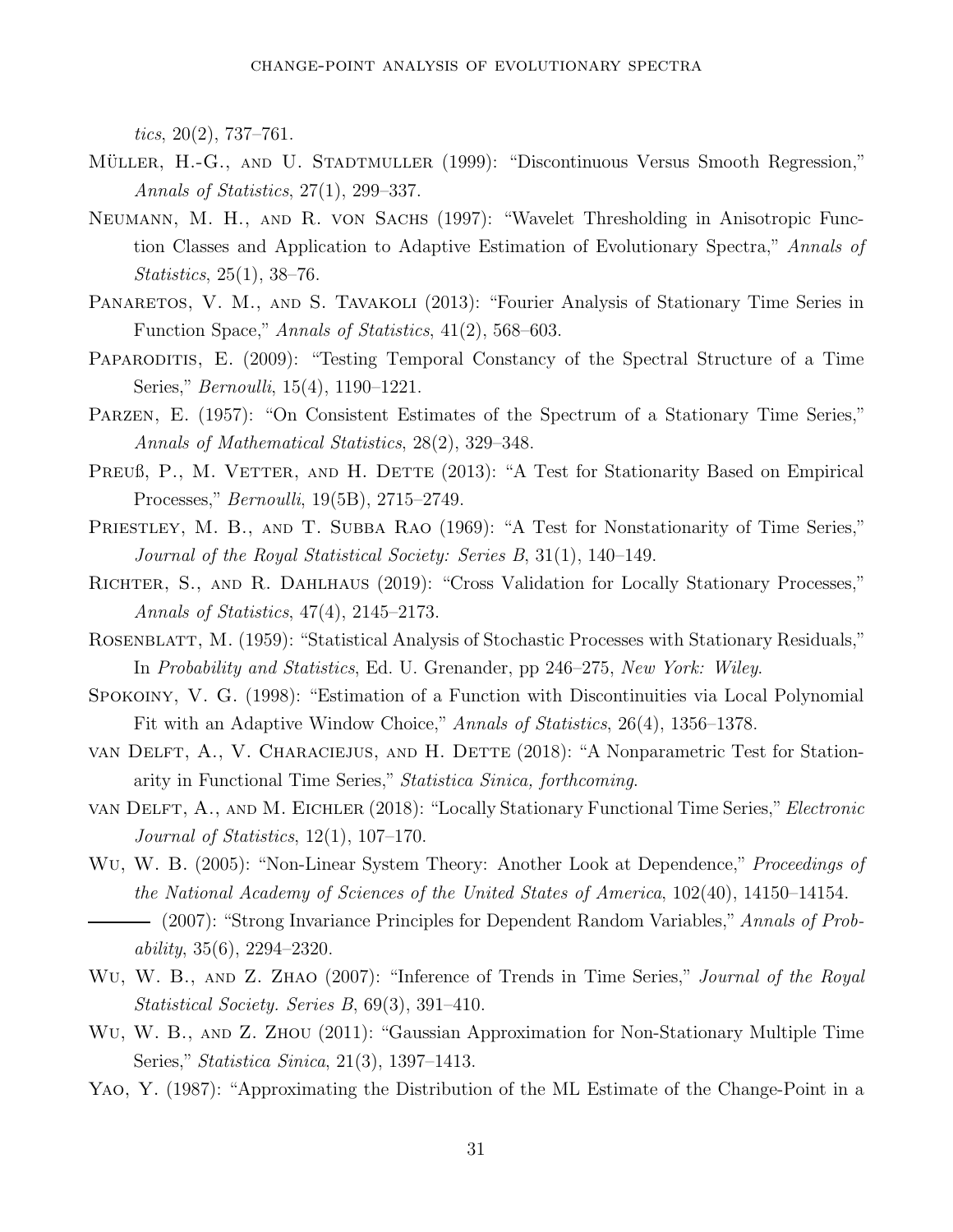tics,  $20(2)$ , 737–761.

- MÜLLER, H.-G., AND U. STADTMULLER (1999): "Discontinuous Versus Smooth Regression," Annals of Statistics, 27(1), 299–337.
- Neumann, M. H., and R. von Sachs (1997): "Wavelet Thresholding in Anisotropic Function Classes and Application to Adaptive Estimation of Evolutionary Spectra," Annals of Statistics, 25(1), 38–76.
- PANARETOS, V. M., AND S. TAVAKOLI (2013): "Fourier Analysis of Stationary Time Series in Function Space," Annals of Statistics, 41(2), 568–603.
- <span id="page-31-1"></span>PAPARODITIS, E. (2009): "Testing Temporal Constancy of the Spectral Structure of a Time Series," Bernoulli, 15(4), 1190–1221.
- <span id="page-31-5"></span>Parzen, E. (1957): "On Consistent Estimates of the Spectrum of a Stationary Time Series," Annals of Mathematical Statistics, 28(2), 329–348.
- PREUß, P., M. VETTER, AND H. DETTE (2013): "A Test for Stationarity Based on Empirical Processes," Bernoulli, 19(5B), 2715–2749.
- PRIESTLEY, M. B., AND T. SUBBA RAO (1969): "A Test for Nonstationarity of Time Series," Journal of the Royal Statistical Society: Series B, 31(1), 140–149.
- Richter, S., and R. Dahlhaus (2019): "Cross Validation for Locally Stationary Processes," Annals of Statistics, 47(4), 2145–2173.
- <span id="page-31-6"></span>ROSENBLATT, M. (1959): "Statistical Analysis of Stochastic Processes with Stationary Residuals," In Probability and Statistics, Ed. U. Grenander, pp 246–275, New York: Wiley.
- <span id="page-31-2"></span>Spokoiny, V. G. (1998): "Estimation of a Function with Discontinuities via Local Polynomial Fit with an Adaptive Window Choice," Annals of Statistics, 26(4), 1356–1378.
- van Delft, A., V. Characiejus, and H. Dette (2018): "A Nonparametric Test for Stationarity in Functional Time Series," Statistica Sinica, forthcoming.
- van Delft, A., and M. Eichler (2018): "Locally Stationary Functional Time Series,"Electronic Journal of Statistics, 12(1), 107–170.
- <span id="page-31-4"></span><span id="page-31-3"></span>Wu, W. B. (2005): "Non-Linear System Theory: Another Look at Dependence," Proceedings of the National Academy of Sciences of the United States of America, 102(40), 14150–14154. (2007): "Strong Invariance Principles for Dependent Random Variables," Annals of Prob $ability, 35(6), 2294-2320.$
- WU, W. B., AND Z. ZHAO (2007): "Inference of Trends in Time Series," Journal of the Royal Statistical Society. Series B, 69(3), 391–410.
- WU, W. B., AND Z. ZHOU (2011): "Gaussian Approximation for Non-Stationary Multiple Time Series," Statistica Sinica, 21(3), 1397–1413.
- <span id="page-31-0"></span>Yao, Y. (1987): "Approximating the Distribution of the ML Estimate of the Change-Point in a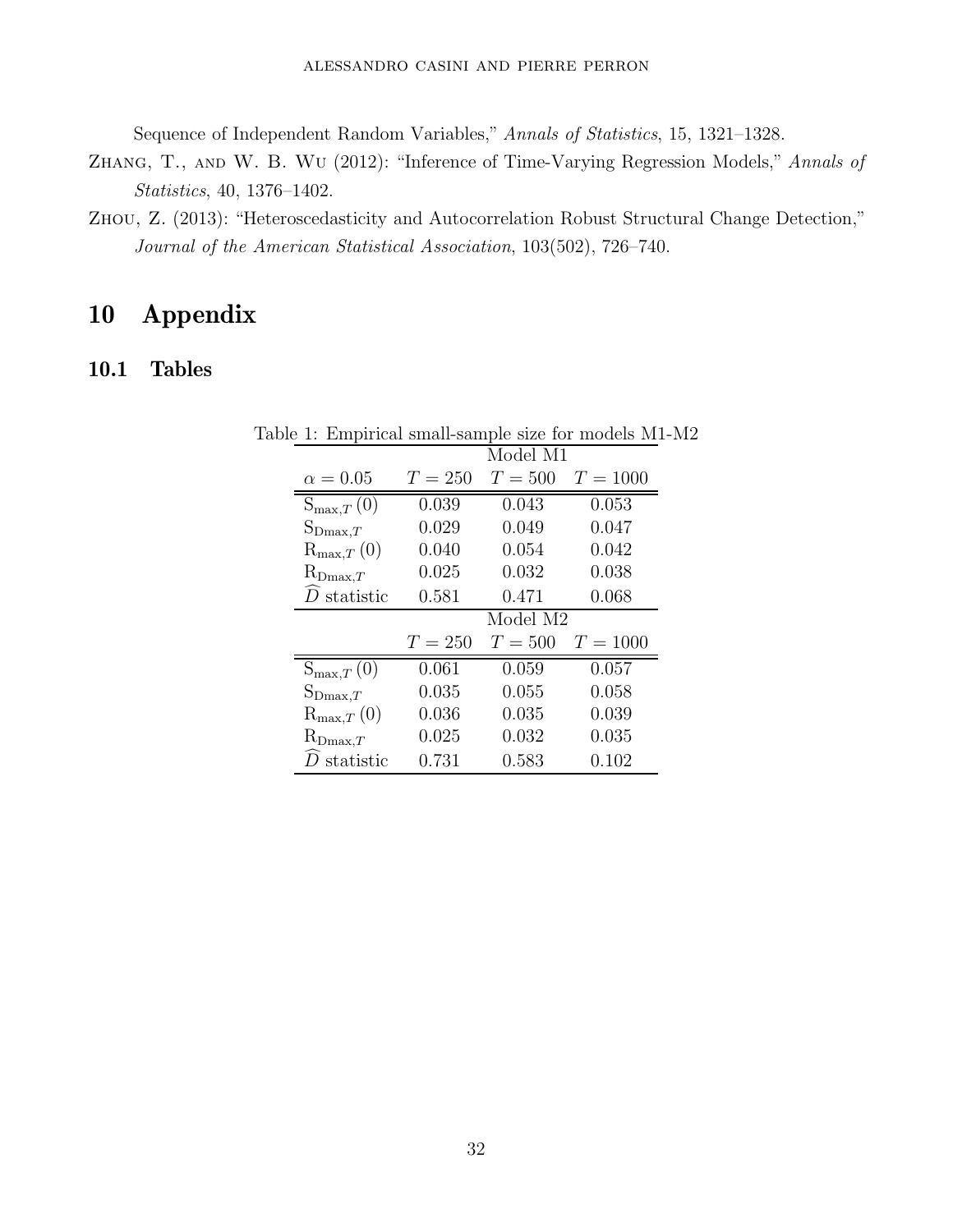Sequence of Independent Random Variables," Annals of Statistics, 15, 1321–1328.

- Zhang, T., and W. B. Wu (2012): "Inference of Time-Varying Regression Models," Annals of Statistics, 40, 1376–1402.
- <span id="page-32-0"></span>Zhou, Z. (2013): "Heteroscedasticity and Autocorrelation Robust Structural Change Detection," Journal of the American Statistical Association, 103(502), 726–740.

## 10 Appendix

## 10.1 Tables

<span id="page-32-1"></span>

|                                                                    | Model M1  |                       |            |  |  |  |
|--------------------------------------------------------------------|-----------|-----------------------|------------|--|--|--|
| $\alpha = 0.05$                                                    | $T = 250$ | $T=500$<br>$T = 1000$ |            |  |  |  |
| $S_{\max,T}(0)$                                                    | 0.039     | 0.043                 | 0.053      |  |  |  |
| $S_{\text{Dmax},T}$                                                | 0.029     | 0.049<br>0.047        |            |  |  |  |
| $\mathrm{R}_{\mathrm{max},T}\left(0\right)$                        | 0.040     | 0.054                 | 0.042      |  |  |  |
| $R_{\text{Dmax},T}$                                                | 0.025     | 0.032                 | 0.038      |  |  |  |
| $\widehat{D}$ statistic                                            | 0.581     | 0.471                 | 0.068      |  |  |  |
|                                                                    | Model M2  |                       |            |  |  |  |
|                                                                    |           |                       |            |  |  |  |
|                                                                    | $T = 250$ | $T=500$               | $T = 1000$ |  |  |  |
| $S_{\max,T}(0)$                                                    | 0.061     | 0.059                 | 0.057      |  |  |  |
|                                                                    | 0.035     | 0.055                 | 0.058      |  |  |  |
| $S_{\text{Dmax},T}$<br>$\mathrm{R}_{\mathrm{max},T}\left(0\right)$ | 0.036     | 0.035                 | 0.039      |  |  |  |
| $R_{\text{Dmax},T}$                                                | 0.025     | 0.032                 | 0.035      |  |  |  |

Table 1: Empirical small-sample size for models M1-M2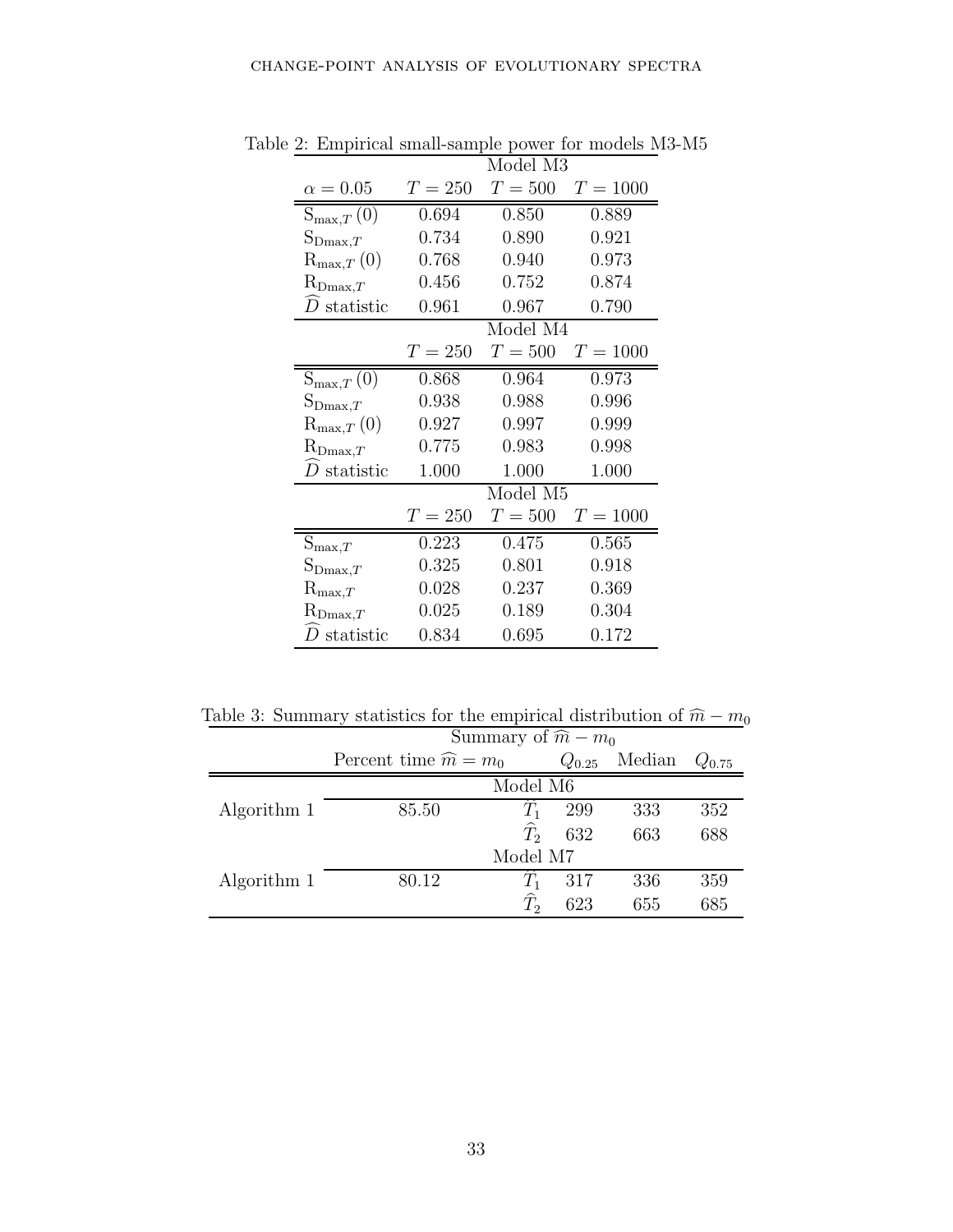<span id="page-33-0"></span>

|                                  | Model M3  |                |            |  |  |  |
|----------------------------------|-----------|----------------|------------|--|--|--|
| $\alpha = 0.05$                  | $T = 250$ | $T=500$        | $T = 1000$ |  |  |  |
| $S_{\max,T}\left(0\right)$       | 0.694     | 0.850          | 0.889      |  |  |  |
| $S_{\text{Dmax},T}$              | 0.734     | 0.890          | 0.921      |  |  |  |
| ${\rm R}_{\max,T}\left(0\right)$ | 0.768     | 0.940          | 0.973      |  |  |  |
| $\mathrm{R}_{\mathrm{Dmax},T}$   | 0.456     | 0.752          | 0.874      |  |  |  |
| $D$ statistic                    | 0.961     | 0.967          | 0.790      |  |  |  |
|                                  | Model M4  |                |            |  |  |  |
|                                  | $T = 250$ | $T=500$        | $T = 1000$ |  |  |  |
| $S_{\max,T}\left(0\right)$       | 0.868     | 0.964          | 0.973      |  |  |  |
| $S_{\text{Dmax},T}$              | 0.938     | 0.988          | 0.996      |  |  |  |
| ${\rm R}_{\max,T}\left(0\right)$ | 0.927     | 0.997          | 0.999      |  |  |  |
| $\mathrm{R}_{\mathrm{Dmax},T}$   | 0.775     | 0.983          | 0.998      |  |  |  |
| $\overline{D}$ statistic         | 1.000     | 1.000<br>1.000 |            |  |  |  |
|                                  | Model M5  |                |            |  |  |  |
|                                  | $T=250$   | $T=500$        | $T = 1000$ |  |  |  |
| $S_{\max,T}$                     | 0.223     | 0.475          | 0.565      |  |  |  |
| $S_{\text{Dmax},T}$              | 0.325     | 0.801          | 0.918      |  |  |  |
| $\mathrm{R}_{\mathrm{max},T}$    | 0.028     | 0.237          | 0.369      |  |  |  |
| $\mathrm{R}_{\mathrm{Dmax},T}$   | 0.025     | 0.189          | 0.304      |  |  |  |
| $D$ statistic                    | 0.834     | 0.695          | 0.172      |  |  |  |

Table 2: Empirical small-sample power for models M3-M5

Table 3: Summary statistics for the empirical distribution of  $\widehat{m} - m_0$ 

<span id="page-33-1"></span>

|             | Summary of $\widehat{m} - m_0$   |                   |            |        |            |  |  |
|-------------|----------------------------------|-------------------|------------|--------|------------|--|--|
|             | Percent time $\widehat{m} = m_0$ |                   | $Q_{0.25}$ | Median | $Q_{0.75}$ |  |  |
|             | Model M6                         |                   |            |        |            |  |  |
| Algorithm 1 | 85.50                            | $T_{1}$           | 299        | 333    | 352        |  |  |
|             |                                  | $\widehat{T}_2$   | 632        | 663    | 688        |  |  |
|             | Model M7                         |                   |            |        |            |  |  |
| Algorithm 1 | 80.12                            | $T_1$             | 317        | 336    | 359        |  |  |
|             |                                  | $\widehat{T}_{2}$ | 623        | 655    | 685        |  |  |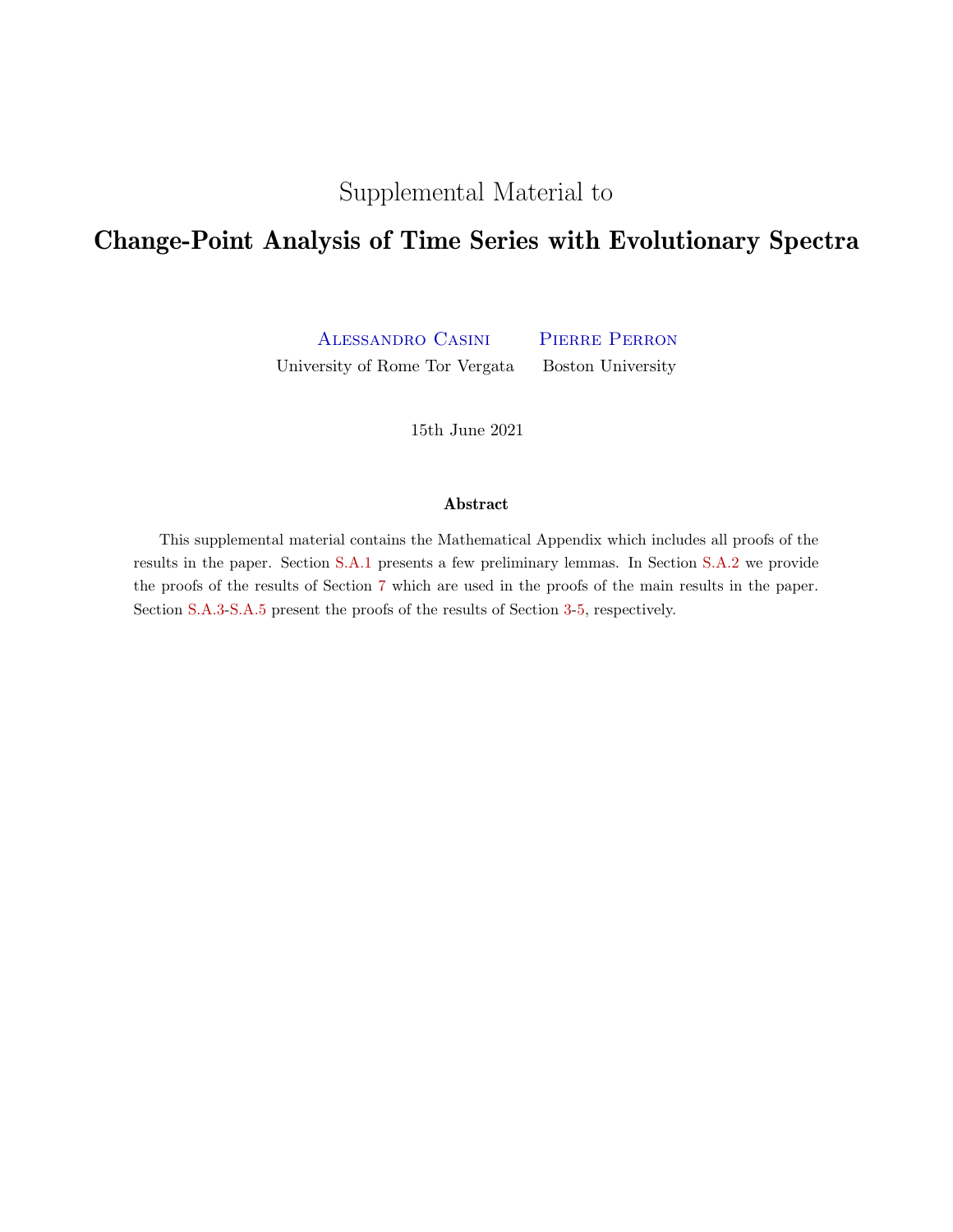Supplemental Material to

## Change-Point Analysis of Time Series with Evolutionary Spectra

Alessandro Casini Pierre Perron University of Rome Tor Vergata Boston University

15th June 2021

### Abstract

This supplemental material contains the Mathematical Appendix which includes all proofs of the results in the paper. Section [S.A.1](#page-35-0) presents a few preliminary lemmas. In Section [S.A.2](#page-36-0) we provide the proofs of the results of Section [7](#page-20-0) which are used in the proofs of the main results in the paper. Section [S.A.3](#page-48-0)[-S.A.5](#page-59-0) present the proofs of the results of Section [3](#page-7-0)[-5,](#page-15-0) respectively.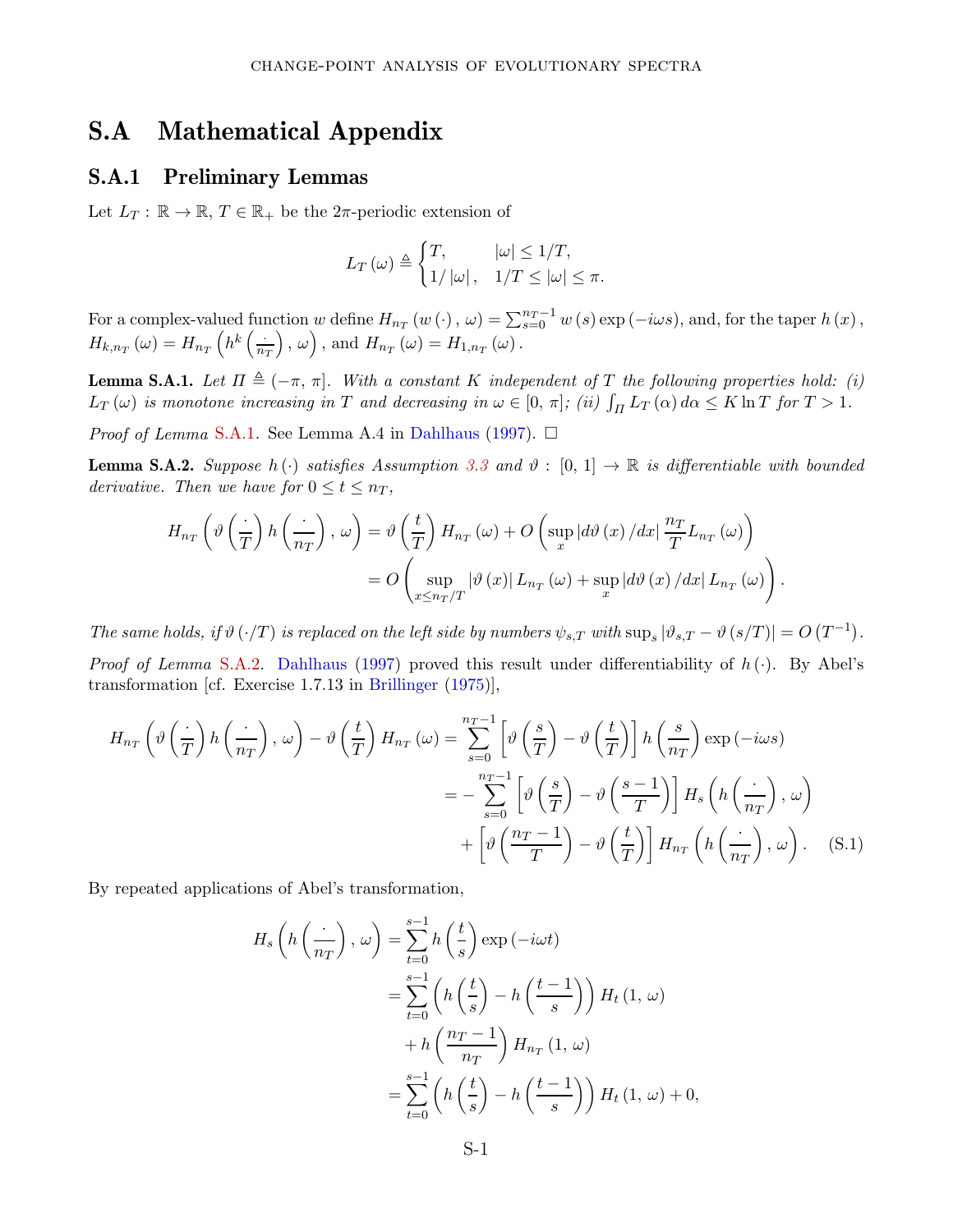## <span id="page-35-0"></span>S.A Mathematical Appendix

### S.A.1 Preliminary Lemmas

Let  $L_T: \mathbb{R} \to \mathbb{R}, T \in \mathbb{R}_+$  be the  $2\pi$ -periodic extension of

$$
L_T(\omega) \triangleq \begin{cases} T, & |\omega| \leq 1/T, \\ 1/|\omega|, & 1/T \leq |\omega| \leq \pi. \end{cases}
$$

For a complex-valued function *w* define  $H_{n_T}(w(\cdot), \omega) = \sum_{s=0}^{n_T-1} w(s) \exp(-i\omega s)$ , and, for the taper  $h(x)$ ,  $H_{k,n_T}(\omega) = H_{n_T}\left(h^k\left(\frac{\omega}{n}\right)\right)$ *n<sup>T</sup>*  $\left( \rho, \omega \right)$ , and  $H_{n_T}(\omega) = H_{1,n_T}(\omega)$ .

<span id="page-35-1"></span>**Lemma S.A.1.** Let  $\Pi \triangleq (-\pi, \pi]$ . With a constant *K* independent of *T* the following properties hold: (i)  $L_T(\omega)$  is monotone increasing in *T* and decreasing in  $\omega \in [0, \pi]$ ; (ii)  $\int_{\Pi} L_T(\alpha) d\alpha \leq K \ln T$  for  $T > 1$ .

*Proof of Lemma* [S.A.1](#page-35-1). See Lemma A.4 in [Dahlhaus](#page-29-0) [\(1997\)](#page-29-0).  $\Box$ 

<span id="page-35-2"></span>**Lemma S.A.2.** Suppose  $h(\cdot)$  satisfies Assumption [3.3](#page-10-3) and  $\vartheta$  :  $[0, 1] \rightarrow \mathbb{R}$  is differentiable with bounded derivative. Then we have for  $0 \le t \le n_T$ ,

$$
H_{n_T}\left(\vartheta\left(\frac{\cdot}{T}\right)h\left(\frac{\cdot}{n_T}\right),\,\omega\right) = \vartheta\left(\frac{t}{T}\right)H_{n_T}\left(\omega\right) + O\left(\sup_x|d\vartheta\left(x\right)/dx\right|\frac{n_T}{T}L_{n_T}\left(\omega\right)\right)
$$

$$
= O\left(\sup_{x\leq n_T/T}|\vartheta\left(x\right)|L_{n_T}\left(\omega\right) + \sup_x|d\vartheta\left(x\right)/dx\right|L_{n_T}\left(\omega\right)\right).
$$

The same holds, if  $\vartheta(\cdot/T)$  is replaced on the left side by numbers  $\psi_{s,T}$  with  $\sup_s |\vartheta_{s,T} - \vartheta(s/T)| = O(T^{-1})$ .

Proof of Lemma [S.A.2.](#page-35-2) [Dahlhaus](#page-29-0) [\(1997\)](#page-29-0) proved this result under differentiability of *h* (·). By Abel's transformation [cf. Exercise 1.7.13 in [Brillinger](#page-28-1) [\(1975](#page-28-1))],

$$
H_{n_T}\left(\vartheta\left(\frac{\cdot}{T}\right)h\left(\frac{\cdot}{n_T}\right),\,\omega\right)-\vartheta\left(\frac{t}{T}\right)H_{n_T}\left(\omega\right)=\sum_{s=0}^{n_T-1}\left[\vartheta\left(\frac{s}{T}\right)-\vartheta\left(\frac{t}{T}\right)\right]h\left(\frac{s}{n_T}\right)\exp\left(-i\omega s\right)
$$

$$
=-\sum_{s=0}^{n_T-1}\left[\vartheta\left(\frac{s}{T}\right)-\vartheta\left(\frac{s-1}{T}\right)\right]H_s\left(h\left(\frac{\cdot}{n_T}\right),\,\omega\right)
$$

$$
+\left[\vartheta\left(\frac{n_T-1}{T}\right)-\vartheta\left(\frac{t}{T}\right)\right]H_{n_T}\left(h\left(\frac{\cdot}{n_T}\right),\,\omega\right).
$$
(S.1)

By repeated applications of Abel's transformation,

<span id="page-35-3"></span>
$$
H_s\left(h\left(\frac{\cdot}{n_T}\right),\,\omega\right) = \sum_{t=0}^{s-1} h\left(\frac{t}{s}\right) \exp\left(-i\omega t\right)
$$
  

$$
= \sum_{t=0}^{s-1} \left( h\left(\frac{t}{s}\right) - h\left(\frac{t-1}{s}\right) \right) H_t\left(1,\,\omega\right)
$$
  

$$
+ h\left(\frac{n_T - 1}{n_T}\right) H_{n_T}\left(1,\,\omega\right)
$$
  

$$
= \sum_{t=0}^{s-1} \left( h\left(\frac{t}{s}\right) - h\left(\frac{t-1}{s}\right) \right) H_t\left(1,\,\omega\right) + 0,
$$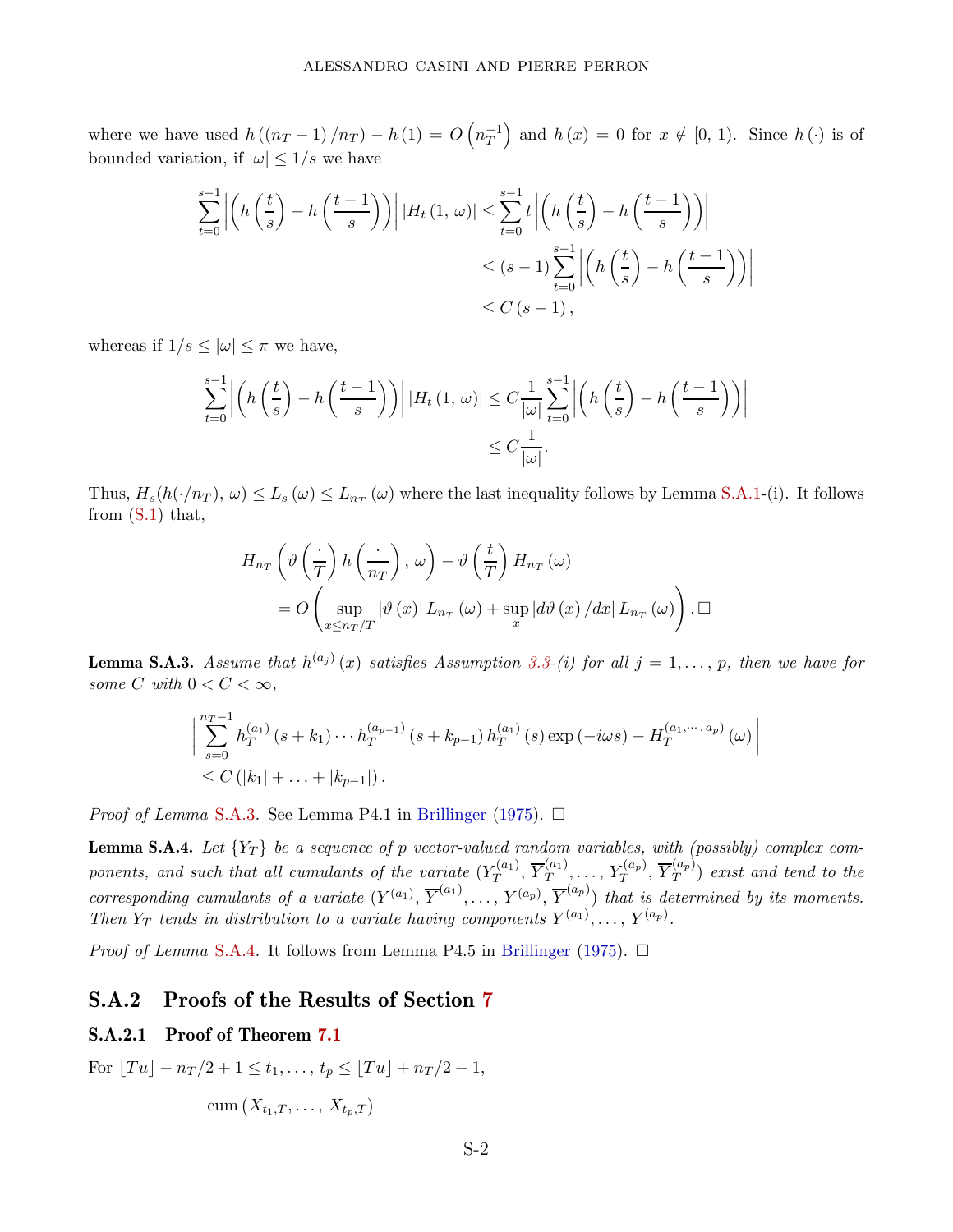where we have used  $h((n_T - 1)/n_T) - h(1) = O(n_T^{-1})$ and  $h(x) = 0$  for  $x \notin [0, 1)$ . Since  $h(\cdot)$  is of bounded variation, if  $|\omega| \leq 1/s$  we have

$$
\sum_{t=0}^{s-1} \left| \left( h\left(\frac{t}{s}\right) - h\left(\frac{t-1}{s}\right) \right) \right| |H_t(1, \, \omega)| \le \sum_{t=0}^{s-1} t \left| \left( h\left(\frac{t}{s}\right) - h\left(\frac{t-1}{s}\right) \right) \right|
$$
  

$$
\le (s-1) \sum_{t=0}^{s-1} \left| \left( h\left(\frac{t}{s}\right) - h\left(\frac{t-1}{s}\right) \right) \right|
$$
  

$$
\le C \left( s-1 \right),
$$

whereas if  $1/s \leq |\omega| \leq \pi$  we have,

$$
\sum_{t=0}^{s-1} \left| \left( h\left(\frac{t}{s}\right) - h\left(\frac{t-1}{s}\right) \right) \right| |H_t(1,\,\omega)| \leq C \frac{1}{|\omega|} \sum_{t=0}^{s-1} \left| \left( h\left(\frac{t}{s}\right) - h\left(\frac{t-1}{s}\right) \right) \right|
$$
  

$$
\leq C \frac{1}{|\omega|}.
$$

Thus,  $H_s(h(\cdot/n_T), \omega) \le L_s(\omega) \le L_{n_T}(\omega)$  where the last inequality follows by Lemma [S.A.1-](#page-35-1)(i). It follows from  $(S.1)$  that,

$$
H_{n_T}\left(\vartheta\left(\frac{\cdot}{T}\right)h\left(\frac{\cdot}{n_T}\right),\,\omega\right)-\vartheta\left(\frac{t}{T}\right)H_{n_T}\left(\omega\right)
$$

$$
=O\left(\sup_{x\leq n_T/T}|\vartheta\left(x\right)|L_{n_T}\left(\omega\right)+\sup_x|d\vartheta\left(x\right)/dx|L_{n_T}\left(\omega\right)\right).\,\Box
$$

<span id="page-36-1"></span>**Lemma S.A.3.** Assume that  $h^{(a_j)}(x)$  satisfies Assumption [3.3-](#page-10-3)(i) for all  $j = 1, \ldots, p$ , then we have for some *C* with  $0 < C < \infty$ ,

$$
\left| \sum_{s=0}^{n_T-1} h_T^{(a_1)}(s+k_1) \cdots h_T^{(a_{p-1})}(s+k_{p-1}) h_T^{(a_1)}(s) \exp(-i\omega s) - H_T^{(a_1, \dots, a_p)}(\omega) \right|
$$
  
  $\leq C (|k_1| + \dots + |k_{p-1}|).$ 

*Proof of Lemma* [S.A.3](#page-36-1). See Lemma P4.1 in [Brillinger](#page-28-1) [\(1975](#page-28-1)).  $\Box$ 

<span id="page-36-2"></span>**Lemma S.A.4.** Let  ${Y_T}$  be a sequence of *p* vector-valued random variables, with (possibly) complex components, and such that all cumulants of the variate  $(Y_T^{(a_1)}$  $\overline{Y}^{(a_1)}_T, \, \overline{Y}^{(a_1)}_T$  $Y_T^{(a_p)},\ldots,Y_T^{(a_p)},\,\overline{Y}_T^{(a_p)}$  $T(T^{(up)})$  exist and tend to the corresponding cumulants of a variate  $(Y^{(a_1)}, \overline{Y}^{(a_1)}, \ldots, Y^{(a_p)}, \overline{Y}^{(a_p)})$  that is determined by its moments. Then  $Y_T$  tends in distribution to a variate having components  $Y^{(a_1)}, \ldots, Y^{(a_p)}$ .

*Proof of Lemma* [S.A.4](#page-36-2). It follows from Lemma P4.5 in [Brillinger](#page-28-1) [\(1975](#page-28-1)).  $\Box$ 

### <span id="page-36-0"></span>S.A.2 Proofs of the Results of Section [7](#page-20-0)

### S.A.2.1 Proof of Theorem [7.1](#page-22-1)

 $For \left[Tu\right] - n_T/2 + 1 \leq t_1, \ldots, t_p \leq \left[Tu\right] + n_T/2 - 1,$ 

$$
\operatorname{cum}(X_{t_1,T},\ldots,X_{t_p,T})
$$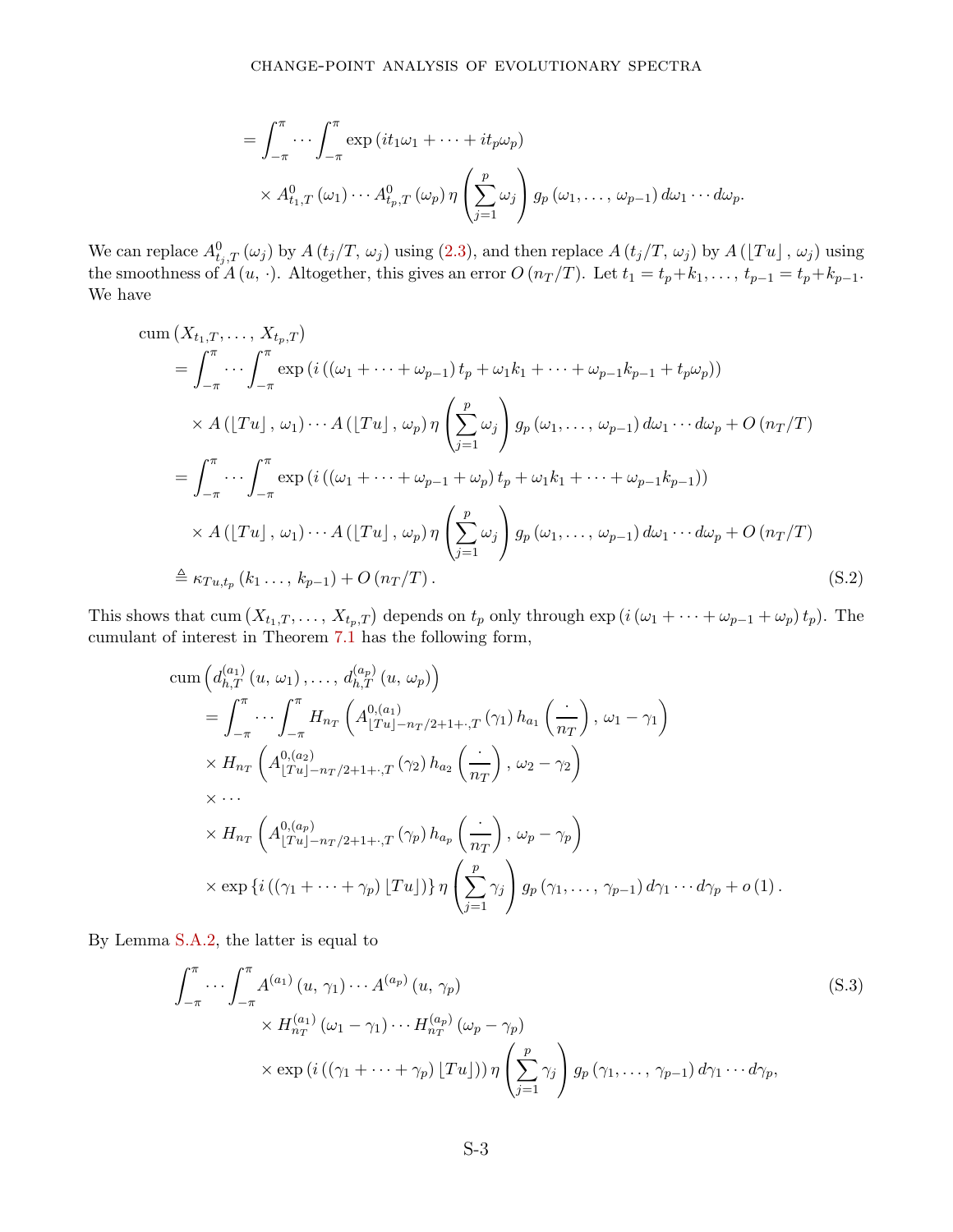$$
= \int_{-\pi}^{\pi} \cdots \int_{-\pi}^{\pi} \exp\left(it_1\omega_1 + \cdots + it_p\omega_p\right)
$$
  
 
$$
\times A_{t_1,T}^0(\omega_1) \cdots A_{t_p,T}^0(\omega_p) \eta\left(\sum_{j=1}^p \omega_j\right) g_p(\omega_1, \ldots, \omega_{p-1}) d\omega_1 \cdots d\omega_p.
$$

We can replace  $A_{t_j,T}^0(\omega_j)$  by  $A(t_j/T, \omega_j)$  using [\(2.3\)](#page-4-3), and then replace  $A(t_j/T, \omega_j)$  by  $A(Tu_j, \omega_j)$  using the smoothness of  $A(u, \cdot)$ . Altogether, this gives an error  $O(n_T/T)$ . Let  $t_1 = t_p + k_1, \ldots, t_{p-1} = t_p + k_{p-1}$ . We have

$$
\begin{split}\n&\text{cum } (X_{t_1,T},\ldots,X_{t_p,T}) \\
&= \int_{-\pi}^{\pi} \cdots \int_{-\pi}^{\pi} \exp\left(i\left((\omega_1+\cdots+\omega_{p-1})\,t_p+\omega_1k_1+\cdots+\omega_{p-1}k_{p-1}+t_p\omega_p\right)\right) \\
&\times A\left(\lfloor Tu \rfloor\,,\,\omega_1\right)\cdots A\left(\lfloor Tu \rfloor\,,\,\omega_p\right)\eta\left(\sum_{j=1}^p \omega_j\right)g_p\left(\omega_1,\ldots,\,\omega_{p-1}\right)d\omega_1\cdots d\omega_p + O\left(n_T/T\right) \\
&= \int_{-\pi}^{\pi} \cdots \int_{-\pi}^{\pi} \exp\left(i\left((\omega_1+\cdots+\omega_{p-1}+\omega_p)\,t_p+\omega_1k_1+\cdots+\omega_{p-1}k_{p-1}\right)\right) \\
&\times A\left(\lfloor Tu \rfloor\,,\,\omega_1\right)\cdots A\left(\lfloor Tu \rfloor\,,\,\omega_p\right)\eta\left(\sum_{j=1}^p \omega_j\right)g_p\left(\omega_1,\ldots,\,\omega_{p-1}\right)d\omega_1\cdots d\omega_p + O\left(n_T/T\right) \\
&\triangleq \kappa_{Tu,t_p}\left(k_1\ldots,k_{p-1}\right) + O\left(n_T/T\right).\n\end{split} \tag{S.2}
$$

This shows that cum  $(X_{t_1,T},\ldots,X_{t_p,T})$  depends on  $t_p$  only through  $\exp(i(\omega_1+\cdots+\omega_{p-1}+\omega_p)t_p)$ . The cumulant of interest in Theorem [7.1](#page-22-1) has the following form,

cum 
$$
\left(d_{h,T}^{(a_1)}(u, \omega_1), \ldots, d_{h,T}^{(a_p)}(u, \omega_p)\right)
$$
  
\n
$$
= \int_{-\pi}^{\pi} \cdots \int_{-\pi}^{\pi} H_{n_T}\left(A_{\lfloor Tu \rfloor - n_T/2 + 1 + \cdot, T}^{(a_1)}(\gamma_1) h_{a_1}\left(\frac{\cdot}{n_T}\right), \omega_1 - \gamma_1\right)
$$
\n
$$
\times H_{n_T}\left(A_{\lfloor Tu \rfloor - n_T/2 + 1 + \cdot, T}^{(a_2)}(\gamma_2) h_{a_2}\left(\frac{\cdot}{n_T}\right), \omega_2 - \gamma_2\right)
$$
\n
$$
\times \cdots
$$
\n
$$
\times H_{n_T}\left(A_{\lfloor Tu \rfloor - n_T/2 + 1 + \cdot, T}^{(a_p)}(\gamma_p) h_{a_p}\left(\frac{\cdot}{n_T}\right), \omega_p - \gamma_p\right)
$$
\n
$$
\times \exp\left\{i\left((\gamma_1 + \cdots + \gamma_p) \lfloor Tu \rfloor\right)\right\} \eta \left(\sum_{j=1}^p \gamma_j\right) g_p\left(\gamma_1, \ldots, \gamma_{p-1}\right) d\gamma_1 \cdots d\gamma_p + o\left(1\right).
$$

By Lemma [S.A.2,](#page-35-2) the latter is equal to

<span id="page-37-0"></span>
$$
\int_{-\pi}^{\pi} \cdots \int_{-\pi}^{\pi} A^{(a_1)}(u, \gamma_1) \cdots A^{(a_p)}(u, \gamma_p)
$$
\n
$$
\times H_{n_T}^{(a_1)}(\omega_1 - \gamma_1) \cdots H_{n_T}^{(a_p)}(\omega_p - \gamma_p)
$$
\n
$$
\times \exp\left(i\left((\gamma_1 + \cdots + \gamma_p) [Tu]\right)\right) \eta \left(\sum_{j=1}^p \gamma_j\right) g_p(\gamma_1, \dots, \gamma_{p-1}) d\gamma_1 \cdots d\gamma_p,
$$
\n(S.3)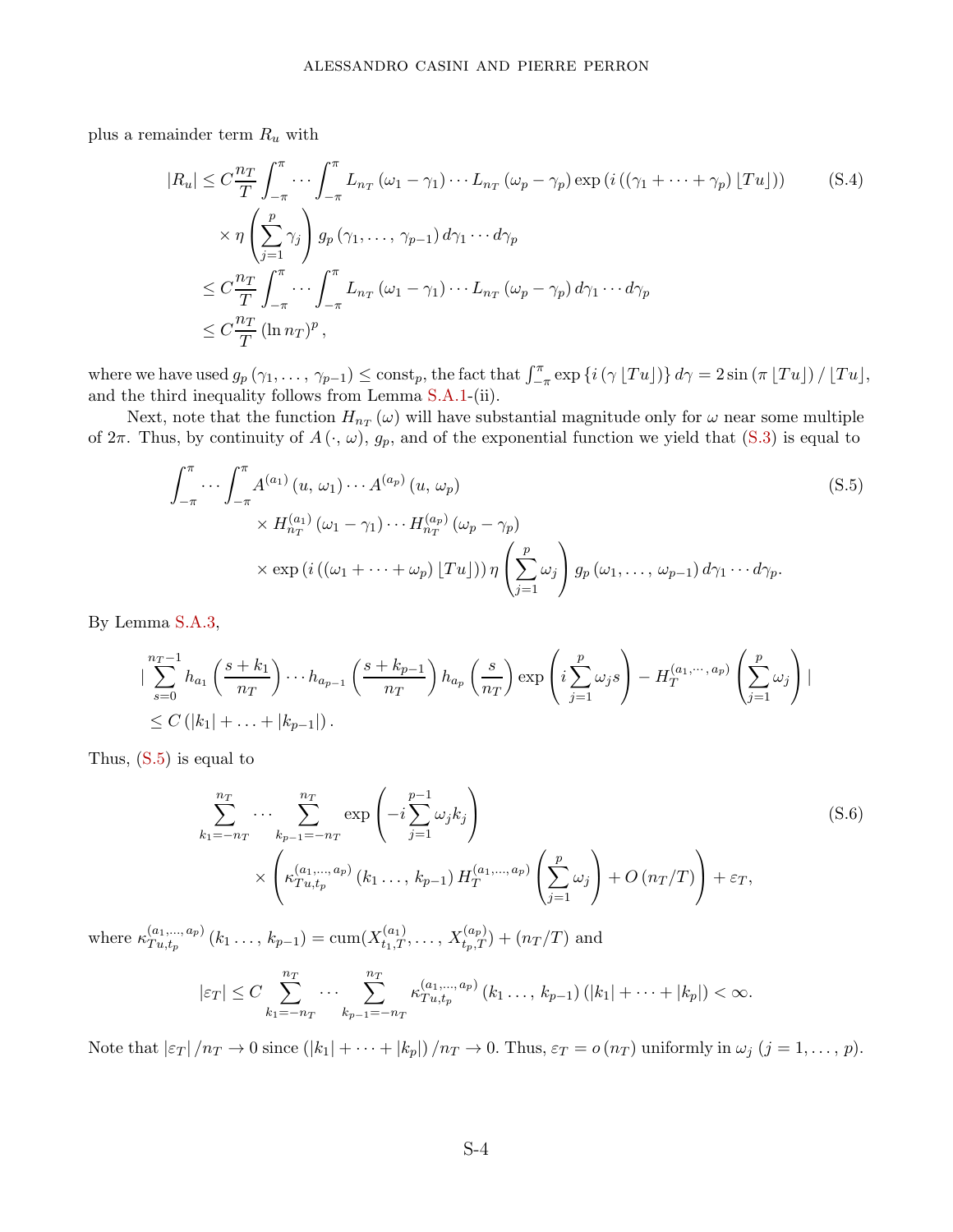plus a remainder term *R<sup>u</sup>* with

$$
|R_u| \leq C \frac{n_T}{T} \int_{-\pi}^{\pi} \cdots \int_{-\pi}^{\pi} L_{n_T} (\omega_1 - \gamma_1) \cdots L_{n_T} (\omega_p - \gamma_p) \exp \left( i \left( (\gamma_1 + \cdots + \gamma_p) \lfloor Tu \rfloor \right) \right) \tag{S.4}
$$
  
 
$$
\times \eta \left( \sum_{j=1}^p \gamma_j \right) g_p (\gamma_1, \dots, \gamma_{p-1}) d\gamma_1 \cdots d\gamma_p
$$
  
 
$$
\leq C \frac{n_T}{T} \int_{-\pi}^{\pi} \cdots \int_{-\pi}^{\pi} L_{n_T} (\omega_1 - \gamma_1) \cdots L_{n_T} (\omega_p - \gamma_p) d\gamma_1 \cdots d\gamma_p
$$
  
 
$$
\leq C \frac{n_T}{T} (\ln n_T)^p,
$$

where we have used  $g_p(\gamma_1,\ldots,\gamma_{p-1}) \leq \text{const}_p$ , the fact that  $\int_{-\pi}^{\pi} \exp\left\{i\left(\gamma \lfloor Tu \rfloor\right)\right\} d\gamma = 2\sin\left(\pi \lfloor Tu \rfloor\right) / \lfloor Tu \rfloor$ , and the third inequality follows from Lemma [S.A.1-](#page-35-1)(ii).

Next, note that the function  $H_{n_T}(\omega)$  will have substantial magnitude only for  $\omega$  near some multiple of  $2\pi$ . Thus, by continuity of  $A(\cdot, \omega)$ ,  $g_p$ , and of the exponential function we yield that [\(S.3\)](#page-37-0) is equal to

<span id="page-38-0"></span>
$$
\int_{-\pi}^{\pi} \cdots \int_{-\pi}^{\pi} A^{(a_1)}(u, \omega_1) \cdots A^{(a_p)}(u, \omega_p)
$$
\n
$$
\times H_{n_T}^{(a_1)}(\omega_1 - \gamma_1) \cdots H_{n_T}^{(a_p)}(\omega_p - \gamma_p)
$$
\n
$$
\times \exp\left(i\left((\omega_1 + \cdots + \omega_p) [Tu]\right)\right) \eta \left(\sum_{j=1}^p \omega_j\right) g_p(\omega_1, \dots, \omega_{p-1}) d\gamma_1 \cdots d\gamma_p.
$$
\n(S.5)

By Lemma [S.A.3,](#page-36-1)

$$
\left| \sum_{s=0}^{n_T-1} h_{a_1} \left( \frac{s+k_1}{n_T} \right) \cdots h_{a_{p-1}} \left( \frac{s+k_{p-1}}{n_T} \right) h_{a_p} \left( \frac{s}{n_T} \right) \exp \left( i \sum_{j=1}^p \omega_j s \right) - H_T^{(a_1,\dots,a_p)} \left( \sum_{j=1}^p \omega_j \right) \right|
$$
  
 
$$
\leq C \left( |k_1| + \ldots + |k_{p-1}| \right).
$$

Thus,  $(S.5)$  is equal to

<span id="page-38-1"></span>
$$
\sum_{k_1=-n_T}^{n_T} \cdots \sum_{k_{p-1}=-n_T}^{n_T} \exp\left(-i\sum_{j=1}^{p-1} \omega_j k_j\right) \times \left(\kappa_{Tu,t_p}^{(a_1,\ldots,a_p)}(k_1\ldots,k_{p-1}) H_T^{(a_1,\ldots,a_p)}\left(\sum_{j=1}^p \omega_j\right) + O\left(n_T/T\right)\right) + \varepsilon_T,
$$
\n(S.6)

where  $\kappa_{T}^{(a_1,\ldots,a_p)}$  $T_{u,t_p}^{(a_1,\ldots,a_p)}(k_1\ldots,k_{p-1}) = \text{cum}(X_{t_1,T}^{(a_1)},\ldots,X_{t_p,T}^{(a_p)}) + (n_T/T)$  and

$$
|\varepsilon_T| \leq C \sum_{k_1=-n_T}^{n_T} \cdots \sum_{k_{p-1}=-n_T}^{n_T} \kappa_{Tu,t_p}^{(a_1,\ldots,a_p)}(k_1\ldots,k_{p-1}) (|k_1|+\cdots+|k_p|) < \infty.
$$

Note that  $|\varepsilon_T|/n_T \to 0$  since  $(|k_1| + \cdots + |k_p|)/n_T \to 0$ . Thus,  $\varepsilon_T = o(n_T)$  uniformly in  $\omega_j$   $(j = 1, \ldots, p)$ .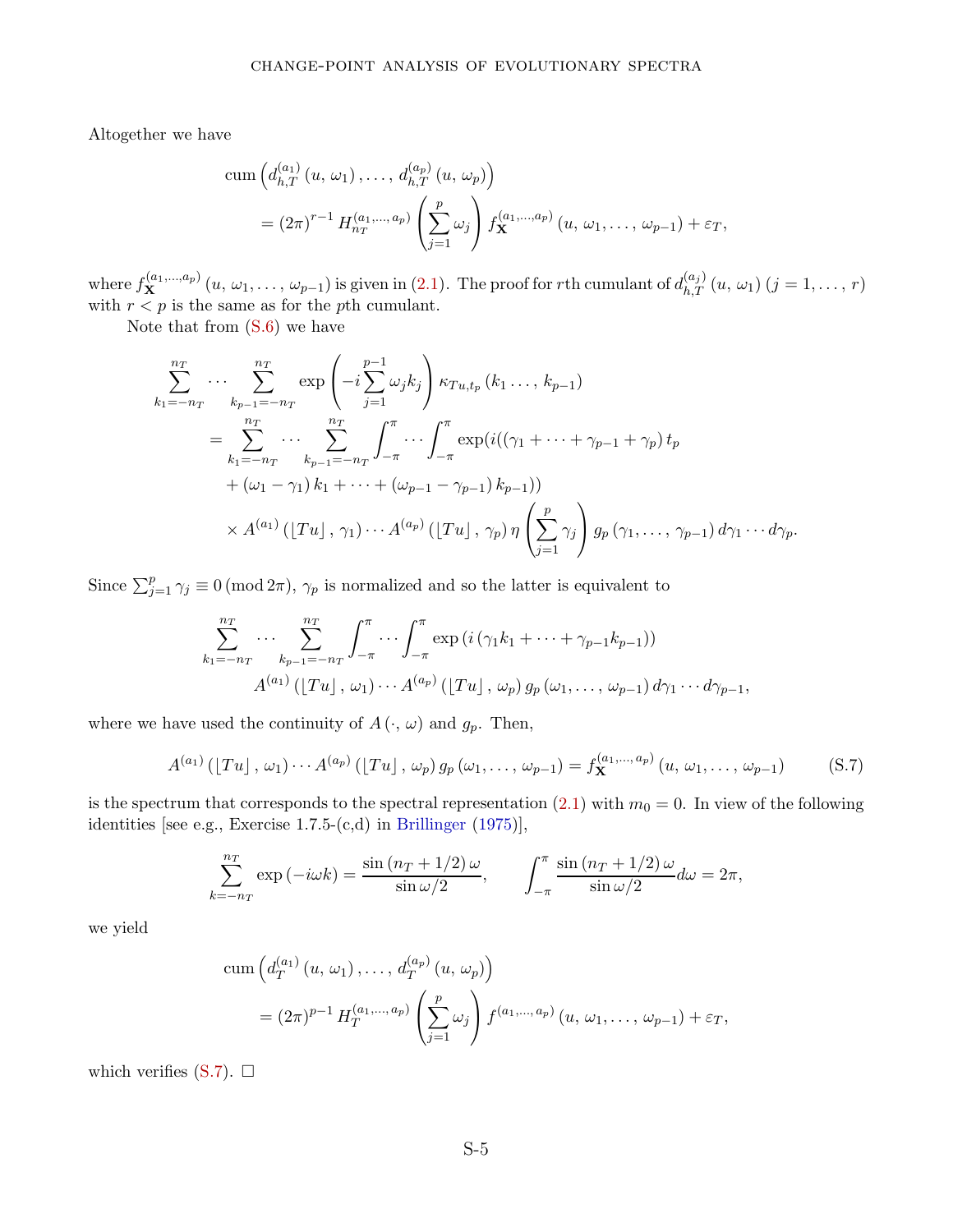Altogether we have

cum 
$$
\left(d_{h,T}^{(a_1)}(u, \omega_1),..., d_{h,T}^{(a_p)}(u, \omega_p)\right)
$$
  
=  $(2\pi)^{r-1} H_{n_T}^{(a_1,...,a_p)}\left(\sum_{j=1}^p \omega_j\right) f_{\mathbf{X}}^{(a_1,...,a_p)}(u, \omega_1,..., \omega_{p-1}) + \varepsilon_T,$ 

where  $f_{\mathbf{X}}^{(a_1,...,a_p)}(u,\omega_1,\ldots,\omega_{p-1})$  is given in [\(2.1\)](#page-4-2). The proof for rth cumulant of  $d_{h,T}^{(a_j)}(u,\omega_1)$   $(j=1,\ldots,r)$ with  $r < p$  is the same as for the *p*th cumulant.

Note that from [\(S.6\)](#page-38-1) we have

$$
\sum_{k_1=-n_T}^{n_T} \cdots \sum_{k_{p-1}=-n_T}^{n_T} \exp\left(-i \sum_{j=1}^{p-1} \omega_j k_j\right) \kappa_{Tu,t_p} (k_1 \ldots, k_{p-1})
$$
\n
$$
= \sum_{k_1=-n_T}^{n_T} \cdots \sum_{k_{p-1}=-n_T}^{n_T} \int_{-\pi}^{\pi} \cdots \int_{-\pi}^{\pi} \exp(i((\gamma_1 + \cdots + \gamma_{p-1} + \gamma_p) t_p + (\omega_1 - \gamma_1) k_1 + \cdots + (\omega_{p-1} - \gamma_{p-1}) k_{p-1}))
$$
\n
$$
\times A^{(a_1)} (T u |, \gamma_1) \cdots A^{(a_p)} (T u |, \gamma_p) \eta \left(\sum_{j=1}^p \gamma_j\right) g_p(\gamma_1, \ldots, \gamma_{p-1}) d\gamma_1 \cdots d\gamma_p.
$$

Since  $\sum_{j=1}^{p} \gamma_j \equiv 0 \pmod{2\pi}$ ,  $\gamma_p$  is normalized and so the latter is equivalent to

$$
\sum_{k_1=-n_T}^{n_T} \cdots \sum_{k_{p-1}=-n_T}^{n_T} \int_{-\pi}^{\pi} \cdots \int_{-\pi}^{\pi} \exp\left(i\left(\gamma_1 k_1 + \cdots + \gamma_{p-1} k_{p-1}\right)\right)
$$
  

$$
A^{(a_1)}\left(\lfloor Tu \rfloor, \omega_1\right) \cdots A^{(a_p)}\left(\lfloor Tu \rfloor, \omega_p\right) g_p\left(\omega_1, \ldots, \omega_{p-1}\right) d\gamma_1 \cdots d\gamma_{p-1},
$$

where we have used the continuity of  $A(\cdot, \omega)$  and  $g_p$ . Then,

<span id="page-39-0"></span>
$$
A^{(a_1)}([Tu], \omega_1) \cdots A^{(a_p)}([Tu], \omega_p) g_p(\omega_1, \ldots, \omega_{p-1}) = f_{\mathbf{X}}^{(a_1, \ldots, a_p)}(u, \omega_1, \ldots, \omega_{p-1})
$$
(S.7)

is the spectrum that corresponds to the spectral representation  $(2.1)$  with  $m_0 = 0$ . In view of the following identities [see e.g., Exercise 1.7.5-(c,d) in [Brillinger](#page-28-1) [\(1975](#page-28-1))],

$$
\sum_{k=-n_T}^{n_T} \exp(-i\omega k) = \frac{\sin((n_T+1/2)\omega)}{\sin(\omega/2)}, \qquad \int_{-\pi}^{\pi} \frac{\sin((n_T+1/2)\omega)}{\sin(\omega/2)}d\omega = 2\pi,
$$

we yield

cum 
$$
(d_T^{(a_1)}(u, \omega_1),..., d_T^{(a_p)}(u, \omega_p))
$$
  
=  $(2\pi)^{p-1} H_T^{(a_1,...,a_p)} \left(\sum_{j=1}^p \omega_j\right) f^{(a_1,...,a_p)}(u, \omega_1,..., \omega_{p-1}) + \varepsilon_T,$ 

which verifies  $(S.7)$ .  $\Box$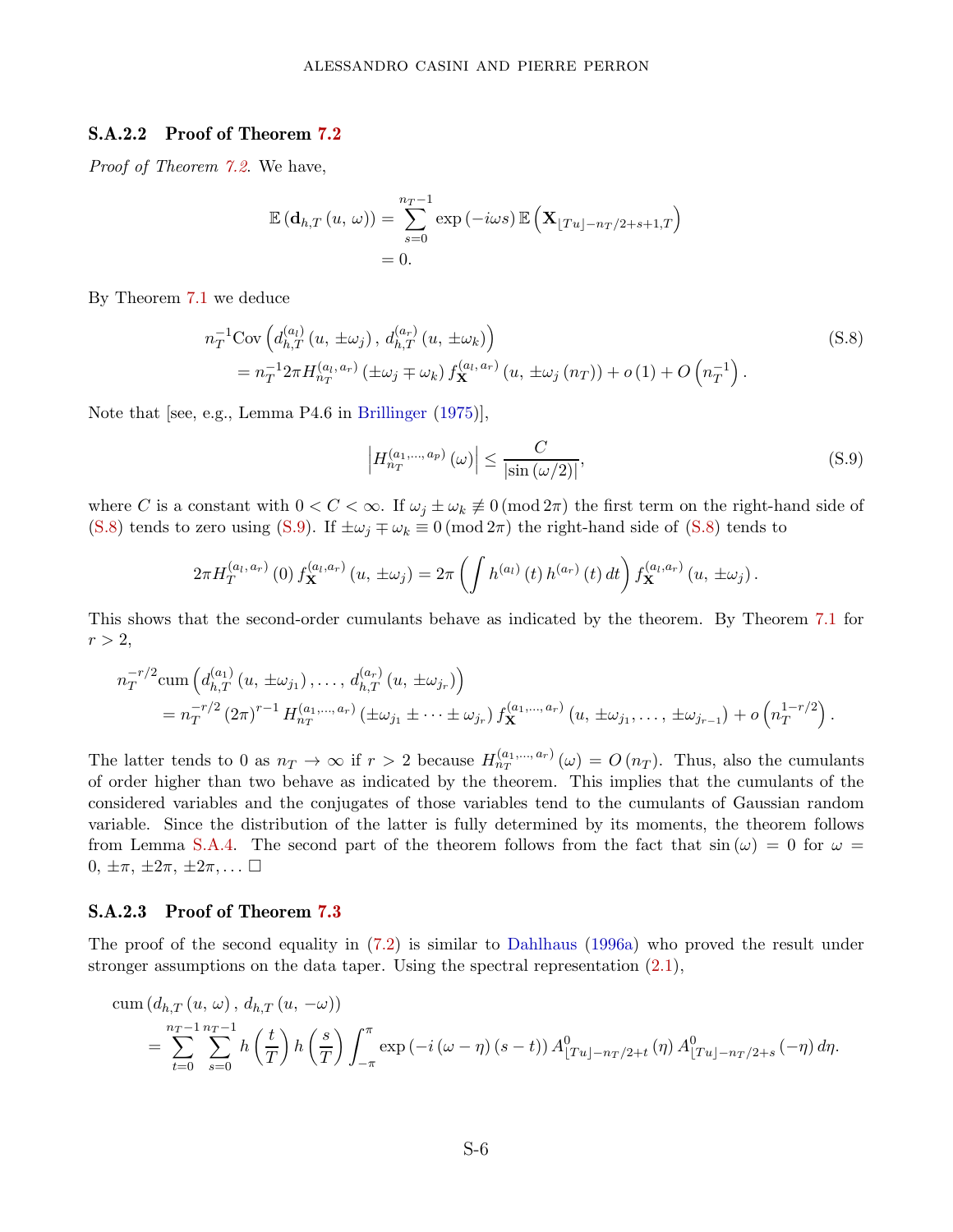#### S.A.2.2 Proof of Theorem [7.2](#page-22-2)

Proof of Theorem [7.2](#page-22-2). We have,

$$
\mathbb{E}(\mathbf{d}_{h,T}(u,\,\omega)) = \sum_{s=0}^{n_T-1} \exp(-i\omega s) \mathbb{E}\left(\mathbf{X}_{\lfloor Tu \rfloor - n_T/2 + s + 1,T}\right)
$$
  
= 0.

By Theorem [7.1](#page-22-1) we deduce

$$
n_T^{-1} \text{Cov} \left( d_{h,T}^{(a_l)} \left( u, \pm \omega_j \right), d_{h,T}^{(a_r)} \left( u, \pm \omega_k \right) \right)
$$
\n
$$
= n_T^{-1} 2\pi H_{n_T}^{(a_l, a_r)} \left( \pm \omega_j \mp \omega_k \right) f_{\mathbf{X}}^{(a_l, a_r)} \left( u, \pm \omega_j \left( n_T \right) \right) + o \left( 1 \right) + O \left( n_T^{-1} \right). \tag{S.8}
$$

Note that [see, e.g., Lemma P4.6 in [Brillinger](#page-28-1) [\(1975](#page-28-1))],

<span id="page-40-1"></span><span id="page-40-0"></span>
$$
\left| H_{n_T}^{(a_1,\ldots,a_p)}\left(\omega\right) \right| \leq \frac{C}{\left| \sin\left(\omega/2\right) \right|},\tag{S.9}
$$

where *C* is a constant with  $0 < C < \infty$ . If  $\omega_j \pm \omega_k \neq 0 \pmod{2\pi}$  the first term on the right-hand side of [\(S.8\)](#page-40-0) tends to zero using [\(S.9\)](#page-40-1). If  $\pm \omega_j \mp \omega_k \equiv 0 \pmod{2\pi}$  the right-hand side of [\(S.8\)](#page-40-0) tends to

$$
2\pi H_T^{(a_l, a_r)}(0) f_{\mathbf{X}}^{(a_l, a_r)}(u, \pm \omega_j) = 2\pi \left( \int h^{(a_l)}(t) h^{(a_r)}(t) dt \right) f_{\mathbf{X}}^{(a_l, a_r)}(u, \pm \omega_j).
$$

This shows that the second-order cumulants behave as indicated by the theorem. By Theorem [7.1](#page-22-1) for  $r > 2$ ,

$$
n_T^{-r/2} \text{cum}\left(d_{h,T}^{(a_1)}(u, \pm \omega_{j_1}), \ldots, d_{h,T}^{(a_r)}(u, \pm \omega_{j_r})\right) = n_T^{-r/2} (2\pi)^{r-1} H_{n_T}^{(a_1,\ldots,a_r)}\left(\pm \omega_{j_1} \pm \cdots \pm \omega_{j_r}\right) f_{\mathbf{X}}^{(a_1,\ldots,a_r)}\left(u, \pm \omega_{j_1}, \ldots, \pm \omega_{j_{r-1}}\right) + o\left(n_T^{1-r/2}\right).
$$

The latter tends to 0 as  $n_T \to \infty$  if  $r > 2$  because  $H_{n_T}^{(a_1,...,a_r)}(\omega) = O(n_T)$ . Thus, also the cumulants of order higher than two behave as indicated by the theorem. This implies that the cumulants of the considered variables and the conjugates of those variables tend to the cumulants of Gaussian random variable. Since the distribution of the latter is fully determined by its moments, the theorem follows from Lemma [S.A.4.](#page-36-2) The second part of the theorem follows from the fact that  $\sin (\omega) = 0$  for  $\omega =$  $0, ±π, ±2π, ±2π, ...$ 

#### S.A.2.3 Proof of Theorem [7.3](#page-22-0)

The proof of the second equality in [\(7.2\)](#page-22-3) is similar to [Dahlhaus](#page-29-6) [\(1996a\)](#page-29-6) who proved the result under stronger assumptions on the data taper. Using the spectral representation  $(2.1)$ ,

cum 
$$
(d_{h,T}(u, \omega), d_{h,T}(u, -\omega))
$$
  
=  $\sum_{t=0}^{n_T-1} \sum_{s=0}^{n_T-1} h\left(\frac{t}{T}\right) h\left(\frac{s}{T}\right) \int_{-\pi}^{\pi} \exp(-i(\omega - \eta) (s - t)) A^0_{[Tu]-n_T/2+t}(\eta) A^0_{[Tu]-n_T/2+s}(-\eta) d\eta.$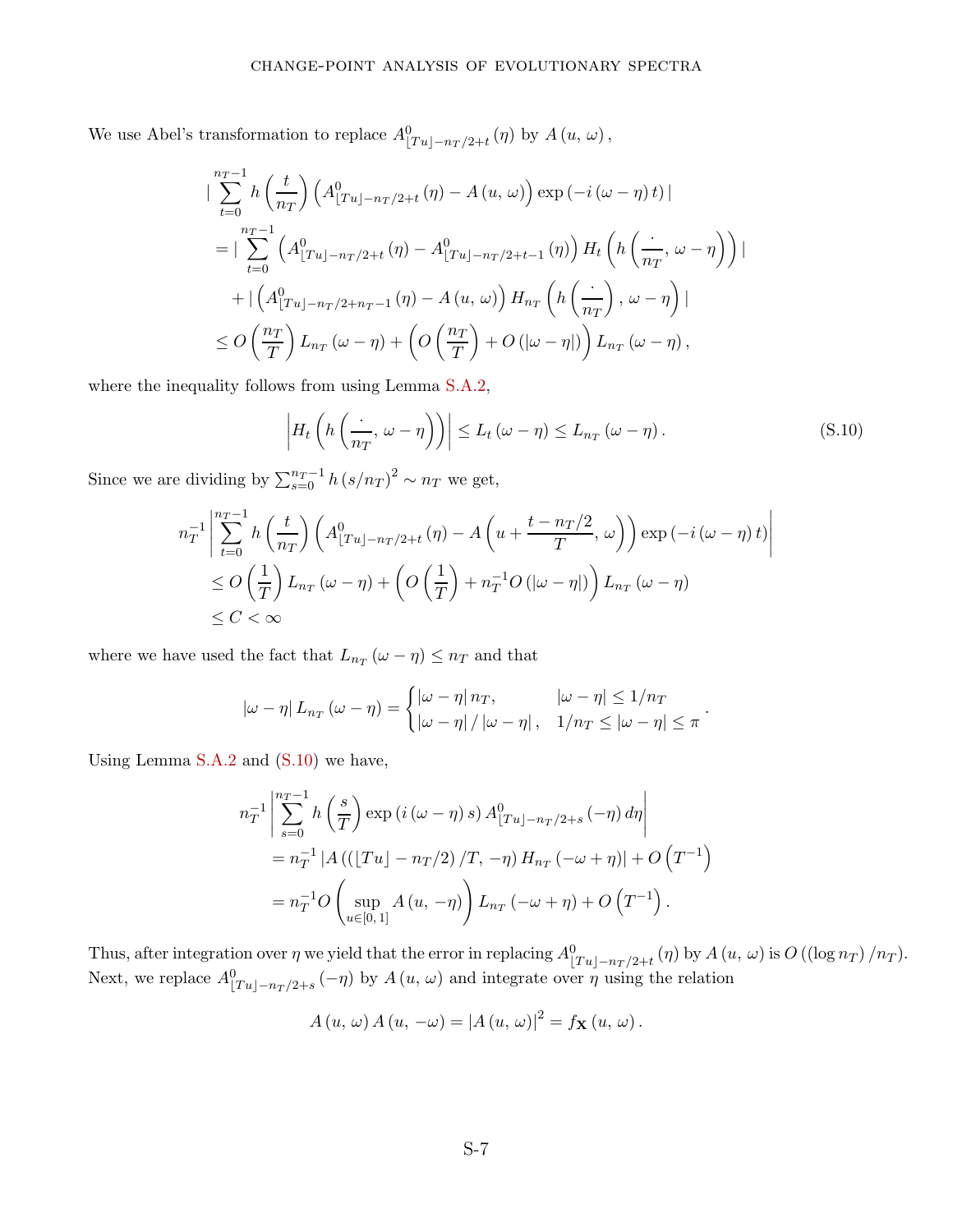We use Abel's transformation to replace  $A_{\lfloor Tu \rfloor - n_T/2+t}^0(\eta)$  by  $A(u, \omega)$ ,

$$
\begin{split}\n&\|\sum_{t=0}^{n_T-1} h\left(\frac{t}{n_T}\right) \left(A_{\lfloor Tu \rfloor - n_T/2 + t}^0 \left(\eta\right) - A\left(u, \omega\right)\right) \exp\left(-i\left(\omega - \eta\right)t\right)\| \\
&= \|\sum_{t=0}^{n_T-1} \left(A_{\lfloor Tu \rfloor - n_T/2 + t}^0 \left(\eta\right) - A_{\lfloor Tu \rfloor - n_T/2 + t-1}^0 \left(\eta\right)\right) H_t \left(h\left(\frac{\cdot}{n_T}, \omega - \eta\right)\right)\| \\
&\quad + \|\left(A_{\lfloor Tu \rfloor - n_T/2 + n_T-1}^0 \left(\eta\right) - A\left(u, \omega\right)\right) H_{n_T} \left(h\left(\frac{\cdot}{n_T}\right), \omega - \eta\right)\| \\
&\le O\left(\frac{n_T}{T}\right) L_{n_T} \left(\omega - \eta\right) + \left(O\left(\frac{n_T}{T}\right) + O\left(|\omega - \eta|\right)\right) L_{n_T} \left(\omega - \eta\right),\n\end{split}
$$

where the inequality follows from using Lemma [S.A.2,](#page-35-2)

<span id="page-41-0"></span>
$$
\left| H_t\left( h\left(\frac{\cdot}{n_T}, \omega - \eta\right) \right) \right| \le L_t \left( \omega - \eta \right) \le L_{n_T} \left( \omega - \eta \right). \tag{S.10}
$$

Since we are dividing by  $\sum_{s=0}^{n_T-1} h (s/n_T)^2 \sim n_T$  we get,

$$
n_T^{-1} \left| \sum_{t=0}^{n_T-1} h\left(\frac{t}{n_T}\right) \left( A_{\lfloor Tu \rfloor - n_T/2 + t}^0(\eta) - A_{\lfloor u + \frac{t - n_T/2}{T}, u \rfloor} \right) \right| \exp\left(-i(\omega - \eta) t\right) \right|
$$
  
\n
$$
\leq O\left(\frac{1}{T}\right) L_{n_T}(\omega - \eta) + \left( O\left(\frac{1}{T}\right) + n_T^{-1} O\left(|\omega - \eta|\right) \right) L_{n_T}(\omega - \eta)
$$
  
\n
$$
\leq C < \infty
$$

where we have used the fact that  $L_{n_T}(\omega - \eta) \leq n_T$  and that

$$
|\omega - \eta| L_{n_T} (\omega - \eta) = \begin{cases} |\omega - \eta| n_T, & |\omega - \eta| \leq 1/n_T \\ |\omega - \eta| / |\omega - \eta|, & 1/n_T \leq |\omega - \eta| \leq \pi \end{cases}.
$$

Using Lemma [S.A.2](#page-35-2) and [\(S.10\)](#page-41-0) we have,

$$
n_T^{-1} \left| \sum_{s=0}^{n_T-1} h\left(\frac{s}{T}\right) \exp\left(i\left(\omega - \eta\right)s\right) A_{\lfloor Tu \rfloor - n_T/2+s}^0\left(-\eta\right) d\eta \right|
$$
  
=  $n_T^{-1} |A\left(\left(\lfloor Tu \rfloor - n_T/2\right)/T, -\eta\right) H_{n_T}\left(-\omega + \eta\right)| + O\left(T^{-1}\right)$   
=  $n_T^{-1} O\left(\sup_{u \in [0,1]} A\left(u, -\eta\right)\right) L_{n_T}\left(-\omega + \eta\right) + O\left(T^{-1}\right).$ 

Thus, after integration over  $\eta$  we yield that the error in replacing  $A_{\lfloor Tu \rfloor - n_T/2 + t}^0(\eta)$  by  $A(u, \omega)$  is  $O((\log n_T)/n_T)$ . Next, we replace  $A_{\lfloor Tu \rfloor - n_T/2+s}^0(-\eta)$  by  $A(u, \omega)$  and integrate over  $\eta$  using the relation

$$
A(u, \omega) A(u, -\omega) = |A(u, \omega)|^2 = f_{\mathbf{X}}(u, \omega).
$$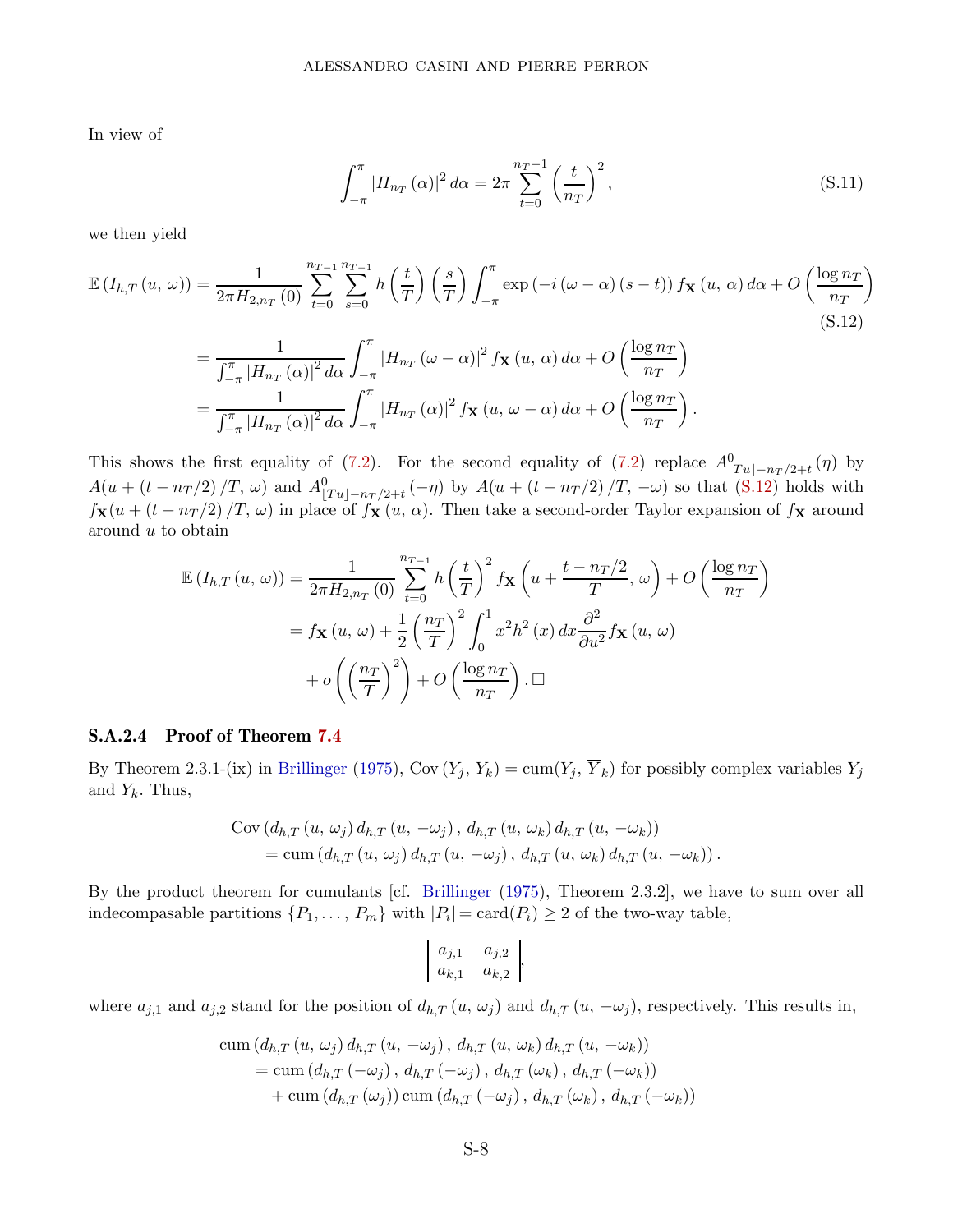In view of

<span id="page-42-0"></span>
$$
\int_{-\pi}^{\pi} |H_{n_T}(\alpha)|^2 \, d\alpha = 2\pi \sum_{t=0}^{n_T - 1} \left(\frac{t}{n_T}\right)^2,\tag{S.11}
$$

we then yield

$$
\mathbb{E}\left(I_{h,T}\left(u,\,\omega\right)\right) = \frac{1}{2\pi H_{2,n_T}\left(0\right)} \sum_{t=0}^{n_{T-1}} \sum_{s=0}^{n_{T-1}} h\left(\frac{t}{T}\right) \left(\frac{s}{T}\right) \int_{-\pi}^{\pi} \exp\left(-i\left(\omega-\alpha\right)\left(s-t\right)\right) f_{\mathbf{X}}\left(u,\,\alpha\right) d\alpha + O\left(\frac{\log n_T}{n_T}\right)
$$
\n
$$
= \frac{1}{\int_{-\pi}^{\pi} |H_{n_T}\left(\alpha\right)|^2 d\alpha} \int_{-\pi}^{\pi} |H_{n_T}\left(\omega-\alpha\right)|^2 f_{\mathbf{X}}\left(u,\,\alpha\right) d\alpha + O\left(\frac{\log n_T}{n_T}\right)
$$
\n
$$
= \frac{1}{\int_{-\pi}^{\pi} |H_{n_T}\left(\alpha\right)|^2 d\alpha} \int_{-\pi}^{\pi} |H_{n_T}\left(\alpha\right)|^2 f_{\mathbf{X}}\left(u,\,\omega-\alpha\right) d\alpha + O\left(\frac{\log n_T}{n_T}\right).
$$
\n(S.12)

This shows the first equality of [\(7.2\)](#page-22-3). For the second equality of (7.2) replace  $A^0_{\lfloor Tu \rfloor - n_T/2 + t}(\eta)$  by  $A(u + (t - n_T/2)/T, \omega)$  and  $A_{[Tu]-n_T/2+t}^0(-\eta)$  by  $A(u + (t - n_T/2)/T, -\omega)$  so that [\(S.12\)](#page-42-0) holds with  $f_{\mathbf{X}}(u + (t - n_T/2) / T, \omega)$  in place of  $f_{\mathbf{X}}(u, \alpha)$ . Then take a second-order Taylor expansion of  $f_{\mathbf{X}}$  around around *u* to obtain

$$
\mathbb{E}\left(I_{h,T}\left(u,\,\omega\right)\right) = \frac{1}{2\pi H_{2,n_T}\left(0\right)} \sum_{t=0}^{n_{T-1}} h\left(\frac{t}{T}\right)^2 f_{\mathbf{X}}\left(u + \frac{t - n_T/2}{T},\,\omega\right) + O\left(\frac{\log n_T}{n_T}\right)
$$
\n
$$
= f_{\mathbf{X}}\left(u,\,\omega\right) + \frac{1}{2} \left(\frac{n_T}{T}\right)^2 \int_0^1 x^2 h^2\left(x\right) dx \frac{\partial^2}{\partial u^2} f_{\mathbf{X}}\left(u,\,\omega\right)
$$
\n
$$
+ o\left(\left(\frac{n_T}{T}\right)^2\right) + O\left(\frac{\log n_T}{n_T}\right). \square
$$

### S.A.2.4 Proof of Theorem [7.4](#page-23-0)

By Theorem 2.3.1-(ix) in [Brillinger](#page-28-1) [\(1975](#page-28-1)), Cov  $(Y_j, Y_k) = \text{cum}(Y_j, \overline{Y}_k)$  for possibly complex variables  $Y_j$ and  $Y_k$ . Thus,

$$
\begin{split} \text{Cov}\left(d_{h,T}\left(u,\,\omega_{j}\right)d_{h,T}\left(u,\,-\omega_{j}\right),\,d_{h,T}\left(u,\,\omega_{k}\right)d_{h,T}\left(u,\,-\omega_{k}\right)\right) \\ = \text{cum}\left(d_{h,T}\left(u,\,\omega_{j}\right)d_{h,T}\left(u,\,-\omega_{j}\right),\,d_{h,T}\left(u,\,\omega_{k}\right)d_{h,T}\left(u,\,-\omega_{k}\right)\right). \end{split}
$$

By the product theorem for cumulants [cf. [Brillinger](#page-28-1) [\(1975](#page-28-1)), Theorem 2.3.2], we have to sum over all indecompasable partitions  $\{P_1, \ldots, P_m\}$  with  $|P_i| = \text{card}(P_i) \geq 2$  of the two-way table,

$$
\begin{array}{cc} a_{j,1} & a_{j,2} \\ a_{k,1} & a_{k,2} \end{array},
$$

where  $a_{j,1}$  and  $a_{j,2}$  stand for the position of  $d_{h,T}(u, \omega_j)$  and  $d_{h,T}(u, -\omega_j)$ , respectively. This results in,

$$
\begin{aligned} \operatorname{cum}\left(d_{h,T}\left(u,\,\omega_{j}\right)d_{h,T}\left(u,\,-\omega_{j}\right),\,d_{h,T}\left(u,\,\omega_{k}\right)d_{h,T}\left(u,\,-\omega_{k}\right)\right) \\ = & \operatorname{cum}\left(d_{h,T}\left(-\omega_{j}\right),\,d_{h,T}\left(-\omega_{j}\right),\,d_{h,T}\left(\omega_{k}\right),\,d_{h,T}\left(-\omega_{k}\right)\right) \\ & + \operatorname{cum}\left(d_{h,T}\left(\omega_{j}\right)\right)\operatorname{cum}\left(d_{h,T}\left(-\omega_{j}\right),\,d_{h,T}\left(\omega_{k}\right),\,d_{h,T}\left(-\omega_{k}\right)\right) \end{aligned}
$$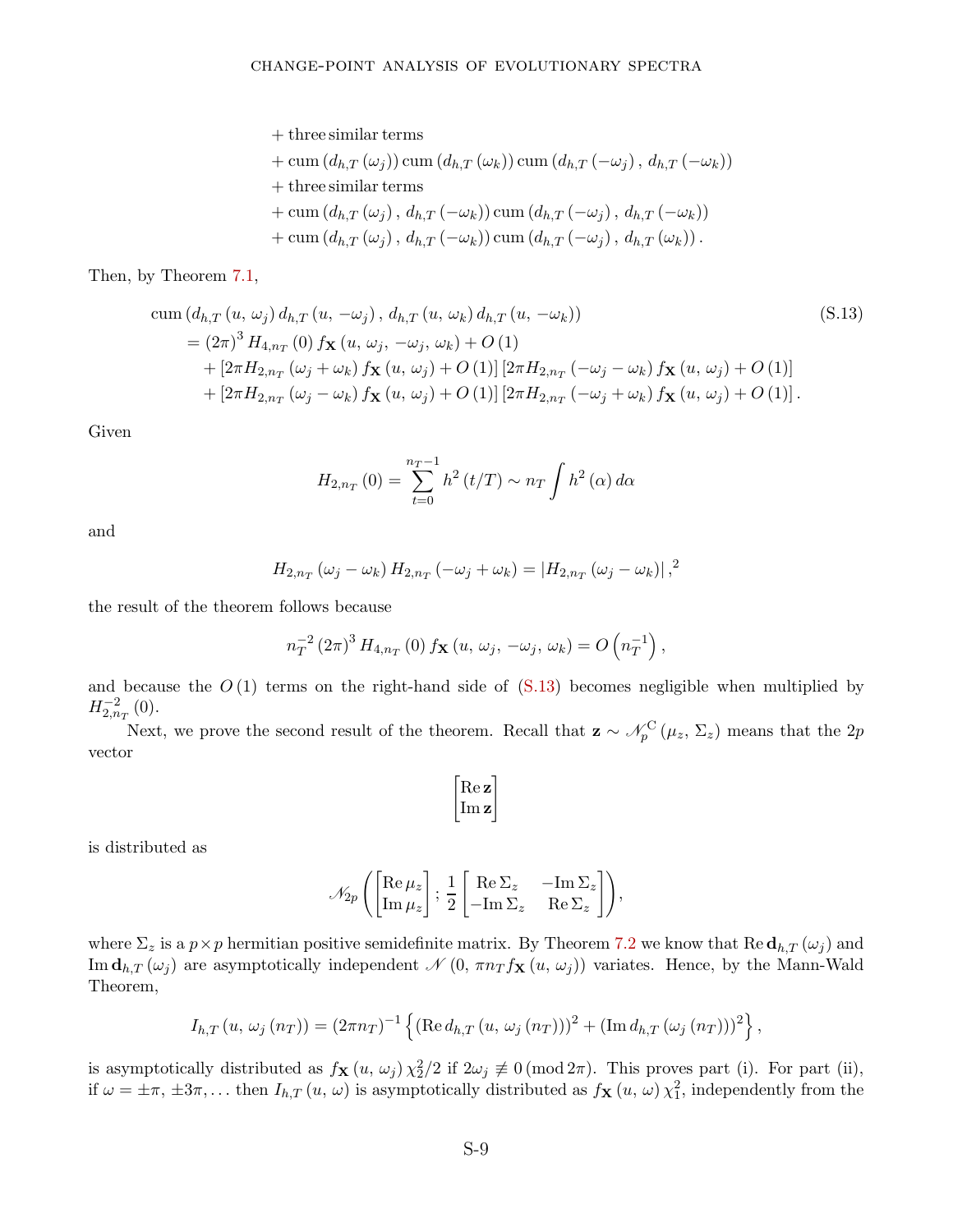+ three similar terms  $+$  cum  $(d_{h,T}(\omega_j))$  cum  $(d_{h,T}(\omega_k))$  cum  $(d_{h,T}(-\omega_j), d_{h,T}(-\omega_k))$ + three similar terms  $+$  cum  $(d_{h,T}(\omega_j), d_{h,T}(-\omega_k))$  cum  $(d_{h,T}(-\omega_j), d_{h,T}(-\omega_k))$  $+$  cum  $(d_{h,T}(\omega_i), d_{h,T}(-\omega_k))$  cum  $(d_{h,T}(-\omega_j), d_{h,T}(\omega_k))$ .

Then, by Theorem [7.1,](#page-22-1)

$$
\begin{split} \text{cum} \left( d_{h,T} \left( u, \, \omega_{j} \right) d_{h,T} \left( u, \, -\omega_{j} \right), \, d_{h,T} \left( u, \, \omega_{k} \right) d_{h,T} \left( u, \, -\omega_{k} \right) \right) \\ &= \left( 2\pi \right)^{3} H_{4,n_{T}} \left( 0 \right) f_{\mathbf{X}} \left( u, \, \omega_{j}, \, -\omega_{j}, \, \omega_{k} \right) + O \left( 1 \right) \\ &+ \left[ 2\pi H_{2,n_{T}} \left( \omega_{j} + \omega_{k} \right) f_{\mathbf{X}} \left( u, \, \omega_{j} \right) + O \left( 1 \right) \right] \left[ 2\pi H_{2,n_{T}} \left( -\omega_{j} - \omega_{k} \right) f_{\mathbf{X}} \left( u, \, \omega_{j} \right) + O \left( 1 \right) \right] \\ &+ \left[ 2\pi H_{2,n_{T}} \left( \omega_{j} - \omega_{k} \right) f_{\mathbf{X}} \left( u, \, \omega_{j} \right) + O \left( 1 \right) \right] \left[ 2\pi H_{2,n_{T}} \left( -\omega_{j} + \omega_{k} \right) f_{\mathbf{X}} \left( u, \, \omega_{j} \right) + O \left( 1 \right) \right]. \end{split} \tag{S.13}
$$

Given

<span id="page-43-0"></span>
$$
H_{2,n_T}(0) = \sum_{t=0}^{n_T - 1} h^2(t/T) \sim n_T \int h^2(\alpha) d\alpha
$$

and

$$
H_{2,n_T}(\omega_j - \omega_k) H_{2,n_T}(-\omega_j + \omega_k) = |H_{2,n_T}(\omega_j - \omega_k)|^2
$$

the result of the theorem follows because

$$
n_T^{-2} (2\pi)^3 H_{4,n_T}(0) f_{\mathbf{X}}(u, \omega_j, -\omega_j, \omega_k) = O\left(n_T^{-1}\right),
$$

and because the  $O(1)$  terms on the right-hand side of  $(S.13)$  becomes negligible when multiplied by  $H_{2,n_T}^{-2}(0)$ .

Next, we prove the second result of the theorem. Recall that  $\mathbf{z} \sim \mathcal{N}_p^{\text{C}}(\mu_z, \Sigma_z)$  means that the 2*p* vector

$$
\begin{bmatrix} \mathrm{Re}\, \mathbf{z} \\ \mathrm{Im}\, \mathbf{z} \end{bmatrix}
$$

is distributed as

$$
\mathcal{N}_{2p}\left(\begin{bmatrix}\mathrm{Re}\,\mu_z\\ \mathrm{Im}\,\mu_z\end{bmatrix};\,\frac{1}{2}\begin{bmatrix}\mathrm{Re}\,\Sigma_z & -\mathrm{Im}\,\Sigma_z\\ -\mathrm{Im}\,\Sigma_z & \mathrm{Re}\,\Sigma_z\end{bmatrix}\right),\,
$$

where  $\Sigma_z$  is a  $p \times p$  hermitian positive semidefinite matrix. By Theorem [7.2](#page-22-2) we know that Re  $\mathbf{d}_{h,T}(\omega_j)$  and Im  $\mathbf{d}_{h,T}(\omega_j)$  are asymptotically independent  $\mathcal{N}(0, \pi n_T f_{\mathbf{X}}(u, \omega_j))$  variates. Hence, by the Mann-Wald Theorem,

$$
I_{h,T}(u, \, \omega_j \, (n_T)) = (2\pi n_T)^{-1} \left\{ (\text{Re} \, d_{h,T}(u, \, \omega_j \, (n_T)))^2 + (\text{Im} \, d_{h,T} \, (\omega_j \, (n_T)))^2 \right\},\,
$$

is asymptotically distributed as  $f_{\mathbf{X}}(u, \omega_j) \chi_2^2/2$  if  $2\omega_j \not\equiv 0 \pmod{2\pi}$ . This proves part (i). For part (ii), if  $\omega = \pm \pi$ ,  $\pm 3\pi$ ,... then  $I_{h,T}(u, \omega)$  is asymptotically distributed as  $f_{\mathbf{X}}(u, \omega) \chi_1^2$ , independently from the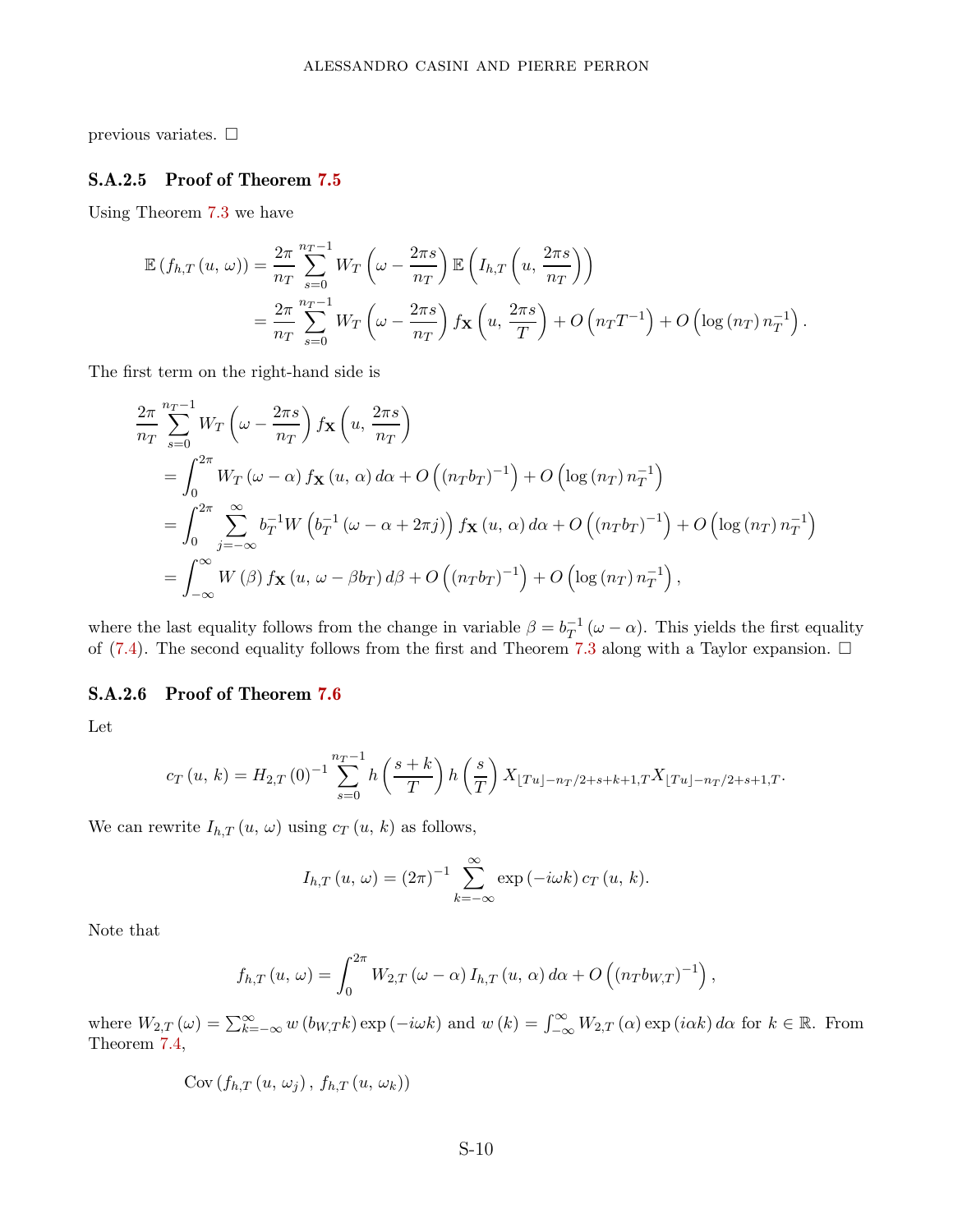previous variates.  $\Box$ 

### S.A.2.5 Proof of Theorem [7.5](#page-23-2)

Using Theorem [7.3](#page-22-0) we have

$$
\mathbb{E}\left(f_{h,T}\left(u,\,\omega\right)\right) = \frac{2\pi}{n_T} \sum_{s=0}^{n_T-1} W_T\left(\omega - \frac{2\pi s}{n_T}\right) \mathbb{E}\left(I_{h,T}\left(u,\frac{2\pi s}{n_T}\right)\right)
$$
\n
$$
= \frac{2\pi}{n_T} \sum_{s=0}^{n_T-1} W_T\left(\omega - \frac{2\pi s}{n_T}\right) f_{\mathbf{X}}\left(u,\frac{2\pi s}{T}\right) + O\left(n_T T^{-1}\right) + O\left(\log\left(n_T\right)n_T^{-1}\right).
$$

The first term on the right-hand side is

$$
\frac{2\pi}{n_T} \sum_{s=0}^{n_T-1} W_T \left( \omega - \frac{2\pi s}{n_T} \right) f_{\mathbf{X}} \left( u, \frac{2\pi s}{n_T} \right)
$$
\n
$$
= \int_0^{2\pi} W_T \left( \omega - \alpha \right) f_{\mathbf{X}} \left( u, \alpha \right) d\alpha + O \left( (n_T b_T)^{-1} \right) + O \left( \log (n_T) n_T^{-1} \right)
$$
\n
$$
= \int_0^{2\pi} \sum_{j=-\infty}^{\infty} b_T^{-1} W \left( b_T^{-1} \left( \omega - \alpha + 2\pi j \right) \right) f_{\mathbf{X}} \left( u, \alpha \right) d\alpha + O \left( (n_T b_T)^{-1} \right) + O \left( \log (n_T) n_T^{-1} \right)
$$
\n
$$
= \int_{-\infty}^{\infty} W \left( \beta \right) f_{\mathbf{X}} \left( u, \omega - \beta b_T \right) d\beta + O \left( (n_T b_T)^{-1} \right) + O \left( \log (n_T) n_T^{-1} \right),
$$

where the last equality follows from the change in variable  $\beta = b_T^{-1} (\omega - \alpha)$ . This yields the first equality of [\(7.4\)](#page-23-3). The second equality follows from the first and Theorem [7.3](#page-22-0) along with a Taylor expansion.  $\Box$ 

### S.A.2.6 Proof of Theorem [7.6](#page-23-1)

Let

$$
c_T(u, k) = H_{2,T}(0)^{-1} \sum_{s=0}^{n_T-1} h\left(\frac{s+k}{T}\right) h\left(\frac{s}{T}\right) X_{\lfloor Tu \rfloor - n_T/2 + s + k + 1, T} X_{\lfloor Tu \rfloor - n_T/2 + s + 1, T}.
$$

We can rewrite  $I_{h,T}(u, \omega)$  using  $c_T(u, k)$  as follows,

$$
I_{h,T}(u,\,\omega)=(2\pi)^{-1}\sum_{k=-\infty}^{\infty}\exp\left(-i\omega k\right)c_T(u,\,k).
$$

Note that

$$
f_{h,T}(u,\,\omega)=\int_0^{2\pi} W_{2,T}(\omega-\alpha)\,I_{h,T}(u,\,\alpha)\,d\alpha+O\left((n_Tb_{W,T})^{-1}\right),\,
$$

where  $W_{2,T}(\omega) = \sum_{k=-\infty}^{\infty} w(b_{W,T}k) \exp(-i\omega k)$  and  $w(k) = \int_{-\infty}^{\infty} W_{2,T}(\alpha) \exp(i\alpha k) d\alpha$  for  $k \in \mathbb{R}$ . From Theorem [7.4,](#page-23-0)

$$
Cov(f_{h,T}(u,\omega_j), f_{h,T}(u,\omega_k))
$$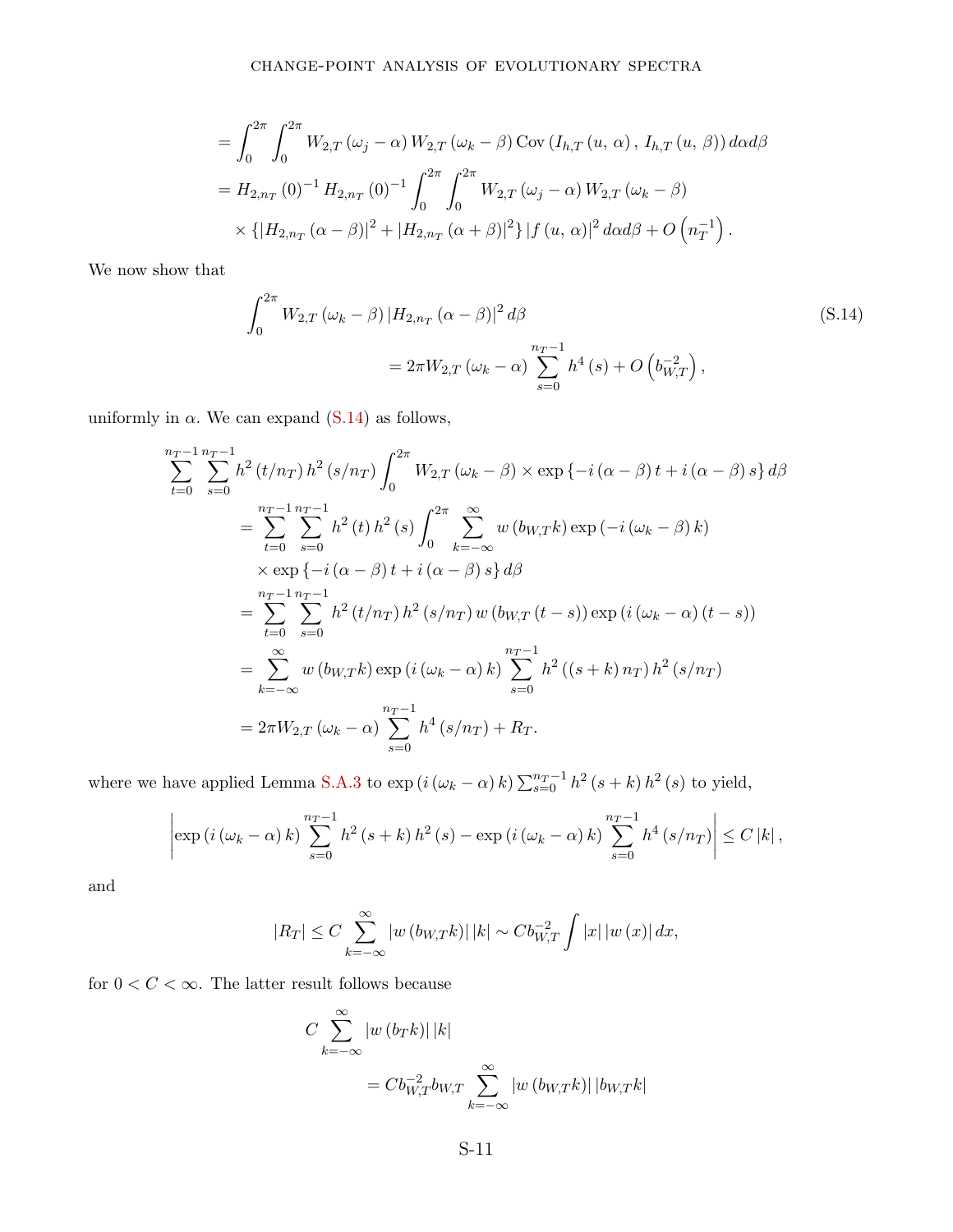$$
= \int_0^{2\pi} \int_0^{2\pi} W_{2,T}(\omega_j - \alpha) W_{2,T}(\omega_k - \beta) \operatorname{Cov}(I_{h,T}(u, \alpha), I_{h,T}(u, \beta)) d\alpha d\beta
$$
  
=  $H_{2,n_T}(0)^{-1} H_{2,n_T}(0)^{-1} \int_0^{2\pi} \int_0^{2\pi} W_{2,T}(\omega_j - \alpha) W_{2,T}(\omega_k - \beta)$   

$$
\times \{ |H_{2,n_T}(\alpha - \beta)|^2 + |H_{2,n_T}(\alpha + \beta)|^2 \} |f(u, \alpha)|^2 d\alpha d\beta + O(n_T^{-1}).
$$

We now show that

<span id="page-45-0"></span>
$$
\int_{0}^{2\pi} W_{2,T} (\omega_k - \beta) |H_{2,n_T} (\alpha - \beta)|^2 d\beta
$$
\n
$$
= 2\pi W_{2,T} (\omega_k - \alpha) \sum_{s=0}^{n_T - 1} h^4 (s) + O\left(b_{W,T}^{-2}\right),
$$
\n(S.14)

uniformly in  $\alpha$ . We can expand [\(S.14\)](#page-45-0) as follows,

$$
\sum_{t=0}^{n_T-1} \sum_{s=0}^{n_T-1} h^2(t/n_T) h^2(s/n_T) \int_0^{2\pi} W_{2,T}(\omega_k - \beta) \times \exp\{-i(\alpha - \beta)t + i(\alpha - \beta)s\} d\beta
$$
  
\n
$$
= \sum_{t=0}^{n_T-1} \sum_{s=0}^{n_T-1} h^2(t) h^2(s) \int_0^{2\pi} \sum_{k=-\infty}^{\infty} w(b_{W,T}k) \exp(-i(\omega_k - \beta) k)
$$
  
\n
$$
\times \exp\{-i(\alpha - \beta)t + i(\alpha - \beta)s\} d\beta
$$
  
\n
$$
= \sum_{t=0}^{n_T-1} \sum_{s=0}^{n_T-1} h^2(t/n_T) h^2(s/n_T) w(b_{W,T}(t-s)) \exp(i(\omega_k - \alpha) (t-s))
$$
  
\n
$$
= \sum_{k=-\infty}^{\infty} w(b_{W,T}k) \exp(i(\omega_k - \alpha) k) \sum_{s=0}^{n_T-1} h^2((s+k) n_T) h^2(s/n_T)
$$
  
\n
$$
= 2\pi W_{2,T}(\omega_k - \alpha) \sum_{s=0}^{n_T-1} h^4(s/n_T) + R_T.
$$

where we have applied Lemma [S.A.3](#page-36-1) to  $\exp(i(\omega_k - \alpha) k) \sum_{s=0}^{n_T-1} h^2(s+k) h^2(s)$  to yield,

$$
\left|\exp\left(i\left(\omega_{k}-\alpha\right)k\right)\sum_{s=0}^{n_{T}-1}h^{2}\left(s+k\right)h^{2}\left(s\right)-\exp\left(i\left(\omega_{k}-\alpha\right)k\right)\sum_{s=0}^{n_{T}-1}h^{4}\left(s/n_{T}\right)\right|\leq C\left|k\right|,
$$

and

$$
|R_T| \leq C \sum_{k=-\infty}^{\infty} |w(b_{W,T}k)| |k| \sim C b_{W,T}^{-2} \int |x| |w(x)| dx,
$$

for  $0 < C < \infty$ . The latter result follows because

$$
C \sum_{k=-\infty}^{\infty} |w(b_T k)| |k|
$$
  
=  $Cb_{W,T}^{-2}b_{W,T} \sum_{k=-\infty}^{\infty} |w(b_{W,T} k)| |b_{W,T} k|$ 

S-11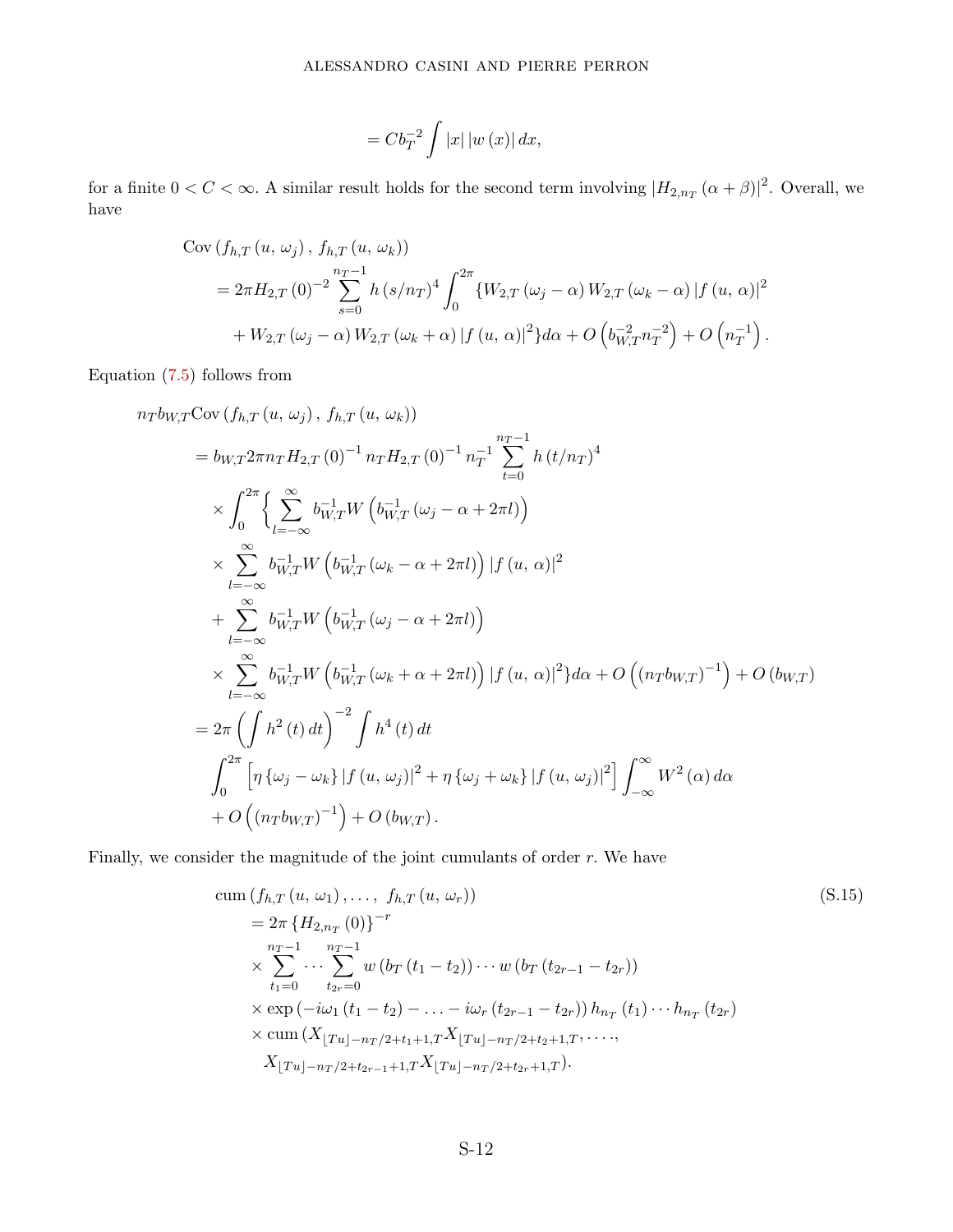$$
=Cb_T^{-2}\int |x|\,|w\left(x\right)|\,dx,
$$

for a finite  $0 < C < \infty$ . A similar result holds for the second term involving  $|H_{2,n_T}(\alpha+\beta)|^2$ . Overall, we have

$$
Cov(f_{h,T}(u, \omega_j), f_{h,T}(u, \omega_k))
$$
  
=  $2\pi H_{2,T}(0)^{-2} \sum_{s=0}^{n_T-1} h(s/n_T)^4 \int_0^{2\pi} \{W_{2,T}(\omega_j - \alpha) W_{2,T}(\omega_k - \alpha) |f(u, \alpha)|^2$   
+  $W_{2,T}(\omega_j - \alpha) W_{2,T}(\omega_k + \alpha) |f(u, \alpha)|^2\} d\alpha + O\left(b_{W,T}^{-2} n_T^{-2}\right) + O\left(n_T^{-1}\right).$ 

Equation [\(7.5\)](#page-24-1) follows from

$$
n_{T}b_{W,T}Cov(f_{h,T}(u, \omega_{j}), f_{h,T}(u, \omega_{k}))
$$
\n
$$
= b_{W,T}2\pi n_{T}H_{2,T}(0)^{-1} n_{T}H_{2,T}(0)^{-1} n_{T}^{-1} \sum_{t=0}^{n_{T}-1} h(t/n_{T})^{4}
$$
\n
$$
\times \int_{0}^{2\pi} \left\{ \sum_{l=-\infty}^{\infty} b_{W,T}^{-1} W\left(b_{W,T}^{-1}(\omega_{j}-\alpha+2\pi l)\right) \right.
$$
\n
$$
\times \sum_{l=-\infty}^{\infty} b_{W,T}^{-1} W\left(b_{W,T}^{-1}(\omega_{k}-\alpha+2\pi l)\right) |f(u, \alpha)|^{2}
$$
\n
$$
+ \sum_{l=-\infty}^{\infty} b_{W,T}^{-1} W\left(b_{W,T}^{-1}(\omega_{j}-\alpha+2\pi l)\right)
$$
\n
$$
\times \sum_{l=-\infty}^{\infty} b_{W,T}^{-1} W\left(b_{W,T}^{-1}(\omega_{k}+\alpha+2\pi l)\right) |f(u, \alpha)|^{2} d\alpha + O\left((n_{T}b_{W,T})^{-1}\right) + O(b_{W,T})
$$
\n
$$
= 2\pi \left(\int h^{2}(t) dt\right)^{-2} \int h^{4}(t) dt
$$
\n
$$
\int_{0}^{2\pi} \left[n\left\{\omega_{j}-\omega_{k}\right\} |f(u, \omega_{j})|^{2} + n\left\{\omega_{j}+\omega_{k}\right\} |f(u, \omega_{j})|^{2}\right]\int_{-\infty}^{\infty} W^{2}(\alpha) d\alpha
$$
\n
$$
+ O\left((n_{T}b_{W,T})^{-1}\right) + O(b_{W,T}).
$$

Finally, we consider the magnitude of the joint cumulants of order *r.* We have

<span id="page-46-0"></span>cum 
$$
(f_{h,T}(u, \omega_1),..., f_{h,T}(u, \omega_r))
$$
  
\n
$$
= 2\pi \{H_{2,n_T}(0)\}^{-r}
$$
\n
$$
\times \sum_{t_1=0}^{n_T-1} \cdots \sum_{t_{2r}=0}^{n_T-1} w (b_T (t_1 - t_2)) \cdots w (b_T (t_{2r-1} - t_{2r}))
$$
\n
$$
\times \exp(-i\omega_1 (t_1 - t_2) - ... - i\omega_r (t_{2r-1} - t_{2r})) h_{n_T} (t_1) \cdots h_{n_T} (t_{2r})
$$
\n
$$
\times \operatorname{cum}(X_{\lfloor Tu \rfloor - n_T/2 + t_1 + 1, T} X_{\lfloor Tu \rfloor - n_T/2 + t_2 + 1, T}, ..., X_{\lfloor Tu \rfloor - n_T/2 + t_{2r-1} + 1, T} X_{\lfloor Tu \rfloor - n_T/2 + t_{2r} + 1, T}).
$$
\n(S.15)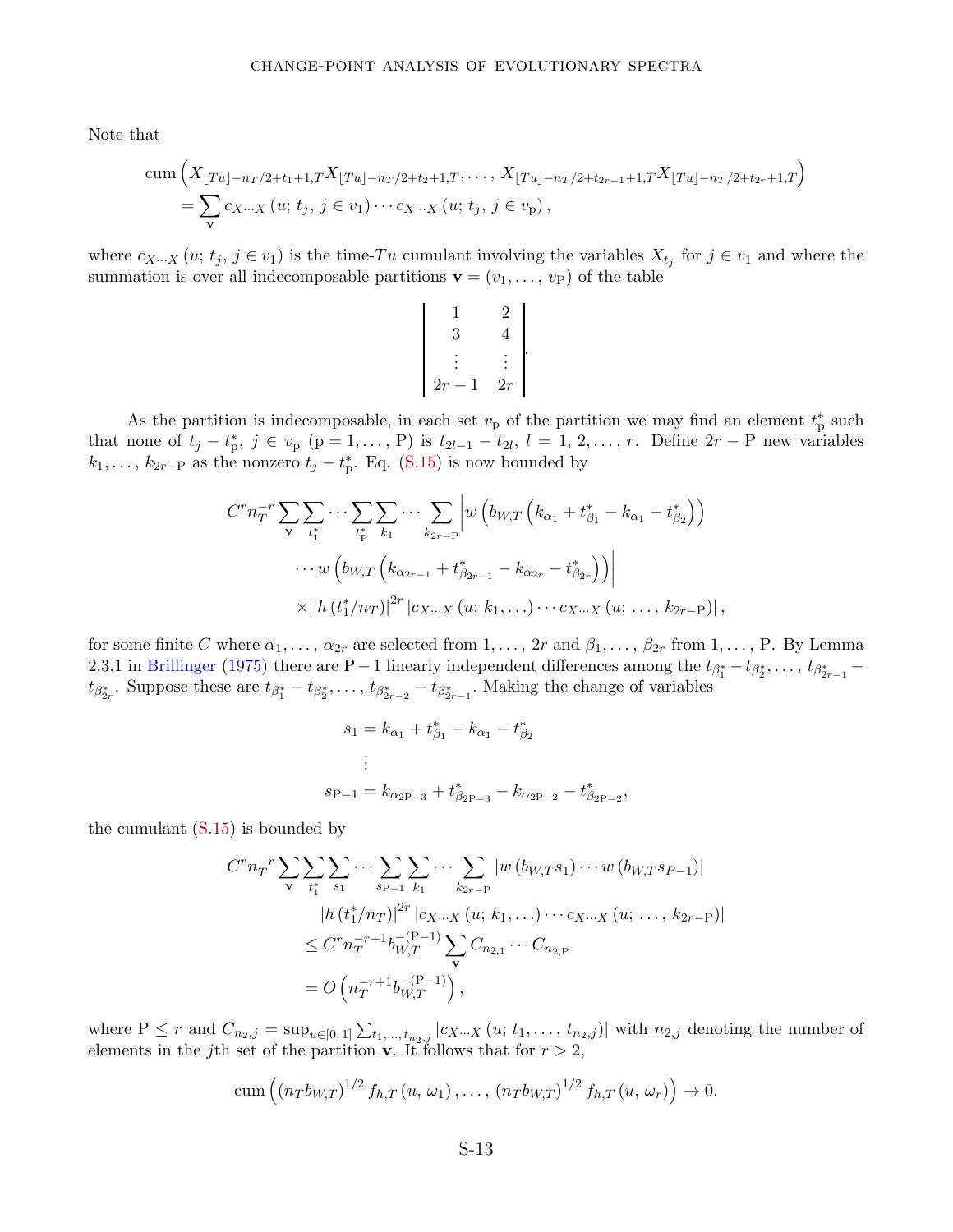Note that

cum 
$$
\left(X_{\lfloor Tu \rfloor - n_T/2 + t_1 + 1,T}X_{\lfloor Tu \rfloor - n_T/2 + t_2 + 1,T}, \ldots, X_{\lfloor Tu \rfloor - n_T/2 + t_{2r-1} + 1,T}X_{\lfloor Tu \rfloor - n_T/2 + t_{2r} + 1,T}\right)
$$
  
=  $\sum_{\mathbf{v}} c_{X\cdots X}(u; t_j, j \in v_1) \cdots c_{X\cdots X}(u; t_j, j \in v_p),$ 

where  $c_{X\cdots X}(u; t_j, j \in v_1)$  is the time-*Tu* cumulant involving the variables  $X_{t_j}$  for  $j \in v_1$  and where the summation is over all indecomposable partitions  $\mathbf{v} = (v_1, \dots, v_p)$  of the table

$$
\begin{vmatrix} 1 & 2 \\ 3 & 4 \\ \vdots & \vdots \\ 2r - 1 & 2r \end{vmatrix}.
$$

As the partition is indecomposable, in each set  $v<sub>p</sub>$  of the partition we may find an element  $t<sub>p</sub><sup>*</sup>$  such that none of  $t_j - t_p^*$ ,  $j \in v_p$  ( $p = 1, ..., P$ ) is  $t_{2l-1} - t_{2l}$ ,  $l = 1, 2, ..., r$ . Define  $2r - P$  new variables  $k_1, \ldots, k_{2r-P}$  as the nonzero  $t_j - t_p^*$ . Eq. [\(S.15\)](#page-46-0) is now bounded by

$$
C^{r} n_{T}^{-r} \sum_{\mathbf{v}} \sum_{t_{1}^{*}} \cdots \sum_{t_{p}^{*}} \sum_{k_{1}} \cdots \sum_{k_{2r-p}} \left| w \left( b_{W,T} \left( k_{\alpha_{1}} + t_{\beta_{1}}^{*} - k_{\alpha_{1}} - t_{\beta_{2}}^{*} \right) \right) \right|
$$
  
 
$$
\cdots w \left( b_{W,T} \left( k_{\alpha_{2r-1}} + t_{\beta_{2r-1}}^{*} - k_{\alpha_{2r}} - t_{\beta_{2r}}^{*} \right) \right) \left| \times |h(t_{1}^{*}/n_{T})|^{2r} |c_{X}... \chi(u; k_{1}, ...)\cdots c_{X}... \chi(u; ..., k_{2r-p})|, \right|
$$

for some finite *C* where  $\alpha_1, \ldots, \alpha_{2r}$  are selected from  $1, \ldots, 2r$  and  $\beta_1, \ldots, \beta_{2r}$  from  $1, \ldots, P$ . By Lemma 2.3.1 in [Brillinger](#page-28-1) [\(1975](#page-28-1)) there are P – 1 linearly independent differences among the  $t_{\beta_1^*} - t_{\beta_2^*}, \ldots, t_{\beta_{2r-1}^*}$  $t_{\beta^*_{2r}}$ . Suppose these are  $t_{\beta^*_1} - t_{\beta^*_2}, \ldots, t_{\beta^*_{2r-2}} - t_{\beta^*_{2r-1}}$ . Making the change of variables

$$
s_1 = k_{\alpha_1} + t_{\beta_1}^* - k_{\alpha_1} - t_{\beta_2}^*
$$
  
\n:  
\n:  
\n
$$
s_{P-1} = k_{\alpha_{2P-3}} + t_{\beta_{2P-3}}^* - k_{\alpha_{2P-2}} - t_{\beta_{2P-2}}^*
$$

the cumulant  $(S.15)$  is bounded by

$$
C^{r} n_{T}^{-r} \sum_{\mathbf{v}} \sum_{t_{1}^{*}} \sum_{s_{1}} \cdots \sum_{s_{P-1}} \sum_{k_{1}} \cdots \sum_{k_{2r-P}} |w (b_{W,T} s_{1}) \cdots w (b_{W,T} s_{P-1})|
$$
  
\n
$$
|h (t_{1}^{*}/n_{T})|^{2r} |c_{X}... X (u; k_{1},...)\cdots c_{X}... X (u; ..., k_{2r-P})|
$$
  
\n
$$
\leq C^{r} n_{T}^{-r+1} b_{W,T}^{-(P-1)} \sum_{\mathbf{v}} C_{n_{2,1}} \cdots C_{n_{2,P}}
$$
  
\n
$$
= O\left(n_{T}^{-r+1} b_{W,T}^{-(P-1)}\right),
$$

where  $P \leq r$  and  $C_{n_2,j} = \sup_{u \in [0,1]} \sum_{t_1,...,t_{n_2,j}} |c_{X...X}(u; t_1,..., t_{n_2,j})|$  with  $n_{2,j}$  denoting the number of elements in the *j*th set of the partition **v**. It follows that for  $r > 2$ ,

$$
\operatorname{cum}\left((n_T b_{W,T})^{1/2} f_{h,T}(u,\,\omega_1),\ldots,(n_T b_{W,T})^{1/2} f_{h,T}(u,\,\omega_r)\right) \to 0.
$$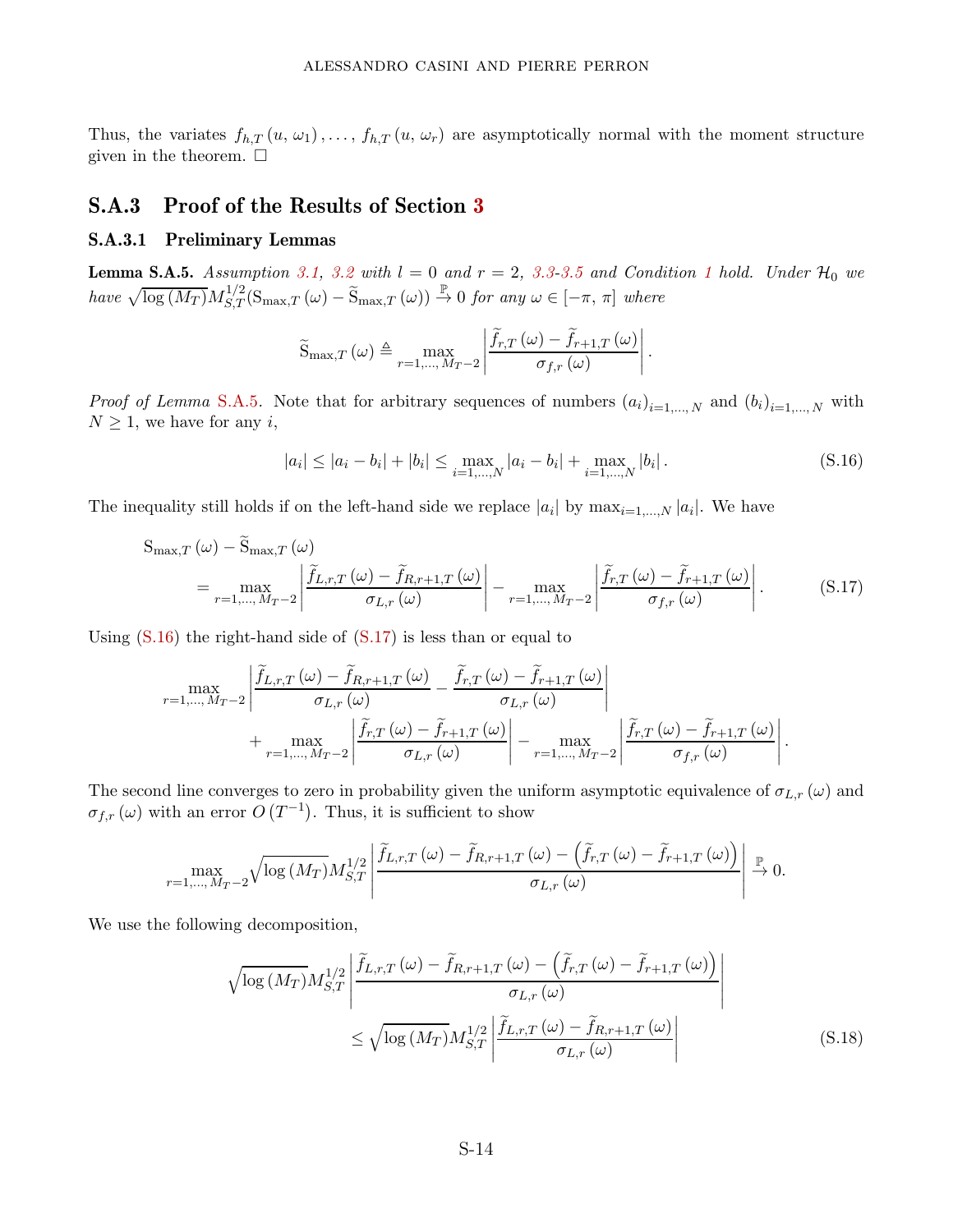Thus, the variates  $f_{h,T}(u, \omega_1), \ldots, f_{h,T}(u, \omega_r)$  are asymptotically normal with the moment structure given in the theorem.  $\square$ 

### <span id="page-48-0"></span>S.A.3 Proof of the Results of Section [3](#page-7-0)

### S.A.3.1 Preliminary Lemmas

<span id="page-48-1"></span>**Lemma S.A.5.** Assumption [3.1,](#page-10-1) [3.2](#page-10-2) with  $l = 0$  and  $r = 2$ , [3.3-](#page-10-3)[3.5](#page-11-0) and Condition [1](#page-12-1) hold. Under  $\mathcal{H}_0$  we  $have \sqrt{\log (M_T)} M_{S,T}^{1/2}(\text{S}_{\text{max},T}(\omega) - \widetilde{\text{S}}_{\text{max},T}(\omega)) \stackrel{\mathbb{P}}{\rightarrow} 0 \text{ for any } \omega \in [-\pi, \pi] \text{ where}$ 

<span id="page-48-2"></span>
$$
\widetilde{S}_{\max,T}(\omega) \triangleq \max_{r=1,\dots,M_T-2} \left| \frac{\widetilde{f}_{r,T}(\omega) - \widetilde{f}_{r+1,T}(\omega)}{\sigma_{f,r}(\omega)} \right|.
$$

*Proof of Lemma* [S.A.5](#page-48-1). Note that for arbitrary sequences of numbers  $(a_i)_{i=1,\dots,N}$  and  $(b_i)_{i=1,\dots,N}$  with  $N \geq 1$ , we have for any *i*,

<span id="page-48-3"></span>
$$
|a_i| \le |a_i - b_i| + |b_i| \le \max_{i=1,\dots,N} |a_i - b_i| + \max_{i=1,\dots,N} |b_i|.
$$
 (S.16)

The inequality still holds if on the left-hand side we replace  $|a_i|$  by  $\max_{i=1,\dots,N} |a_i|$ . We have

$$
S_{\max,T}(\omega) - \widetilde{S}_{\max,T}(\omega)
$$
  
= 
$$
\max_{r=1,\dots,M_T-2} \left| \frac{\widetilde{f}_{L,r,T}(\omega) - \widetilde{f}_{R,r+1,T}(\omega)}{\sigma_{L,r}(\omega)} \right| - \max_{r=1,\dots,M_T-2} \left| \frac{\widetilde{f}_{r,T}(\omega) - \widetilde{f}_{r+1,T}(\omega)}{\sigma_{f,r}(\omega)} \right|.
$$
 (S.17)

Using  $(S.16)$  the right-hand side of  $(S.17)$  is less than or equal to

$$
\max_{r=1,\ldots,M_{T}-2} \left| \frac{\widetilde{f}_{L,r,T}(\omega) - \widetilde{f}_{R,r+1,T}(\omega)}{\sigma_{L,r}(\omega)} - \frac{\widetilde{f}_{r,T}(\omega) - \widetilde{f}_{r+1,T}(\omega)}{\sigma_{L,r}(\omega)} \right| + \max_{r=1,\ldots,M_{T}-2} \left| \frac{\widetilde{f}_{r,T}(\omega) - \widetilde{f}_{r+1,T}(\omega)}{\sigma_{L,r}(\omega)} \right| - \max_{r=1,\ldots,M_{T}-2} \left| \frac{\widetilde{f}_{r,T}(\omega) - \widetilde{f}_{r+1,T}(\omega)}{\sigma_{f,r}(\omega)} \right|.
$$

The second line converges to zero in probability given the uniform asymptotic equivalence of  $\sigma_{L,r}(\omega)$  and  $\sigma_{f,r}(\omega)$  with an error  $O(T^{-1})$ . Thus, it is sufficient to show

$$
\max_{r=1,\ldots,M_T-2} \sqrt{\log\left(M_T\right)} M_{S,T}^{1/2} \left| \frac{\widetilde{f}_{L,r,T}\left(\omega\right)-\widetilde{f}_{R,r+1,T}\left(\omega\right)-\left(\widetilde{f}_{r,T}\left(\omega\right)-\widetilde{f}_{r+1,T}\left(\omega\right)\right)}{\sigma_{L,r}\left(\omega\right)} \right| \overset{\mathbb{P}}{\to} 0.
$$

We use the following decomposition,

<span id="page-48-4"></span>
$$
\sqrt{\log(M_T)} M_{S,T}^{1/2} \left| \frac{\widetilde{f}_{L,r,T}(\omega) - \widetilde{f}_{R,r+1,T}(\omega) - (\widetilde{f}_{r,T}(\omega) - \widetilde{f}_{r+1,T}(\omega))}{\sigma_{L,r}(\omega)} \right|
$$
  

$$
\leq \sqrt{\log(M_T)} M_{S,T}^{1/2} \left| \frac{\widetilde{f}_{L,r,T}(\omega) - \widetilde{f}_{R,r+1,T}(\omega)}{\sigma_{L,r}(\omega)} \right|
$$
(S.18)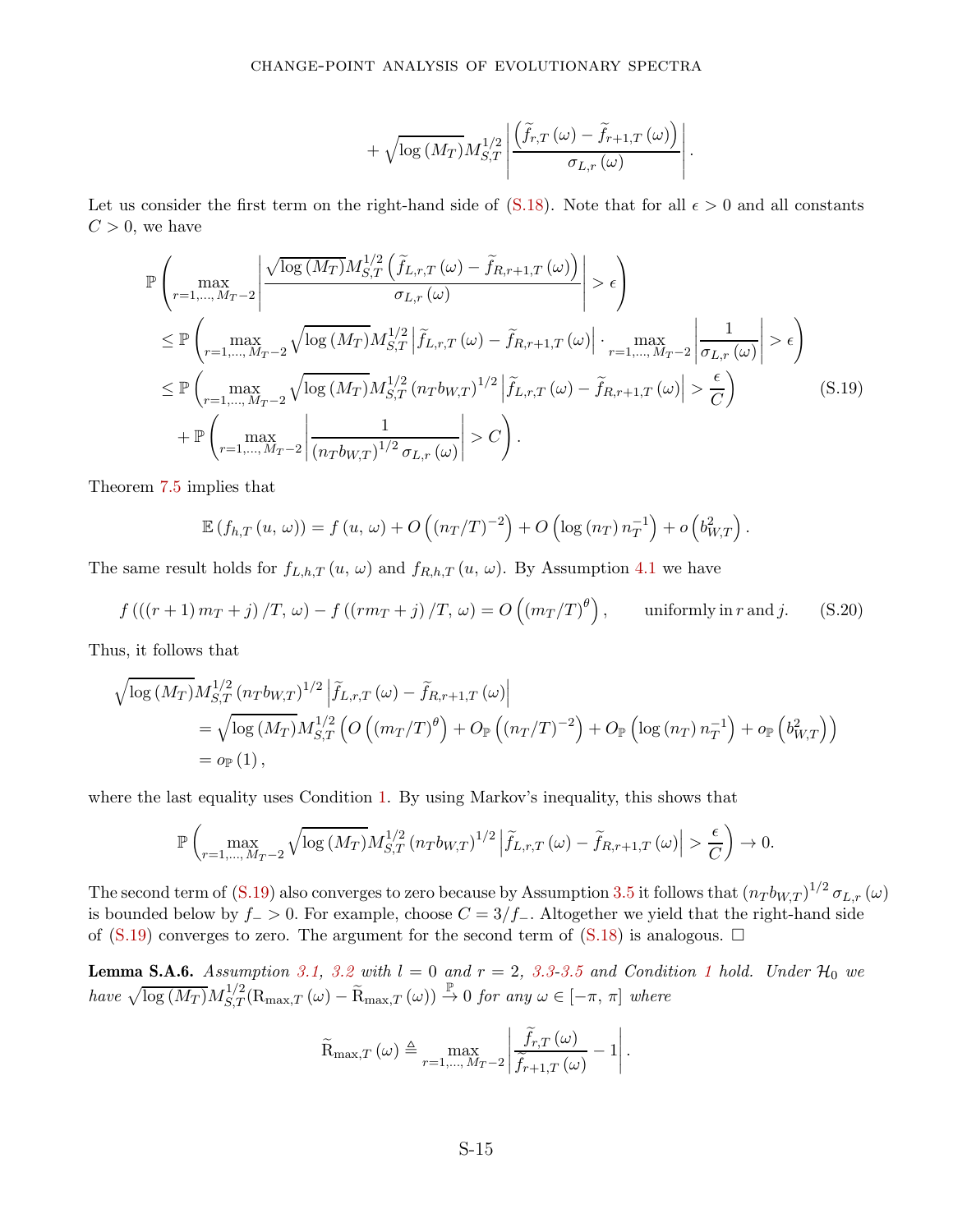<span id="page-49-0"></span>
$$
+\sqrt{\log\left(M_{T}\right)}M_{S,T}^{1/2}\left|\frac{\left(\widetilde{f}_{r,T}\left(\omega\right)-\widetilde{f}_{r+1,T}\left(\omega\right)\right)}{\sigma_{L,r}\left(\omega\right)}\right|.
$$

Let us consider the first term on the right-hand side of  $(S.18)$ . Note that for all  $\epsilon > 0$  and all constants  $C > 0$ , we have

$$
\mathbb{P}\left(\max_{r=1,\ldots,M_{T}-2}\left|\frac{\sqrt{\log\left(M_{T}\right)}M_{S,T}^{1/2}\left(\tilde{f}_{L,r,T}\left(\omega\right)-\tilde{f}_{R,r+1,T}\left(\omega\right)\right)}{\sigma_{L,r}\left(\omega\right)}\right|>\epsilon\right)
$$
\n
$$
\leq \mathbb{P}\left(\max_{r=1,\ldots,M_{T}-2}\sqrt{\log\left(M_{T}\right)}M_{S,T}^{1/2}\left|\tilde{f}_{L,r,T}\left(\omega\right)-\tilde{f}_{R,r+1,T}\left(\omega\right)\right|\cdot\max_{r=1,\ldots,M_{T}-2}\left|\frac{1}{\sigma_{L,r}\left(\omega\right)}\right|>\epsilon\right)
$$
\n
$$
\leq \mathbb{P}\left(\max_{r=1,\ldots,M_{T}-2}\sqrt{\log\left(M_{T}\right)}M_{S,T}^{1/2}\left(n_{T}b_{W,T}\right)^{1/2}\left|\tilde{f}_{L,r,T}\left(\omega\right)-\tilde{f}_{R,r+1,T}\left(\omega\right)\right|>\frac{\epsilon}{C}\right)
$$
\n
$$
+\mathbb{P}\left(\max_{r=1,\ldots,M_{T}-2}\left|\frac{1}{\left(n_{T}b_{W,T}\right)^{1/2}\sigma_{L,r}\left(\omega\right)}\right|>C\right).
$$
\n(S.19)

Theorem [7.5](#page-23-2) implies that

<span id="page-49-2"></span>
$$
\mathbb{E}\left(f_{h,T}\left(u,\,\omega\right)\right)=f\left(u,\,\omega\right)+O\left(\left(n_{T}/T\right)^{-2}\right)+O\left(\log\left(n_{T}\right)n_{T}^{-1}\right)+o\left(b_{W,T}^{2}\right).
$$

The same result holds for  $f_{L,h,T}(u, \omega)$  and  $f_{R,h,T}(u, \omega)$ . By Assumption [4.1](#page-13-0) we have

$$
f\left(\left(\left(r+1\right)m_{T}+j\right)/T,\,\omega\right)-f\left(\left(rm_{T}+j\right)/T,\,\omega\right)=O\left(\left(m_{T}/T\right)^{\theta}\right),\qquad\text{uniformly in }r\text{ and }j.\tag{S.20}
$$

Thus, it follows that

$$
\sqrt{\log (M_T)} M_{S,T}^{1/2} (n_T b_{W,T})^{1/2} \left| \tilde{f}_{L,r,T} (\omega) - \tilde{f}_{R,r+1,T} (\omega) \right|
$$
  
=  $\sqrt{\log (M_T)} M_{S,T}^{1/2} \left( O\left( (m_T/T)^\theta \right) + O_{\mathbb{P}} \left( (n_T/T)^{-2} \right) + O_{\mathbb{P}} \left( \log (n_T) n_T^{-1} \right) + o_{\mathbb{P}} \left( b_{W,T}^2 \right) \right)$   
=  $o_{\mathbb{P}} (1),$ 

where the last equality uses Condition [1.](#page-12-1) By using Markov's inequality, this shows that

$$
\mathbb{P}\left(\max_{r=1,\ldots,M_T-2}\sqrt{\log\left(M_T\right)}M_{S,T}^{1/2}\left(n_Tb_{W,T}\right)^{1/2}\left|\widetilde{f}_{L,r,T}\left(\omega\right)-\widetilde{f}_{R,r+1,T}\left(\omega\right)\right|>\frac{\epsilon}{C}\right)\to 0.
$$

The second term of [\(S.19\)](#page-49-0) also converges to zero because by Assumption [3.5](#page-11-0) it follows that  $(n_T b_{W,T})^{1/2} \sigma_{L,r} (\omega)$ is bounded below by  $f$  > 0. For example, choose  $C = 3/f$  – Altogether we yield that the right-hand side of  $(S.19)$  converges to zero. The argument for the second term of  $(S.18)$  is analogous.  $\Box$ 

<span id="page-49-1"></span>**Lemma S.A.6.** Assumption [3.1,](#page-10-1) [3.2](#page-10-2) with  $l = 0$  and  $r = 2$ , [3.3-](#page-10-3)[3.5](#page-11-0) and Condition [1](#page-12-1) hold. Under  $\mathcal{H}_0$  we  $have \sqrt{\log (M_T)} M_{S,T}^{1/2}(\mathcal{R}_{\max,T}(\omega) - \widetilde{\mathcal{R}}_{\max,T}(\omega)) \stackrel{\mathbb{P}}{\rightarrow} 0$  for any  $\omega \in [-\pi, \pi]$  where

$$
\widetilde{\mathbf{R}}_{\max,T}(\omega) \triangleq \max_{r=1,\dots,M_T-2} \left| \frac{\widetilde{f}_{r,T}(\omega)}{\widetilde{f}_{r+1,T}(\omega)} - 1 \right|.
$$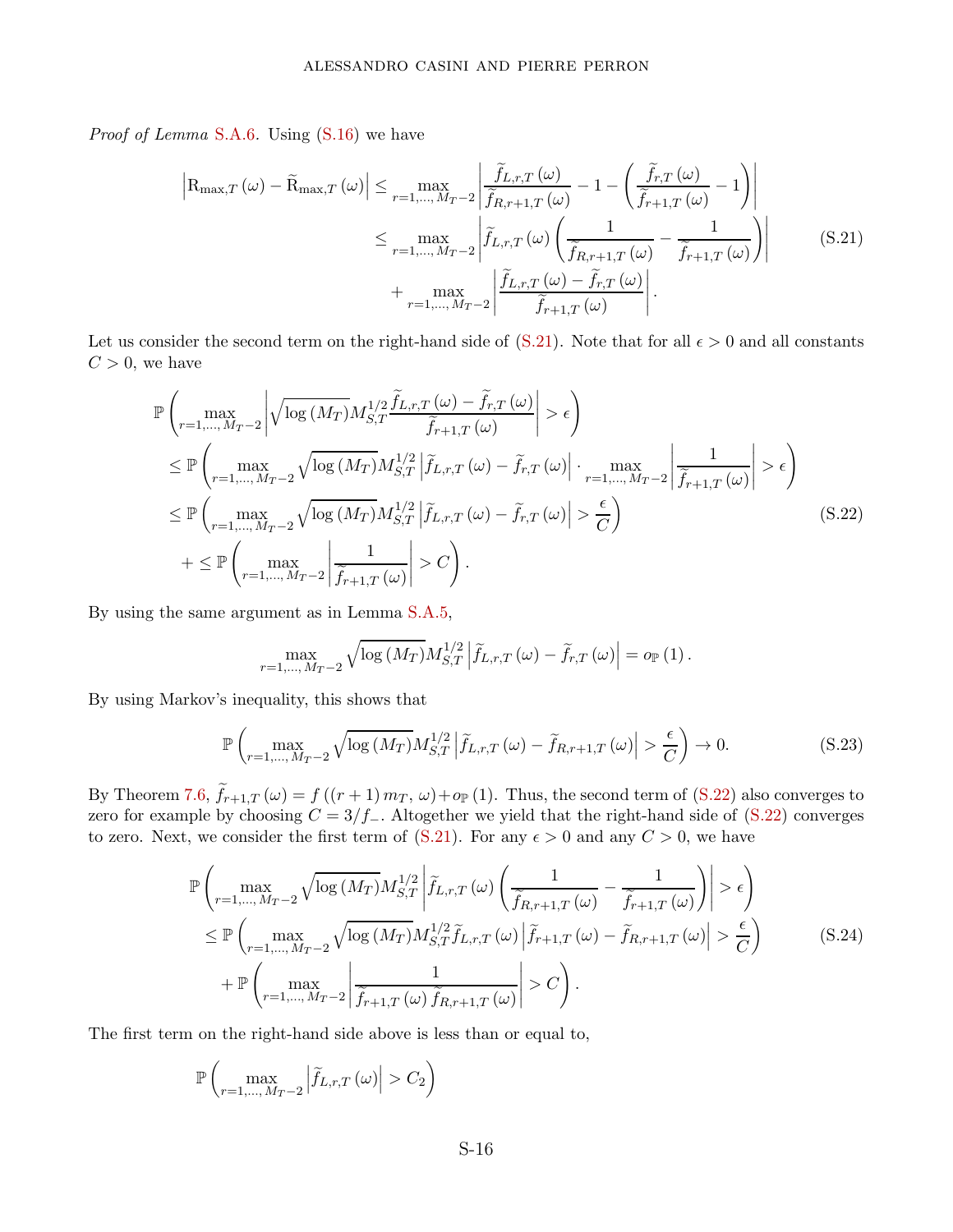*Proof of Lemma* [S.A.6](#page-49-1). Using [\(S.16\)](#page-48-2) we have

<span id="page-50-0"></span>
$$
\left| R_{\max,T} \left( \omega \right) - \widetilde{R}_{\max,T} \left( \omega \right) \right| \leq \max_{r=1,\dots,M_{T}-2} \left| \frac{\widetilde{f}_{L,r,T} \left( \omega \right)}{\widetilde{f}_{R,r+1,T} \left( \omega \right)} - 1 - \left( \frac{\widetilde{f}_{r,T} \left( \omega \right)}{\widetilde{f}_{r+1,T} \left( \omega \right)} - 1 \right) \right|
$$
  

$$
\leq \max_{r=1,\dots,M_{T}-2} \left| \widetilde{f}_{L,r,T} \left( \omega \right) \left( \frac{1}{\widetilde{f}_{R,r+1,T} \left( \omega \right)} - \frac{1}{\widetilde{f}_{r+1,T} \left( \omega \right)} \right) \right|
$$
  

$$
+ \max_{r=1,\dots,M_{T}-2} \left| \frac{\widetilde{f}_{L,r,T} \left( \omega \right) - \widetilde{f}_{r,T} \left( \omega \right)}{\widetilde{f}_{r+1,T} \left( \omega \right)} \right|.
$$
 (S.21)

Let us consider the second term on the right-hand side of  $(S.21)$ . Note that for all  $\epsilon > 0$  and all constants  $C > 0$ , we have

$$
\mathbb{P}\left(\max_{r=1,\ldots,M_{T}-2}\left|\sqrt{\log\left(M_{T}\right)}M_{S,T}^{1/2}\frac{\tilde{f}_{L,r,T}\left(\omega\right)-\tilde{f}_{r,T}\left(\omega\right)}{\tilde{f}_{r+1,T}\left(\omega\right)}\right|>\epsilon\right)
$$
\n
$$
\leq \mathbb{P}\left(\max_{r=1,\ldots,M_{T}-2}\sqrt{\log\left(M_{T}\right)}M_{S,T}^{1/2}\left|\tilde{f}_{L,r,T}\left(\omega\right)-\tilde{f}_{r,T}\left(\omega\right)\right|\cdot\max_{r=1,\ldots,M_{T}-2}\left|\frac{1}{\tilde{f}_{r+1,T}\left(\omega\right)}\right|>\epsilon\right)
$$
\n
$$
\leq \mathbb{P}\left(\max_{r=1,\ldots,M_{T}-2}\sqrt{\log\left(M_{T}\right)}M_{S,T}^{1/2}\left|\tilde{f}_{L,r,T}\left(\omega\right)-\tilde{f}_{r,T}\left(\omega\right)\right|>\frac{\epsilon}{C}\right)
$$
\n
$$
+\leq \mathbb{P}\left(\max_{r=1,\ldots,M_{T}-2}\left|\frac{1}{\tilde{f}_{r+1,T}\left(\omega\right)}\right|>C\right).
$$
\n(S.22)

By using the same argument as in Lemma [S.A.5,](#page-48-1)

<span id="page-50-3"></span><span id="page-50-2"></span><span id="page-50-1"></span>
$$
\max_{r=1,\ldots,M_{T}-2} \sqrt{\log\left(M_{T}\right)} M_{S,T}^{1/2} \left|\widetilde{f}_{L,r,T}\left(\omega\right)-\widetilde{f}_{r,T}\left(\omega\right)\right| = o_{\mathbb{P}}\left(1\right).
$$

By using Markov's inequality, this shows that

$$
\mathbb{P}\left(\max_{r=1,\ldots,M_{T}-2} \sqrt{\log\left(M_{T}\right)} M_{S,T}^{1/2} \left|\tilde{f}_{L,r,T}\left(\omega\right)-\tilde{f}_{R,r+1,T}\left(\omega\right)\right|>\frac{\epsilon}{C}\right)\to 0.\tag{S.23}
$$

By Theorem [7.6,](#page-23-1)  $f_{r+1,T}(\omega) = f((r+1) m_T, \omega) + o_P(1)$ . Thus, the second term of [\(S.22\)](#page-50-1) also converges to zero for example by choosing  $C = 3/f$ <sub>−</sub>. Altogether we yield that the right-hand side of [\(S.22\)](#page-50-1) converges to zero. Next, we consider the first term of [\(S.21\)](#page-50-0). For any  $\epsilon > 0$  and any  $C > 0$ , we have

$$
\mathbb{P}\left(\max_{r=1,\ldots,M_{T}-2} \sqrt{\log(M_{T})} M_{S,T}^{1/2} \left| \tilde{f}_{L,r,T}(\omega) \left( \frac{1}{\tilde{f}_{R,r+1,T}(\omega)} - \frac{1}{\tilde{f}_{r+1,T}(\omega)} \right) \right| > \epsilon \right)
$$
\n
$$
\leq \mathbb{P}\left(\max_{r=1,\ldots,M_{T}-2} \sqrt{\log(M_{T})} M_{S,T}^{1/2} \tilde{f}_{L,r,T}(\omega) \left| \tilde{f}_{r+1,T}(\omega) - \tilde{f}_{R,r+1,T}(\omega) \right| > \frac{\epsilon}{C} \right)
$$
\n
$$
+ \mathbb{P}\left(\max_{r=1,\ldots,M_{T}-2} \left| \frac{1}{\tilde{f}_{r+1,T}(\omega) \tilde{f}_{R,r+1,T}(\omega)} \right| > C \right).
$$
\n(S.24)

The first term on the right-hand side above is less than or equal to,

$$
\mathbb{P}\left(\max_{r=1,\dots,M_T-2} \left|\widetilde{f}_{L,r,T}\left(\omega\right)\right|>C_2\right)
$$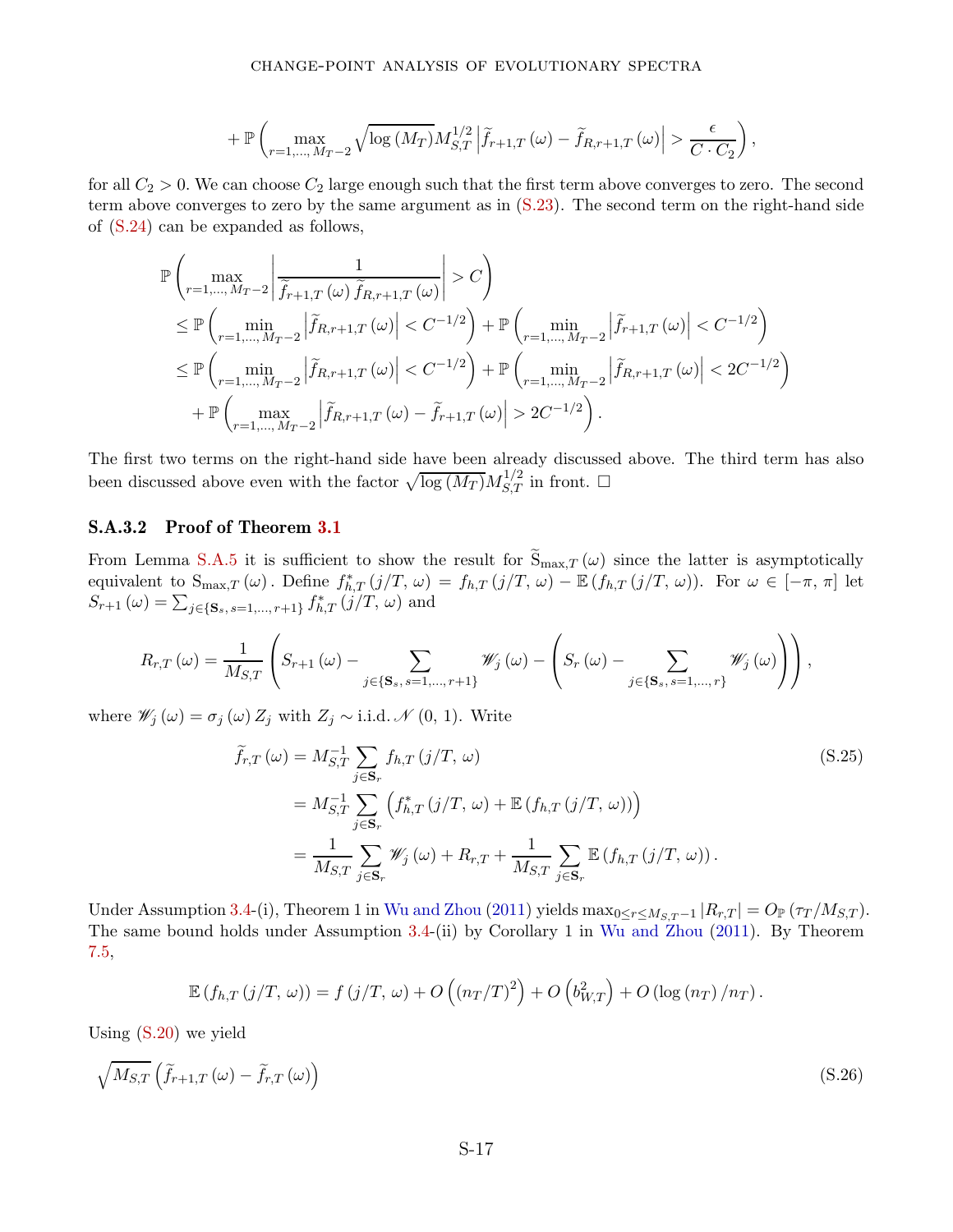$$
+ \mathbb{P}\left(\max_{r=1,\ldots,M_{T}-2}\sqrt{\log\left(M_{T}\right)}M_{S,T}^{1/2}\left|\widetilde{f}_{r+1,T}\left(\omega\right)-\widetilde{f}_{R,r+1,T}\left(\omega\right)\right| > \frac{\epsilon}{C \cdot C_{2}}\right),
$$

for all  $C_2 > 0$ . We can choose  $C_2$  large enough such that the first term above converges to zero. The second term above converges to zero by the same argument as in [\(S.23\)](#page-50-2). The second term on the right-hand side of [\(S.24\)](#page-50-3) can be expanded as follows,

$$
\mathbb{P}\left(\max_{r=1,\ldots,M_{T}-2} \left|\frac{1}{\tilde{f}_{r+1,T}(\omega)\,\tilde{f}_{R,r+1,T}(\omega)}\right| > C\right)
$$
\n
$$
\leq \mathbb{P}\left(\min_{r=1,\ldots,M_{T}-2} \left|\tilde{f}_{R,r+1,T}(\omega)\right| < C^{-1/2}\right) + \mathbb{P}\left(\min_{r=1,\ldots,M_{T}-2} \left|\tilde{f}_{r+1,T}(\omega)\right| < C^{-1/2}\right)
$$
\n
$$
\leq \mathbb{P}\left(\min_{r=1,\ldots,M_{T}-2} \left|\tilde{f}_{R,r+1,T}(\omega)\right| < C^{-1/2}\right) + \mathbb{P}\left(\min_{r=1,\ldots,M_{T}-2} \left|\tilde{f}_{R,r+1,T}(\omega)\right| < 2C^{-1/2}\right)
$$
\n
$$
+ \mathbb{P}\left(\max_{r=1,\ldots,M_{T}-2} \left|\tilde{f}_{R,r+1,T}(\omega) - \tilde{f}_{r+1,T}(\omega)\right| > 2C^{-1/2}\right).
$$

The first two terms on the right-hand side have been already discussed above. The third term has also been discussed above even with the factor  $\sqrt{\log (M_T)} M_{S,T}^{1/2}$  in front.  $\Box$ 

### S.A.3.2 Proof of Theorem [3.1](#page-12-2)

From Lemma [S.A.5](#page-48-1) it is sufficient to show the result for  $\tilde{S}_{\text{max},T}(\omega)$  since the latter is asymptotically equivalent to  $S_{\max,T}(\omega)$ . Define  $f_{h,T}^*(j/T, \omega) = f_{h,T}(j/T, \omega) - \mathbb{E}(f_{h,T}(j/T, \omega))$ . For  $\omega \in [-\pi, \pi]$  let  $S_{r+1}(\omega) = \sum_{j \in \{S_s, s=1, ..., r+1\}} f_{h,T}^*(j/T, \omega)$  and

$$
R_{r,T}(\omega) = \frac{1}{M_{S,T}} \left( S_{r+1}(\omega) - \sum_{j \in \{\mathbf{S}_s, s=1,\dots,r+1\}} \mathscr{W}_j(\omega) - \left( S_r(\omega) - \sum_{j \in \{\mathbf{S}_s, s=1,\dots,r\}} \mathscr{W}_j(\omega) \right) \right),
$$

where  $\mathscr{W}_j(\omega) = \sigma_j(\omega) Z_j$  with  $Z_j \sim \text{i.i.d.} \mathscr{N}(0, 1)$ . Write

$$
\widetilde{f}_{r,T}(\omega) = M_{S,T}^{-1} \sum_{j \in \mathbf{S}_r} f_{h,T}(j/T, \omega)
$$
\n
$$
= M_{S,T}^{-1} \sum_{j \in \mathbf{S}_r} \left( f_{h,T}^*(j/T, \omega) + \mathbb{E} \left( f_{h,T}(j/T, \omega) \right) \right)
$$
\n
$$
= \frac{1}{M_{S,T}} \sum_{j \in \mathbf{S}_r} \mathscr{W}_j(\omega) + R_{r,T} + \frac{1}{M_{S,T}} \sum_{j \in \mathbf{S}_r} \mathbb{E} \left( f_{h,T}(j/T, \omega) \right).
$$
\n(S.25)

Under Assumption [3.4-](#page-11-1)(i), Theorem 1 in Wu and Zhou (2011) yields  $\max_{0 \le r \le M_{S,T}-1} |R_{r,T}| = O_{\mathbb{P}}(\tau_T/M_{S,T})$ . The same bound holds under Assumption [3.4-](#page-11-1)(ii) by Corollary 1 in Wu and Zhou (2011). By Theorem [7.5,](#page-23-2)

$$
\mathbb{E}\left(f_{h,T}\left(j/T,\,\omega\right)\right)=f\left(j/T,\,\omega\right)+O\left(\left(n_{T}/T\right)^{2}\right)+O\left(b_{W,T}^{2}\right)+O\left(\log\left(n_{T}\right)/n_{T}\right).
$$

Using [\(S.20\)](#page-49-2) we yield

$$
\sqrt{M_{S,T}}\left(\tilde{f}_{r+1,T}\left(\omega\right)-\tilde{f}_{r,T}\left(\omega\right)\right) \tag{S.26}
$$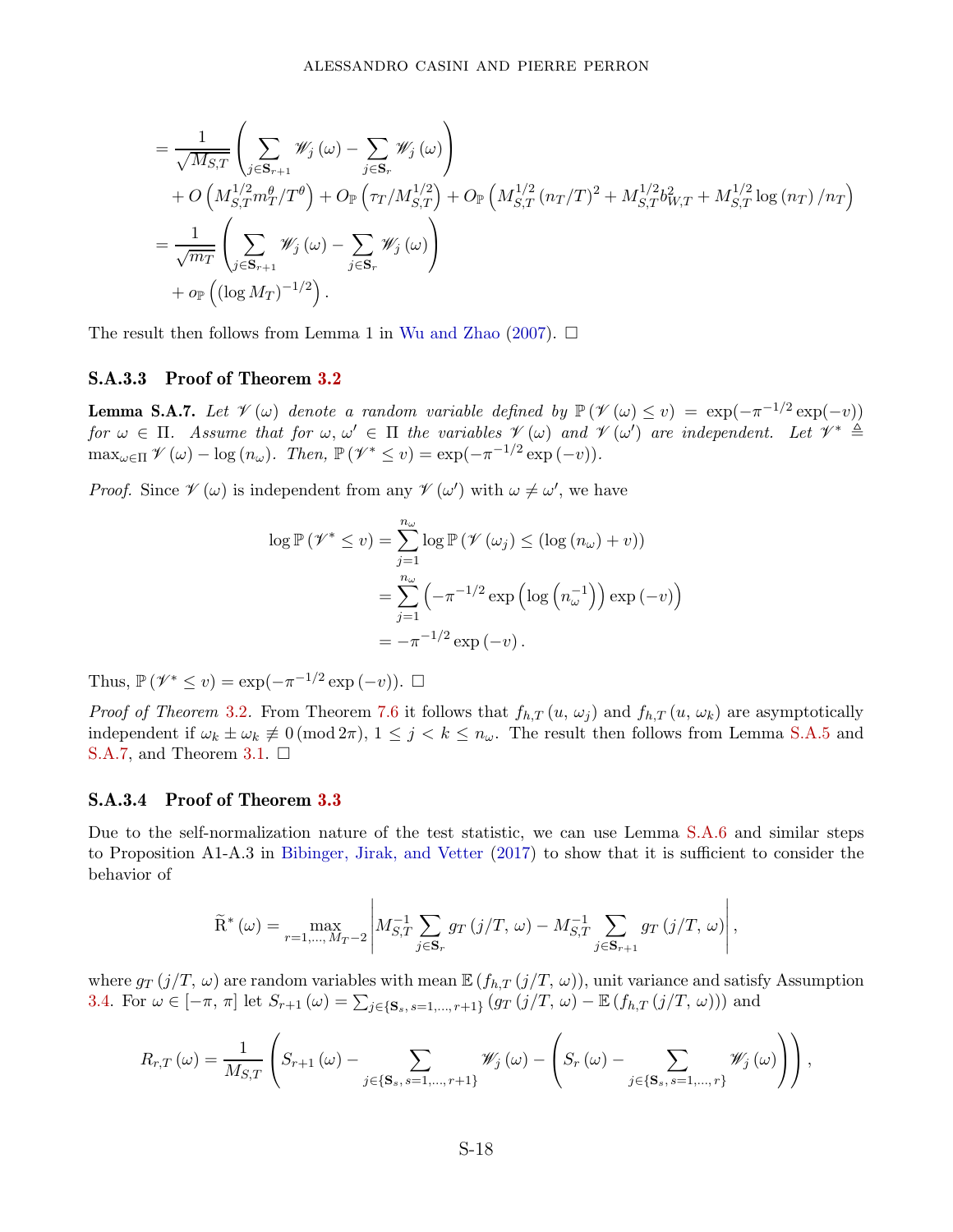$$
= \frac{1}{\sqrt{M_{S,T}}} \left( \sum_{j \in \mathbf{S}_{r+1}} \mathcal{W}_j (\omega) - \sum_{j \in \mathbf{S}_r} \mathcal{W}_j (\omega) \right) + O\left( M_{S,T}^{1/2} m_T^{\theta} / T^{\theta} \right) + O_{\mathbb{P}} \left( \tau_T / M_{S,T}^{1/2} \right) + O_{\mathbb{P}} \left( M_{S,T}^{1/2} (n_T/T)^2 + M_{S,T}^{1/2} b_{W,T}^2 + M_{S,T}^{1/2} \log (n_T) / n_T \right) = \frac{1}{\sqrt{m_T}} \left( \sum_{j \in \mathbf{S}_{r+1}} \mathcal{W}_j (\omega) - \sum_{j \in \mathbf{S}_r} \mathcal{W}_j (\omega) \right) + o_{\mathbb{P}} \left( (\log M_T)^{-1/2} \right).
$$

The result then follows from Lemma 1 in Wu and Zhao (2007).  $\Box$ 

### S.A.3.3 Proof of Theorem [3.2](#page-12-4)

<span id="page-52-0"></span>**Lemma S.A.7.** Let  $\mathcal{V}(\omega)$  denote a random variable defined by  $\mathbb{P}(\mathcal{V}(\omega) \leq v) = \exp(-\pi^{-1/2} \exp(-v))$  $\forall$   $\alpha \in \Pi$ . Assume that for  $\omega, \omega' \in \Pi$  the variables  $\mathcal{V}(\omega)$  and  $\mathcal{V}(\omega')$  are independent. Let  $\mathcal{V}^* \triangleq$  $\max_{\omega \in \Pi} \mathcal{V}(\omega) - \log (n_{\omega}).$  Then,  $\mathbb{P}(\mathcal{V}^* \le v) = \exp(-\pi^{-1/2} \exp(-v)).$ 

*Proof.* Since  $\mathscr{V}(\omega)$  is independent from any  $\mathscr{V}(\omega')$  with  $\omega \neq \omega'$ , we have

$$
\log \mathbb{P}(\mathcal{V}^* \le v) = \sum_{j=1}^{n_{\omega}} \log \mathbb{P}(\mathcal{V}(\omega_j) \le (\log (n_{\omega}) + v))
$$
  
= 
$$
\sum_{j=1}^{n_{\omega}} \left( -\pi^{-1/2} \exp \left( \log \left( n_{\omega}^{-1} \right) \right) \exp (-v) \right)
$$
  
= 
$$
-\pi^{-1/2} \exp (-v).
$$

Thus,  $\mathbb{P}(\mathscr{V}^* \leq v) = \exp(-\pi^{-1/2} \exp(-v)).$  □

*Proof of Theorem [3.2](#page-12-4).* From Theorem [7.6](#page-23-1) it follows that  $f_{h,T}(u, \omega_i)$  and  $f_{h,T}(u, \omega_k)$  are asymptotically independent if  $\omega_k \pm \omega_k \neq 0 \pmod{2\pi}$ ,  $1 \leq j \leq k \leq n_\omega$ . The result then follows from Lemma [S.A.5](#page-48-1) and [S.A.7,](#page-52-0) and Theorem [3.1.](#page-12-2)  $\Box$ 

#### S.A.3.4 Proof of Theorem [3.3](#page-12-5)

Due to the self-normalization nature of the test statistic, we can use Lemma [S.A.6](#page-49-1) and similar steps to Proposition A1-A.3 in Bibinger, Jirak, and Vetter (2017) to show that it is sufficient to consider the behavior of

$$
\widetilde{\mathbf{R}}^*(\omega) = \max_{r=1,\dots,M_T-2} \left| M_{S,T}^{-1} \sum_{j \in \mathbf{S}_r} g_T(j/T,\,\omega) - M_{S,T}^{-1} \sum_{j \in \mathbf{S}_{r+1}} g_T(j/T,\,\omega) \right|,
$$

where  $g_T(j/T, \omega)$  are random variables with mean  $\mathbb{E} (f_{h,T}(j/T, \omega))$ , unit variance and satisfy Assumption [3.4.](#page-11-1) For  $\omega \in [-\pi, \pi]$  let  $S_{r+1}(\omega) = \sum_{j \in \{\mathbf{S}_s, s=1,\dots,r+1\}} (g_T(j/T, \omega) - \mathbb{E} (f_{h,T}(j/T, \omega)))$  and

$$
R_{r,T}(\omega) = \frac{1}{M_{S,T}} \left( S_{r+1}(\omega) - \sum_{j \in \{\mathbf{S}_s, s=1,\dots,r+1\}} \mathscr{W}_j(\omega) - \left( S_r(\omega) - \sum_{j \in \{\mathbf{S}_s, s=1,\dots,r\}} \mathscr{W}_j(\omega) \right) \right),
$$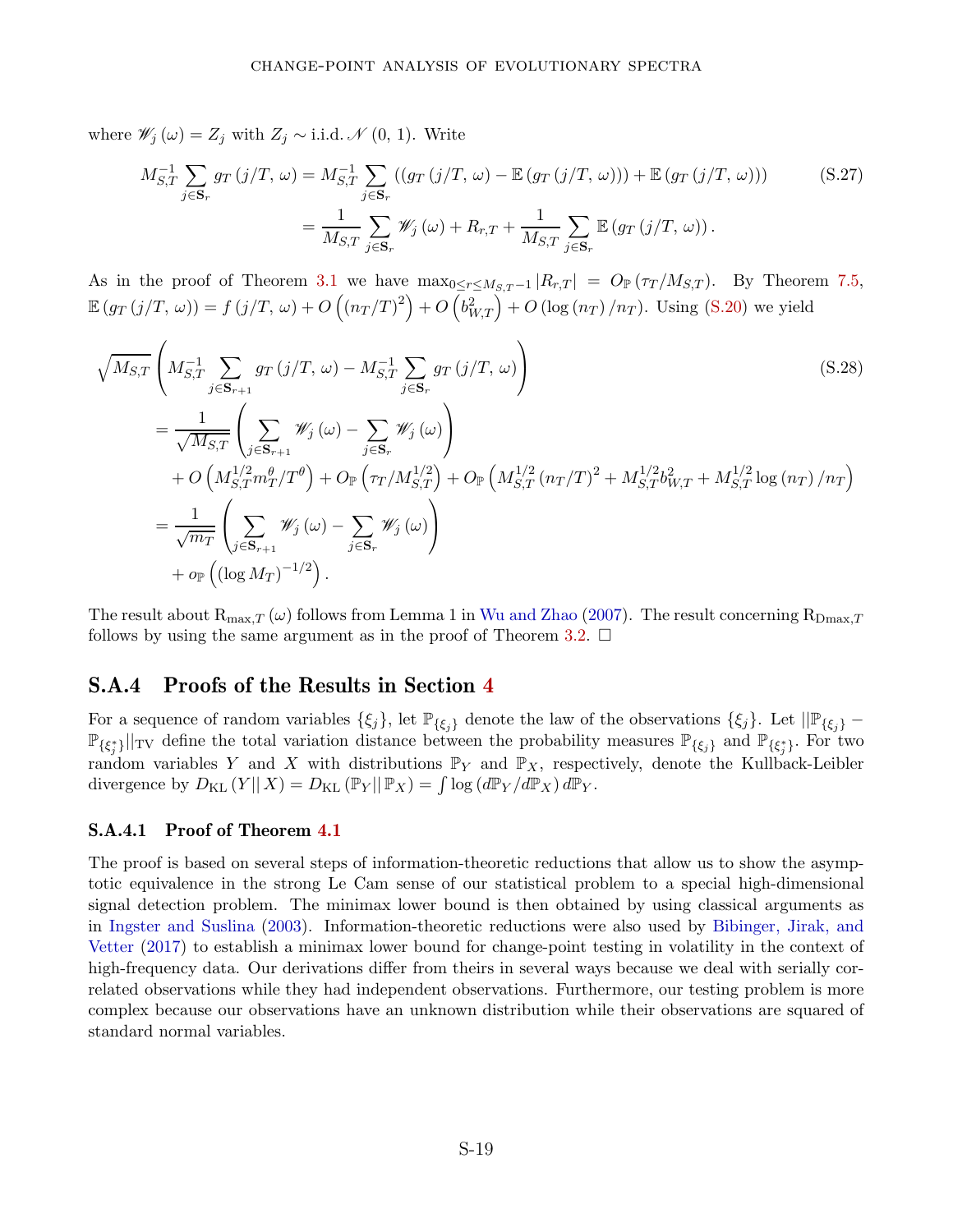where  $\mathscr{W}_j(\omega) = Z_j$  with  $Z_j \sim$  i.i.d.  $\mathscr{N}(0, 1)$ . Write

$$
M_{S,T}^{-1} \sum_{j \in \mathbf{S}_r} g_T(j/T, \omega) = M_{S,T}^{-1} \sum_{j \in \mathbf{S}_r} \left( (g_T(j/T, \omega) - \mathbb{E}(g_T(j/T, \omega))) + \mathbb{E}(g_T(j/T, \omega)) \right) \tag{S.27}
$$

$$
= \frac{1}{M_{S,T}} \sum_{j \in \mathbf{S}_r} \mathscr{W}_j(\omega) + R_{r,T} + \frac{1}{M_{S,T}} \sum_{j \in \mathbf{S}_r} \mathbb{E}(g_T(j/T, \omega)).
$$

As in the proof of Theorem [3.1](#page-12-2) we have  $\max_{0 \leq r \leq M_{S,T}-1} |R_{r,T}| = O_{\mathbb{P}}(\tau_T/M_{S,T})$ . By Theorem [7.5,](#page-23-2)  $\mathbb{E} (g_T(j/T, \omega)) = f(j/T, \omega) + O((n_T/T)^2) + O(b_{W,T}^2) + O(\log(n_T)/n_T)$ . Using [\(S.20\)](#page-49-2) we yield

$$
\sqrt{M_{S,T}} \left( M_{S,T}^{-1} \sum_{j \in \mathbf{S}_{r+1}} g_T(j/T, \omega) - M_{S,T}^{-1} \sum_{j \in \mathbf{S}_r} g_T(j/T, \omega) \right)
$$
\n(S.28)  
\n
$$
= \frac{1}{\sqrt{M_{S,T}}} \left( \sum_{j \in \mathbf{S}_{r+1}} \mathcal{W}_j(\omega) - \sum_{j \in \mathbf{S}_r} \mathcal{W}_j(\omega) \right)
$$
\n
$$
+ O\left( M_{S,T}^{1/2} m_T^{\theta} / T^{\theta} \right) + O_{\mathbb{P}}\left( \tau_T / M_{S,T}^{1/2} \right) + O_{\mathbb{P}}\left( M_{S,T}^{1/2} (n_T/T)^2 + M_{S,T}^{1/2} b_{W,T}^2 + M_{S,T}^{1/2} \log (n_T) / n_T \right)
$$
\n
$$
= \frac{1}{\sqrt{m_T}} \left( \sum_{j \in \mathbf{S}_{r+1}} \mathcal{W}_j(\omega) - \sum_{j \in \mathbf{S}_r} \mathcal{W}_j(\omega) \right)
$$
\n
$$
+ o_{\mathbb{P}}\left( (\log M_T)^{-1/2} \right).
$$
\n(S.28)

The result about  $R_{\text{max},T}(\omega)$  follows from Lemma 1 in Wu and Zhao (2007). The result concerning  $R_{\text{Dmax},T}$ follows by using the same argument as in the proof of Theorem [3.2.](#page-12-4)  $\Box$ 

### S.A.4 Proofs of the Results in Section [4](#page-12-0)

For a sequence of random variables  $\{\xi_j\}$ , let  $\mathbb{P}_{\{\xi_j\}}$  denote the law of the observations  $\{\xi_j\}$ . Let  $\|\mathbb{P}_{\{\xi_j\}}$  –  $\mathbb{P}_{\{\xi_j^*\}}||_{TV}$  define the total variation distance between the probability measures  $\mathbb{P}_{\{\xi_j\}}$  and  $\mathbb{P}_{\{\xi_j^*\}}$ . For two random variables *Y* and *X* with distributions  $\mathbb{P}_Y$  and  $\mathbb{P}_X$ , respectively, denote the Kullback-Leibler divergence by  $D_{\text{KL}}(Y||X) = D_{\text{KL}}(\mathbb{P}_Y||\mathbb{P}_X) = \int \log (d\mathbb{P}_Y/d\mathbb{P}_X) d\mathbb{P}_Y$ .

#### S.A.4.1 Proof of Theorem [4.1](#page-14-2)

The proof is based on several steps of information-theoretic reductions that allow us to show the asymptotic equivalence in the strong Le Cam sense of our statistical problem to a special high-dimensional signal detection problem. The minimax lower bound is then obtained by using classical arguments as in Ingster and Suslina (2003). Information-theoretic reductions were also used by Bibinger, Jirak, and Vetter (2017) to establish a minimax lower bound for change-point testing in volatility in the context of high-frequency data. Our derivations differ from theirs in several ways because we deal with serially correlated observations while they had independent observations. Furthermore, our testing problem is more complex because our observations have an unknown distribution while their observations are squared of standard normal variables.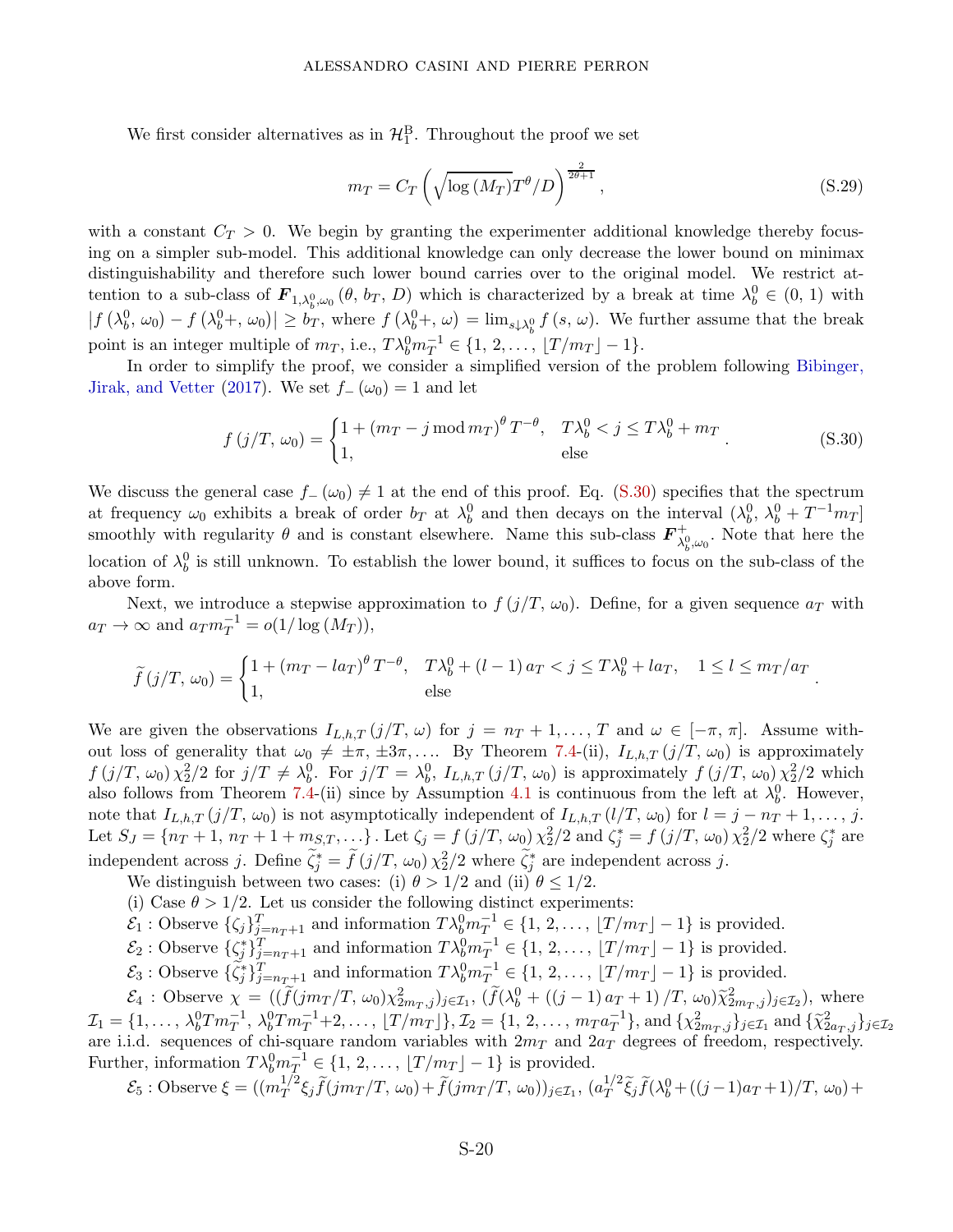We first consider alternatives as in  $\mathcal{H}_1^B$ . Throughout the proof we set

<span id="page-54-1"></span>
$$
m_T = C_T \left( \sqrt{\log \left( M_T \right)} T^{\theta} / D \right)^{\frac{2}{2\theta + 1}}, \tag{S.29}
$$

<span id="page-54-0"></span>*.*

with a constant  $C_T > 0$ . We begin by granting the experimenter additional knowledge thereby focusing on a simpler sub-model. This additional knowledge can only decrease the lower bound on minimax distinguishability and therefore such lower bound carries over to the original model. We restrict attention to a sub-class of  $\mathbf{F}_{1,\lambda_b^0,\omega_0}(\theta, b_T, D)$  which is characterized by a break at time  $\lambda_b^0 \in (0, 1)$  with  $|f(\lambda_b^0, \omega_0) - f(\lambda_b^0 +, \omega_0)| \ge b_T$ , where  $f(\lambda_b^0 +, \omega) = \lim_{s \downarrow \lambda_b^0} f(s, \omega)$ . We further assume that the break point is an integer multiple of  $m_T$ , i.e.,  $T \lambda_b^0 m_T^{-1} \in \{1, 2, ..., |T/m_T| - 1\}.$ 

In order to simplify the proof, we consider a simplified version of the problem following Bibinger, Jirak, and Vetter (2017). We set  $f_-(\omega_0) = 1$  and let

$$
f(j/T, \omega_0) = \begin{cases} 1 + (m_T - j \mod m_T)^{\theta} T^{-\theta}, & T\lambda_b^0 < j \le T\lambda_b^0 + m_T \\ 1, & \text{else} \end{cases}
$$
 (S.30)

We discuss the general case  $f_-(\omega_0) \neq 1$  at the end of this proof. Eq. [\(S.30\)](#page-54-0) specifies that the spectrum at frequency  $\omega_0$  exhibits a break of order  $b_T$  at  $\lambda_b^0$  and then decays on the interval  $(\lambda_b^0, \lambda_b^0 + T^{-1}m_T]$ smoothly with regularity  $\theta$  and is constant elsewhere. Name this sub-class  $\mathbf{F}_{\lambda}^{+}$  $\lambda_b^0, \omega_0$ . Note that here the location of  $\lambda_b^0$  is still unknown. To establish the lower bound, it suffices to focus on the sub-class of the above form.

Next, we introduce a stepwise approximation to  $f(j/T, \omega_0)$ . Define, for a given sequence  $a_T$  with  $a_T \to \infty$  and  $a_T m_T^{-1} = o(1/\log(M_T)),$ 

$$
\widetilde{f}(j/T, \omega_0) = \begin{cases} 1 + (m_T - l a_T)^{\theta} T^{-\theta}, & T\lambda_b^0 + (l - 1) a_T < j \le T\lambda_b^0 + l a_T, & 1 \le l \le m_T/a_T \\ 1, & \text{else} \end{cases}
$$

We are given the observations  $I_{L,h,T}(j/T, \omega)$  for  $j = n_T + 1, \ldots, T$  and  $\omega \in [-\pi, \pi]$ . Assume without loss of generality that  $\omega_0 \neq \pm \pi, \pm 3\pi, \ldots$  By Theorem [7.4-](#page-23-0)(ii),  $I_{L,h,T}(j/T, \omega_0)$  is approximately  $f(j/T, \omega_0) \chi_2^2/2$  for  $j/T \neq \lambda_b^0$ . For  $j/T = \lambda_b^0$ ,  $I_{L,h,T}(j/T, \omega_0)$  is approximately  $f(j/T, \omega_0) \chi_2^2/2$  which also follows from Theorem [7.4-](#page-23-0)(ii) since by Assumption [4.1](#page-13-0) is continuous from the left at  $\lambda_b^0$ . However, note that  $I_{L,h,T}(j/T, \omega_0)$  is not asymptotically independent of  $I_{L,h,T}(l/T, \omega_0)$  for  $l = j - n_T + 1, \ldots, j$ . Let  $S_J = \{n_T + 1, n_T + 1 + m_{S,T}, ...\}$ . Let  $\zeta_j = f(j/T, \omega_0) \chi_2^2/2$  and  $\zeta_j^* = f(j/T, \omega_0) \chi_2^2/2$  where  $\zeta_j^*$  are independent across *j*. Define  $\tilde{\zeta}_j^* = \tilde{f}(j/T, \omega_0) \chi_2^2/2$  where  $\tilde{\zeta}_j^*$  are independent across *j*.

- We distinguish between two cases: (i)  $\theta > 1/2$  and (ii)  $\theta \leq 1/2$ .
- (i) Case  $\theta > 1/2$ . Let us consider the following distinct experiments:

 $\mathcal{E}_1$ : Observe  $\{\zeta_j\}_{j=n_T+1}^T$  and information  $T\lambda_b^0 m_T^{-1} \in \{1, 2, \ldots, \lfloor T/m_T \rfloor - 1\}$  is provided.

- $\mathcal{E}_2$ : Observe  $\{\zeta_j^*\}_{j=n_T+1}^T$  and information  $T\lambda_b^0 m_T^{-1} \in \{1, 2, \ldots, \lfloor T/m_T \rfloor 1\}$  is provided.
- $\mathcal{E}_3$ : Observe  $\{\tilde{\zeta}_j^*\}_{j=n_T+1}^T$  and information  $T\lambda_b^0 m_T^{-1} \in \{1, 2, \ldots, \lfloor T/m_T \rfloor 1\}$  is provided.

 $\mathcal{E}_4$ : Observe  $\chi = ((\tilde{f}(jm_T/T, \omega_0)\chi^2_{2m_T,j})_{j\in\mathcal{I}_1}, (\tilde{f}(\lambda_b^0 + ((j-1)a_T+1)/T, \omega_0)\tilde{\chi}^2_{2m_T,j})_{j\in\mathcal{I}_2}),$  where  $\mathcal{I}_1 = \{1, \ldots, \lambda_b^0 T m_T^{-1}, \lambda_b^0 T m_T^{-1} + 2, \ldots, \lfloor T/m_T \rfloor \}, \mathcal{I}_2 = \{1, 2, \ldots, m_T a_T^{-1}\}, \text{and } \{\chi_{2m_T, j}^2\}_{j \in \mathcal{I}_1} \text{ and } \{\tilde{\chi}_{2a_T, j}^2\}_{j \in \mathcal{I}_2}$ are i.i.d. sequences of chi-square random variables with 2*m<sup>T</sup>* and 2*a<sup>T</sup>* degrees of freedom, respectively. Further, information  $T\lambda_b^0 m_T^{-1} \in \{1, 2, \ldots, \lfloor T/m_T \rfloor - 1\}$  is provided.

$$
\mathcal{E}_5: \text{Observe } \xi = ((m_T^{1/2} \xi_j \widetilde{f}(jm_T/T, \omega_0) + \widetilde{f}(jm_T/T, \omega_0))_{j \in \mathcal{I}_1}, (a_T^{1/2} \widetilde{\xi}_j \widetilde{f}(\lambda_b^0 + ((j-1)a_T + 1)/T, \omega_0) +
$$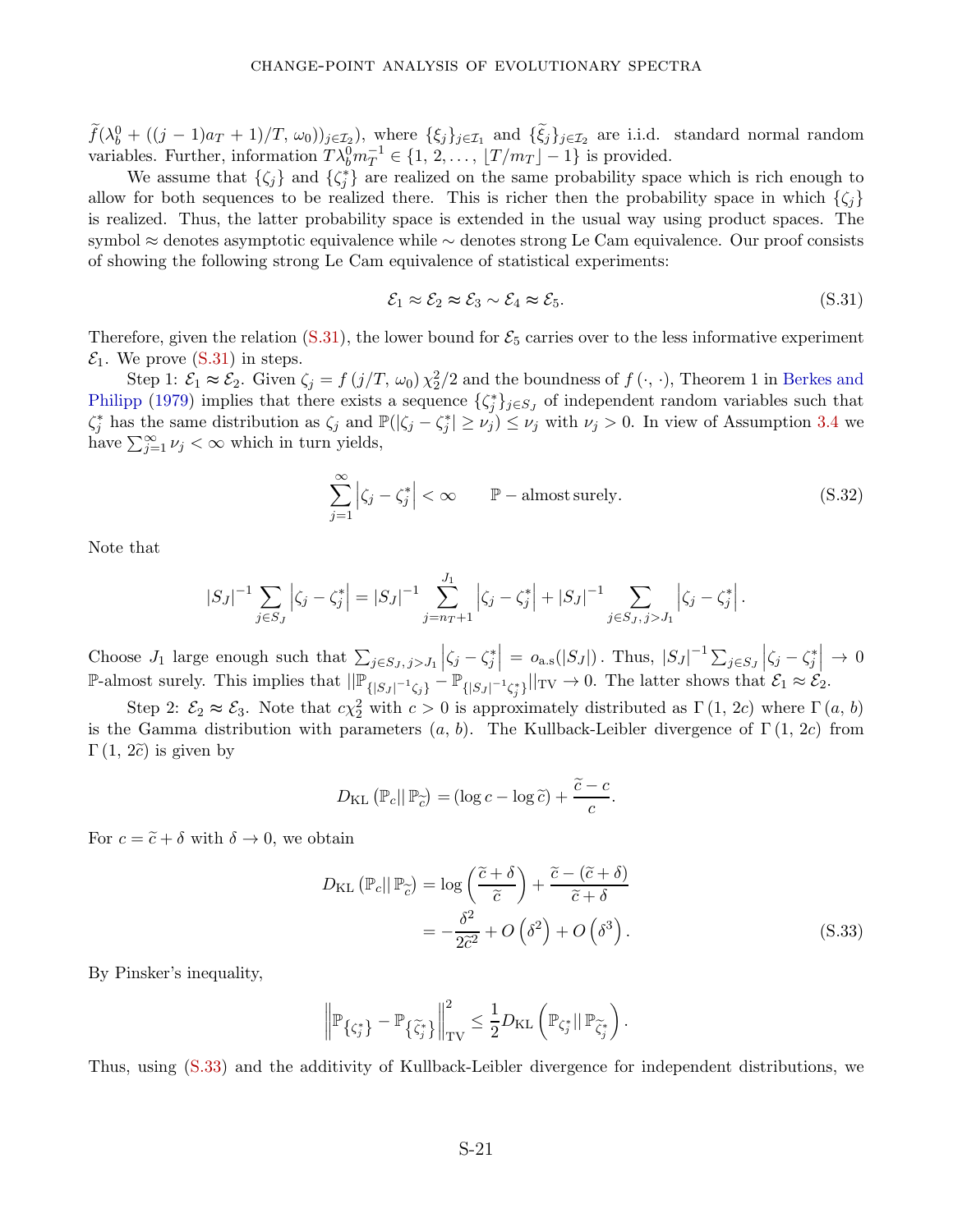$\widetilde{f}(\lambda_b^0 + ((j-1)a_T + 1)/T, \omega_0)$ ) $_{j \in \mathcal{I}_2}$ , where  $\{\xi_j\}_{j \in \mathcal{I}_1}$  and  $\{\widetilde{\xi}_j\}_{j \in \mathcal{I}_2}$  are i.i.d. standard normal random variables. Further, information  $T\lambda_b^0 m_T^{-1} \in \{1, 2, ..., |T/m_T| - 1\}$  is provided.

We assume that  $\{\zeta_j\}$  and  $\{\zeta_j^*\}$  are realized on the same probability space which is rich enough to allow for both sequences to be realized there. This is richer then the probability space in which  $\{\zeta_i\}$ is realized. Thus, the latter probability space is extended in the usual way using product spaces. The symbol ≈ denotes asymptotic equivalence while ∼ denotes strong Le Cam equivalence. Our proof consists of showing the following strong Le Cam equivalence of statistical experiments:

<span id="page-55-0"></span>
$$
\mathcal{E}_1 \approx \mathcal{E}_2 \approx \mathcal{E}_3 \sim \mathcal{E}_4 \approx \mathcal{E}_5. \tag{S.31}
$$

Therefore, given the relation  $(S.31)$ , the lower bound for  $\mathcal{E}_5$  carries over to the less informative experiment  $\mathcal{E}_1$ . We prove [\(S.31\)](#page-55-0) in steps.

Step 1:  $\mathcal{E}_1 \approx \mathcal{E}_2$ . Given  $\zeta_j = f(j/T, \omega_0) \chi_2^2/2$  and the boundness of  $f(\cdot, \cdot)$ , Theorem 1 in Berkes and Philipp (1979) implies that there exists a sequence  $\{\zeta_j^*\}_{j\in S_J}$  of independent random variables such that  $\zeta_j^*$  has the same distribution as  $\zeta_j$  and  $\mathbb{P}(|\zeta_j - \zeta_j^*| \ge \nu_j) \le \nu_j$  with  $\nu_j > 0$ . In view of Assumption [3.4](#page-11-1) we have  $\sum_{j=1}^{\infty} \nu_j < \infty$  which in turn yields,

$$
\sum_{j=1}^{\infty} \left| \zeta_j - \zeta_j^* \right| < \infty \qquad \mathbb{P}-\text{almost surely.} \tag{S.32}
$$

Note that

$$
|S_J|^{-1} \sum_{j \in S_J} \left| \zeta_j - \zeta_j^* \right| = |S_J|^{-1} \sum_{j=n+1}^{J_1} \left| \zeta_j - \zeta_j^* \right| + |S_J|^{-1} \sum_{j \in S_J, j > J_1} \left| \zeta_j - \zeta_j^* \right|.
$$

Choose  $J_1$  large enough such that  $\sum_{j \in S_J, j > J_1}$  $\left| \zeta_j - \zeta_j^* \right|$  $\Big| = o_{a.s}(|S_J|)$ . Thus,  $|S_J|^{-1} \sum_{j \in S_J}$  $\left| \zeta_j - \zeta_j^* \right|$  $\Big| \rightarrow 0$ P-almost surely. This implies that  $\|\mathbb{P}_{\{|S_J|^{-1}\zeta_j\}} - \mathbb{P}_{\{|S_J|^{-1}\zeta_j^*\}}\|_{TV} \to 0$ . The latter shows that  $\mathcal{E}_1 \approx \mathcal{E}_2$ .

Step 2:  $\mathcal{E}_2 \approx \mathcal{E}_3$ . Note that  $c\chi_2^2$  with  $c > 0$  is approximately distributed as  $\Gamma(1, 2c)$  where  $\Gamma(a, b)$ is the Gamma distribution with parameters (*a, b*). The Kullback-Leibler divergence of Γ (1*,* 2*c*) from  $\Gamma(1, 2\tilde{c})$  is given by

$$
D_{\text{KL}}\left(\mathbb{P}_c||\mathbb{P}_{\widetilde{c}}\right) = (\log c - \log \widetilde{c}) + \frac{\widetilde{c} - c}{c}.
$$

For  $c = \tilde{c} + \delta$  with  $\delta \to 0$ , we obtain

<span id="page-55-1"></span>
$$
D_{\text{KL}}\left(\mathbb{P}_{c}||\mathbb{P}_{\widetilde{c}}\right) = \log\left(\frac{\widetilde{c}+\delta}{\widetilde{c}}\right) + \frac{\widetilde{c}-(\widetilde{c}+\delta)}{\widetilde{c}+\delta}
$$

$$
= -\frac{\delta^{2}}{2\widetilde{c}^{2}} + O\left(\delta^{2}\right) + O\left(\delta^{3}\right). \tag{S.33}
$$

By Pinsker's inequality,

$$
\left\| \mathbb{P}_{\left\{ \zeta_j^* \right\}} - \mathbb{P}_{\left\{ \widetilde{\zeta}_j^* \right\}} \right\|_{\rm TV}^2 \leq \frac{1}{2} D_{\rm KL} \left( \mathbb{P}_{\zeta_j^*} || \, \mathbb{P}_{\widetilde{\zeta}_j^*} \right).
$$

Thus, using [\(S.33\)](#page-55-1) and the additivity of Kullback-Leibler divergence for independent distributions, we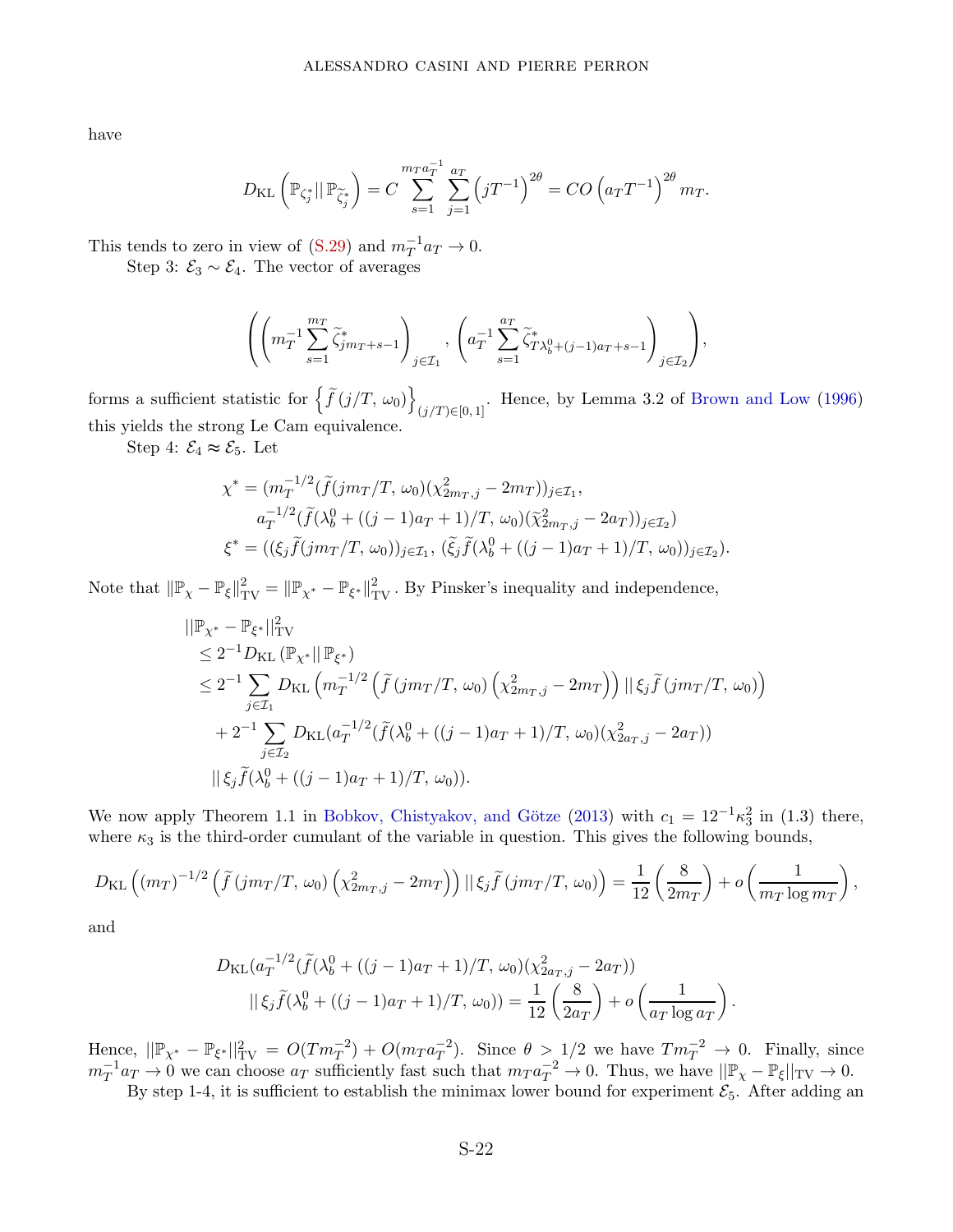have

$$
D_{\text{KL}}\left(\mathbb{P}_{\zeta_j^*} || \mathbb{P}_{\widetilde{\zeta}_j^*}\right) = C \sum_{s=1}^{m_T a_T^{-1}} \sum_{j=1}^{a_T} \left(jT^{-1}\right)^{2\theta} = CO\left(a_T T^{-1}\right)^{2\theta} m_T.
$$

This tends to zero in view of  $(S.29)$  and  $m_T^{-1}a_T \to 0$ .

Step 3:  $\mathcal{E}_3 \sim \mathcal{E}_4$ . The vector of averages

$$
\left(\left(m_T^{-1}\sum_{s=1}^{m_T}\widetilde{\zeta}_{jm_T+s-1}^*\right)_{j\in\mathcal{I}_1},\,\left(a_T^{-1}\sum_{s=1}^{a_T}\widetilde{\zeta}_{T\lambda_b^0+(j-1)a_T+s-1}^*\right)_{j\in\mathcal{I}_2}\right),
$$

forms a sufficient statistic for  $\left\{ \widetilde{f}\left(j/T, \omega_0\right) \right\}$  $(j/T) \in [0, 1]$ . Hence, by Lemma 3.2 of Brown and Low (1996) this yields the strong Le Cam equivalence.

Step 4:  $\mathcal{E}_4 \approx \mathcal{E}_5$ . Let

$$
\chi^* = (m_T^{-1/2} (\tilde{f}(jm_T/T, \omega_0)(\chi_{2m_T, j}^2 - 2m_T))_{j \in \mathcal{I}_1},
$$
  
\n
$$
a_T^{-1/2} (\tilde{f}(\lambda_b^0 + ((j - 1)a_T + 1)/T, \omega_0)(\tilde{\chi}_{2m_T, j}^2 - 2a_T))_{j \in \mathcal{I}_2})
$$
  
\n
$$
\xi^* = ((\xi_j \tilde{f}(jm_T/T, \omega_0))_{j \in \mathcal{I}_1}, (\tilde{\xi}_j \tilde{f}(\lambda_b^0 + ((j - 1)a_T + 1)/T, \omega_0))_{j \in \mathcal{I}_2}).
$$

Note that  $\|\mathbb{P}_{\chi} - \mathbb{P}_{\xi}\|_{TV}^2 = \|\mathbb{P}_{\chi^*} - \mathbb{P}_{\xi^*}\|_{TV}^2$ . By Pinsker's inequality and independence,

$$
\| \mathbb{P}_{\chi^*} - \mathbb{P}_{\xi^*} \|_{TV}^2
$$
  
\n
$$
\leq 2^{-1} D_{KL} \left( \mathbb{P}_{\chi^*} \| \mathbb{P}_{\xi^*} \right)
$$
  
\n
$$
\leq 2^{-1} \sum_{j \in \mathcal{I}_1} D_{KL} \left( m_T^{-1/2} \left( \tilde{f} \left( j m_T / T, \omega_0 \right) \left( \chi_{2m_T, j}^2 - 2m_T \right) \right) \| \xi_j \tilde{f} \left( j m_T / T, \omega_0 \right) \right)
$$
  
\n
$$
+ 2^{-1} \sum_{j \in \mathcal{I}_2} D_{KL} \left( a_T^{-1/2} \left( \tilde{f} \left( \lambda_b^0 + \left( (j - 1) a_T + 1 \right) / T, \omega_0 \right) \left( \chi_{2a_T, j}^2 - 2a_T \right) \right)
$$
  
\n
$$
\| \xi_j \tilde{f} \left( \lambda_b^0 + \left( (j - 1) a_T + 1 \right) / T, \omega_0 \right) \right).
$$

We now apply Theorem 1.1 in Bobkov, Chistyakov, and Götze (2013) with  $c_1 = 12^{-1} \kappa_3^2$  in (1.3) there, where  $\kappa_3$  is the third-order cumulant of the variable in question. This gives the following bounds,

$$
D_{\text{KL}}\left((m_T)^{-1/2}\left(\tilde{f}(jm_T/T, \omega_0)\left(\chi^2_{2m_T,j}-2m_T\right)\right)||\xi_j\tilde{f}(jm_T/T, \omega_0)\right) = \frac{1}{12}\left(\frac{8}{2m_T}\right) + o\left(\frac{1}{m_T\log m_T}\right),
$$

and

$$
D_{\mathrm{KL}}(a_T^{-1/2}(\tilde{f}(\lambda_b^0 + ((j-1)a_T + 1)/T, \omega_0)(\chi_{2a_T,j}^2 - 2a_T))
$$
  

$$
||\xi_j \tilde{f}(\lambda_b^0 + ((j-1)a_T + 1)/T, \omega_0)) = \frac{1}{12} \left(\frac{8}{2a_T}\right) + o\left(\frac{1}{a_T \log a_T}\right).
$$

Hence,  $||\mathbb{P}_{\chi^*} - \mathbb{P}_{\xi^*}||_{TV}^2 = O(Tm_T^{-2}) + O(m_T a_T^{-2})$ . Since  $\theta > 1/2$  we have  $Tm_T^{-2} \to 0$ . Finally, since  $m_T^{-1}a_T \to 0$  we can choose  $a_T$  sufficiently fast such that  $m_T a_T^{-2} \to 0$ . Thus, we have  $||\mathbb{P}_\chi - \mathbb{P}_\xi||_{TV} \to 0$ .

By step 1-4, it is sufficient to establish the minimax lower bound for experiment  $\mathcal{E}_5$ . After adding an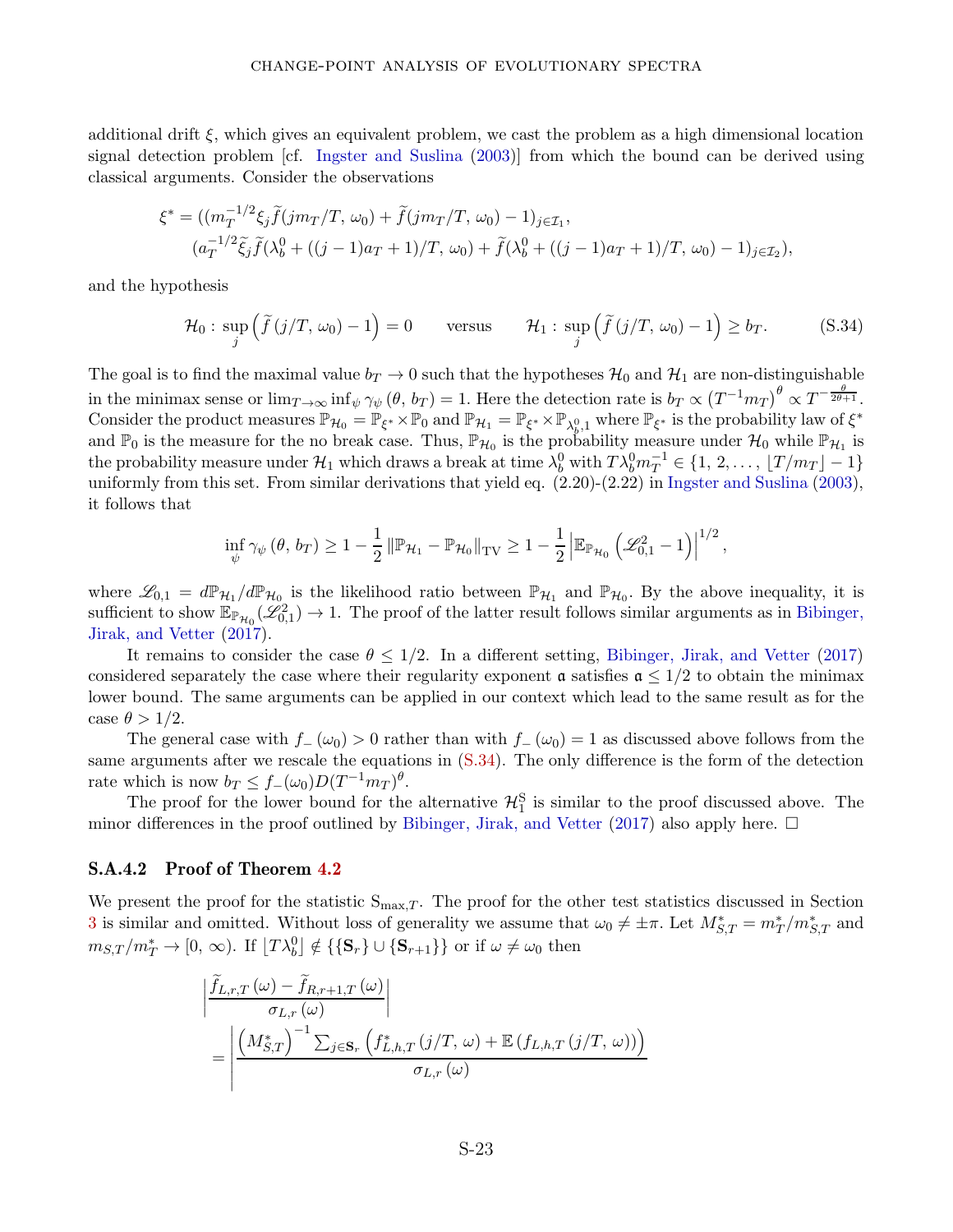additional drift  $\xi$ , which gives an equivalent problem, we cast the problem as a high dimensional location signal detection problem [cf. Ingster and Suslina (2003)] from which the bound can be derived using classical arguments. Consider the observations

$$
\xi^* = ((m_T^{-1/2}\xi_j \tilde{f}(jm_T/T, \omega_0) + \tilde{f}(jm_T/T, \omega_0) - 1)_{j \in \mathcal{I}_1},
$$
  

$$
(a_T^{-1/2}\tilde{\xi}_j \tilde{f}(\lambda_b^0 + ((j - 1)a_T + 1)/T, \omega_0) + \tilde{f}(\lambda_b^0 + ((j - 1)a_T + 1)/T, \omega_0) - 1)_{j \in \mathcal{I}_2}),
$$

and the hypothesis

$$
\mathcal{H}_0: \sup_j \left( \tilde{f}(j/T, \omega_0) - 1 \right) = 0 \quad \text{versus} \quad \mathcal{H}_1: \sup_j \left( \tilde{f}(j/T, \omega_0) - 1 \right) \ge b_T. \quad (S.34)
$$

The goal is to find the maximal value  $b_T \to 0$  such that the hypotheses  $\mathcal{H}_0$  and  $\mathcal{H}_1$  are non-distinguishable in the minimax sense or  $\lim_{T\to\infty} \inf_{\psi} \gamma_{\psi} (\theta, b_T) = 1$ . Here the detection rate is  $b_T \propto (T^{-1} m_T)^{\theta} \propto T^{-\frac{\theta}{2\theta+1}}$ . Consider the product measures  $\mathbb{P}_{\mathcal{H}_0} = \mathbb{P}_{\xi^*} \times \mathbb{P}_0$  and  $\mathbb{P}_{\mathcal{H}_1} = \mathbb{P}_{\xi^*} \times \mathbb{P}_{\lambda_p^0,1}$  where  $\mathbb{P}_{\xi^*}$  is the probability law of  $\xi^*$ and  $\mathbb{P}_0$  is the measure for the no break case. Thus,  $\mathbb{P}_{\mathcal{H}_0}$  is the probability measure under  $\mathcal{H}_0$  while  $\mathbb{P}_{\mathcal{H}_1}$  is the probability measure under  $\mathcal{H}_1$  which draws a break at time  $\lambda_b^0$  with  $T\lambda_b^0m_T^{-1} \in \{1, 2, \ldots, \lfloor T/m_T \rfloor - 1\}$ uniformly from this set. From similar derivations that yield eq. (2.20)-(2.22) in Ingster and Suslina (2003), it follows that

<span id="page-57-0"></span>
$$
\inf_{\psi} \gamma_{\psi} (\theta, b_T) \geq 1 - \frac{1}{2} \left\| \mathbb{P}_{\mathcal{H}_1} - \mathbb{P}_{\mathcal{H}_0} \right\|_{\text{TV}} \geq 1 - \frac{1}{2} \left| \mathbb{E}_{\mathbb{P}_{\mathcal{H}_0}} \left( \mathscr{L}_{0,1}^2 - 1 \right) \right|^{1/2},
$$

where  $\mathscr{L}_{0,1} = d\mathbb{P}_{\mathcal{H}_1}/d\mathbb{P}_{\mathcal{H}_0}$  is the likelihood ratio between  $\mathbb{P}_{\mathcal{H}_1}$  and  $\mathbb{P}_{\mathcal{H}_0}$ . By the above inequality, it is sufficient to show  $\mathbb{E}_{\mathbb{P}_{\mathcal{H}_0}}(\mathscr{L}_{0,1}^2) \to 1$ . The proof of the latter result follows similar arguments as in Bibinger, Jirak, and Vetter (2017).

It remains to consider the case  $\theta \leq 1/2$ . In a different setting, Bibinger, Jirak, and Vetter (2017) considered separately the case where their regularity exponent  $\alpha$  satisfies  $\alpha \leq 1/2$  to obtain the minimax lower bound. The same arguments can be applied in our context which lead to the same result as for the case  $\theta > 1/2$ .

The general case with  $f$ − ( $\omega_0$ ) > 0 rather than with  $f$ − ( $\omega_0$ ) = 1 as discussed above follows from the same arguments after we rescale the equations in [\(S.34\)](#page-57-0). The only difference is the form of the detection rate which is now  $b_T \leq f_-(\omega_0)D(T^{-1}m_T)^{\theta}$ .

The proof for the lower bound for the alternative  $\mathcal{H}_1^S$  is similar to the proof discussed above. The minor differences in the proof outlined by Bibinger, Jirak, and Vetter (2017) also apply here.  $\Box$ 

#### S.A.4.2 Proof of Theorem [4.2](#page-14-1)

We present the proof for the statistic  $S_{\text{max},T}$ . The proof for the other test statistics discussed in Section [3](#page-7-0) is similar and omitted. Without loss of generality we assume that  $\omega_0 \neq \pm \pi$ . Let  $M_{S,T}^* = m_T^*/m_{S,T}^*$  and  $m_{S,T}/m_T^* \to [0, \infty)$ . If  $[T\lambda_b^0] \notin {\{\mathbf{S}_r\}\cup{\{\mathbf{S}_{r+1}\}}\}$  or if  $\omega \neq \omega_0$  then

$$
\begin{aligned}\n&\left| \frac{\hat{f}_{L,r,T}(\omega) - \hat{f}_{R,r+1,T}(\omega)}{\sigma_{L,r}(\omega)} \right| \\
&= \left| \frac{\left(M_{S,T}^{*}\right)^{-1} \sum_{j \in \mathbf{S}_{r}} \left(f_{L,h,T}^{*}\left(j/T,\,\omega\right) + \mathbb{E}\left(f_{L,h,T}\left(j/T,\,\omega\right)\right)\right)}{\sigma_{L,r}(\omega)}\n\end{aligned}
$$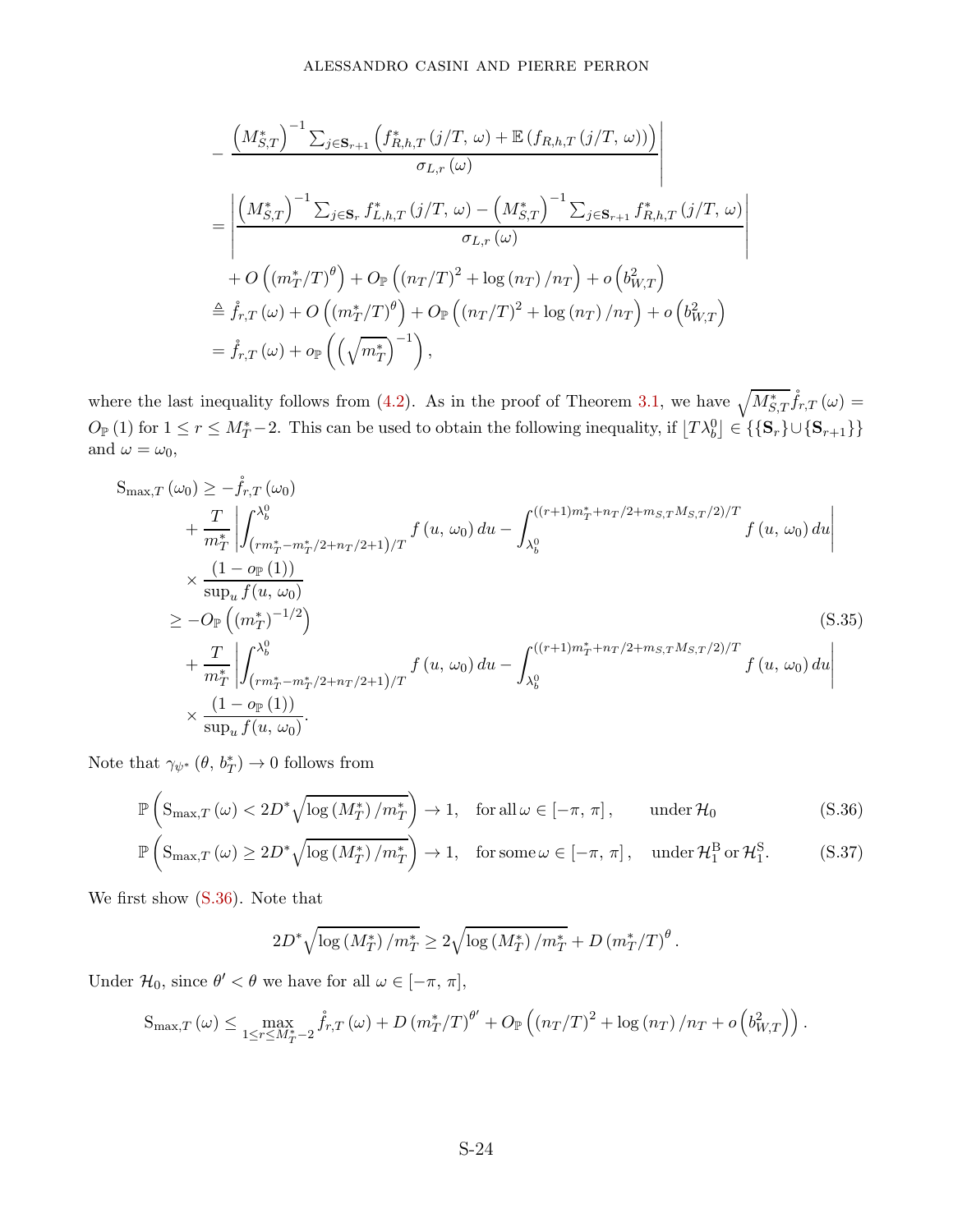$$
-\frac{\left(M_{S,T}^{*}\right)^{-1} \sum_{j \in \mathbf{S}_{r+1}} \left(f_{R,h,T}^{*} \left(j/T, \omega\right) + \mathbb{E}\left(f_{R,h,T} \left(j/T, \omega\right)\right)\right)}{\sigma_{L,r} \left(\omega\right)}
$$
\n
$$
=\left|\frac{\left(M_{S,T}^{*}\right)^{-1} \sum_{j \in \mathbf{S}_{r}} f_{L,h,T}^{*} \left(j/T, \omega\right) - \left(M_{S,T}^{*}\right)^{-1} \sum_{j \in \mathbf{S}_{r+1}} f_{R,h,T}^{*} \left(j/T, \omega\right)}{\sigma_{L,r} \left(\omega\right)}\right|
$$
\n
$$
+ O\left(\left(m_{T}^{*}/T\right)^{\theta}\right) + O_{\mathbb{P}}\left(\left(n_{T}/T\right)^{2} + \log\left(n_{T}\right)/n_{T}\right) + o\left(b_{W,T}^{2}\right)
$$
\n
$$
\triangleq \mathring{f}_{r,T} \left(\omega\right) + O\left(\left(m_{T}^{*}/T\right)^{\theta}\right) + O_{\mathbb{P}}\left(\left(n_{T}/T\right)^{2} + \log\left(n_{T}\right)/n_{T}\right) + o\left(b_{W,T}^{2}\right)
$$
\n
$$
= \mathring{f}_{r,T} \left(\omega\right) + o_{\mathbb{P}}\left(\left(\sqrt{m_{T}^{*}}\right)^{-1}\right),
$$

where the last inequality follows from [\(4.2\)](#page-14-3). As in the proof of Theorem [3.1,](#page-12-2) we have  $\sqrt{M_{S,T}^*} \mathring{f}_{r,T}(\omega)$  $O_{\mathbb{P}}(1)$  for  $1 \leq r \leq M_T^* - 2$ . This can be used to obtain the following inequality, if  $[T\lambda_b^0] \in \{\{\mathbf{S}_r\} \cup \{\mathbf{S}_{r+1}\}\}\$ and  $\omega = \omega_0$ ,

$$
S_{\max,T} (\omega_0) \geq -\mathring{f}_{r,T} (\omega_0)
$$
  
+  $\frac{T}{m_T^*} \left| \int_{(rm_T^* - m_T^* / 2 + n_T/2 + 1)/T}^{\lambda_0^0} f(u, \omega_0) du - \int_{\lambda_0^0}^{((r+1)m_T^* + n_T/2 + m_{S,T}M_{S,T}/2)/T} f(u, \omega_0) du \right|$   
\n $\times \frac{(1 - o_\mathbb{P}(1))}{\sup_u f(u, \omega_0)}$   
\n $\geq -O_\mathbb{P} \left( (m_T^*)^{-1/2} \right)$   
\n $+ \frac{T}{m_T^*} \left| \int_{(rm_T^* - m_T^* / 2 + n_T/2 + 1)/T}^{\lambda_0^0} f(u, \omega_0) du - \int_{\lambda_0^0}^{((r+1)m_T^* + n_T/2 + m_{S,T}M_{S,T}/2)/T} f(u, \omega_0) du \right|$   
\n $\times \frac{(1 - o_\mathbb{P}(1))}{\sup_u f(u, \omega_0)}.$  (S.35)

Note that  $\gamma_{\psi^*} (\theta, b_T^*) \to 0$  follows from

$$
\mathbb{P}\left(S_{\max,T}(\omega) < 2D^*\sqrt{\log\left(M_T^*\right)/m_T^*}\right) \to 1, \quad \text{for all } \omega \in [-\pi, \pi], \qquad \text{under } \mathcal{H}_0 \tag{S.36}
$$
\n
$$
\mathbb{P}\left(S_{\max,T}(\omega) \ge 2D^*\sqrt{\log\left(M_T^*\right)/m_T^*}\right) \to 1, \quad \text{for some } \omega \in [-\pi, \pi], \quad \text{under } \mathcal{H}_1^{\text{B}} \text{ or } \mathcal{H}_1^{\text{S}}. \tag{S.37}
$$

We first show [\(S.36\)](#page-58-0). Note that

<span id="page-58-1"></span><span id="page-58-0"></span>
$$
2D^* \sqrt{\log\left(M_T^*\right)/m_T^*} \ge 2\sqrt{\log\left(M_T^*\right)/m_T^*} + D\left(m_T^*/T\right)^{\theta}.
$$

Under  $\mathcal{H}_0$ , since  $\theta' < \theta$  we have for all  $\omega \in [-\pi, \pi]$ ,

$$
S_{\max,T}(\omega) \leq \max_{1 \leq r \leq M_T^* - 2} \mathring{f}_{r,T}(\omega) + D \left( m_T^*/T \right)^{\theta'} + O_{\mathbb{P}} \left( \left( n_T/T \right)^2 + \log \left( n_T \right) / n_T + o \left( b_{W,T}^2 \right) \right).
$$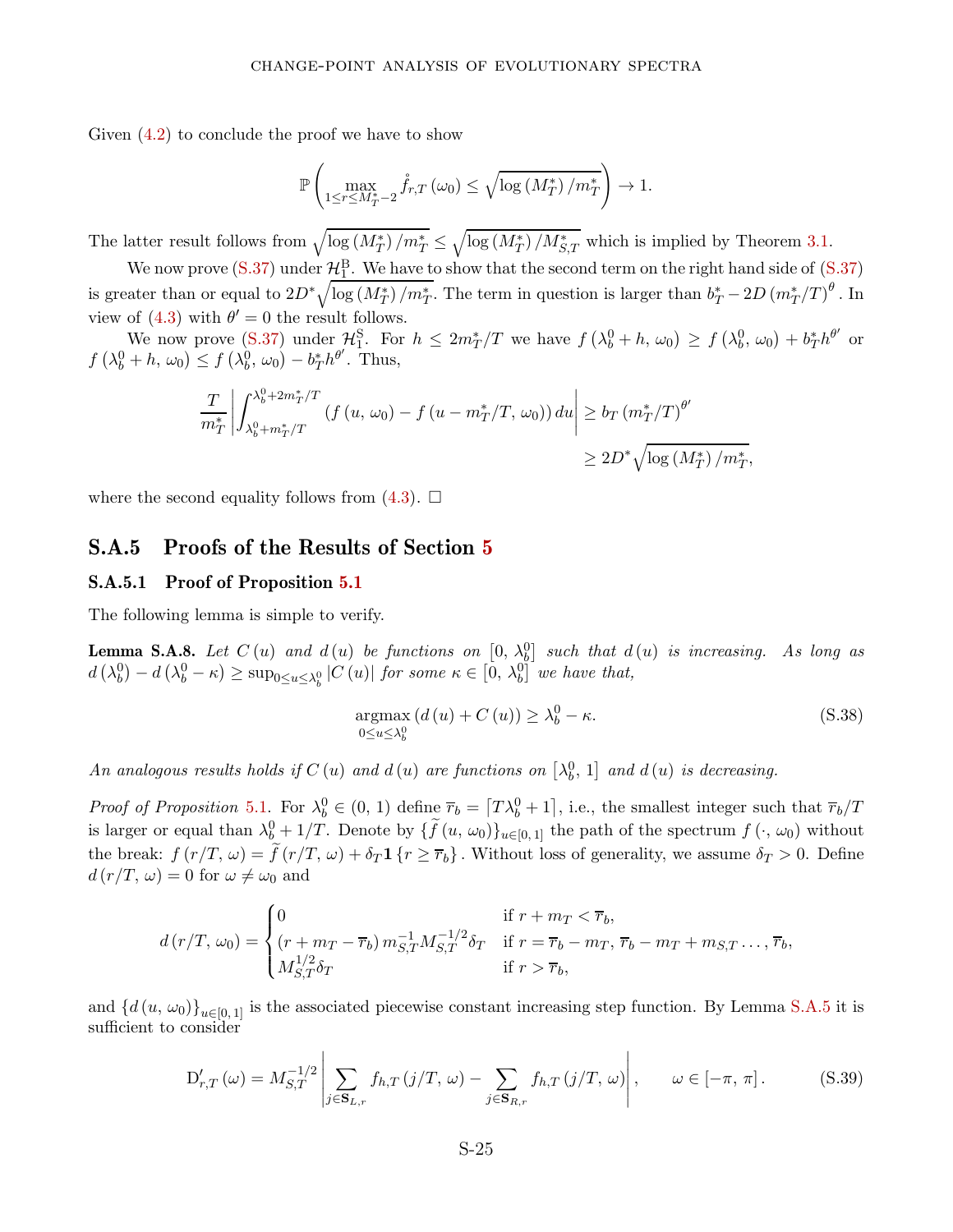Given [\(4.2\)](#page-14-3) to conclude the proof we have to show

$$
\mathbb{P}\left(\max_{1\leq r\leq M_T^*-2} \mathring{f}_{r,T}\left(\omega_0\right)\leq \sqrt{\log\left(M_T^*\right)/m_T^*}\right)\to 1.
$$

The latter result follows from  $\sqrt{\log (M_T^*)/m_T^*} \leq \sqrt{\log (M_T^*)/M_{S,T}^*}$  which is implied by Theorem [3.1.](#page-12-2)

We now prove  $(S.37)$  under  $\mathcal{H}_{1}^{B}$ . We have to show that the second term on the right hand side of  $(S.37)$ is greater than or equal to  $2D^*\sqrt{\log(M_T^*)/m_T^*}$ . The term in question is larger than  $b_T^* - 2D(m_T^*/T)^{\theta}$ . In view of  $(4.3)$  with  $\theta' = 0$  the result follows.

We now prove [\(S.37\)](#page-58-1) under  $\mathcal{H}_1^S$ . For  $h \leq 2m_T^*/T$  we have  $f(\lambda_b^0 + h, \omega_0) \geq f(\lambda_b^0, \omega_0) + b_T^* h^{\theta'}$  or  $f(\lambda_b^0 + h, \omega_0) \leq f(\lambda_b^0, \omega_0) - b_T^* h^{\theta'}$ . Thus,

$$
\frac{T}{m_T^*} \left| \int_{\lambda_b^0 + m_T^*/T}^{\lambda_b^0 + 2m_T^*/T} (f(u, \omega_0) - f(u - m_T^*/T, \omega_0)) du \right| \ge b_T \left( m_T^*/T \right)^{\theta'} \ge 2D^* \sqrt{\log \left( M_T^* \right) / m_T^*}
$$

<span id="page-59-0"></span>where the second equality follows from  $(4.3)$ .  $\Box$ 

### S.A.5 Proofs of the Results of Section [5](#page-15-0)

#### S.A.5.1 Proof of Proposition [5.1](#page-16-1)

The following lemma is simple to verify.

<span id="page-59-1"></span>**Lemma S.A.8.** Let  $C(u)$  and  $d(u)$  be functions on  $[0, \lambda_b^0]$  such that  $d(u)$  is increasing. As long as  $d\left(\lambda_b^0\right) - d\left(\lambda_b^0 - \kappa\right) \ge \sup_{0 \le u \le \lambda_b^0} |C(u)|$  for some  $\kappa \in [0, \lambda_b^0]$  we have that,

<span id="page-59-2"></span>
$$
\underset{0 \le u \le \lambda_b^0}{\operatorname{argmax}} \left( d(u) + C(u) \right) \ge \lambda_b^0 - \kappa. \tag{S.38}
$$

*,*

An analogous results holds if  $C(u)$  and  $d(u)$  are functions on  $\left[\lambda_b^0, 1\right]$  and  $d(u)$  is decreasing.

Proof of Proposition [5.1.](#page-16-1) For  $\lambda_b^0 \in (0, 1)$  define  $\overline{r}_b = [T\lambda_b^0 + 1]$ , i.e., the smallest integer such that  $\overline{r}_b/T$ is larger or equal than  $\lambda_b^0 + 1/T$ . Denote by  $\{\tilde{f}(u, \omega_0)\}_{u \in [0,1]}$  the path of the spectrum  $f(\cdot, \omega_0)$  without the break:  $f(r/T, \omega) = \tilde{f}(r/T, \omega) + \delta_T \mathbf{1} \{r \geq \overline{r}_b\}$ . Without loss of generality, we assume  $\delta_T > 0$ . Define  $d(r/T, \omega) = 0$  for  $\omega \neq \omega_0$  and

$$
d(r/T, \omega_0) = \begin{cases} 0 & \text{if } r + m_T < \overline{r}_b, \\ (r + m_T - \overline{r}_b) m_{S,T}^{-1} M_{S,T}^{-1/2} \delta_T & \text{if } r = \overline{r}_b - m_T, \ \overline{r}_b - m_T + m_{S,T} \dots, \overline{r}_b, \\ M_{S,T}^{1/2} \delta_T & \text{if } r > \overline{r}_b, \end{cases}
$$

and  $\{d(u, \omega_0)\}_{u\in[0,1]}$  is the associated piecewise constant increasing step function. By Lemma [S.A.5](#page-48-1) it is sufficient to consider

$$
D'_{r,T}(\omega) = M_{S,T}^{-1/2} \left| \sum_{j \in \mathbf{S}_{L,r}} f_{h,T}(j/T, \omega) - \sum_{j \in \mathbf{S}_{R,r}} f_{h,T}(j/T, \omega) \right|, \qquad \omega \in [-\pi, \pi]. \tag{S.39}
$$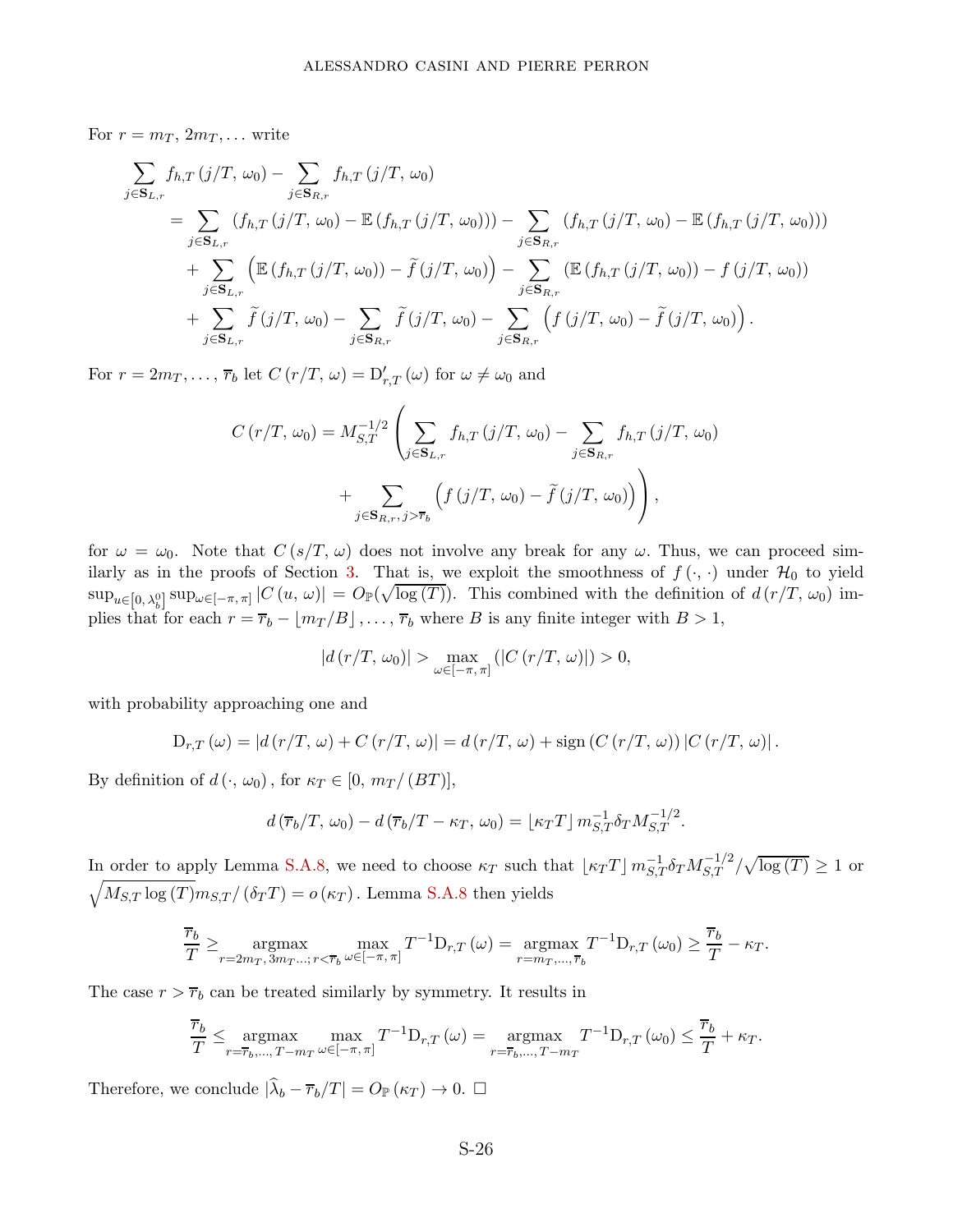For  $r = m_T, 2m_T, \ldots$  write

$$
\sum_{j \in \mathbf{S}_{L,r}} f_{h,T}(j/T, \omega_0) - \sum_{j \in \mathbf{S}_{R,r}} f_{h,T}(j/T, \omega_0)
$$
\n
$$
= \sum_{j \in \mathbf{S}_{L,r}} (f_{h,T}(j/T, \omega_0) - \mathbb{E}(f_{h,T}(j/T, \omega_0))) - \sum_{j \in \mathbf{S}_{R,r}} (f_{h,T}(j/T, \omega_0) - \mathbb{E}(f_{h,T}(j/T, \omega_0)))
$$
\n
$$
+ \sum_{j \in \mathbf{S}_{L,r}} (\mathbb{E}(f_{h,T}(j/T, \omega_0)) - \tilde{f}(j/T, \omega_0)) - \sum_{j \in \mathbf{S}_{R,r}} (\mathbb{E}(f_{h,T}(j/T, \omega_0)) - f(j/T, \omega_0))
$$
\n
$$
+ \sum_{j \in \mathbf{S}_{L,r}} \tilde{f}(j/T, \omega_0) - \sum_{j \in \mathbf{S}_{R,r}} \tilde{f}(j/T, \omega_0) - \sum_{j \in \mathbf{S}_{R,r}} (f(j/T, \omega_0) - \tilde{f}(j/T, \omega_0)).
$$

For  $r = 2m_T, \ldots, \overline{r}_b$  let  $C(r/T, \omega) = D'_{r,T}(\omega)$  for  $\omega \neq \omega_0$  and

$$
C(r/T, \omega_0) = M_{S,T}^{-1/2} \left( \sum_{j \in \mathbf{S}_{L,r}} f_{h,T}(j/T, \omega_0) - \sum_{j \in \mathbf{S}_{R,r}} f_{h,T}(j/T, \omega_0) + \sum_{j \in \mathbf{S}_{R,r}, j > \overline{r}_b} \left( f(j/T, \omega_0) - \tilde{f}(j/T, \omega_0) \right) \right),
$$

for  $\omega = \omega_0$ . Note that  $C(s/T, \omega)$  does not involve any break for any  $\omega$ . Thus, we can proceed sim-ilarly as in the proofs of Section [3.](#page-7-0) That is, we exploit the smoothness of  $f(\cdot, \cdot)$  under  $\mathcal{H}_0$  to yield  $\sup_{u\in[0,\lambda_b^0]} \sup_{\omega\in[-\pi,\pi]} |C(u,\omega)| = O_{\mathbb{P}}(\sqrt{\log(T)})$ . This combined with the definition of  $d(r/T, \omega_0)$  implies that for each  $r = \overline{r}_b - \lfloor m_T/B \rfloor, \ldots, \overline{r}_b$  where *B* is any finite integer with  $B > 1$ ,

$$
|d(r/T, \omega_0)| > \max_{\omega \in [-\pi, \pi]} (|C(r/T, \omega)|) > 0,
$$

with probability approaching one and

$$
D_{r,T}(\omega) = |d(r/T, \omega) + C(r/T, \omega)| = d(r/T, \omega) + sign (C(r/T, \omega)) |C(r/T, \omega)|.
$$

By definition of  $d(\cdot, \omega_0)$ , for  $\kappa_T \in [0, m_T / (BT)]$ ,

$$
d\left(\overline{r}_b/T, \omega_0\right) - d\left(\overline{r}_b/T - \kappa_T, \omega_0\right) = \lfloor \kappa_T T \rfloor m_{S,T}^{-1} \delta_T M_{S,T}^{-1/2}.
$$

In order to apply Lemma [S.A.8,](#page-59-1) we need to choose  $\kappa_T$  such that  $\lfloor \kappa_T T \rfloor m_{S,T}^{-1} \delta_T M_{S,T}^{-1/2} / \sqrt{\log(T)} \ge 1$  or  $\sqrt{M_{S,T} \log(T)} m_{S,T} / (\delta_T T) = o(\kappa_T)$ . Lemma [S.A.8](#page-59-1) then yields

$$
\frac{\overline{r}_b}{T} \ge \underset{r=2m_T, 3m_T...; r<\overline{r}_b}{\operatorname{argmax}} \max_{\omega \in [-\pi, \pi]} T^{-1} \mathcal{D}_{r,T}(\omega) = \underset{r=m_T,..., \overline{r}_b}{\operatorname{argmax}} T^{-1} \mathcal{D}_{r,T}(\omega_0) \ge \frac{\overline{r}_b}{T} - \kappa_T.
$$

The case  $r > \overline{r}_b$  can be treated similarly by symmetry. It results in

$$
\frac{\overline{r}_b}{T} \le \underset{r=\overline{r}_b,\dots,T-m_T}{\operatorname{argmax}} \max_{\omega \in [-\pi,\pi]} T^{-1} \mathcal{D}_{r,T} \left( \omega \right) = \underset{r=\overline{r}_b,\dots,T-m_T}{\operatorname{argmax}} T^{-1} \mathcal{D}_{r,T} \left( \omega_0 \right) \le \frac{\overline{r}_b}{T} + \kappa_T.
$$

Therefore, we conclude  $|\hat{\lambda}_b - \overline{r}_b/T| = O_{\mathbb{P}}(\kappa_T) \to 0.$   $\Box$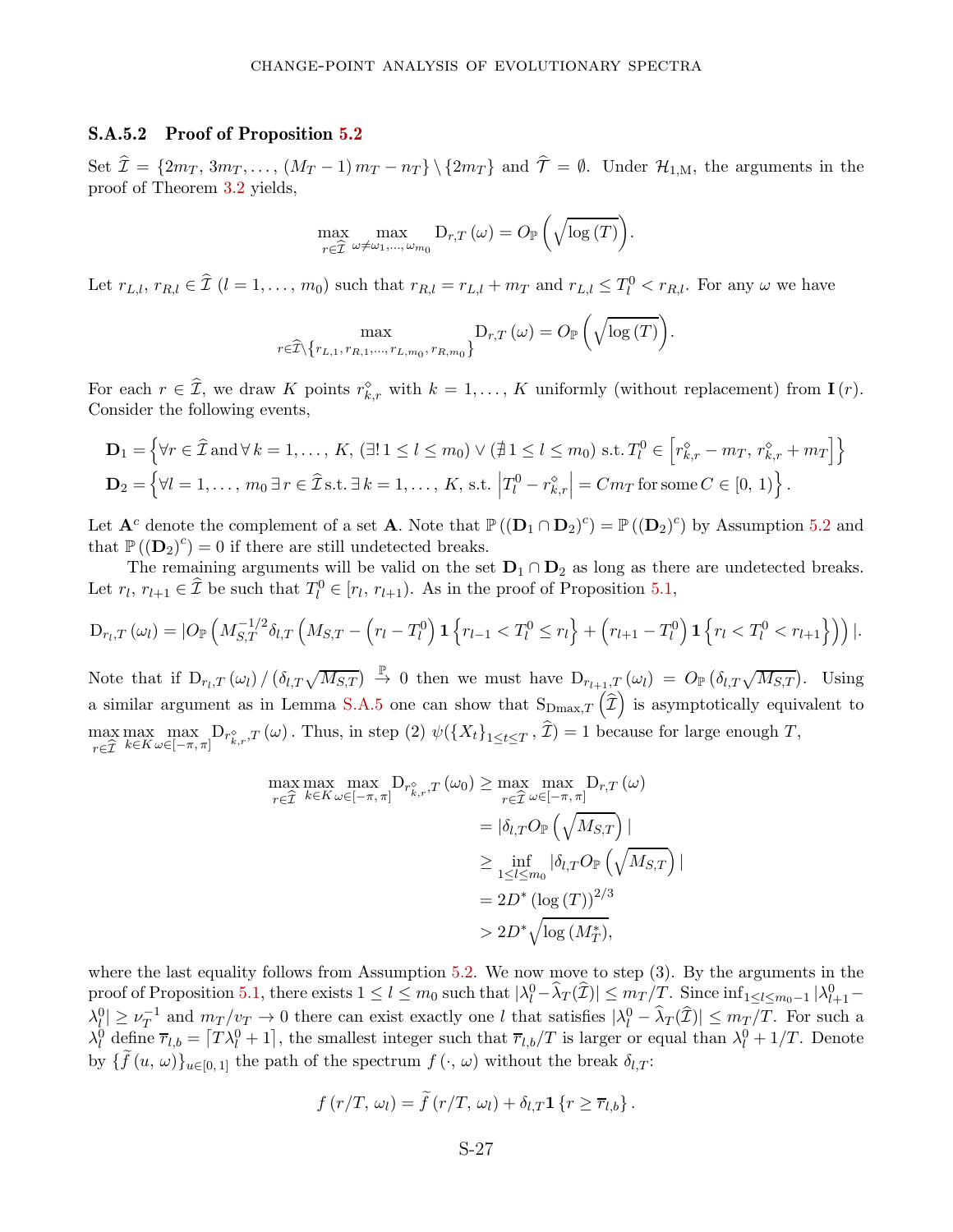### S.A.5.2 Proof of Proposition [5.2](#page-18-2)

Set  $\hat{\mathcal{I}} = \{2m_T, 3m_T, \ldots, (M_T-1)m_T - n_T\} \setminus \{2m_T\}$  and  $\hat{\mathcal{T}} = \emptyset$ . Under  $\mathcal{H}_{1,M}$ , the arguments in the proof of Theorem [3.2](#page-12-4) yields,

$$
\max_{r \in \widehat{\mathcal{I}}} \max_{\omega \neq \omega_1, ..., \omega_{m_0}} \mathrm{D}_{r,T}(\omega) = O_{\mathbb{P}}\left(\sqrt{\log(T)}\right).
$$

Let  $r_{L,l}$ ,  $r_{R,l} \in \hat{\mathcal{I}}$   $(l = 1, ..., m_0)$  such that  $r_{R,l} = r_{L,l} + m_T$  and  $r_{L,l} \leq T_l^0 < r_{R,l}$ . For any  $\omega$  we have

$$
\max_{r \in \widehat{T} \setminus \{r_{L,1}, r_{R,1}, \dots, r_{L,m_0}, r_{R,m_0}\}} D_{r,T}(\omega) = O_{\mathbb{P}}\left(\sqrt{\log(T)}\right).
$$

For each  $r \in \hat{\mathcal{I}}$ , we draw *K* points  $r_{k,r}^{\diamond}$  with  $k = 1, \ldots, K$  uniformly (without replacement) from **I**(*r*). Consider the following events,

$$
\mathbf{D}_1 = \left\{ \forall r \in \widehat{\mathcal{I}} \text{ and } \forall k = 1, \dots, K, (\exists! \ 1 \le l \le m_0) \lor (\nexists \ 1 \le l \le m_0) \text{ s.t. } T_l^0 \in \left[ r_{k,r}^{\diamond} - m_T, \ r_{k,r}^{\diamond} + m_T \right] \right\}
$$
\n
$$
\mathbf{D}_2 = \left\{ \forall l = 1, \dots, m_0 \ \exists \ r \in \widehat{\mathcal{I}} \text{ s.t. } \exists \ k = 1, \dots, K, \text{ s.t. } \left| T_l^0 - r_{k,r}^{\diamond} \right| = Cm_T \text{ for some } C \in [0, 1) \right\}.
$$

Let  $\mathbf{A}^c$  denote the complement of a set **A**. Note that  $\mathbb{P}((\mathbf{D}_1 \cap \mathbf{D}_2)^c) = \mathbb{P}((\mathbf{D}_2)^c)$  by Assumption [5.2](#page-18-0) and that  $\mathbb{P}((\mathbf{D}_2)^c) = 0$  if there are still undetected breaks.

The remaining arguments will be valid on the set  $D_1 \cap D_2$  as long as there are undetected breaks. Let  $r_l$ ,  $r_{l+1} \in \hat{\mathcal{I}}$  be such that  $T_l^0 \in [r_l, r_{l+1})$ . As in the proof of Proposition [5.1,](#page-16-1)

$$
D_{r_l,T}(\omega_l) = |O_{\mathbb{P}}\left(M_{S,T}^{-1/2}\delta_{l,T}\left(M_{S,T} - \left(r_l - T_l^0\right)\mathbf{1}\left\{r_{l-1} < T_l^0 \leq r_l\right\} + \left(r_{l+1} - T_l^0\right)\mathbf{1}\left\{r_l < T_l^0 < r_{l+1}\right\}\right)\right)|.
$$

Note that if  $D_{r_l,T}(\omega_l)/(\delta_{l,T}\sqrt{M_{S,T}}) \stackrel{\mathbb{P}}{\to} 0$  then we must have  $D_{r_{l+1},T}(\omega_l) = O_{\mathbb{P}}(\delta_{l,T}\sqrt{M_{S,T}})$ . Using a similar argument as in Lemma [S.A.5](#page-48-1) one can show that  $S_{\text{Dmax},T}(\hat{\mathcal{I}})$  is asymptotically equivalent to max *<sup>r</sup>*∈Ib  $\max_{k \in K} \max_{\omega \in [-\pi, \pi]} D_{r_{k,r}^{\diamond},T}(\omega)$ . Thus, in step (2)  $\psi(\lbrace X_t \rbrace_{1 \le t \le T}, \mathcal{I}) = 1$  because for large enough *T*,

$$
\max_{r \in \widehat{\mathcal{I}}} \max_{k \in K} \max_{\omega \in [-\pi, \pi]} D_{r_{k,r}^{\diamond}, T} (\omega_0) \ge \max_{r \in \widehat{\mathcal{I}}} \max_{\omega \in [-\pi, \pi]} D_{r,T} (\omega)
$$

$$
= |\delta_{l,T} O_{\mathbb{P}} \left( \sqrt{M_{S,T}} \right) |
$$

$$
\ge \inf_{1 \le l \le m_0} |\delta_{l,T} O_{\mathbb{P}} \left( \sqrt{M_{S,T}} \right)
$$

$$
= 2D^* (\log(T))^{2/3}
$$

$$
> 2D^* \sqrt{\log(M_T^*)},
$$

|

where the last equality follows from Assumption [5.2.](#page-18-0) We now move to step (3). By the arguments in the  $\text{proof of Proposition 5.1, there exists } 1 \leq l \leq m_0 \text{ such that } |\lambda_l^0 - \hat{\lambda}_T(\hat{\mathcal{I}})| \leq m_T/T. \text{ Since } \inf_{1 \leq l \leq m_0-1} |\lambda_{l+1}^0 - \hat{\lambda}_l|^2$  $\text{proof of Proposition 5.1, there exists } 1 \leq l \leq m_0 \text{ such that } |\lambda_l^0 - \hat{\lambda}_T(\hat{\mathcal{I}})| \leq m_T/T. \text{ Since } \inf_{1 \leq l \leq m_0-1} |\lambda_{l+1}^0 - \hat{\lambda}_l|^2$  $\text{proof of Proposition 5.1, there exists } 1 \leq l \leq m_0 \text{ such that } |\lambda_l^0 - \hat{\lambda}_T(\hat{\mathcal{I}})| \leq m_T/T. \text{ Since } \inf_{1 \leq l \leq m_0-1} |\lambda_{l+1}^0 - \hat{\lambda}_l|^2$  $|\lambda_l^0| \geq \nu_T^{-1}$  and  $m_T/v_T \to 0$  there can exist exactly one l that satisfies  $|\lambda_l^0 - \hat{\lambda}_T(\hat{\mathcal{I}})| \leq m_T/T$ . For such a  $\lambda_l^0$  define  $\overline{r}_{l,b} = [T\lambda_l^0 + 1]$ , the smallest integer such that  $\overline{r}_{l,b}/T$  is larger or equal than  $\lambda_l^0 + 1/T$ . Denote by  $\{f(u, \omega)\}_{u \in [0,1]}$  the path of the spectrum  $f(\cdot, \omega)$  without the break  $\delta_{l,T}$ :

$$
f(r/T, \omega_l) = \tilde{f}(r/T, \omega_l) + \delta_{l,T} \mathbf{1} \{r \geq \overline{r}_{l,b}\}.
$$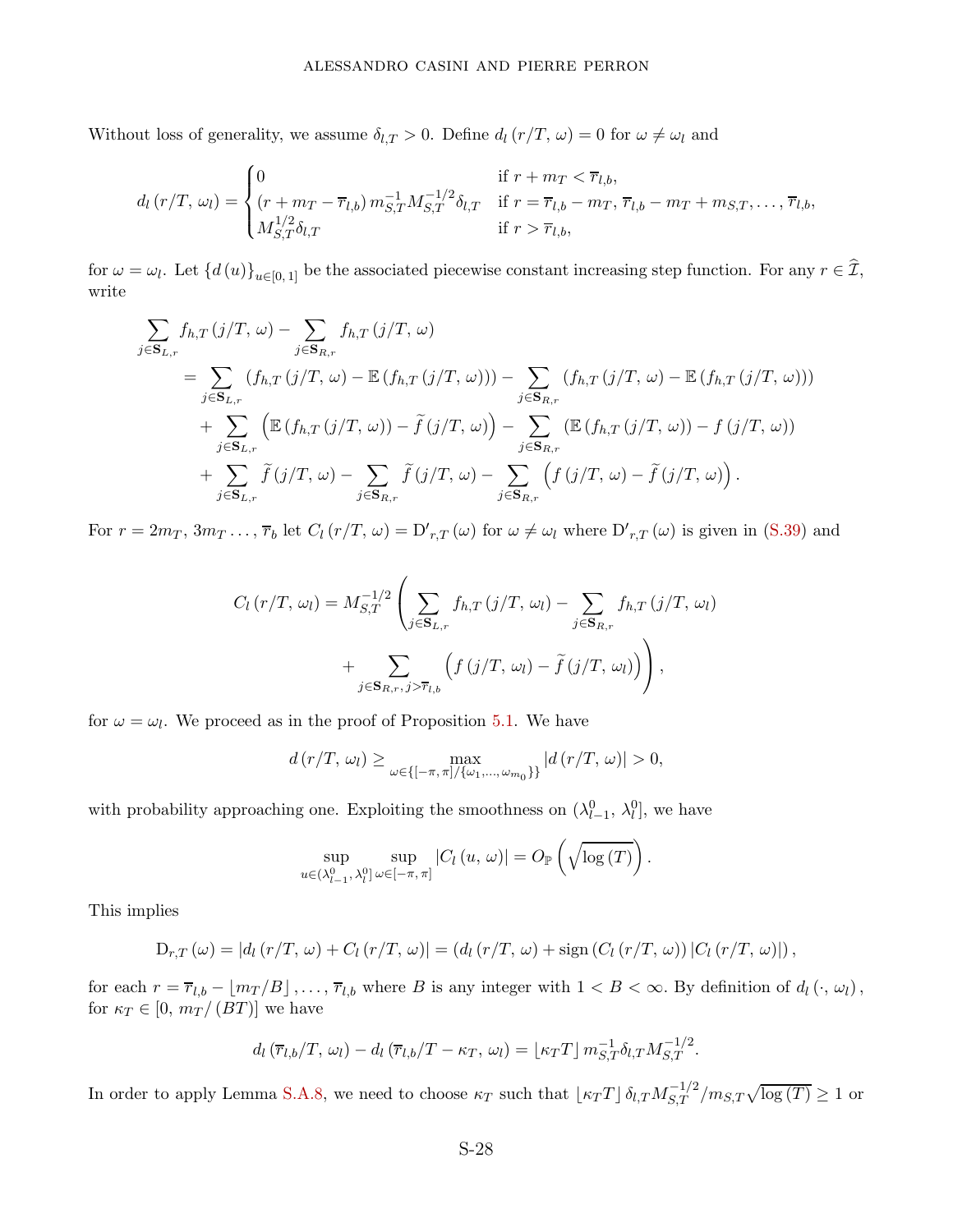Without loss of generality, we assume  $\delta_{l,T} > 0$ . Define  $d_l(r/T, \omega) = 0$  for  $\omega \neq \omega_l$  and

$$
d_l(r/T, \omega_l) = \begin{cases} 0 & \text{if } r + m_T < \overline{r}_{l,b}, \\ (r + m_T - \overline{r}_{l,b}) m_{S,T}^{-1} M_{S,T}^{-1/2} \delta_{l,T} & \text{if } r = \overline{r}_{l,b} - m_T, \, \overline{r}_{l,b} - m_T + m_{S,T}, \dots, \overline{r}_{l,b}, \\ M_{S,T}^{1/2} \delta_{l,T} & \text{if } r > \overline{r}_{l,b}, \end{cases}
$$

for  $\omega = \omega_l$ . Let  $\{d(u)\}_{u \in [0,1]}$  be the associated piecewise constant increasing step function. For any  $r \in \mathcal{I}$ , write

$$
\sum_{j \in \mathbf{S}_{L,r}} f_{h,T}(j/T, \omega) - \sum_{j \in \mathbf{S}_{R,r}} f_{h,T}(j/T, \omega)
$$
\n
$$
= \sum_{j \in \mathbf{S}_{L,r}} (f_{h,T}(j/T, \omega) - \mathbb{E}(f_{h,T}(j/T, \omega))) - \sum_{j \in \mathbf{S}_{R,r}} (f_{h,T}(j/T, \omega) - \mathbb{E}(f_{h,T}(j/T, \omega)))
$$
\n
$$
+ \sum_{j \in \mathbf{S}_{L,r}} \left( \mathbb{E}(f_{h,T}(j/T, \omega)) - \tilde{f}(j/T, \omega) \right) - \sum_{j \in \mathbf{S}_{R,r}} (\mathbb{E}(f_{h,T}(j/T, \omega)) - f(j/T, \omega))
$$
\n
$$
+ \sum_{j \in \mathbf{S}_{L,r}} \tilde{f}(j/T, \omega) - \sum_{j \in \mathbf{S}_{R,r}} \tilde{f}(j/T, \omega) - \sum_{j \in \mathbf{S}_{R,r}} \left( f(j/T, \omega) - \tilde{f}(j/T, \omega) \right).
$$

For  $r = 2m_T, 3m_T, \ldots, \overline{r}_b$  let  $C_l(r/T, \omega) = D'_{r,T}(\omega)$  for  $\omega \neq \omega_l$  where  $D'_{r,T}(\omega)$  is given in [\(S.39\)](#page-59-2) and

$$
C_{l}(r/T, \omega_{l}) = M_{S,T}^{-1/2} \left( \sum_{j \in \mathbf{S}_{L,r}} f_{h,T}(j/T, \omega_{l}) - \sum_{j \in \mathbf{S}_{R,r}} f_{h,T}(j/T, \omega_{l}) + \sum_{j \in \mathbf{S}_{R,r}, j > \overline{r}_{l,b}} \left( f(j/T, \omega_{l}) - \tilde{f}(j/T, \omega_{l}) \right) \right),
$$

for  $\omega = \omega_l$ . We proceed as in the proof of Proposition [5.1.](#page-16-1) We have

$$
d(r/T, \omega_l) \ge \max_{\omega \in \{[-\pi, \pi]/\{\omega_1, ..., \omega_{m_0}\}\}} |d(r/T, \omega)| > 0,
$$

with probability approaching one. Exploiting the smoothness on  $(\lambda_{l-1}^0, \lambda_l^0]$ , we have

$$
\sup_{u \in (\lambda_{l-1}^{0},\,\lambda_{l}^{0}]}\sup_{\omega \in [-\pi,\,\pi]}|C_{l}\left(u,\,\omega\right)| = O_{\mathbb{P}}\left(\sqrt{\log\left(T\right)}\right).
$$

This implies

$$
D_{r,T}(\omega) = |d_l(r/T, \omega) + C_l(r/T, \omega)| = (d_l(r/T, \omega) + \text{sign}(C_l(r/T, \omega)) |C_l(r/T, \omega)|),
$$

for each  $r = \overline{r}_{l,b} - \lfloor m_T/B \rfloor, \ldots, \overline{r}_{l,b}$  where B is any integer with  $1 < B < \infty$ . By definition of  $d_l(\cdot, \omega_l)$ , for  $\kappa_T \in [0, m_T/(BT)]$  we have

$$
d_l(\overline{r}_{l,b}/T,\,\omega_l)-d_l(\overline{r}_{l,b}/T-\kappa_T,\,\omega_l)=\lfloor \kappa_T T \rfloor m_{S,T}^{-1}\delta_{l,T}M_{S,T}^{-1/2}.
$$

In order to apply Lemma [S.A.8,](#page-59-1) we need to choose  $\kappa_T$  such that  $\lfloor \kappa_T T \rfloor \delta_{l,T} M_{S,T}^{-1/2} / m_{S,T} \sqrt{\log(T)} \ge 1$  or